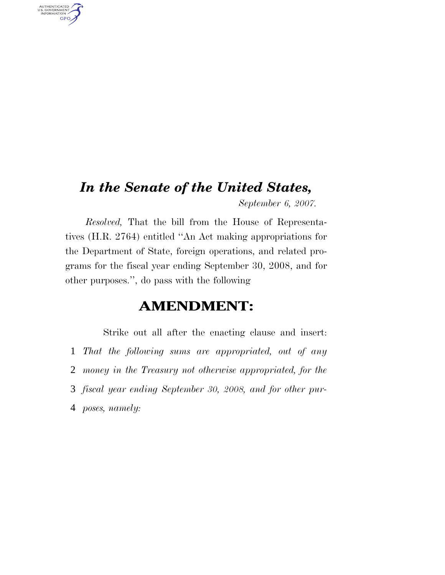# *In the Senate of the United States,*

AUTHENTICATED<br>U.S. GOVERNMENT<br>INFORMATION GPO

*September 6, 2007.*

*Resolved,* That the bill from the House of Representatives (H.R. 2764) entitled ''An Act making appropriations for the Department of State, foreign operations, and related programs for the fiscal year ending September 30, 2008, and for other purposes.'', do pass with the following

# **AMENDMENT:**

Strike out all after the enacting clause and insert: *That the following sums are appropriated, out of any money in the Treasury not otherwise appropriated, for the fiscal year ending September 30, 2008, and for other pur-poses, namely:*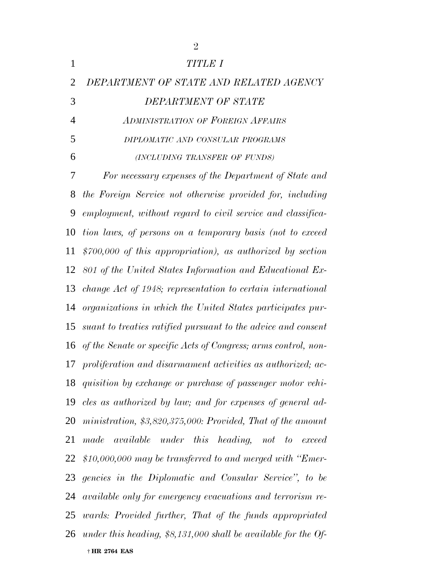|                | $\overline{2}$                                                     |
|----------------|--------------------------------------------------------------------|
| $\mathbf{1}$   | TITLE I                                                            |
| $\overline{2}$ | DEPARTMENT OF STATE AND RELATED AGENCY                             |
| 3              | DEPARTMENT OF STATE                                                |
| $\overline{4}$ | <b>ADMINISTRATION OF FOREIGN AFFAIRS</b>                           |
| 5              | DIPLOMATIC AND CONSULAR PROGRAMS                                   |
| 6              | (INCLUDING TRANSFER OF FUNDS)                                      |
| 7              | For necessary expenses of the Department of State and              |
| 8              | the Foreign Service not otherwise provided for, including          |
| 9              | employment, without regard to civil service and classifica-        |
| 10             | tion laws, of persons on a temporary basis (not to exceed          |
| 11             | $$700,000$ of this appropriation), as authorized by section        |
| 12             | 801 of the United States Information and Educational Ex-           |
| 13             | change Act of 1948; representation to certain international        |
| 14             | organizations in which the United States participates pur-         |
| 15             | suant to treaties ratified pursuant to the advice and consent      |
|                | 16 of the Senate or specific Acts of Congress; arms control, non-  |
|                | 17 proliferation and disarmament activities as authorized; ac-     |
|                | 18 quisition by exchange or purchase of passenger motor vehi-      |
|                | 19 cles as authorized by law; and for expenses of general ad-      |
|                | 20 ministration, \$3,820,375,000: Provided, That of the amount     |
| 21             | made available under this heading, not to exceed                   |
|                | 22 \$10,000,000 may be transferred to and merged with "Emer-       |
|                | 23 gencies in the Diplomatic and Consular Service", to be          |
|                | 24 available only for emergency evacuations and terrorism re-      |
|                | 25 wards: Provided further, That of the funds appropriated         |
|                | 26 under this heading, $$8,131,000$ shall be available for the Of- |
|                | † HR 2764 EAS                                                      |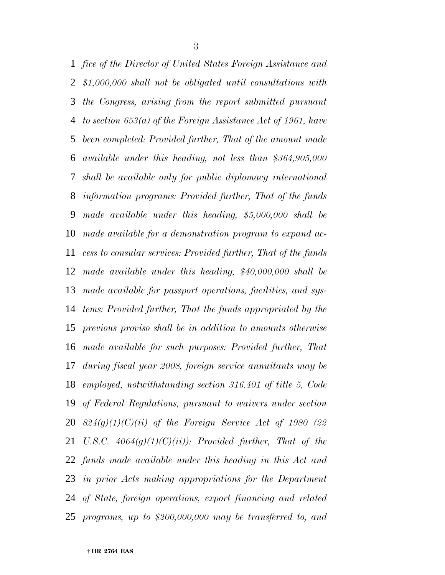*fice of the Director of United States Foreign Assistance and \$1,000,000 shall not be obligated until consultations with the Congress, arising from the report submitted pursuant to section 653(a) of the Foreign Assistance Act of 1961, have been completed: Provided further, That of the amount made available under this heading, not less than \$364,905,000 shall be available only for public diplomacy international information programs: Provided further, That of the funds made available under this heading, \$5,000,000 shall be made available for a demonstration program to expand ac- cess to consular services: Provided further, That of the funds made available under this heading, \$40,000,000 shall be made available for passport operations, facilities, and sys- tems: Provided further, That the funds appropriated by the previous proviso shall be in addition to amounts otherwise made available for such purposes: Provided further, That during fiscal year 2008, foreign service annuitants may be employed, notwithstanding section 316.401 of title 5, Code of Federal Regulations, pursuant to waivers under section 824(g)(1)(C)(ii) of the Foreign Service Act of 1980 (22 U.S.C. 4064(g)(1)(C)(ii)): Provided further, That of the funds made available under this heading in this Act and in prior Acts making appropriations for the Department of State, foreign operations, export financing and related programs, up to \$200,000,000 may be transferred to, and*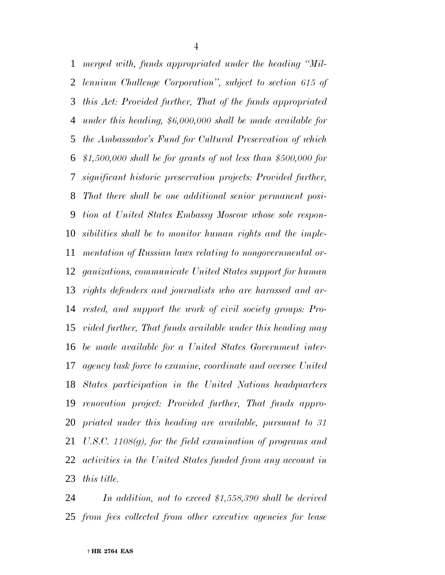*merged with, funds appropriated under the heading ''Mil- lennium Challenge Corporation'', subject to section 615 of this Act: Provided further, That of the funds appropriated under this heading, \$6,000,000 shall be made available for the Ambassador's Fund for Cultural Preservation of which \$1,500,000 shall be for grants of not less than \$500,000 for significant historic preservation projects: Provided further, That there shall be one additional senior permanent posi- tion at United States Embassy Moscow whose sole respon- sibilities shall be to monitor human rights and the imple- mentation of Russian laws relating to nongovernmental or- ganizations, communicate United States support for human rights defenders and journalists who are harassed and ar- rested, and support the work of civil society groups: Pro- vided further, That funds available under this heading may be made available for a United States Government inter- agency task force to examine, coordinate and oversee United States participation in the United Nations headquarters renovation project: Provided further, That funds appro- priated under this heading are available, pursuant to 31 U.S.C. 1108(g), for the field examination of programs and activities in the United States funded from any account in this title.*

 *In addition, not to exceed \$1,558,390 shall be derived from fees collected from other executive agencies for lease*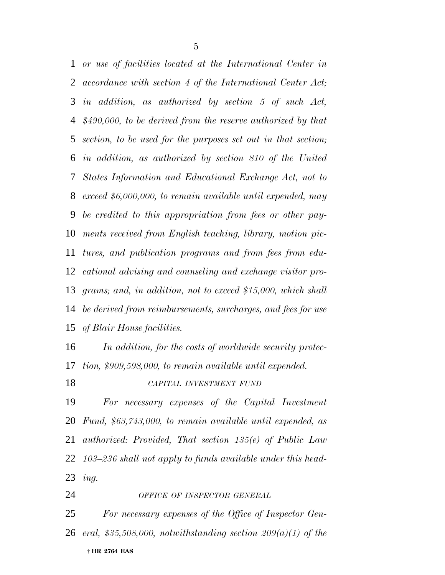*or use of facilities located at the International Center in accordance with section 4 of the International Center Act; in addition, as authorized by section 5 of such Act, \$490,000, to be derived from the reserve authorized by that section, to be used for the purposes set out in that section; in addition, as authorized by section 810 of the United States Information and Educational Exchange Act, not to exceed \$6,000,000, to remain available until expended, may be credited to this appropriation from fees or other pay- ments received from English teaching, library, motion pic- tures, and publication programs and from fees from edu- cational advising and counseling and exchange visitor pro- grams; and, in addition, not to exceed \$15,000, which shall be derived from reimbursements, surcharges, and fees for use of Blair House facilities.*

 *In addition, for the costs of worldwide security protec-tion, \$909,598,000, to remain available until expended.*

# *CAPITAL INVESTMENT FUND*

 *For necessary expenses of the Capital Investment Fund, \$63,743,000, to remain available until expended, as authorized: Provided, That section 135(e) of Public Law 103–236 shall not apply to funds available under this head-ing.*

*OFFICE OF INSPECTOR GENERAL*

 † **HR 2764 EAS** *For necessary expenses of the Office of Inspector Gen-eral, \$35,508,000, notwithstanding section 209(a)(1) of the*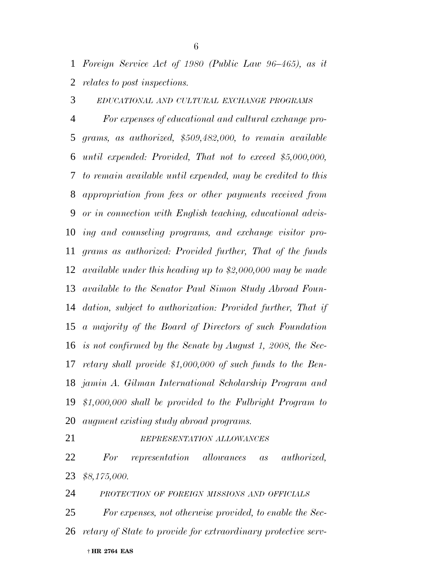*Foreign Service Act of 1980 (Public Law 96–465), as it relates to post inspections.*

*EDUCATIONAL AND CULTURAL EXCHANGE PROGRAMS*

 *For expenses of educational and cultural exchange pro- grams, as authorized, \$509,482,000, to remain available until expended: Provided, That not to exceed \$5,000,000, to remain available until expended, may be credited to this appropriation from fees or other payments received from or in connection with English teaching, educational advis- ing and counseling programs, and exchange visitor pro- grams as authorized: Provided further, That of the funds available under this heading up to \$2,000,000 may be made available to the Senator Paul Simon Study Abroad Foun- dation, subject to authorization: Provided further, That if a majority of the Board of Directors of such Foundation is not confirmed by the Senate by August 1, 2008, the Sec- retary shall provide \$1,000,000 of such funds to the Ben- jamin A. Gilman International Scholarship Program and \$1,000,000 shall be provided to the Fulbright Program to augment existing study abroad programs.*

#### *REPRESENTATION ALLOWANCES*

 *For representation allowances as authorized, \$8,175,000.*

*PROTECTION OF FOREIGN MISSIONS AND OFFICIALS*

 † **HR 2764 EAS** *For expenses, not otherwise provided, to enable the Sec-retary of State to provide for extraordinary protective serv-*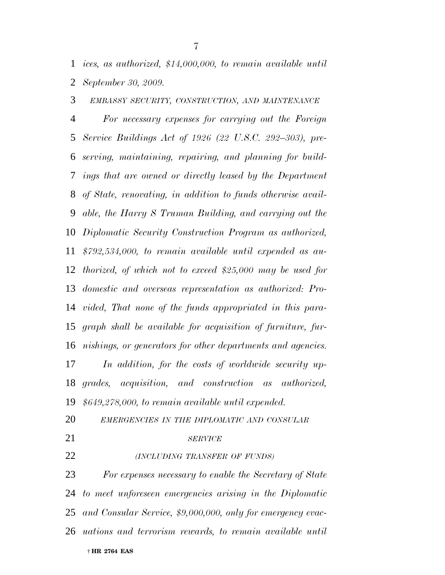*ices, as authorized, \$14,000,000, to remain available until September 30, 2009.*

*EMBASSY SECURITY, CONSTRUCTION, AND MAINTENANCE*

 *For necessary expenses for carrying out the Foreign Service Buildings Act of 1926 (22 U.S.C. 292–303), pre- serving, maintaining, repairing, and planning for build- ings that are owned or directly leased by the Department of State, renovating, in addition to funds otherwise avail- able, the Harry S Truman Building, and carrying out the Diplomatic Security Construction Program as authorized, \$792,534,000, to remain available until expended as au- thorized, of which not to exceed \$25,000 may be used for domestic and overseas representation as authorized: Pro- vided, That none of the funds appropriated in this para- graph shall be available for acquisition of furniture, fur- nishings, or generators for other departments and agencies. In addition, for the costs of worldwide security up-*

 *grades, acquisition, and construction as authorized, \$649,278,000, to remain available until expended.*

- *EMERGENCIES IN THE DIPLOMATIC AND CONSULAR*
- 

#### *SERVICE*

*(INCLUDING TRANSFER OF FUNDS)*

 † **HR 2764 EAS** *For expenses necessary to enable the Secretary of State to meet unforeseen emergencies arising in the Diplomatic and Consular Service, \$9,000,000, only for emergency evac-uations and terrorism rewards, to remain available until*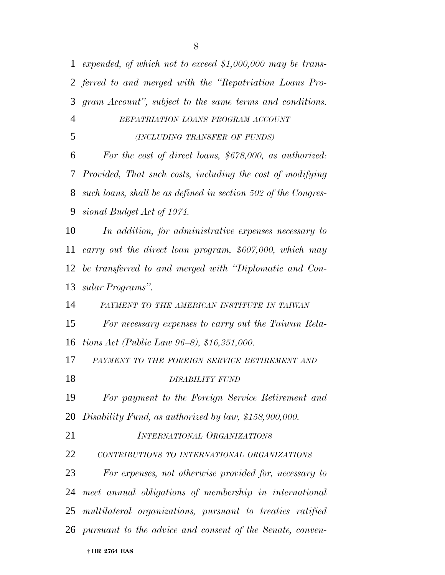| $\mathbf{1}$   | expended, of which not to exceed \$1,000,000 may be trans-     |
|----------------|----------------------------------------------------------------|
|                | 2 ferred to and merged with the "Repatriation Loans Pro-       |
| 3              | gram Account", subject to the same terms and conditions.       |
| $\overline{4}$ | REPATRIATION LOANS PROGRAM ACCOUNT                             |
| 5              | (INCLUDING TRANSFER OF FUNDS)                                  |
| 6              | For the cost of direct loans, \$678,000, as authorized:        |
| 7              | Provided, That such costs, including the cost of modifying     |
| 8              | such loans, shall be as defined in section 502 of the Congres- |
| 9              | sional Budget Act of 1974.                                     |
| 10             | In addition, for administrative expenses necessary to          |
| 11             | carry out the direct loan program, \$607,000, which may        |
| 12             | be transferred to and merged with "Diplomatic and Con-         |
| 13             | sular Programs".                                               |
| 14             | PAYMENT TO THE AMERICAN INSTITUTE IN TAIWAN                    |
| 15             | For necessary expenses to carry out the Taiwan Rela-           |
| 16             | tions Act (Public Law 96–8), \$16,351,000.                     |
| 17             | PAYMENT TO THE FOREIGN SERVICE RETIREMENT AND                  |
| 18             | DISABILITY FUND                                                |
| 19             | For payment to the Foreign Service Retirement and              |
| 20             | Disability Fund, as authorized by law, \$158,900,000.          |
| 21             | <b>INTERNATIONAL ORGANIZATIONS</b>                             |
| 22             | CONTRIBUTIONS TO INTERNATIONAL ORGANIZATIONS                   |
| 23             | For expenses, not otherwise provided for, necessary to         |
| 24             | meet annual obligations of membership in international         |
| 25             | multilateral organizations, pursuant to treaties ratified      |
|                | 26 pursuant to the advice and consent of the Senate, conven-   |
|                |                                                                |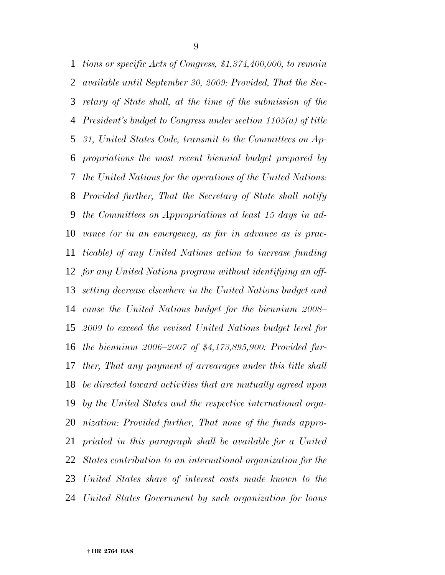*tions or specific Acts of Congress, \$1,374,400,000, to remain available until September 30, 2009: Provided, That the Sec- retary of State shall, at the time of the submission of the President's budget to Congress under section 1105(a) of title 31, United States Code, transmit to the Committees on Ap- propriations the most recent biennial budget prepared by the United Nations for the operations of the United Nations: Provided further, That the Secretary of State shall notify the Committees on Appropriations at least 15 days in ad- vance (or in an emergency, as far in advance as is prac- ticable) of any United Nations action to increase funding for any United Nations program without identifying an off- setting decrease elsewhere in the United Nations budget and cause the United Nations budget for the biennium 2008– 2009 to exceed the revised United Nations budget level for the biennium 2006–2007 of \$4,173,895,900: Provided fur- ther, That any payment of arrearages under this title shall be directed toward activities that are mutually agreed upon by the United States and the respective international orga- nization: Provided further, That none of the funds appro- priated in this paragraph shall be available for a United States contribution to an international organization for the United States share of interest costs made known to the United States Government by such organization for loans*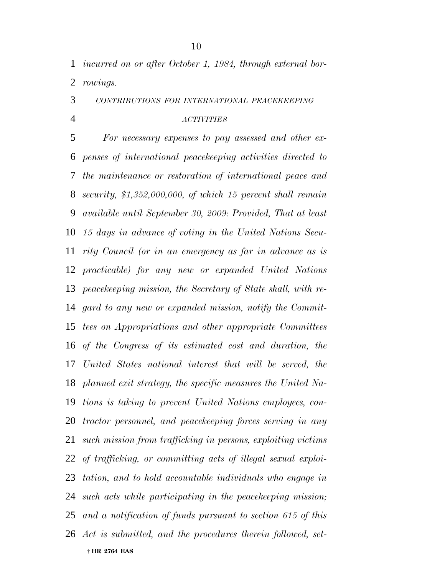*incurred on or after October 1, 1984, through external bor-rowings.*

*CONTRIBUTIONS FOR INTERNATIONAL PEACEKEEPING*

#### *ACTIVITIES*

 † **HR 2764 EAS** *For necessary expenses to pay assessed and other ex- penses of international peacekeeping activities directed to the maintenance or restoration of international peace and security, \$1,352,000,000, of which 15 percent shall remain available until September 30, 2009: Provided, That at least 15 days in advance of voting in the United Nations Secu- rity Council (or in an emergency as far in advance as is practicable) for any new or expanded United Nations peacekeeping mission, the Secretary of State shall, with re- gard to any new or expanded mission, notify the Commit- tees on Appropriations and other appropriate Committees of the Congress of its estimated cost and duration, the United States national interest that will be served, the planned exit strategy, the specific measures the United Na- tions is taking to prevent United Nations employees, con- tractor personnel, and peacekeeping forces serving in any such mission from trafficking in persons, exploiting victims of trafficking, or committing acts of illegal sexual exploi- tation, and to hold accountable individuals who engage in such acts while participating in the peacekeeping mission; and a notification of funds pursuant to section 615 of this Act is submitted, and the procedures therein followed, set-*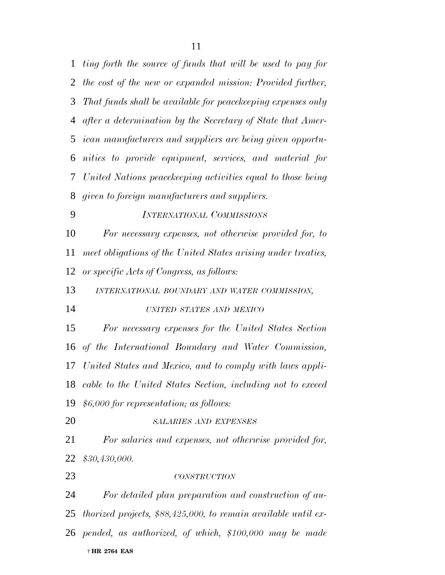*ting forth the source of funds that will be used to pay for the cost of the new or expanded mission: Provided further, That funds shall be available for peacekeeping expenses only after a determination by the Secretary of State that Amer- ican manufacturers and suppliers are being given opportu- nities to provide equipment, services, and material for United Nations peacekeeping activities equal to those being given to foreign manufacturers and suppliers. INTERNATIONAL COMMISSIONS For necessary expenses, not otherwise provided for, to*

 *meet obligations of the United States arising under treaties, or specific Acts of Congress, as follows:*

*INTERNATIONAL BOUNDARY AND WATER COMMISSION,*

*UNITED STATES AND MEXICO*

 *For necessary expenses for the United States Section of the International Boundary and Water Commission, United States and Mexico, and to comply with laws appli- cable to the United States Section, including not to exceed \$6,000 for representation; as follows:*

*SALARIES AND EXPENSES*

 *For salaries and expenses, not otherwise provided for, \$30,430,000.*

#### *CONSTRUCTION*

 † **HR 2764 EAS** *For detailed plan preparation and construction of au- thorized projects, \$88,425,000, to remain available until ex-pended, as authorized, of which, \$100,000 may be made*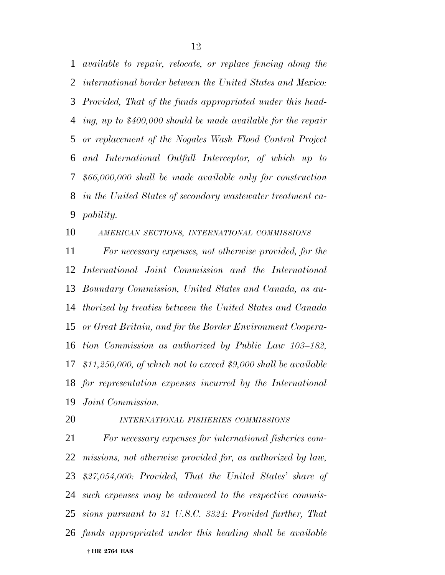*available to repair, relocate, or replace fencing along the international border between the United States and Mexico: Provided, That of the funds appropriated under this head- ing, up to \$400,000 should be made available for the repair or replacement of the Nogales Wash Flood Control Project and International Outfall Interceptor, of which up to \$66,000,000 shall be made available only for construction in the United States of secondary wastewater treatment ca-pability.*

*AMERICAN SECTIONS, INTERNATIONAL COMMISSIONS*

 *For necessary expenses, not otherwise provided, for the International Joint Commission and the International Boundary Commission, United States and Canada, as au- thorized by treaties between the United States and Canada or Great Britain, and for the Border Environment Coopera- tion Commission as authorized by Public Law 103–182, \$11,250,000, of which not to exceed \$9,000 shall be available for representation expenses incurred by the International Joint Commission.*

# *INTERNATIONAL FISHERIES COMMISSIONS*

 † **HR 2764 EAS** *For necessary expenses for international fisheries com- missions, not otherwise provided for, as authorized by law, \$27,054,000: Provided, That the United States' share of such expenses may be advanced to the respective commis- sions pursuant to 31 U.S.C. 3324: Provided further, That funds appropriated under this heading shall be available*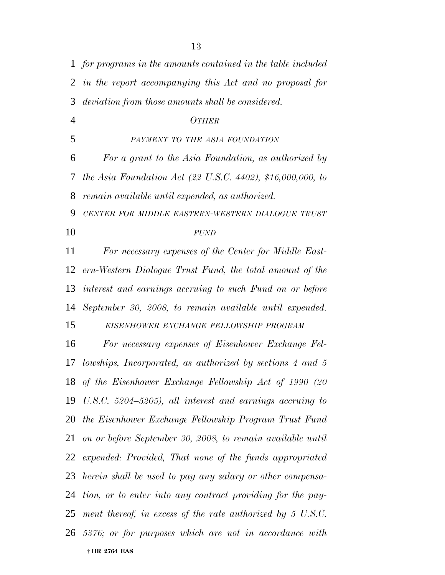|                | 1 for programs in the amounts contained in the table included          |
|----------------|------------------------------------------------------------------------|
| 2              | in the report accompanying this Act and no proposal for                |
| 3              | deviation from those amounts shall be considered.                      |
| $\overline{4}$ | <b>OTHER</b>                                                           |
| 5              | PAYMENT TO THE ASIA FOUNDATION                                         |
| 6              | For a grant to the Asia Foundation, as authorized by                   |
| 7              | the Asia Foundation Act $(22 \text{ U.S.C. } 4402)$ , \$16,000,000, to |
| 8              | remain available until expended, as authorized.                        |
| 9              | CENTER FOR MIDDLE EASTERN-WESTERN DIALOGUE TRUST                       |
| 10             | <b>FUND</b>                                                            |
| 11             | For necessary expenses of the Center for Middle East-                  |
| 12             | ern-Western Dialogue Trust Fund, the total amount of the               |
|                | 13 interest and earnings accruing to such Fund on or before            |
| 14             | September 30, 2008, to remain available until expended.                |
| 15             | EISENHOWER EXCHANGE FELLOWSHIP PROGRAM                                 |
| 16             | For necessary expenses of Eisenhower Exchange Fel-                     |
| 17             | lowships, Incorporated, as authorized by sections $4$ and $5$          |
|                | 18 of the Eisenhower Exchange Fellowship Act of 1990 (20               |
|                | 19 U.S.C. 5204–5205), all interest and earnings accruing to            |
|                | 20 the Eisenhower Exchange Fellowship Program Trust Fund               |
| 21             | on or before September 30, 2008, to remain available until             |
| 22             | expended: Provided, That none of the funds appropriated                |
|                | 23 herein shall be used to pay any salary or other compensa-           |
|                | 24 tion, or to enter into any contract providing for the pay-          |
|                | 25 ment thereof, in excess of the rate authorized by 5 U.S.C.          |
|                | 26 5376; or for purposes which are not in accordance with              |
|                | † HR 2764 EAS                                                          |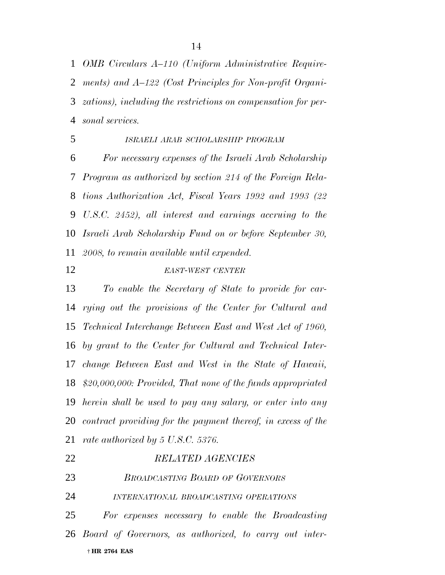*OMB Circulars A–110 (Uniform Administrative Require- ments) and A–122 (Cost Principles for Non-profit Organi- zations), including the restrictions on compensation for per-sonal services.*

 *ISRAELI ARAB SCHOLARSHIP PROGRAM For necessary expenses of the Israeli Arab Scholarship Program as authorized by section 214 of the Foreign Rela- tions Authorization Act, Fiscal Years 1992 and 1993 (22 U.S.C. 2452), all interest and earnings accruing to the Israeli Arab Scholarship Fund on or before September 30, 2008, to remain available until expended.*

### *EAST-WEST CENTER*

 *To enable the Secretary of State to provide for car- rying out the provisions of the Center for Cultural and Technical Interchange Between East and West Act of 1960, by grant to the Center for Cultural and Technical Inter- change Between East and West in the State of Hawaii, \$20,000,000: Provided, That none of the funds appropriated herein shall be used to pay any salary, or enter into any contract providing for the payment thereof, in excess of the rate authorized by 5 U.S.C. 5376.*

| 22 | <b>RELATED AGENCIES</b>                                   |
|----|-----------------------------------------------------------|
| 23 | <b>BROADCASTING BOARD OF GOVERNORS</b>                    |
| 24 | INTERNATIONAL BROADCASTING OPERATIONS                     |
| 25 | For expenses necessary to enable the Broadcasting         |
|    | 26 Board of Governors, as authorized, to carry out inter- |
|    | † HR 2764 EAS                                             |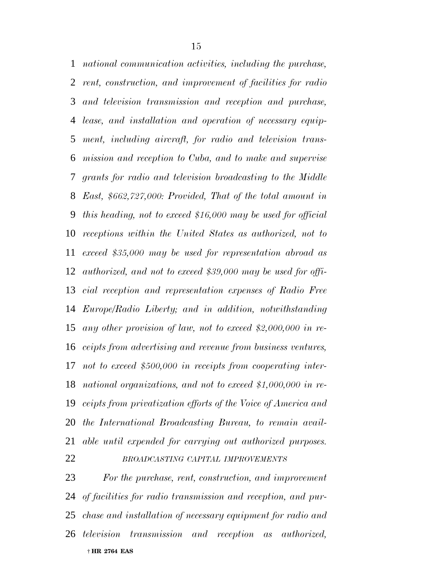*national communication activities, including the purchase, rent, construction, and improvement of facilities for radio and television transmission and reception and purchase, lease, and installation and operation of necessary equip- ment, including aircraft, for radio and television trans- mission and reception to Cuba, and to make and supervise grants for radio and television broadcasting to the Middle East, \$662,727,000: Provided, That of the total amount in this heading, not to exceed \$16,000 may be used for official receptions within the United States as authorized, not to exceed \$35,000 may be used for representation abroad as authorized, and not to exceed \$39,000 may be used for offi- cial reception and representation expenses of Radio Free Europe/Radio Liberty; and in addition, notwithstanding any other provision of law, not to exceed \$2,000,000 in re- ceipts from advertising and revenue from business ventures, not to exceed \$500,000 in receipts from cooperating inter- national organizations, and not to exceed \$1,000,000 in re- ceipts from privatization efforts of the Voice of America and the International Broadcasting Bureau, to remain avail- able until expended for carrying out authorized purposes. BROADCASTING CAPITAL IMPROVEMENTS*

 † **HR 2764 EAS** *For the purchase, rent, construction, and improvement of facilities for radio transmission and reception, and pur- chase and installation of necessary equipment for radio and television transmission and reception as authorized,*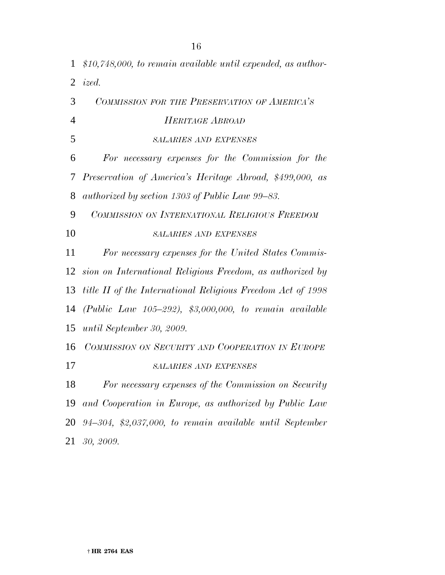*\$10,748,000, to remain available until expended, as author- ized. COMMISSION FOR THE PRESERVATION OF AMERICA'S HERITAGE ABROAD SALARIES AND EXPENSES For necessary expenses for the Commission for the Preservation of America's Heritage Abroad, \$499,000, as authorized by section 1303 of Public Law 99–83. COMMISSION ON INTERNATIONAL RELIGIOUS FREEDOM SALARIES AND EXPENSES For necessary expenses for the United States Commis- sion on International Religious Freedom, as authorized by title II of the International Religious Freedom Act of 1998 (Public Law 105–292), \$3,000,000, to remain available until September 30, 2009. COMMISSION ON SECURITY AND COOPERATION IN EUROPE SALARIES AND EXPENSES For necessary expenses of the Commission on Security and Cooperation in Europe, as authorized by Public Law 94–304, \$2,037,000, to remain available until September 30, 2009.*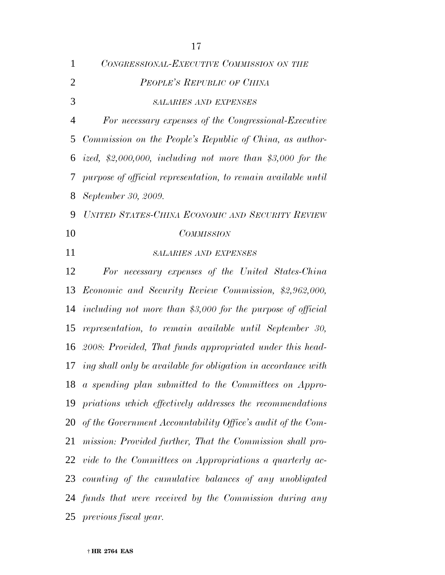| $\mathbf{1}$   | CONGRESSIONAL-EXECUTIVE COMMISSION ON THE                        |
|----------------|------------------------------------------------------------------|
| $\overline{2}$ | PEOPLE'S REPUBLIC OF CHINA                                       |
| 3              | <b>SALARIES AND EXPENSES</b>                                     |
| $\overline{4}$ | For necessary expenses of the Congressional-Executive            |
| 5              | Commission on the People's Republic of China, as author-         |
| 6              | ized, \$2,000,000, including not more than \$3,000 for the       |
| 7              | purpose of official representation, to remain available until    |
| 8              | September 30, 2009.                                              |
| 9              | UNITED STATES-CHINA ECONOMIC AND SECURITY REVIEW                 |
| 10             | <b>COMMISSION</b>                                                |
| 11             | <b>SALARIES AND EXPENSES</b>                                     |
| 12             | For necessary expenses of the United States-China                |
|                | 13 Economic and Security Review Commission, \$2,962,000,         |
|                | 14 including not more than \$3,000 for the purpose of official   |
| 15             | representation, to remain available until September 30,          |
| 16             | 2008: Provided, That funds appropriated under this head-         |
|                | 17 ing shall only be available for obligation in accordance with |
|                | 18 a spending plan submitted to the Committees on Appro-         |
|                | 19 priations which effectively addresses the recommendations     |
|                | 20 of the Government Accountability Office's audit of the Com-   |
| 21             | mission: Provided further, That the Commission shall pro-        |
|                | 22 vide to the Committees on Appropriations a quarterly ac-      |
|                | 23 counting of the cumulative balances of any unobligated        |
|                | 24 funds that were received by the Commission during any         |
|                | 25 previous fiscal year.                                         |

† **HR 2764 EAS**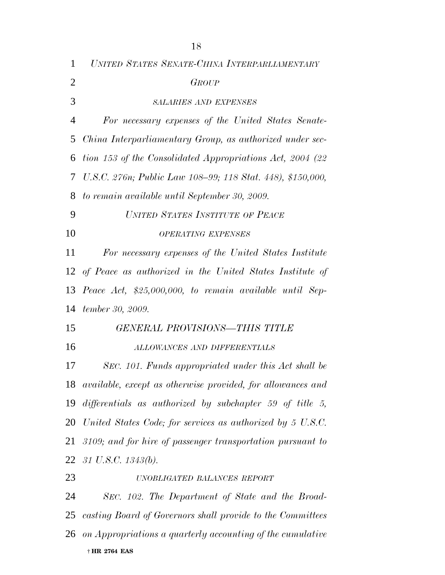| $\mathbf{1}$   | UNITED STATES SENATE-CHINA INTERPARLIAMENTARY                      |
|----------------|--------------------------------------------------------------------|
| $\overline{2}$ | <b>GROUP</b>                                                       |
| 3              | <b>SALARIES AND EXPENSES</b>                                       |
| 4              | For necessary expenses of the United States Senate-                |
| 5              | China Interparliamentary Group, as authorized under sec-           |
| 6              | tion 153 of the Consolidated Appropriations Act, 2004 (22)         |
| 7              | U.S.C. 276n; Public Law 108–99; 118 Stat. 448), \$150,000,         |
| 8              | to remain available until September 30, 2009.                      |
| 9              | UNITED STATES INSTITUTE OF PEACE                                   |
| 10             | <b>OPERATING EXPENSES</b>                                          |
| 11             | For necessary expenses of the United States Institute              |
|                | 12 of Peace as authorized in the United States Institute of        |
| 13             | Peace Act, \$25,000,000, to remain available until Sep-            |
| 14             | tember 30, 2009.                                                   |
| 15             | GENERAL PROVISIONS-THIS TITLE                                      |
| 16             | ALLOWANCES AND DIFFERENTIALS                                       |
| 17             | SEC. 101. Funds appropriated under this Act shall be               |
| 18             | <i>available, except as otherwise provided, for allowances and</i> |
| 19             | differentials as authorized by subchapter 59 of title 5,           |
| 20             | United States Code; for services as authorized by 5 U.S.C.         |
| 21             | 3109; and for hire of passenger transportation pursuant to         |
|                | 22 31 U.S.C. 1343(b).                                              |
| 23             | UNOBLIGATED BALANCES REPORT                                        |
| 24             | SEC. 102. The Department of State and the Broad-                   |
| 25             | casting Board of Governors shall provide to the Committees         |
| 26             | on Appropriations a quarterly accounting of the cumulative         |
|                | † HR 2764 EAS                                                      |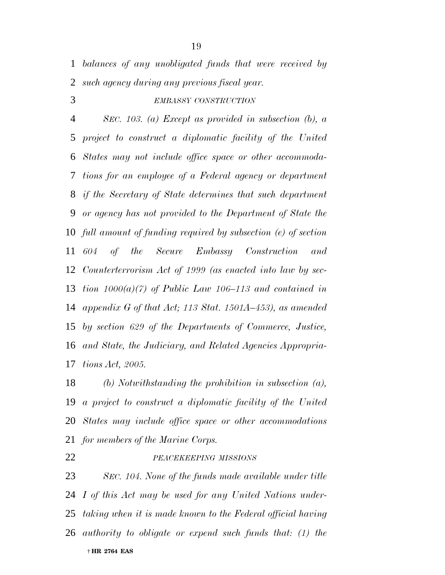*balances of any unobligated funds that were received by such agency during any previous fiscal year.*

## *EMBASSY CONSTRUCTION*

 *SEC. 103. (a) Except as provided in subsection (b), a project to construct a diplomatic facility of the United States may not include office space or other accommoda- tions for an employee of a Federal agency or department if the Secretary of State determines that such department or agency has not provided to the Department of State the full amount of funding required by subsection (e) of section 604 of the Secure Embassy Construction and Counterterrorism Act of 1999 (as enacted into law by sec- tion 1000(a)(7) of Public Law 106–113 and contained in appendix G of that Act; 113 Stat. 1501A–453), as amended by section 629 of the Departments of Commerce, Justice, and State, the Judiciary, and Related Agencies Appropria-tions Act, 2005.*

 *(b) Notwithstanding the prohibition in subsection (a), a project to construct a diplomatic facility of the United States may include office space or other accommodations for members of the Marine Corps.*

#### *PEACEKEEPING MISSIONS*

 † **HR 2764 EAS** *SEC. 104. None of the funds made available under title I of this Act may be used for any United Nations under- taking when it is made known to the Federal official having authority to obligate or expend such funds that: (1) the*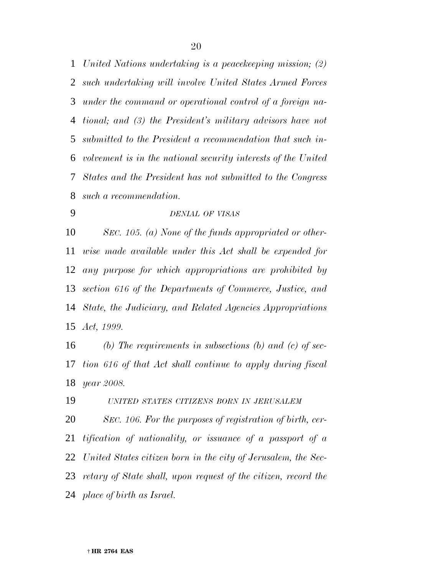*United Nations undertaking is a peacekeeping mission; (2) such undertaking will involve United States Armed Forces under the command or operational control of a foreign na- tional; and (3) the President's military advisors have not submitted to the President a recommendation that such in- volvement is in the national security interests of the United States and the President has not submitted to the Congress such a recommendation.*

# *DENIAL OF VISAS*

 *SEC. 105. (a) None of the funds appropriated or other- wise made available under this Act shall be expended for any purpose for which appropriations are prohibited by section 616 of the Departments of Commerce, Justice, and State, the Judiciary, and Related Agencies Appropriations Act, 1999.*

 *(b) The requirements in subsections (b) and (c) of sec- tion 616 of that Act shall continue to apply during fiscal year 2008.*

*UNITED STATES CITIZENS BORN IN JERUSALEM*

 *SEC. 106. For the purposes of registration of birth, cer- tification of nationality, or issuance of a passport of a United States citizen born in the city of Jerusalem, the Sec- retary of State shall, upon request of the citizen, record the place of birth as Israel.*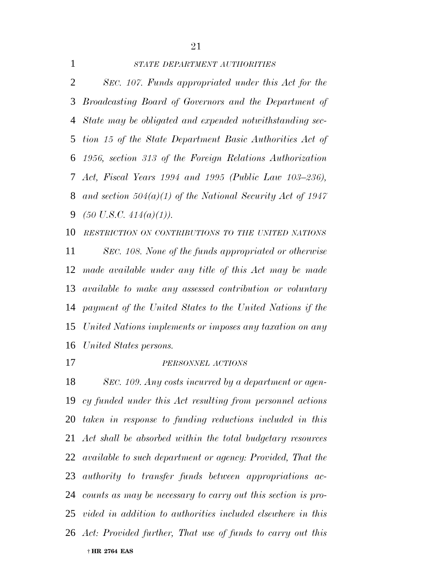#### *STATE DEPARTMENT AUTHORITIES*

 *SEC. 107. Funds appropriated under this Act for the Broadcasting Board of Governors and the Department of State may be obligated and expended notwithstanding sec- tion 15 of the State Department Basic Authorities Act of 1956, section 313 of the Foreign Relations Authorization Act, Fiscal Years 1994 and 1995 (Public Law 103–236), and section 504(a)(1) of the National Security Act of 1947 (50 U.S.C. 414(a)(1)).*

 *RESTRICTION ON CONTRIBUTIONS TO THE UNITED NATIONS SEC. 108. None of the funds appropriated or otherwise made available under any title of this Act may be made available to make any assessed contribution or voluntary payment of the United States to the United Nations if the United Nations implements or imposes any taxation on any United States persons.*

#### *PERSONNEL ACTIONS*

 † **HR 2764 EAS** *SEC. 109. Any costs incurred by a department or agen- cy funded under this Act resulting from personnel actions taken in response to funding reductions included in this Act shall be absorbed within the total budgetary resources available to such department or agency: Provided, That the authority to transfer funds between appropriations ac- counts as may be necessary to carry out this section is pro- vided in addition to authorities included elsewhere in this Act: Provided further, That use of funds to carry out this*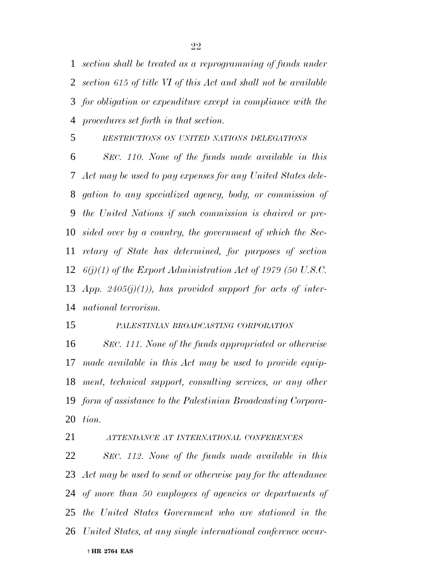*section shall be treated as a reprogramming of funds under section 615 of title VI of this Act and shall not be available for obligation or expenditure except in compliance with the procedures set forth in that section.*

# *RESTRICTIONS ON UNITED NATIONS DELEGATIONS*

 *SEC. 110. None of the funds made available in this Act may be used to pay expenses for any United States dele- gation to any specialized agency, body, or commission of the United Nations if such commission is chaired or pre- sided over by a country, the government of which the Sec- retary of State has determined, for purposes of section 6(j)(1) of the Export Administration Act of 1979 (50 U.S.C. App. 2405(j)(1)), has provided support for acts of inter-national terrorism.*

### *PALESTINIAN BROADCASTING CORPORATION*

 *SEC. 111. None of the funds appropriated or otherwise made available in this Act may be used to provide equip- ment, technical support, consulting services, or any other form of assistance to the Palestinian Broadcasting Corpora-tion.*

*ATTENDANCE AT INTERNATIONAL CONFERENCES*

 † **HR 2764 EAS** *SEC. 112. None of the funds made available in this Act may be used to send or otherwise pay for the attendance of more than 50 employees of agencies or departments of the United States Government who are stationed in the United States, at any single international conference occur-*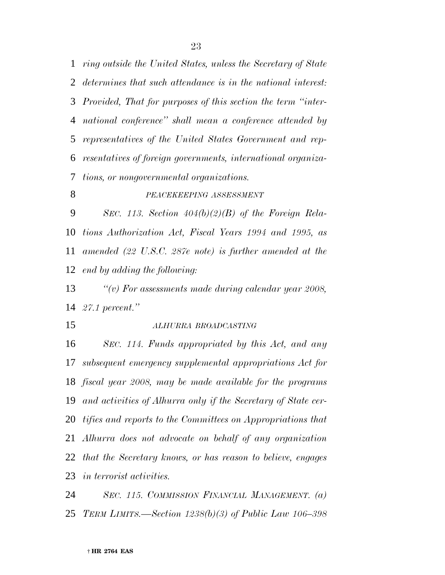*ring outside the United States, unless the Secretary of State determines that such attendance is in the national interest: Provided, That for purposes of this section the term ''inter- national conference'' shall mean a conference attended by representatives of the United States Government and rep- resentatives of foreign governments, international organiza-tions, or nongovernmental organizations.*

# *PEACEKEEPING ASSESSMENT*

 *SEC. 113. Section 404(b)(2)(B) of the Foreign Rela- tions Authorization Act, Fiscal Years 1994 and 1995, as amended (22 U.S.C. 287e note) is further amended at the end by adding the following:*

 *''(v) For assessments made during calendar year 2008, 27.1 percent.''*

*ALHURRA BROADCASTING*

 *SEC. 114. Funds appropriated by this Act, and any subsequent emergency supplemental appropriations Act for fiscal year 2008, may be made available for the programs and activities of Alhurra only if the Secretary of State cer- tifies and reports to the Committees on Appropriations that Alhurra does not advocate on behalf of any organization that the Secretary knows, or has reason to believe, engages in terrorist activities.*

 *SEC. 115. COMMISSION FINANCIAL MANAGEMENT. (a) TERM LIMITS.—Section 1238(b)(3) of Public Law 106–398*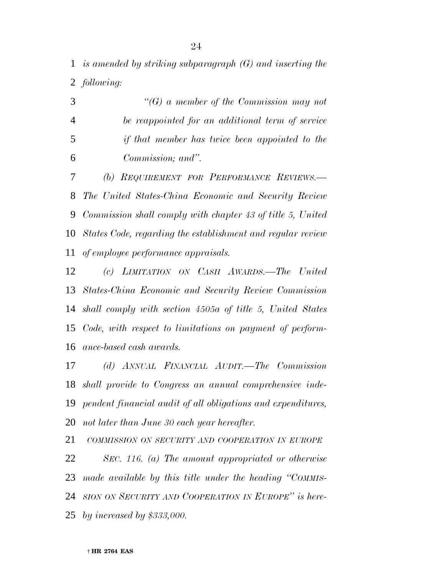*is amended by striking subparagraph (G) and inserting the following:*

|    | $\lq\lq(G)$ a member of the Commission may not   |
|----|--------------------------------------------------|
|    | be reappointed for an additional term of service |
| -5 | if that member has twice been appointed to the   |
| -6 | Commission; and".                                |
|    | (b) REQUIREMENT FOR PERFORMANCE REVIEWS.-        |

 *The United States-China Economic and Security Review Commission shall comply with chapter 43 of title 5, United States Code, regarding the establishment and regular review of employee performance appraisals.*

 *(c) LIMITATION ON CASH AWARDS.—The United States-China Economic and Security Review Commission shall comply with section 4505a of title 5, United States Code, with respect to limitations on payment of perform-ance-based cash awards.*

 *(d) ANNUAL FINANCIAL AUDIT.—The Commission shall provide to Congress an annual comprehensive inde- pendent financial audit of all obligations and expenditures, not later than June 30 each year hereafter.*

 *COMMISSION ON SECURITY AND COOPERATION IN EUROPE SEC. 116. (a) The amount appropriated or otherwise made available by this title under the heading ''COMMIS- SION ON SECURITY AND COOPERATION IN EUROPE'' is here-by increased by \$333,000.*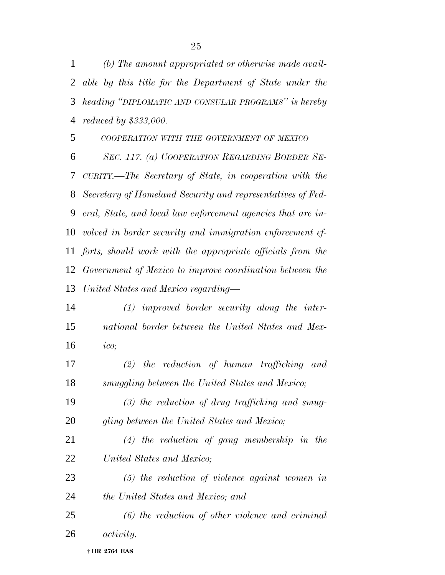*(b) The amount appropriated or otherwise made avail- able by this title for the Department of State under the heading ''DIPLOMATIC AND CONSULAR PROGRAMS'' is hereby reduced by \$333,000.*

 *COOPERATION WITH THE GOVERNMENT OF MEXICO SEC. 117. (a) COOPERATION REGARDING BORDER SE- CURITY.—The Secretary of State, in cooperation with the Secretary of Homeland Security and representatives of Fed- eral, State, and local law enforcement agencies that are in- volved in border security and immigration enforcement ef- forts, should work with the appropriate officials from the Government of Mexico to improve coordination between the United States and Mexico regarding—*

 *(1) improved border security along the inter- national border between the United States and Mex-ico;*

 *(2) the reduction of human trafficking and smuggling between the United States and Mexico;*

- *(3) the reduction of drug trafficking and smug-gling between the United States and Mexico;*
- *(4) the reduction of gang membership in the United States and Mexico;*
- *(5) the reduction of violence against women in the United States and Mexico; and*
- *(6) the reduction of other violence and criminal activity.*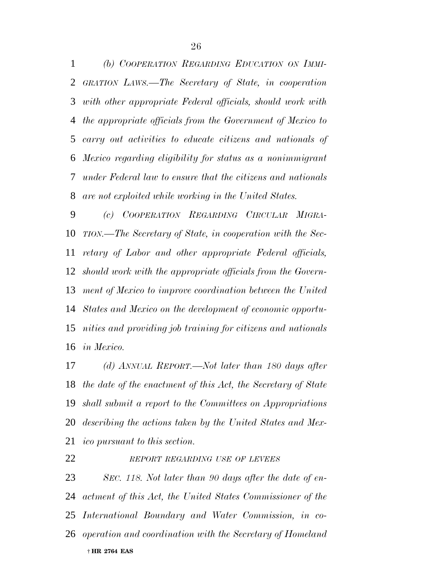*(b) COOPERATION REGARDING EDUCATION ON IMMI- GRATION LAWS.—The Secretary of State, in cooperation with other appropriate Federal officials, should work with the appropriate officials from the Government of Mexico to carry out activities to educate citizens and nationals of Mexico regarding eligibility for status as a nonimmigrant under Federal law to ensure that the citizens and nationals are not exploited while working in the United States.*

 *(c) COOPERATION REGARDING CIRCULAR MIGRA- TION.—The Secretary of State, in cooperation with the Sec- retary of Labor and other appropriate Federal officials, should work with the appropriate officials from the Govern- ment of Mexico to improve coordination between the United States and Mexico on the development of economic opportu- nities and providing job training for citizens and nationals in Mexico.*

 *(d) ANNUAL REPORT.—Not later than 180 days after the date of the enactment of this Act, the Secretary of State shall submit a report to the Committees on Appropriations describing the actions taken by the United States and Mex-ico pursuant to this section.*

#### *REPORT REGARDING USE OF LEVEES*

 † **HR 2764 EAS** *SEC. 118. Not later than 90 days after the date of en- actment of this Act, the United States Commissioner of the International Boundary and Water Commission, in co-operation and coordination with the Secretary of Homeland*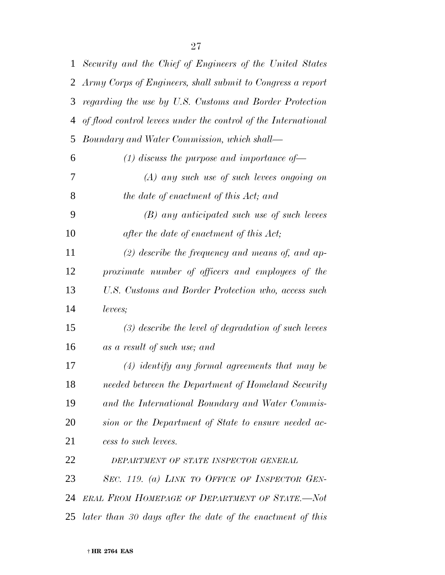| 1              | Security and the Chief of Engineers of the United States       |
|----------------|----------------------------------------------------------------|
| $\overline{2}$ | Army Corps of Engineers, shall submit to Congress a report     |
| 3              | regarding the use by U.S. Customs and Border Protection        |
| 4              | of flood control levees under the control of the International |
| 5              | Boundary and Water Commission, which shall—                    |
| 6              | (1) discuss the purpose and importance of $\rightarrow$        |
| 7              | $(A)$ any such use of such levees ongoing on                   |
| 8              | the date of enactment of this Act; and                         |
| 9              | (B) any anticipated such use of such levees                    |
| 10             | after the date of enactment of this Act;                       |
| 11             | $(2)$ describe the frequency and means of, and ap-             |
| 12             | proximate number of officers and employees of the              |
| 13             | U.S. Customs and Border Protection who, access such            |
| 14             | levees;                                                        |
| 15             | $(3)$ describe the level of degradation of such levees         |
| 16             | as a result of such use; and                                   |
| 17             | $(4)$ identify any formal agreements that may be               |
| 18             | needed between the Department of Homeland Security             |
| 19             | and the International Boundary and Water Commis-               |
| 20             | sion or the Department of State to ensure needed ac-           |
| 21             | cess to such levees.                                           |
| 22             | DEPARTMENT OF STATE INSPECTOR GENERAL                          |
| 23             | SEC. 119. (a) LINK TO OFFICE OF INSPECTOR GEN-                 |
| 24             | ERAL FROM HOMEPAGE OF DEPARTMENT OF STATE.-Not                 |
| 25             | later than 30 days after the date of the enactment of this     |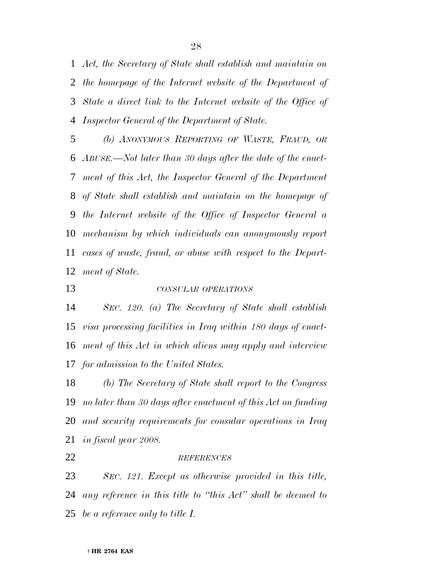*Act, the Secretary of State shall establish and maintain on the homepage of the Internet website of the Department of State a direct link to the Internet website of the Office of Inspector General of the Department of State.*

 *(b) ANONYMOUS REPORTING OF WASTE, FRAUD, OR ABUSE.—Not later than 30 days after the date of the enact- ment of this Act, the Inspector General of the Department of State shall establish and maintain on the homepage of the Internet website of the Office of Inspector General a mechanism by which individuals can anonymously report cases of waste, fraud, or abuse with respect to the Depart-ment of State.*

*CONSULAR OPERATIONS*

 *SEC. 120. (a) The Secretary of State shall establish visa processing facilities in Iraq within 180 days of enact- ment of this Act in which aliens may apply and interview for admission to the United States.*

 *(b) The Secretary of State shall report to the Congress no later than 30 days after enactment of this Act on funding and security requirements for consular operations in Iraq in fiscal year 2008.*

#### *REFERENCES*

 *SEC. 121. Except as otherwise provided in this title, any reference in this title to ''this Act'' shall be deemed to be a reference only to title I.*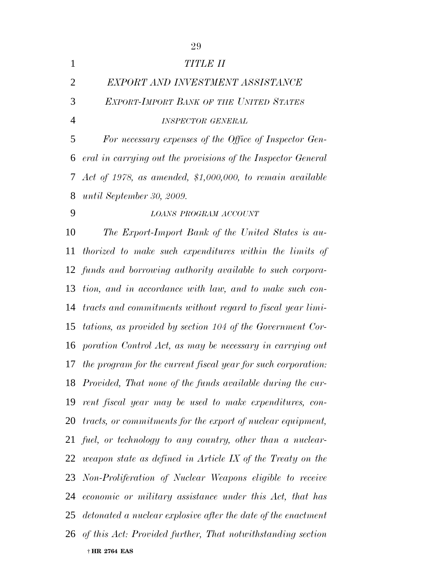| $\mathbf{1}$   | <b>TITLE II</b>                                                  |
|----------------|------------------------------------------------------------------|
| $\overline{2}$ | EXPORT AND INVESTMENT ASSISTANCE                                 |
| 3              | <b>EXPORT-IMPORT BANK OF THE UNITED STATES</b>                   |
| $\overline{4}$ | <b>INSPECTOR GENERAL</b>                                         |
| 5              | For necessary expenses of the Office of Inspector Gen-           |
| 6              | eral in carrying out the provisions of the Inspector General     |
| 7              | Act of 1978, as amended, \$1,000,000, to remain available        |
| 8              | until September 30, 2009.                                        |
| 9              | LOANS PROGRAM ACCOUNT                                            |
| 10             | The Export-Import Bank of the United States is au-               |
| 11             | thorized to make such expenditures within the limits of          |
|                | 12 funds and borrowing authority available to such corpora-      |
| 13             | tion, and in accordance with law, and to make such con-          |
| 14             | tracts and commitments without regard to fiscal year limi-       |
| 15             | tations, as provided by section 104 of the Government Cor-       |
| 16             | poration Control Act, as may be necessary in carrying out        |
| 17             | the program for the current fiscal year for such corporation:    |
| 18             | Provided, That none of the funds available during the cur-       |
| 19             | rent fiscal year may be used to make expenditures, con-          |
| 20             | tracts, or commitments for the export of nuclear equipment,      |
|                | 21 fuel, or technology to any country, other than a nuclear-     |
|                | 22 weapon state as defined in Article IX of the Treaty on the    |
|                | 23 Non-Proliferation of Nuclear Weapons eligible to receive      |
| 24             | economic or military assistance under this Act, that has         |
|                | 25 detonated a nuclear explosive after the date of the enactment |
|                | 26 of this Act: Provided further, That notwithstanding section   |
|                | † HR 2764 EAS                                                    |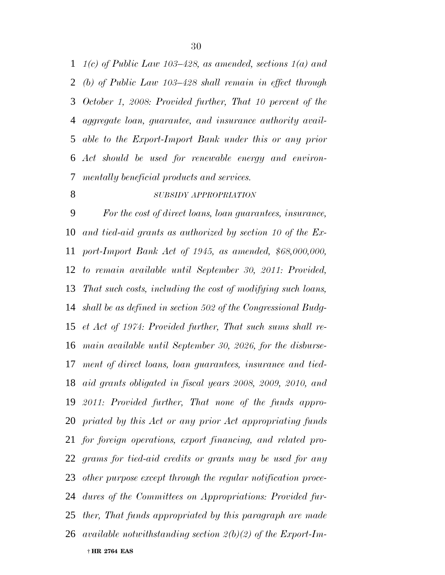*1(c) of Public Law 103–428, as amended, sections 1(a) and (b) of Public Law 103–428 shall remain in effect through October 1, 2008: Provided further, That 10 percent of the aggregate loan, guarantee, and insurance authority avail- able to the Export-Import Bank under this or any prior Act should be used for renewable energy and environ-mentally beneficial products and services.*

#### *SUBSIDY APPROPRIATION*

 † **HR 2764 EAS** *For the cost of direct loans, loan guarantees, insurance, and tied-aid grants as authorized by section 10 of the Ex- port-Import Bank Act of 1945, as amended, \$68,000,000, to remain available until September 30, 2011: Provided, That such costs, including the cost of modifying such loans, shall be as defined in section 502 of the Congressional Budg- et Act of 1974: Provided further, That such sums shall re- main available until September 30, 2026, for the disburse- ment of direct loans, loan guarantees, insurance and tied- aid grants obligated in fiscal years 2008, 2009, 2010, and 2011: Provided further, That none of the funds appro- priated by this Act or any prior Act appropriating funds for foreign operations, export financing, and related pro- grams for tied-aid credits or grants may be used for any other purpose except through the regular notification proce- dures of the Committees on Appropriations: Provided fur- ther, That funds appropriated by this paragraph are made available notwithstanding section 2(b)(2) of the Export-Im-*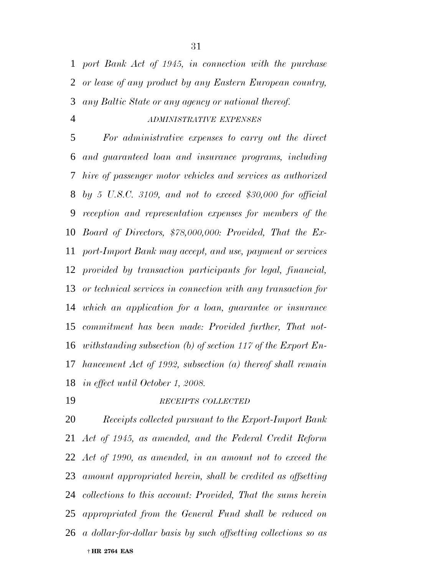*port Bank Act of 1945, in connection with the purchase or lease of any product by any Eastern European country, any Baltic State or any agency or national thereof.*

### *ADMINISTRATIVE EXPENSES*

 *For administrative expenses to carry out the direct and guaranteed loan and insurance programs, including hire of passenger motor vehicles and services as authorized by 5 U.S.C. 3109, and not to exceed \$30,000 for official reception and representation expenses for members of the Board of Directors, \$78,000,000: Provided, That the Ex- port-Import Bank may accept, and use, payment or services provided by transaction participants for legal, financial, or technical services in connection with any transaction for which an application for a loan, guarantee or insurance commitment has been made: Provided further, That not- withstanding subsection (b) of section 117 of the Export En- hancement Act of 1992, subsection (a) thereof shall remain in effect until October 1, 2008.*

#### *RECEIPTS COLLECTED*

 † **HR 2764 EAS** *Receipts collected pursuant to the Export-Import Bank Act of 1945, as amended, and the Federal Credit Reform Act of 1990, as amended, in an amount not to exceed the amount appropriated herein, shall be credited as offsetting collections to this account: Provided, That the sums herein appropriated from the General Fund shall be reduced on a dollar-for-dollar basis by such offsetting collections so as*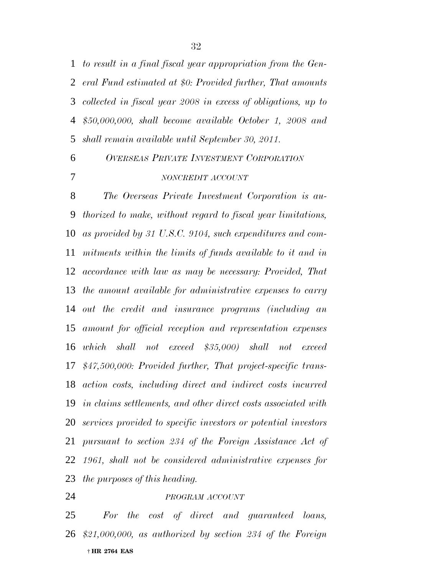*to result in a final fiscal year appropriation from the Gen- eral Fund estimated at \$0: Provided further, That amounts collected in fiscal year 2008 in excess of obligations, up to \$50,000,000, shall become available October 1, 2008 and shall remain available until September 30, 2011.*

 *OVERSEAS PRIVATE INVESTMENT CORPORATION NONCREDIT ACCOUNT*

 *The Overseas Private Investment Corporation is au- thorized to make, without regard to fiscal year limitations, as provided by 31 U.S.C. 9104, such expenditures and com- mitments within the limits of funds available to it and in accordance with law as may be necessary: Provided, That the amount available for administrative expenses to carry out the credit and insurance programs (including an amount for official reception and representation expenses which shall not exceed \$35,000) shall not exceed \$47,500,000: Provided further, That project-specific trans- action costs, including direct and indirect costs incurred in claims settlements, and other direct costs associated with services provided to specific investors or potential investors pursuant to section 234 of the Foreign Assistance Act of 1961, shall not be considered administrative expenses for the purposes of this heading.*

# *PROGRAM ACCOUNT*

 † **HR 2764 EAS** *For the cost of direct and guaranteed loans, \$21,000,000, as authorized by section 234 of the Foreign*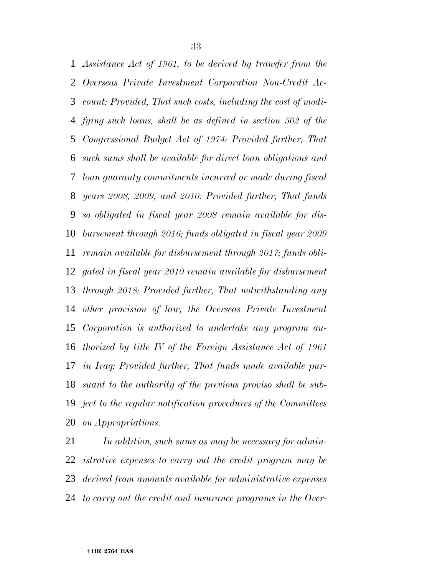*Assistance Act of 1961, to be derived by transfer from the Overseas Private Investment Corporation Non-Credit Ac- count: Provided, That such costs, including the cost of modi- fying such loans, shall be as defined in section 502 of the Congressional Budget Act of 1974: Provided further, That such sums shall be available for direct loan obligations and loan guaranty commitments incurred or made during fiscal years 2008, 2009, and 2010: Provided further, That funds so obligated in fiscal year 2008 remain available for dis- bursement through 2016; funds obligated in fiscal year 2009 remain available for disbursement through 2017; funds obli- gated in fiscal year 2010 remain available for disbursement through 2018: Provided further, That notwithstanding any other provision of law, the Overseas Private Investment Corporation is authorized to undertake any program au- thorized by title IV of the Foreign Assistance Act of 1961 in Iraq: Provided further, That funds made available pur- suant to the authority of the previous proviso shall be sub- ject to the regular notification procedures of the Committees on Appropriations.*

 *In addition, such sums as may be necessary for admin- istrative expenses to carry out the credit program may be derived from amounts available for administrative expenses to carry out the credit and insurance programs in the Over-*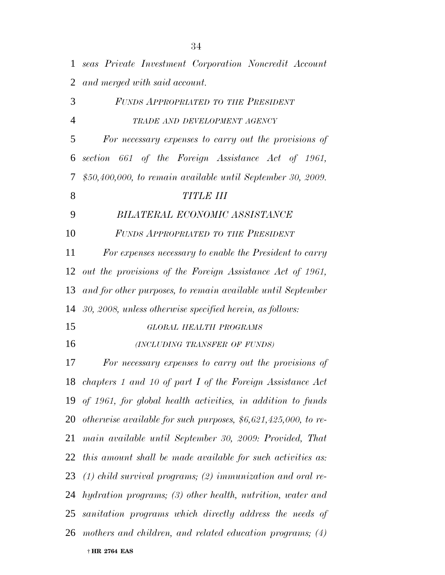| $\mathbf{1}$   | seas Private Investment Corporation Noncredit Account            |
|----------------|------------------------------------------------------------------|
| $\overline{2}$ | and merged with said account.                                    |
| 3              | FUNDS APPROPRIATED TO THE PRESIDENT                              |
| $\overline{4}$ | TRADE AND DEVELOPMENT AGENCY                                     |
| 5              | For necessary expenses to carry out the provisions of            |
| 6              | section 661 of the Foreign Assistance Act of 1961,               |
| 7              | $$50,400,000,$ to remain available until September 30, 2009.     |
| 8              | <b>TITLE III</b>                                                 |
| 9              | BILATERAL ECONOMIC ASSISTANCE                                    |
| 10             | FUNDS APPROPRIATED TO THE PRESIDENT                              |
| 11             | For expenses necessary to enable the President to carry          |
| 12             | out the provisions of the Foreign Assistance Act of 1961,        |
| 13             | and for other purposes, to remain available until September      |
| 14             | 30, 2008, unless otherwise specified herein, as follows:         |
| 15             | GLOBAL HEALTH PROGRAMS                                           |
| 16             | (INCLUDING TRANSFER OF FUNDS)                                    |
| 17             | For necessary expenses to carry out the provisions of            |
|                | 18 chapters 1 and 10 of part I of the Foreign Assistance Act     |
|                | 19 of 1961, for global health activities, in addition to funds   |
| 20             | otherwise available for such purposes, $$6,621,425,000$ , to re- |
| 21             | main available until September 30, 2009: Provided, That          |
| 22             | this amount shall be made available for such activities as:      |
| 23             | $(1)$ child survival programs; (2) immunization and oral re-     |
| 24             | hydration programs; (3) other health, nutrition, water and       |
| 25             | sanitation programs which directly address the needs of          |
|                | 26 mothers and children, and related education programs; (4)     |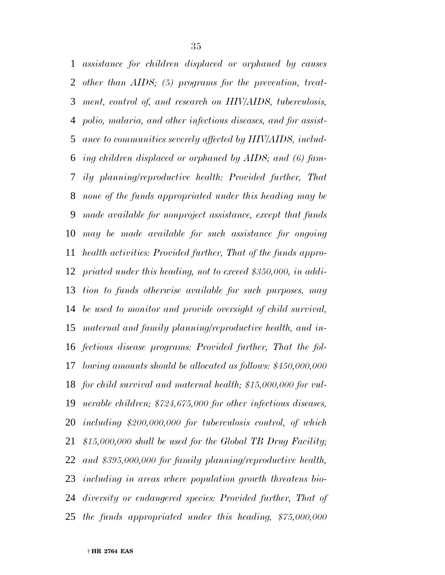*assistance for children displaced or orphaned by causes other than AIDS; (5) programs for the prevention, treat- ment, control of, and research on HIV/AIDS, tuberculosis, polio, malaria, and other infectious diseases, and for assist- ance to communities severely affected by HIV/AIDS, includ- ing children displaced or orphaned by AIDS; and (6) fam- ily planning/reproductive health: Provided further, That none of the funds appropriated under this heading may be made available for nonproject assistance, except that funds may be made available for such assistance for ongoing health activities: Provided further, That of the funds appro- priated under this heading, not to exceed \$350,000, in addi- tion to funds otherwise available for such purposes, may be used to monitor and provide oversight of child survival, maternal and family planning/reproductive health, and in- fectious disease programs: Provided further, That the fol- lowing amounts should be allocated as follows: \$450,000,000 for child survival and maternal health; \$15,000,000 for vul- nerable children; \$724,675,000 for other infectious diseases, including \$200,000,000 for tuberculosis control, of which \$15,000,000 shall be used for the Global TB Drug Facility; and \$395,000,000 for family planning/reproductive health, including in areas where population growth threatens bio- diversity or endangered species: Provided further, That of the funds appropriated under this heading, \$75,000,000*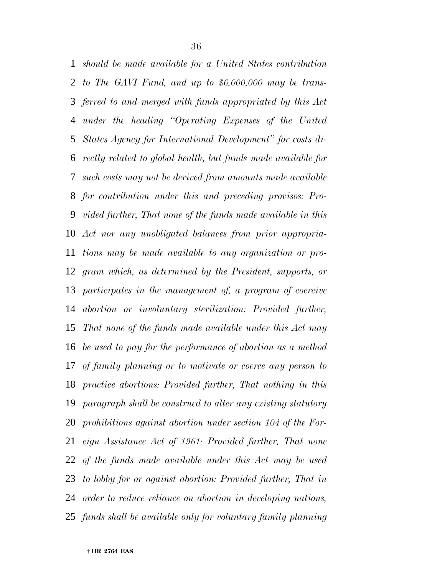*should be made available for a United States contribution to The GAVI Fund, and up to \$6,000,000 may be trans- ferred to and merged with funds appropriated by this Act under the heading ''Operating Expenses of the United States Agency for International Development'' for costs di- rectly related to global health, but funds made available for such costs may not be derived from amounts made available for contribution under this and preceding provisos: Pro- vided further, That none of the funds made available in this Act nor any unobligated balances from prior appropria- tions may be made available to any organization or pro- gram which, as determined by the President, supports, or participates in the management of, a program of coercive abortion or involuntary sterilization: Provided further, That none of the funds made available under this Act may be used to pay for the performance of abortion as a method of family planning or to motivate or coerce any person to practice abortions: Provided further, That nothing in this paragraph shall be construed to alter any existing statutory prohibitions against abortion under section 104 of the For- eign Assistance Act of 1961: Provided further, That none of the funds made available under this Act may be used to lobby for or against abortion: Provided further, That in order to reduce reliance on abortion in developing nations, funds shall be available only for voluntary family planning*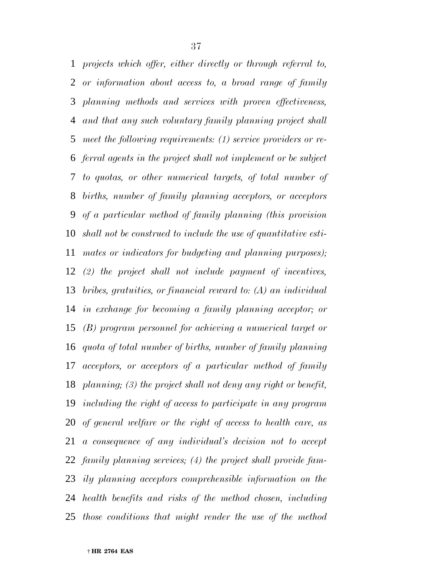*projects which offer, either directly or through referral to, or information about access to, a broad range of family planning methods and services with proven effectiveness, and that any such voluntary family planning project shall meet the following requirements: (1) service providers or re- ferral agents in the project shall not implement or be subject to quotas, or other numerical targets, of total number of births, number of family planning acceptors, or acceptors of a particular method of family planning (this provision shall not be construed to include the use of quantitative esti- mates or indicators for budgeting and planning purposes); (2) the project shall not include payment of incentives, bribes, gratuities, or financial reward to: (A) an individual in exchange for becoming a family planning acceptor; or (B) program personnel for achieving a numerical target or quota of total number of births, number of family planning acceptors, or acceptors of a particular method of family planning; (3) the project shall not deny any right or benefit, including the right of access to participate in any program of general welfare or the right of access to health care, as a consequence of any individual's decision not to accept family planning services; (4) the project shall provide fam- ily planning acceptors comprehensible information on the health benefits and risks of the method chosen, including those conditions that might render the use of the method*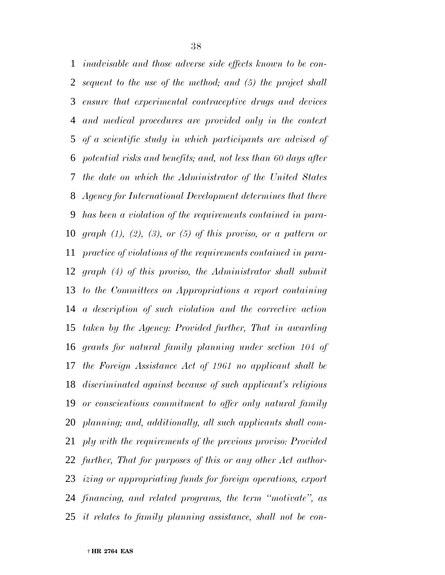*inadvisable and those adverse side effects known to be con- sequent to the use of the method; and (5) the project shall ensure that experimental contraceptive drugs and devices and medical procedures are provided only in the context of a scientific study in which participants are advised of potential risks and benefits; and, not less than 60 days after the date on which the Administrator of the United States Agency for International Development determines that there has been a violation of the requirements contained in para- graph (1), (2), (3), or (5) of this proviso, or a pattern or practice of violations of the requirements contained in para- graph (4) of this proviso, the Administrator shall submit to the Committees on Appropriations a report containing a description of such violation and the corrective action taken by the Agency: Provided further, That in awarding grants for natural family planning under section 104 of the Foreign Assistance Act of 1961 no applicant shall be discriminated against because of such applicant's religious or conscientious commitment to offer only natural family planning; and, additionally, all such applicants shall com- ply with the requirements of the previous proviso: Provided further, That for purposes of this or any other Act author- izing or appropriating funds for foreign operations, export financing, and related programs, the term ''motivate'', as it relates to family planning assistance, shall not be con-*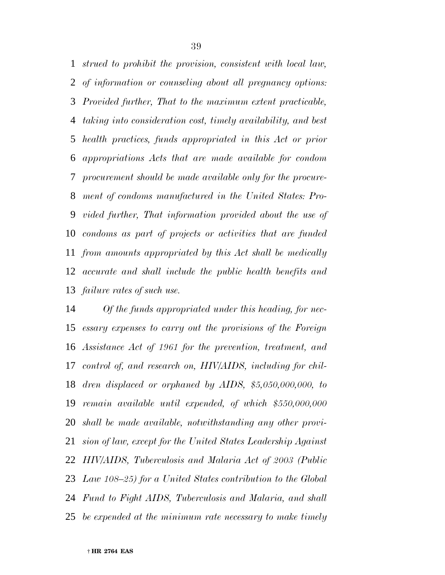*strued to prohibit the provision, consistent with local law, of information or counseling about all pregnancy options: Provided further, That to the maximum extent practicable, taking into consideration cost, timely availability, and best health practices, funds appropriated in this Act or prior appropriations Acts that are made available for condom procurement should be made available only for the procure- ment of condoms manufactured in the United States: Pro- vided further, That information provided about the use of condoms as part of projects or activities that are funded from amounts appropriated by this Act shall be medically accurate and shall include the public health benefits and failure rates of such use.*

 *Of the funds appropriated under this heading, for nec- essary expenses to carry out the provisions of the Foreign Assistance Act of 1961 for the prevention, treatment, and control of, and research on, HIV/AIDS, including for chil- dren displaced or orphaned by AIDS, \$5,050,000,000, to remain available until expended, of which \$550,000,000 shall be made available, notwithstanding any other provi- sion of law, except for the United States Leadership Against HIV/AIDS, Tuberculosis and Malaria Act of 2003 (Public Law 108–25) for a United States contribution to the Global Fund to Fight AIDS, Tuberculosis and Malaria, and shall be expended at the minimum rate necessary to make timely*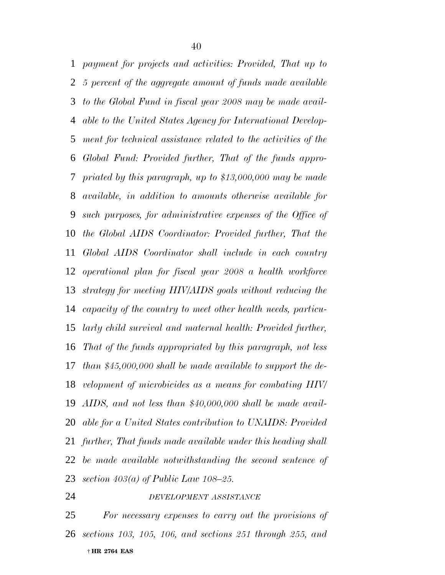*payment for projects and activities: Provided, That up to 5 percent of the aggregate amount of funds made available to the Global Fund in fiscal year 2008 may be made avail- able to the United States Agency for International Develop- ment for technical assistance related to the activities of the Global Fund: Provided further, That of the funds appro- priated by this paragraph, up to \$13,000,000 may be made available, in addition to amounts otherwise available for such purposes, for administrative expenses of the Office of the Global AIDS Coordinator: Provided further, That the Global AIDS Coordinator shall include in each country operational plan for fiscal year 2008 a health workforce strategy for meeting HIV/AIDS goals without reducing the capacity of the country to meet other health needs, particu- larly child survival and maternal health: Provided further, That of the funds appropriated by this paragraph, not less than \$45,000,000 shall be made available to support the de- velopment of microbicides as a means for combating HIV/ AIDS, and not less than \$40,000,000 shall be made avail- able for a United States contribution to UNAIDS: Provided further, That funds made available under this heading shall be made available notwithstanding the second sentence of section 403(a) of Public Law 108–25.*

## *DEVELOPMENT ASSISTANCE*

 † **HR 2764 EAS** *For necessary expenses to carry out the provisions of sections 103, 105, 106, and sections 251 through 255, and*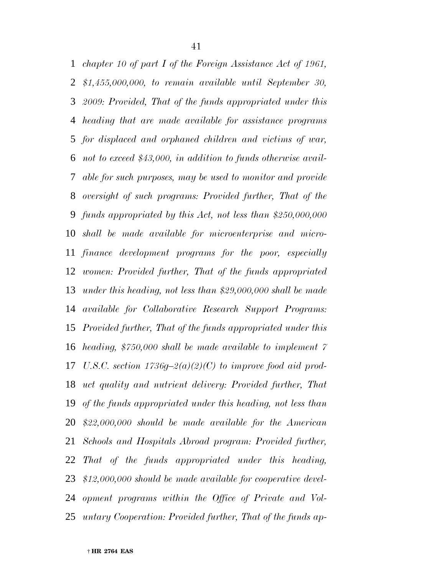*chapter 10 of part I of the Foreign Assistance Act of 1961, \$1,455,000,000, to remain available until September 30, 2009: Provided, That of the funds appropriated under this heading that are made available for assistance programs for displaced and orphaned children and victims of war, not to exceed \$43,000, in addition to funds otherwise avail- able for such purposes, may be used to monitor and provide oversight of such programs: Provided further, That of the funds appropriated by this Act, not less than \$250,000,000 shall be made available for microenterprise and micro- finance development programs for the poor, especially women: Provided further, That of the funds appropriated under this heading, not less than \$29,000,000 shall be made available for Collaborative Research Support Programs: Provided further, That of the funds appropriated under this heading, \$750,000 shall be made available to implement 7 U.S.C. section 1736g–2(a)(2)(C) to improve food aid prod- uct quality and nutrient delivery: Provided further, That of the funds appropriated under this heading, not less than \$22,000,000 should be made available for the American Schools and Hospitals Abroad program: Provided further, That of the funds appropriated under this heading, \$12,000,000 should be made available for cooperative devel- opment programs within the Office of Private and Vol-untary Cooperation: Provided further, That of the funds ap-*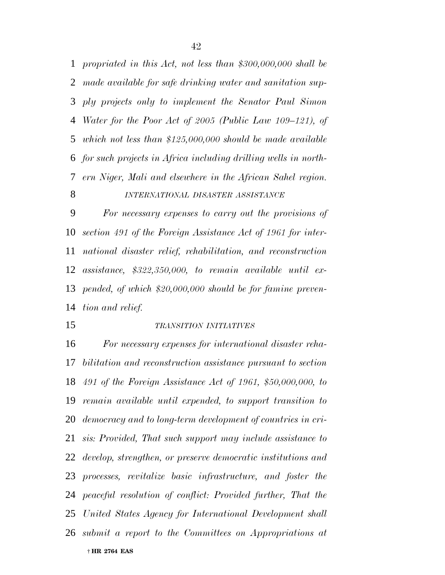*propriated in this Act, not less than \$300,000,000 shall be made available for safe drinking water and sanitation sup- ply projects only to implement the Senator Paul Simon Water for the Poor Act of 2005 (Public Law 109–121), of which not less than \$125,000,000 should be made available for such projects in Africa including drilling wells in north- ern Niger, Mali and elsewhere in the African Sahel region. INTERNATIONAL DISASTER ASSISTANCE*

 *For necessary expenses to carry out the provisions of section 491 of the Foreign Assistance Act of 1961 for inter- national disaster relief, rehabilitation, and reconstruction assistance, \$322,350,000, to remain available until ex- pended, of which \$20,000,000 should be for famine preven-tion and relief.*

### *TRANSITION INITIATIVES*

 † **HR 2764 EAS** *For necessary expenses for international disaster reha- bilitation and reconstruction assistance pursuant to section 491 of the Foreign Assistance Act of 1961, \$50,000,000, to remain available until expended, to support transition to democracy and to long-term development of countries in cri- sis: Provided, That such support may include assistance to develop, strengthen, or preserve democratic institutions and processes, revitalize basic infrastructure, and foster the peaceful resolution of conflict: Provided further, That the United States Agency for International Development shall submit a report to the Committees on Appropriations at*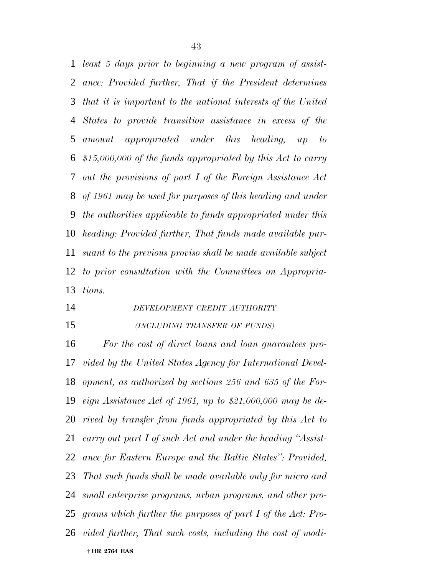*least 5 days prior to beginning a new program of assist- ance: Provided further, That if the President determines that it is important to the national interests of the United States to provide transition assistance in excess of the amount appropriated under this heading, up to \$15,000,000 of the funds appropriated by this Act to carry out the provisions of part I of the Foreign Assistance Act of 1961 may be used for purposes of this heading and under the authorities applicable to funds appropriated under this heading: Provided further, That funds made available pur- suant to the previous proviso shall be made available subject to prior consultation with the Committees on Appropria-tions.*

- *DEVELOPMENT CREDIT AUTHORITY*
- *(INCLUDING TRANSFER OF FUNDS)*

 † **HR 2764 EAS** *For the cost of direct loans and loan guarantees pro- vided by the United States Agency for International Devel- opment, as authorized by sections 256 and 635 of the For- eign Assistance Act of 1961, up to \$21,000,000 may be de- rived by transfer from funds appropriated by this Act to carry out part I of such Act and under the heading ''Assist- ance for Eastern Europe and the Baltic States'': Provided, That such funds shall be made available only for micro and small enterprise programs, urban programs, and other pro- grams which further the purposes of part I of the Act: Pro-vided further, That such costs, including the cost of modi-*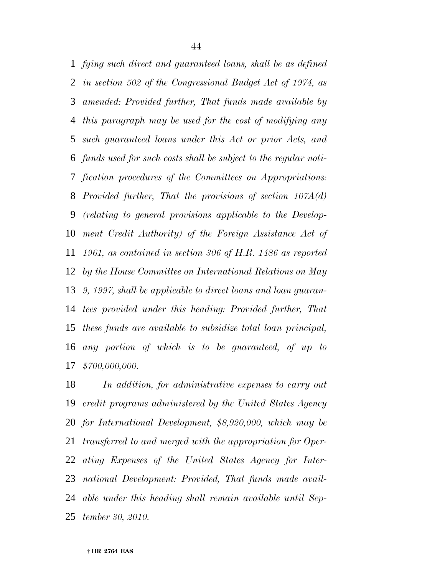*fying such direct and guaranteed loans, shall be as defined in section 502 of the Congressional Budget Act of 1974, as amended: Provided further, That funds made available by this paragraph may be used for the cost of modifying any such guaranteed loans under this Act or prior Acts, and funds used for such costs shall be subject to the regular noti- fication procedures of the Committees on Appropriations: Provided further, That the provisions of section 107A(d) (relating to general provisions applicable to the Develop- ment Credit Authority) of the Foreign Assistance Act of 1961, as contained in section 306 of H.R. 1486 as reported by the House Committee on International Relations on May 9, 1997, shall be applicable to direct loans and loan guaran- tees provided under this heading: Provided further, That these funds are available to subsidize total loan principal, any portion of which is to be guaranteed, of up to \$700,000,000.*

 *In addition, for administrative expenses to carry out credit programs administered by the United States Agency for International Development, \$8,920,000, which may be transferred to and merged with the appropriation for Oper- ating Expenses of the United States Agency for Inter- national Development: Provided, That funds made avail- able under this heading shall remain available until Sep-tember 30, 2010.*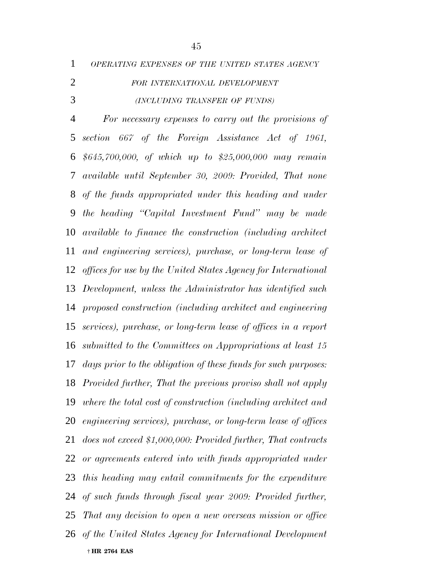| OPERATING EXPENSES OF THE UNITED STATES AGENCY |  |
|------------------------------------------------|--|
|------------------------------------------------|--|

# *FOR INTERNATIONAL DEVELOPMENT*

## *(INCLUDING TRANSFER OF FUNDS)*

 † **HR 2764 EAS** *For necessary expenses to carry out the provisions of section 667 of the Foreign Assistance Act of 1961, \$645,700,000, of which up to \$25,000,000 may remain available until September 30, 2009: Provided, That none of the funds appropriated under this heading and under the heading ''Capital Investment Fund'' may be made available to finance the construction (including architect and engineering services), purchase, or long-term lease of offices for use by the United States Agency for International Development, unless the Administrator has identified such proposed construction (including architect and engineering services), purchase, or long-term lease of offices in a report submitted to the Committees on Appropriations at least 15 days prior to the obligation of these funds for such purposes: Provided further, That the previous proviso shall not apply where the total cost of construction (including architect and engineering services), purchase, or long-term lease of offices does not exceed \$1,000,000: Provided further, That contracts or agreements entered into with funds appropriated under this heading may entail commitments for the expenditure of such funds through fiscal year 2009: Provided further, That any decision to open a new overseas mission or office of the United States Agency for International Development*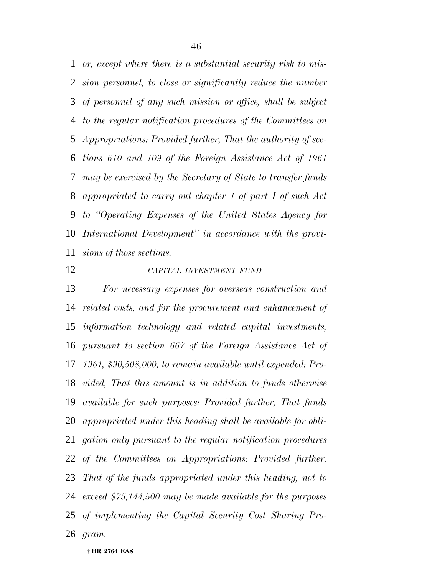*or, except where there is a substantial security risk to mis- sion personnel, to close or significantly reduce the number of personnel of any such mission or office, shall be subject to the regular notification procedures of the Committees on Appropriations: Provided further, That the authority of sec- tions 610 and 109 of the Foreign Assistance Act of 1961 may be exercised by the Secretary of State to transfer funds appropriated to carry out chapter 1 of part I of such Act to ''Operating Expenses of the United States Agency for International Development'' in accordance with the provi-sions of those sections.*

## *CAPITAL INVESTMENT FUND*

 *For necessary expenses for overseas construction and related costs, and for the procurement and enhancement of information technology and related capital investments, pursuant to section 667 of the Foreign Assistance Act of 1961, \$90,508,000, to remain available until expended: Pro- vided, That this amount is in addition to funds otherwise available for such purposes: Provided further, That funds appropriated under this heading shall be available for obli- gation only pursuant to the regular notification procedures of the Committees on Appropriations: Provided further, That of the funds appropriated under this heading, not to exceed \$75,144,500 may be made available for the purposes of implementing the Capital Security Cost Sharing Pro-gram.*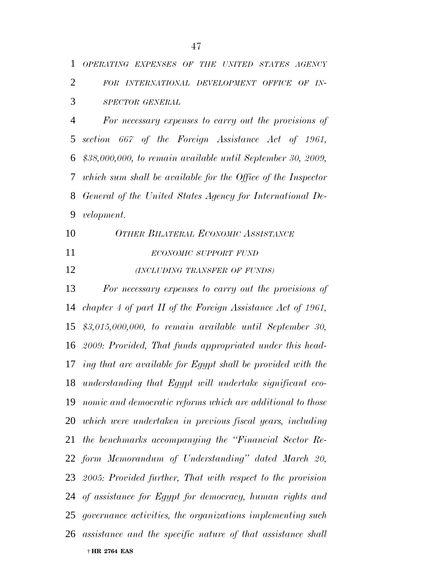|  | 1 OPERATING EXPENSES OF THE UNITED STATES AGENCY |  |  |  |
|--|--------------------------------------------------|--|--|--|
|  | 2 FOR INTERNATIONAL DEVELOPMENT OFFICE OF IN-    |  |  |  |
|  | 3 SPECTOR GENERAL                                |  |  |  |

 *For necessary expenses to carry out the provisions of section 667 of the Foreign Assistance Act of 1961, \$38,000,000, to remain available until September 30, 2009, which sum shall be available for the Office of the Inspector General of the United States Agency for International De-velopment.*

 *OTHER BILATERAL ECONOMIC ASSISTANCE ECONOMIC SUPPORT FUND*

*(INCLUDING TRANSFER OF FUNDS)*

 † **HR 2764 EAS** *For necessary expenses to carry out the provisions of chapter 4 of part II of the Foreign Assistance Act of 1961, \$3,015,000,000, to remain available until September 30, 2009: Provided, That funds appropriated under this head- ing that are available for Egypt shall be provided with the understanding that Egypt will undertake significant eco- nomic and democratic reforms which are additional to those which were undertaken in previous fiscal years, including the benchmarks accompanying the ''Financial Sector Re- form Memorandum of Understanding'' dated March 20, 2005: Provided further, That with respect to the provision of assistance for Egypt for democracy, human rights and governance activities, the organizations implementing such assistance and the specific nature of that assistance shall*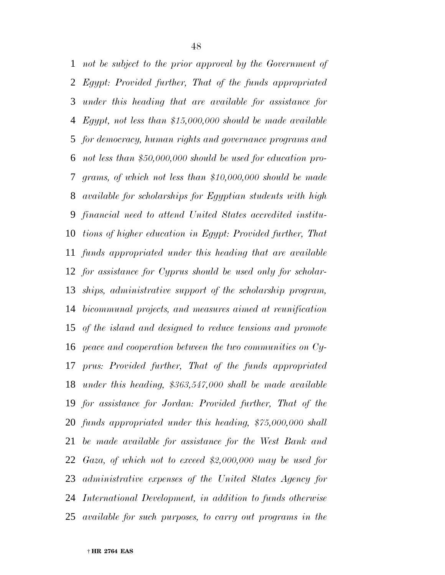*not be subject to the prior approval by the Government of Egypt: Provided further, That of the funds appropriated under this heading that are available for assistance for Egypt, not less than \$15,000,000 should be made available for democracy, human rights and governance programs and not less than \$50,000,000 should be used for education pro- grams, of which not less than \$10,000,000 should be made available for scholarships for Egyptian students with high financial need to attend United States accredited institu- tions of higher education in Egypt: Provided further, That funds appropriated under this heading that are available for assistance for Cyprus should be used only for scholar- ships, administrative support of the scholarship program, bicommunal projects, and measures aimed at reunification of the island and designed to reduce tensions and promote peace and cooperation between the two communities on Cy- prus: Provided further, That of the funds appropriated under this heading, \$363,547,000 shall be made available for assistance for Jordan: Provided further, That of the funds appropriated under this heading, \$75,000,000 shall be made available for assistance for the West Bank and Gaza, of which not to exceed \$2,000,000 may be used for administrative expenses of the United States Agency for International Development, in addition to funds otherwise available for such purposes, to carry out programs in the*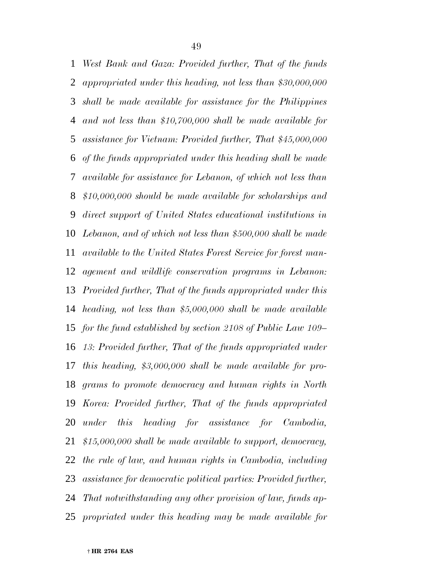*West Bank and Gaza: Provided further, That of the funds appropriated under this heading, not less than \$30,000,000 shall be made available for assistance for the Philippines and not less than \$10,700,000 shall be made available for assistance for Vietnam: Provided further, That \$45,000,000 of the funds appropriated under this heading shall be made available for assistance for Lebanon, of which not less than \$10,000,000 should be made available for scholarships and direct support of United States educational institutions in Lebanon, and of which not less than \$500,000 shall be made available to the United States Forest Service for forest man- agement and wildlife conservation programs in Lebanon: Provided further, That of the funds appropriated under this heading, not less than \$5,000,000 shall be made available for the fund established by section 2108 of Public Law 109– 13: Provided further, That of the funds appropriated under this heading, \$3,000,000 shall be made available for pro- grams to promote democracy and human rights in North Korea: Provided further, That of the funds appropriated under this heading for assistance for Cambodia, \$15,000,000 shall be made available to support, democracy, the rule of law, and human rights in Cambodia, including assistance for democratic political parties: Provided further, That notwithstanding any other provision of law, funds ap-propriated under this heading may be made available for*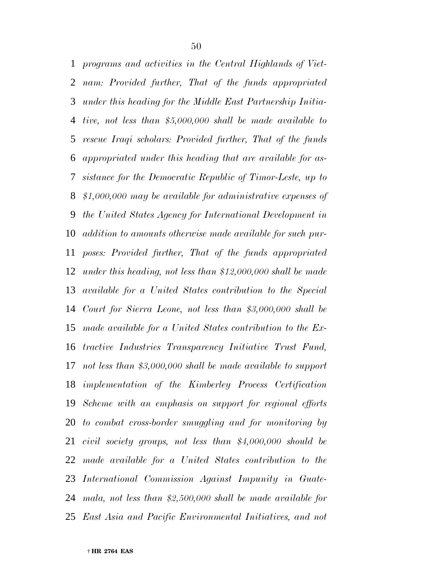*programs and activities in the Central Highlands of Viet- nam: Provided further, That of the funds appropriated under this heading for the Middle East Partnership Initia- tive, not less than \$5,000,000 shall be made available to rescue Iraqi scholars: Provided further, That of the funds appropriated under this heading that are available for as- sistance for the Democratic Republic of Timor-Leste, up to \$1,000,000 may be available for administrative expenses of the United States Agency for International Development in addition to amounts otherwise made available for such pur- poses: Provided further, That of the funds appropriated under this heading, not less than \$12,000,000 shall be made available for a United States contribution to the Special Court for Sierra Leone, not less than \$3,000,000 shall be made available for a United States contribution to the Ex- tractive Industries Transparency Initiative Trust Fund, not less than \$3,000,000 shall be made available to support implementation of the Kimberley Process Certification Scheme with an emphasis on support for regional efforts to combat cross-border smuggling and for monitoring by civil society groups, not less than \$4,000,000 should be made available for a United States contribution to the International Commission Against Impunity in Guate- mala, not less than \$2,500,000 shall be made available for East Asia and Pacific Environmental Initiatives, and not*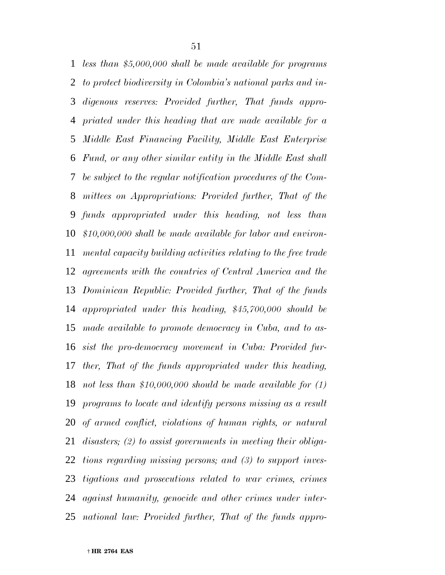*less than \$5,000,000 shall be made available for programs to protect biodiversity in Colombia's national parks and in- digenous reserves: Provided further, That funds appro- priated under this heading that are made available for a Middle East Financing Facility, Middle East Enterprise Fund, or any other similar entity in the Middle East shall be subject to the regular notification procedures of the Com- mittees on Appropriations: Provided further, That of the funds appropriated under this heading, not less than \$10,000,000 shall be made available for labor and environ- mental capacity building activities relating to the free trade agreements with the countries of Central America and the Dominican Republic: Provided further, That of the funds appropriated under this heading, \$45,700,000 should be made available to promote democracy in Cuba, and to as- sist the pro-democracy movement in Cuba: Provided fur- ther, That of the funds appropriated under this heading, not less than \$10,000,000 should be made available for (1) programs to locate and identify persons missing as a result of armed conflict, violations of human rights, or natural disasters; (2) to assist governments in meeting their obliga- tions regarding missing persons; and (3) to support inves- tigations and prosecutions related to war crimes, crimes against humanity, genocide and other crimes under inter-national law: Provided further, That of the funds appro-*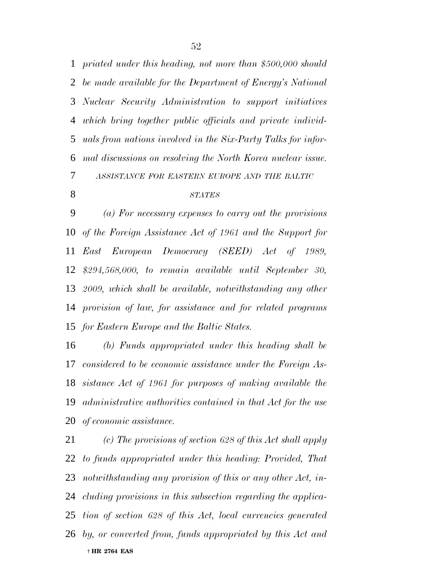*priated under this heading, not more than \$500,000 should be made available for the Department of Energy's National Nuclear Security Administration to support initiatives which bring together public officials and private individ- uals from nations involved in the Six-Party Talks for infor- mal discussions on resolving the North Korea nuclear issue. ASSISTANCE FOR EASTERN EUROPE AND THE BALTIC*

#### *STATES*

 *(a) For necessary expenses to carry out the provisions of the Foreign Assistance Act of 1961 and the Support for East European Democracy (SEED) Act of 1989, \$294,568,000, to remain available until September 30, 2009, which shall be available, notwithstanding any other provision of law, for assistance and for related programs for Eastern Europe and the Baltic States.*

 *(b) Funds appropriated under this heading shall be considered to be economic assistance under the Foreign As- sistance Act of 1961 for purposes of making available the administrative authorities contained in that Act for the use of economic assistance.*

 † **HR 2764 EAS** *(c) The provisions of section 628 of this Act shall apply to funds appropriated under this heading: Provided, That notwithstanding any provision of this or any other Act, in- cluding provisions in this subsection regarding the applica- tion of section 628 of this Act, local currencies generated by, or converted from, funds appropriated by this Act and*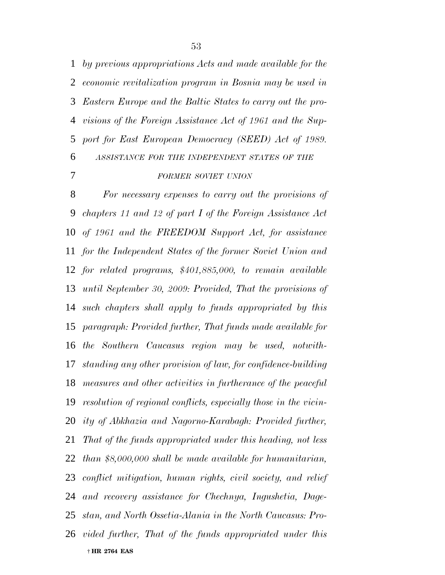*by previous appropriations Acts and made available for the economic revitalization program in Bosnia may be used in Eastern Europe and the Baltic States to carry out the pro- visions of the Foreign Assistance Act of 1961 and the Sup- port for East European Democracy (SEED) Act of 1989. ASSISTANCE FOR THE INDEPENDENT STATES OF THE FORMER SOVIET UNION*

 † **HR 2764 EAS** *For necessary expenses to carry out the provisions of chapters 11 and 12 of part I of the Foreign Assistance Act of 1961 and the FREEDOM Support Act, for assistance for the Independent States of the former Soviet Union and for related programs, \$401,885,000, to remain available until September 30, 2009: Provided, That the provisions of such chapters shall apply to funds appropriated by this paragraph: Provided further, That funds made available for the Southern Caucasus region may be used, notwith- standing any other provision of law, for confidence-building measures and other activities in furtherance of the peaceful resolution of regional conflicts, especially those in the vicin- ity of Abkhazia and Nagorno-Karabagh: Provided further, That of the funds appropriated under this heading, not less than \$8,000,000 shall be made available for humanitarian, conflict mitigation, human rights, civil society, and relief and recovery assistance for Chechnya, Ingushetia, Dage- stan, and North Ossetia-Alania in the North Caucasus: Pro-vided further, That of the funds appropriated under this*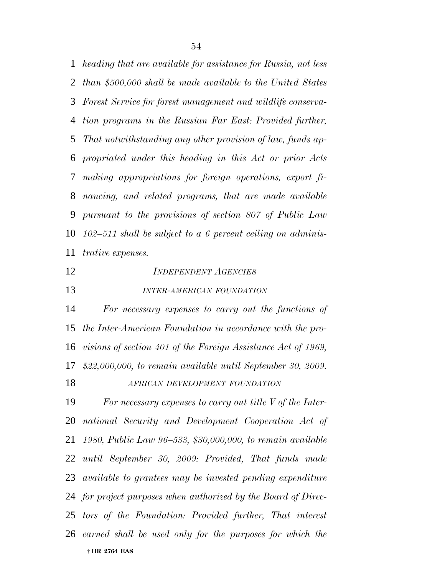*heading that are available for assistance for Russia, not less than \$500,000 shall be made available to the United States Forest Service for forest management and wildlife conserva- tion programs in the Russian Far East: Provided further, That notwithstanding any other provision of law, funds ap- propriated under this heading in this Act or prior Acts making appropriations for foreign operations, export fi- nancing, and related programs, that are made available pursuant to the provisions of section 807 of Public Law 102–511 shall be subject to a 6 percent ceiling on adminis-trative expenses.*

*INDEPENDENT AGENCIES*

*INTER-AMERICAN FOUNDATION*

 *For necessary expenses to carry out the functions of the Inter-American Foundation in accordance with the pro- visions of section 401 of the Foreign Assistance Act of 1969, \$22,000,000, to remain available until September 30, 2009. AFRICAN DEVELOPMENT FOUNDATION*

 † **HR 2764 EAS** *For necessary expenses to carry out title V of the Inter- national Security and Development Cooperation Act of 1980, Public Law 96–533, \$30,000,000, to remain available until September 30, 2009: Provided, That funds made available to grantees may be invested pending expenditure for project purposes when authorized by the Board of Direc- tors of the Foundation: Provided further, That interest earned shall be used only for the purposes for which the*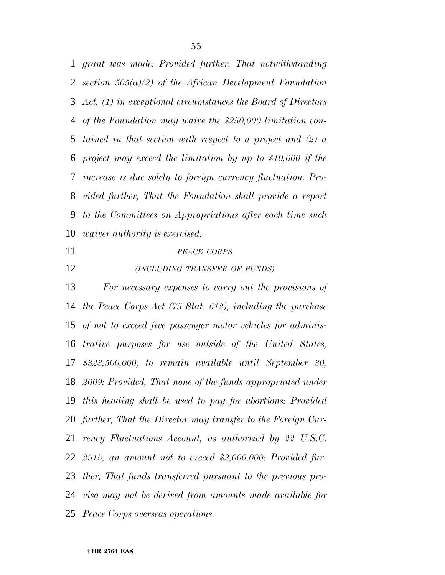*grant was made: Provided further, That notwithstanding section 505(a)(2) of the African Development Foundation Act, (1) in exceptional circumstances the Board of Directors of the Foundation may waive the \$250,000 limitation con- tained in that section with respect to a project and (2) a project may exceed the limitation by up to \$10,000 if the increase is due solely to foreign currency fluctuation: Pro- vided further, That the Foundation shall provide a report to the Committees on Appropriations after each time such waiver authority is exercised.*

#### *PEACE CORPS*

*(INCLUDING TRANSFER OF FUNDS)*

 *For necessary expenses to carry out the provisions of the Peace Corps Act (75 Stat. 612), including the purchase of not to exceed five passenger motor vehicles for adminis- trative purposes for use outside of the United States, \$323,500,000, to remain available until September 30, 2009: Provided, That none of the funds appropriated under this heading shall be used to pay for abortions: Provided further, That the Director may transfer to the Foreign Cur- rency Fluctuations Account, as authorized by 22 U.S.C. 2515, an amount not to exceed \$2,000,000: Provided fur- ther, That funds transferred pursuant to the previous pro- viso may not be derived from amounts made available for Peace Corps overseas operations.*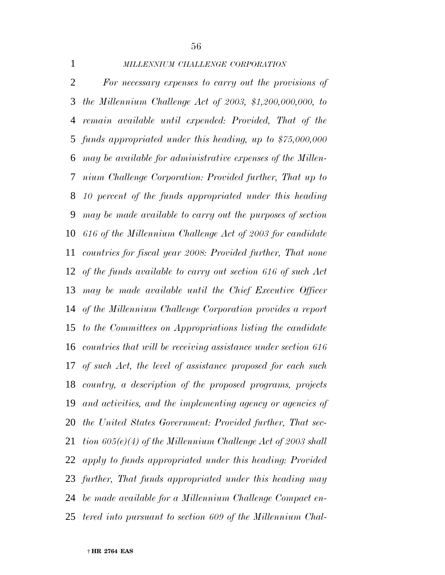### *MILLENNIUM CHALLENGE CORPORATION*

 *For necessary expenses to carry out the provisions of the Millennium Challenge Act of 2003, \$1,200,000,000, to remain available until expended: Provided, That of the funds appropriated under this heading, up to \$75,000,000 may be available for administrative expenses of the Millen- nium Challenge Corporation: Provided further, That up to 10 percent of the funds appropriated under this heading may be made available to carry out the purposes of section 616 of the Millennium Challenge Act of 2003 for candidate countries for fiscal year 2008: Provided further, That none of the funds available to carry out section 616 of such Act may be made available until the Chief Executive Officer of the Millennium Challenge Corporation provides a report to the Committees on Appropriations listing the candidate countries that will be receiving assistance under section 616 of such Act, the level of assistance proposed for each such country, a description of the proposed programs, projects and activities, and the implementing agency or agencies of the United States Government: Provided further, That sec- tion 605(e)(4) of the Millennium Challenge Act of 2003 shall apply to funds appropriated under this heading: Provided further, That funds appropriated under this heading may be made available for a Millennium Challenge Compact en-tered into pursuant to section 609 of the Millennium Chal-*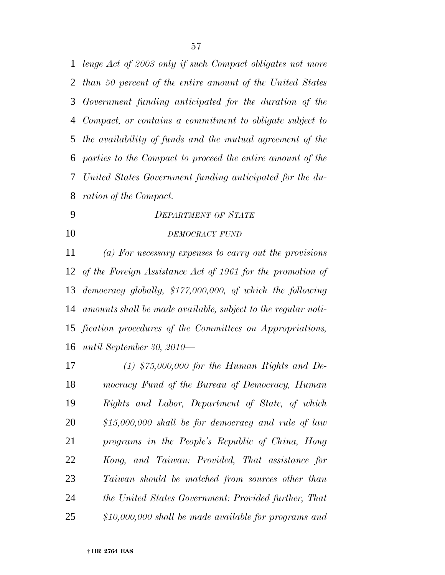*lenge Act of 2003 only if such Compact obligates not more than 50 percent of the entire amount of the United States Government funding anticipated for the duration of the Compact, or contains a commitment to obligate subject to the availability of funds and the mutual agreement of the parties to the Compact to proceed the entire amount of the United States Government funding anticipated for the du-ration of the Compact.*

- *DEPARTMENT OF STATE*
- *DEMOCRACY FUND*

 *(a) For necessary expenses to carry out the provisions of the Foreign Assistance Act of 1961 for the promotion of democracy globally, \$177,000,000, of which the following amounts shall be made available, subject to the regular noti- fication procedures of the Committees on Appropriations, until September 30, 2010—*

 *(1) \$75,000,000 for the Human Rights and De- mocracy Fund of the Bureau of Democracy, Human Rights and Labor, Department of State, of which \$15,000,000 shall be for democracy and rule of law programs in the People's Republic of China, Hong Kong, and Taiwan: Provided, That assistance for Taiwan should be matched from sources other than the United States Government: Provided further, That \$10,000,000 shall be made available for programs and*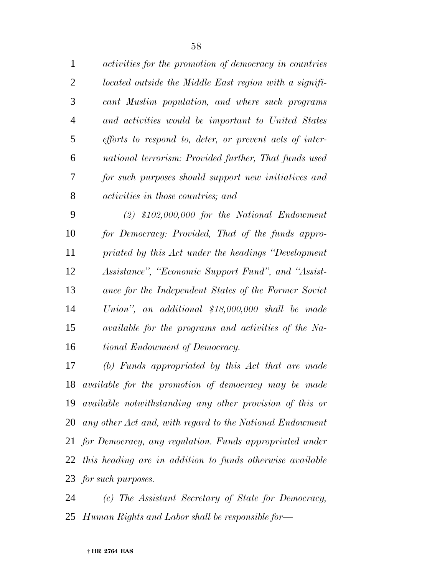| $\mathbf{1}$ | activities for the promotion of democracy in countries  |
|--------------|---------------------------------------------------------|
| 2            | located outside the Middle East region with a signifi-  |
| 3            | cant Muslim population, and where such programs         |
| 4            | and activities would be important to United States      |
| 5            | efforts to respond to, deter, or prevent acts of inter- |
| 6            | national terrorism: Provided further, That funds used   |
| 7            | for such purposes should support new initiatives and    |
| 8            | <i>activities in those countries; and</i>               |
| 9            | $(2)$ \$102,000,000 for the National Endowment          |

 *for Democracy: Provided, That of the funds appro- priated by this Act under the headings ''Development Assistance'', ''Economic Support Fund'', and ''Assist- ance for the Independent States of the Former Soviet Union'', an additional \$18,000,000 shall be made available for the programs and activities of the Na-tional Endowment of Democracy.*

 *(b) Funds appropriated by this Act that are made available for the promotion of democracy may be made available notwithstanding any other provision of this or any other Act and, with regard to the National Endowment for Democracy, any regulation. Funds appropriated under this heading are in addition to funds otherwise available for such purposes.*

 *(c) The Assistant Secretary of State for Democracy, Human Rights and Labor shall be responsible for—*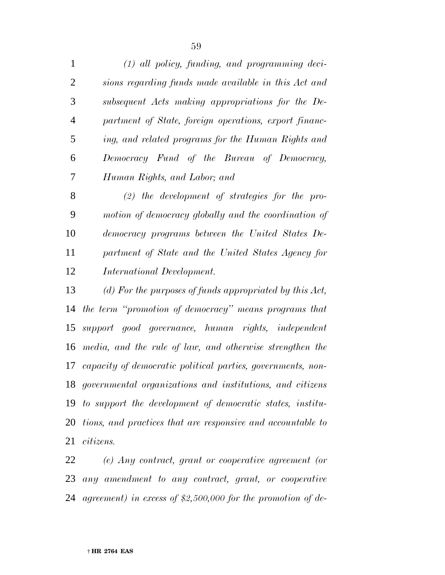*(1) all policy, funding, and programming deci- sions regarding funds made available in this Act and subsequent Acts making appropriations for the De- partment of State, foreign operations, export financ- ing, and related programs for the Human Rights and Democracy Fund of the Bureau of Democracy, Human Rights, and Labor; and*

 *(2) the development of strategies for the pro- motion of democracy globally and the coordination of democracy programs between the United States De- partment of State and the United States Agency for International Development.*

 *(d) For the purposes of funds appropriated by this Act, the term ''promotion of democracy'' means programs that support good governance, human rights, independent media, and the rule of law, and otherwise strengthen the capacity of democratic political parties, governments, non- governmental organizations and institutions, and citizens to support the development of democratic states, institu- tions, and practices that are responsive and accountable to citizens.*

 *(e) Any contract, grant or cooperative agreement (or any amendment to any contract, grant, or cooperative agreement) in excess of \$2,500,000 for the promotion of de-*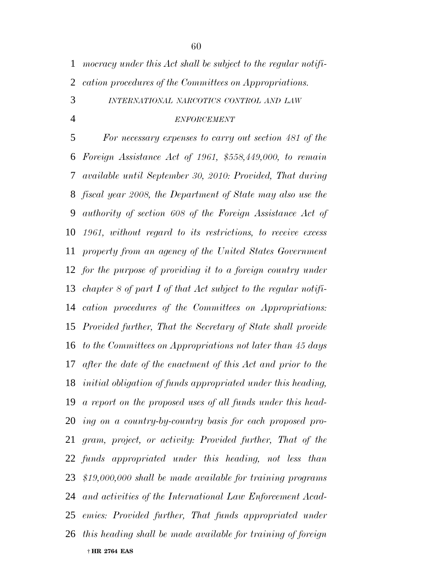*mocracy under this Act shall be subject to the regular notifi-cation procedures of the Committees on Appropriations.*

*INTERNATIONAL NARCOTICS CONTROL AND LAW*

#### *ENFORCEMENT*

 † **HR 2764 EAS** *For necessary expenses to carry out section 481 of the Foreign Assistance Act of 1961, \$558,449,000, to remain available until September 30, 2010: Provided, That during fiscal year 2008, the Department of State may also use the authority of section 608 of the Foreign Assistance Act of 1961, without regard to its restrictions, to receive excess property from an agency of the United States Government for the purpose of providing it to a foreign country under chapter 8 of part I of that Act subject to the regular notifi- cation procedures of the Committees on Appropriations: Provided further, That the Secretary of State shall provide to the Committees on Appropriations not later than 45 days after the date of the enactment of this Act and prior to the initial obligation of funds appropriated under this heading, a report on the proposed uses of all funds under this head- ing on a country-by-country basis for each proposed pro- gram, project, or activity: Provided further, That of the funds appropriated under this heading, not less than \$19,000,000 shall be made available for training programs and activities of the International Law Enforcement Acad- emies: Provided further, That funds appropriated under this heading shall be made available for training of foreign*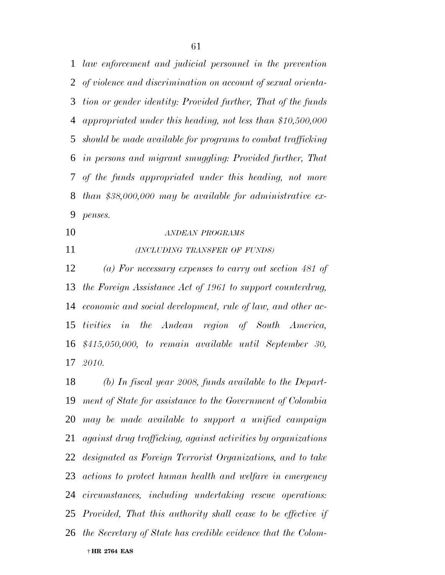*law enforcement and judicial personnel in the prevention of violence and discrimination on account of sexual orienta- tion or gender identity: Provided further, That of the funds appropriated under this heading, not less than \$10,500,000 should be made available for programs to combat trafficking in persons and migrant smuggling: Provided further, That of the funds appropriated under this heading, not more than \$38,000,000 may be available for administrative ex-penses.*

# *ANDEAN PROGRAMS*

### *(INCLUDING TRANSFER OF FUNDS)*

 *(a) For necessary expenses to carry out section 481 of the Foreign Assistance Act of 1961 to support counterdrug, economic and social development, rule of law, and other ac- tivities in the Andean region of South America, \$415,050,000, to remain available until September 30, 2010.*

 † **HR 2764 EAS** *(b) In fiscal year 2008, funds available to the Depart- ment of State for assistance to the Government of Colombia may be made available to support a unified campaign against drug trafficking, against activities by organizations designated as Foreign Terrorist Organizations, and to take actions to protect human health and welfare in emergency circumstances, including undertaking rescue operations: Provided, That this authority shall cease to be effective if the Secretary of State has credible evidence that the Colom-*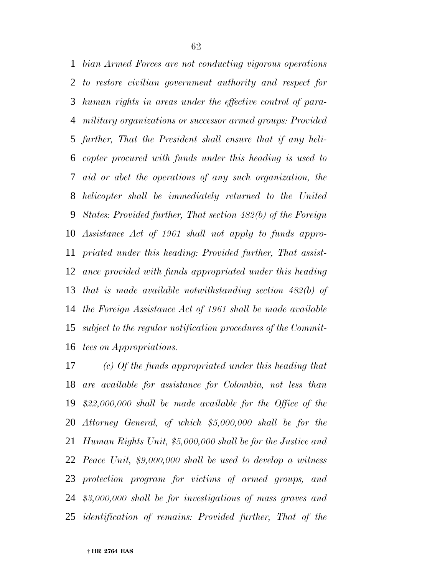*bian Armed Forces are not conducting vigorous operations to restore civilian government authority and respect for human rights in areas under the effective control of para- military organizations or successor armed groups: Provided further, That the President shall ensure that if any heli- copter procured with funds under this heading is used to aid or abet the operations of any such organization, the helicopter shall be immediately returned to the United States: Provided further, That section 482(b) of the Foreign Assistance Act of 1961 shall not apply to funds appro- priated under this heading: Provided further, That assist- ance provided with funds appropriated under this heading that is made available notwithstanding section 482(b) of the Foreign Assistance Act of 1961 shall be made available subject to the regular notification procedures of the Commit-tees on Appropriations.*

 *(c) Of the funds appropriated under this heading that are available for assistance for Colombia, not less than \$22,000,000 shall be made available for the Office of the Attorney General, of which \$5,000,000 shall be for the Human Rights Unit, \$5,000,000 shall be for the Justice and Peace Unit, \$9,000,000 shall be used to develop a witness protection program for victims of armed groups, and \$3,000,000 shall be for investigations of mass graves and identification of remains: Provided further, That of the*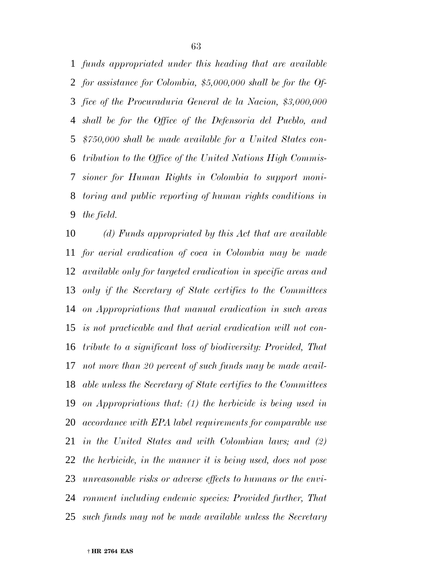*funds appropriated under this heading that are available for assistance for Colombia, \$5,000,000 shall be for the Of- fice of the Procuraduria General de la Nacion, \$3,000,000 shall be for the Office of the Defensoria del Pueblo, and \$750,000 shall be made available for a United States con- tribution to the Office of the United Nations High Commis- sioner for Human Rights in Colombia to support moni- toring and public reporting of human rights conditions in the field.*

 *(d) Funds appropriated by this Act that are available for aerial eradication of coca in Colombia may be made available only for targeted eradication in specific areas and only if the Secretary of State certifies to the Committees on Appropriations that manual eradication in such areas is not practicable and that aerial eradication will not con- tribute to a significant loss of biodiversity: Provided, That not more than 20 percent of such funds may be made avail- able unless the Secretary of State certifies to the Committees on Appropriations that: (1) the herbicide is being used in accordance with EPA label requirements for comparable use in the United States and with Colombian laws; and (2) the herbicide, in the manner it is being used, does not pose unreasonable risks or adverse effects to humans or the envi- ronment including endemic species: Provided further, That such funds may not be made available unless the Secretary*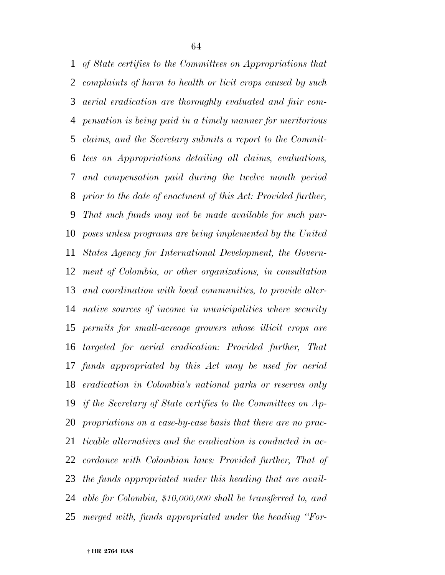*of State certifies to the Committees on Appropriations that complaints of harm to health or licit crops caused by such aerial eradication are thoroughly evaluated and fair com- pensation is being paid in a timely manner for meritorious claims, and the Secretary submits a report to the Commit- tees on Appropriations detailing all claims, evaluations, and compensation paid during the twelve month period prior to the date of enactment of this Act: Provided further, That such funds may not be made available for such pur- poses unless programs are being implemented by the United States Agency for International Development, the Govern- ment of Colombia, or other organizations, in consultation and coordination with local communities, to provide alter- native sources of income in municipalities where security permits for small-acreage growers whose illicit crops are targeted for aerial eradication: Provided further, That funds appropriated by this Act may be used for aerial eradication in Colombia's national parks or reserves only if the Secretary of State certifies to the Committees on Ap- propriations on a case-by-case basis that there are no prac- ticable alternatives and the eradication is conducted in ac- cordance with Colombian laws: Provided further, That of the funds appropriated under this heading that are avail- able for Colombia, \$10,000,000 shall be transferred to, and merged with, funds appropriated under the heading ''For-*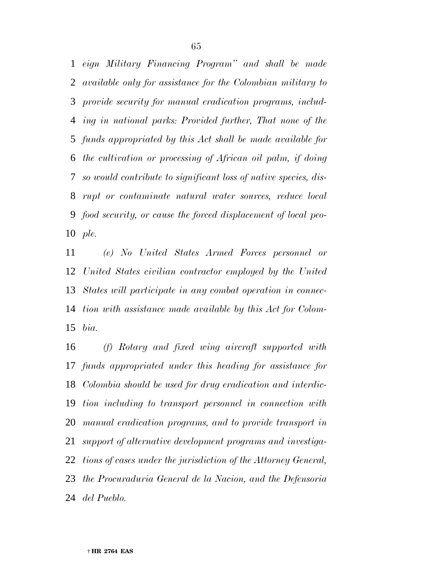*eign Military Financing Program'' and shall be made available only for assistance for the Colombian military to provide security for manual eradication programs, includ- ing in national parks: Provided further, That none of the funds appropriated by this Act shall be made available for the cultivation or processing of African oil palm, if doing so would contribute to significant loss of native species, dis- rupt or contaminate natural water sources, reduce local food security, or cause the forced displacement of local peo-ple.*

 *(e) No United States Armed Forces personnel or United States civilian contractor employed by the United States will participate in any combat operation in connec- tion with assistance made available by this Act for Colom-bia.*

 *(f) Rotary and fixed wing aircraft supported with funds appropriated under this heading for assistance for Colombia should be used for drug eradication and interdic- tion including to transport personnel in connection with manual eradication programs, and to provide transport in support of alternative development programs and investiga- tions of cases under the jurisdiction of the Attorney General, the Procuraduria General de la Nacion, and the Defensoria del Pueblo.*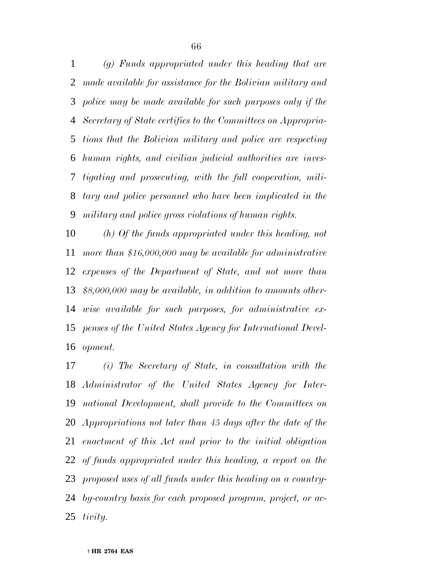*(g) Funds appropriated under this heading that are made available for assistance for the Bolivian military and police may be made available for such purposes only if the Secretary of State certifies to the Committees on Appropria- tions that the Bolivian military and police are respecting human rights, and civilian judicial authorities are inves- tigating and prosecuting, with the full cooperation, mili- tary and police personnel who have been implicated in the military and police gross violations of human rights.*

 *(h) Of the funds appropriated under this heading, not more than \$16,000,000 may be available for administrative expenses of the Department of State, and not more than \$8,000,000 may be available, in addition to amounts other- wise available for such purposes, for administrative ex- penses of the United States Agency for International Devel-opment.*

 *(i) The Secretary of State, in consultation with the Administrator of the United States Agency for Inter- national Development, shall provide to the Committees on Appropriations not later than 45 days after the date of the enactment of this Act and prior to the initial obligation of funds appropriated under this heading, a report on the proposed uses of all funds under this heading on a country- by-country basis for each proposed program, project, or ac-tivity.*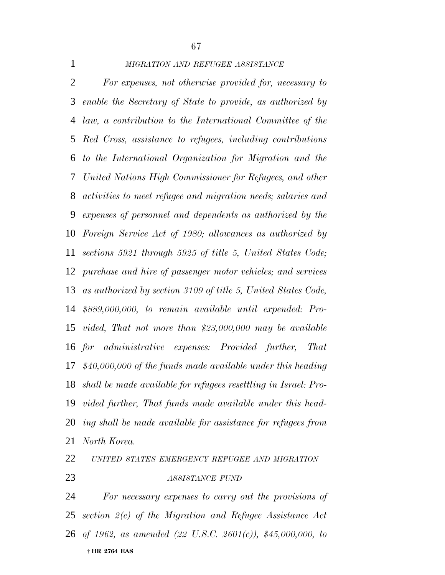#### *MIGRATION AND REFUGEE ASSISTANCE*

 *For expenses, not otherwise provided for, necessary to enable the Secretary of State to provide, as authorized by law, a contribution to the International Committee of the Red Cross, assistance to refugees, including contributions to the International Organization for Migration and the United Nations High Commissioner for Refugees, and other activities to meet refugee and migration needs; salaries and expenses of personnel and dependents as authorized by the Foreign Service Act of 1980; allowances as authorized by sections 5921 through 5925 of title 5, United States Code; purchase and hire of passenger motor vehicles; and services as authorized by section 3109 of title 5, United States Code, \$889,000,000, to remain available until expended: Pro- vided, That not more than \$23,000,000 may be available for administrative expenses: Provided further, That \$40,000,000 of the funds made available under this heading shall be made available for refugees resettling in Israel: Pro- vided further, That funds made available under this head- ing shall be made available for assistance for refugees from North Korea.*

# *UNITED STATES EMERGENCY REFUGEE AND MIGRATION ASSISTANCE FUND*

 † **HR 2764 EAS** *For necessary expenses to carry out the provisions of section 2(c) of the Migration and Refugee Assistance Act of 1962, as amended (22 U.S.C. 2601(c)), \$45,000,000, to*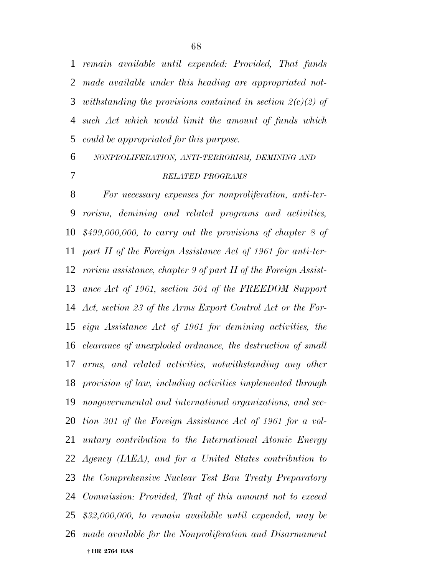*remain available until expended: Provided, That funds made available under this heading are appropriated not- withstanding the provisions contained in section 2(c)(2) of such Act which would limit the amount of funds which could be appropriated for this purpose.*

# *NONPROLIFERATION, ANTI-TERRORISM, DEMINING AND RELATED PROGRAMS*

 † **HR 2764 EAS** *For necessary expenses for nonproliferation, anti-ter- rorism, demining and related programs and activities, \$499,000,000, to carry out the provisions of chapter 8 of part II of the Foreign Assistance Act of 1961 for anti-ter- rorism assistance, chapter 9 of part II of the Foreign Assist- ance Act of 1961, section 504 of the FREEDOM Support Act, section 23 of the Arms Export Control Act or the For- eign Assistance Act of 1961 for demining activities, the clearance of unexploded ordnance, the destruction of small arms, and related activities, notwithstanding any other provision of law, including activities implemented through nongovernmental and international organizations, and sec- tion 301 of the Foreign Assistance Act of 1961 for a vol- untary contribution to the International Atomic Energy Agency (IAEA), and for a United States contribution to the Comprehensive Nuclear Test Ban Treaty Preparatory Commission: Provided, That of this amount not to exceed \$32,000,000, to remain available until expended, may be made available for the Nonproliferation and Disarmament*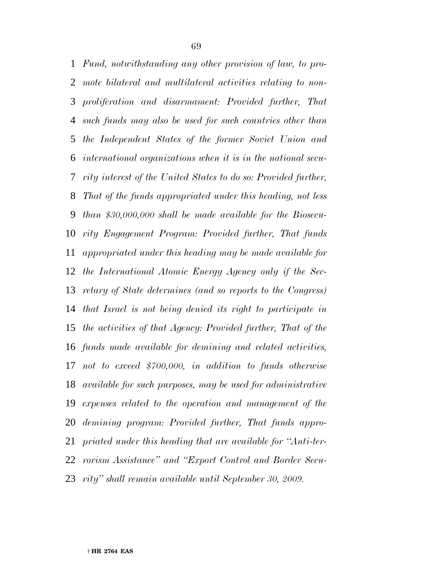*Fund, notwithstanding any other provision of law, to pro- mote bilateral and multilateral activities relating to non- proliferation and disarmament: Provided further, That such funds may also be used for such countries other than the Independent States of the former Soviet Union and international organizations when it is in the national secu- rity interest of the United States to do so: Provided further, That of the funds appropriated under this heading, not less than \$30,000,000 shall be made available for the Biosecu- rity Engagement Program: Provided further, That funds appropriated under this heading may be made available for the International Atomic Energy Agency only if the Sec- retary of State determines (and so reports to the Congress) that Israel is not being denied its right to participate in the activities of that Agency: Provided further, That of the funds made available for demining and related activities, not to exceed \$700,000, in addition to funds otherwise available for such purposes, may be used for administrative expenses related to the operation and management of the demining program: Provided further, That funds appro- priated under this heading that are available for ''Anti-ter- rorism Assistance'' and ''Export Control and Border Secu-rity'' shall remain available until September 30, 2009.*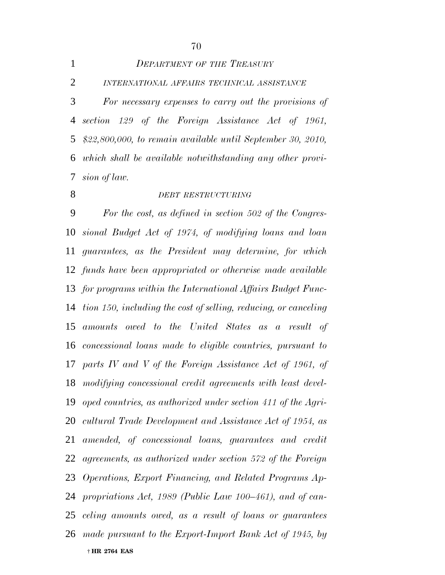|                | DEPARTMENT OF THE IREASURY                                    |
|----------------|---------------------------------------------------------------|
| 2              | INTERNATIONAL AFFAIRS TECHNICAL ASSISTANCE                    |
| $\mathfrak{Z}$ | For necessary expenses to carry out the provisions of         |
|                | 4 section 129 of the Foreign Assistance Act of 1961,          |
|                | 5 \$22,800,000, to remain available until September 30, 2010, |
|                | 6 which shall be available notwithstanding any other provi-   |
|                | 7 sion of law.                                                |

#### *DEBT RESTRUCTURING*

 † **HR 2764 EAS** *For the cost, as defined in section 502 of the Congres- sional Budget Act of 1974, of modifying loans and loan guarantees, as the President may determine, for which funds have been appropriated or otherwise made available for programs within the International Affairs Budget Func- tion 150, including the cost of selling, reducing, or canceling amounts owed to the United States as a result of concessional loans made to eligible countries, pursuant to parts IV and V of the Foreign Assistance Act of 1961, of modifying concessional credit agreements with least devel- oped countries, as authorized under section 411 of the Agri- cultural Trade Development and Assistance Act of 1954, as amended, of concessional loans, guarantees and credit agreements, as authorized under section 572 of the Foreign Operations, Export Financing, and Related Programs Ap- propriations Act, 1989 (Public Law 100–461), and of can- celing amounts owed, as a result of loans or guarantees made pursuant to the Export-Import Bank Act of 1945, by*

*DEPARTMENT OF THE TREASURY*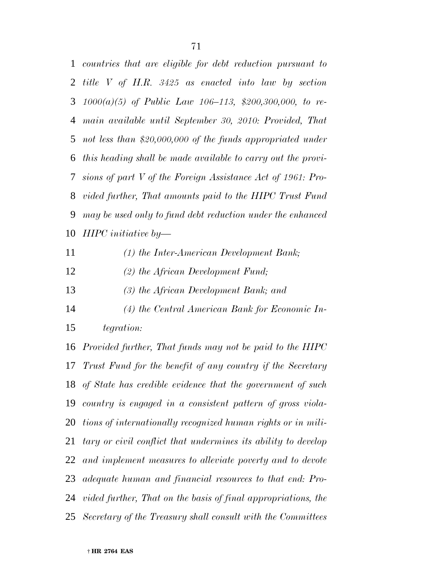*countries that are eligible for debt reduction pursuant to title V of H.R. 3425 as enacted into law by section 1000(a)(5) of Public Law 106–113, \$200,300,000, to re- main available until September 30, 2010: Provided, That not less than \$20,000,000 of the funds appropriated under this heading shall be made available to carry out the provi- sions of part V of the Foreign Assistance Act of 1961: Pro- vided further, That amounts paid to the HIPC Trust Fund may be used only to fund debt reduction under the enhanced HIPC initiative by—*

*(1) the Inter-American Development Bank;*

*(2) the African Development Fund;*

*(3) the African Development Bank; and*

 *(4) the Central American Bank for Economic In-tegration:*

 *Provided further, That funds may not be paid to the HIPC Trust Fund for the benefit of any country if the Secretary of State has credible evidence that the government of such country is engaged in a consistent pattern of gross viola- tions of internationally recognized human rights or in mili- tary or civil conflict that undermines its ability to develop and implement measures to alleviate poverty and to devote adequate human and financial resources to that end: Pro- vided further, That on the basis of final appropriations, the Secretary of the Treasury shall consult with the Committees*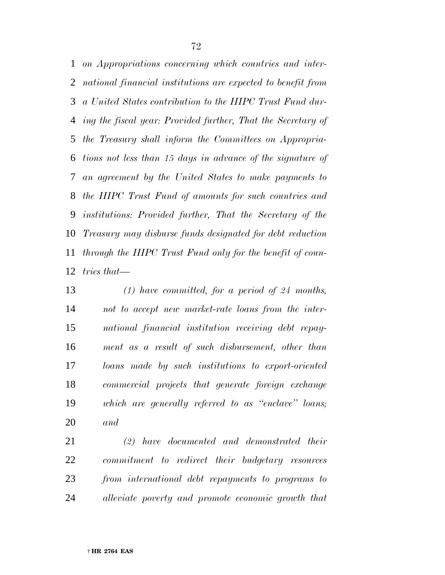*on Appropriations concerning which countries and inter- national financial institutions are expected to benefit from a United States contribution to the HIPC Trust Fund dur- ing the fiscal year: Provided further, That the Secretary of the Treasury shall inform the Committees on Appropria- tions not less than 15 days in advance of the signature of an agreement by the United States to make payments to the HIPC Trust Fund of amounts for such countries and institutions: Provided further, That the Secretary of the Treasury may disburse funds designated for debt reduction through the HIPC Trust Fund only for the benefit of coun-tries that—*

 *(1) have committed, for a period of 24 months, not to accept new market-rate loans from the inter- national financial institution receiving debt repay- ment as a result of such disbursement, other than loans made by such institutions to export-oriented commercial projects that generate foreign exchange which are generally referred to as ''enclave'' loans; and*

 *(2) have documented and demonstrated their commitment to redirect their budgetary resources from international debt repayments to programs to alleviate poverty and promote economic growth that*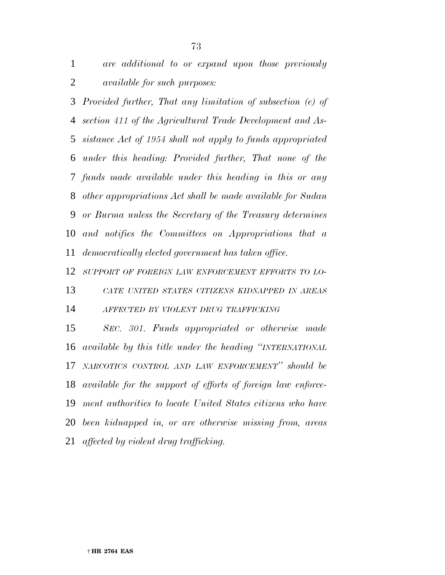*are additional to or expand upon those previously available for such purposes:*

 *Provided further, That any limitation of subsection (e) of section 411 of the Agricultural Trade Development and As- sistance Act of 1954 shall not apply to funds appropriated under this heading: Provided further, That none of the funds made available under this heading in this or any other appropriations Act shall be made available for Sudan or Burma unless the Secretary of the Treasury determines and notifies the Committees on Appropriations that a democratically elected government has taken office.*

*SUPPORT OF FOREIGN LAW ENFORCEMENT EFFORTS TO LO-*

 *CATE UNITED STATES CITIZENS KIDNAPPED IN AREAS AFFECTED BY VIOLENT DRUG TRAFFICKING*

 *SEC. 301. Funds appropriated or otherwise made available by this title under the heading ''INTERNATIONAL NARCOTICS CONTROL AND LAW ENFORCEMENT'' should be available for the support of efforts of foreign law enforce- ment authorities to locate United States citizens who have been kidnapped in, or are otherwise missing from, areas affected by violent drug trafficking.*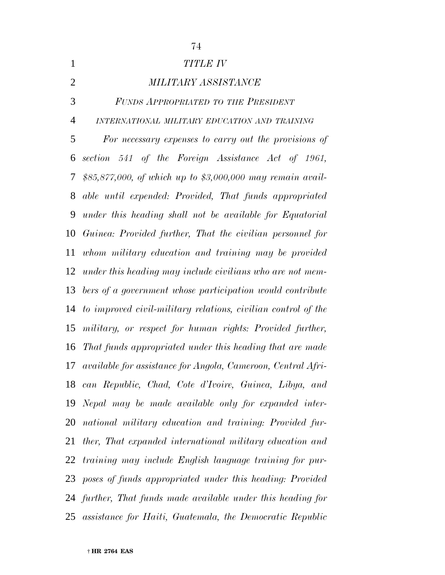| $\mathbf{1}$   | <b>TITLE IV</b>                                               |
|----------------|---------------------------------------------------------------|
| $\overline{2}$ | <b>MILITARY ASSISTANCE</b>                                    |
| 3              | FUNDS APPROPRIATED TO THE PRESIDENT                           |
| $\overline{4}$ | INTERNATIONAL MILITARY EDUCATION AND TRAINING                 |
| 5              | For necessary expenses to carry out the provisions of         |
| 6              | section 541 of the Foreign Assistance Act of 1961,            |
| 7              | \$85,877,000, of which up to \$3,000,000 may remain avail-    |
| 8              | able until expended: Provided, That funds appropriated        |
| 9              | under this heading shall not be available for Equatorial      |
| 10             | Guinea: Provided further, That the civilian personnel for     |
| 11             | whom military education and training may be provided          |
| 12             | under this heading may include civilians who are not mem-     |
| 13             | bers of a government whose participation would contribute     |
| 14             | to improved civil-military relations, civilian control of the |
| 15             | military, or respect for human rights: Provided further,      |
| 16             | That funds appropriated under this heading that are made      |
| 17             | available for assistance for Angola, Cameroon, Central Afri-  |
| 18             | can Republic, Chad, Cote d'Ivoire, Guinea, Libya, and         |
| 19             | Nepal may be made available only for expanded inter-          |
| 20             | national military education and training: Provided fur-       |
| 21             | ther, That expanded international military education and      |
|                | 22 training may include English language training for pur-    |
| 23             | poses of funds appropriated under this heading: Provided      |
|                | 24 further, That funds made available under this heading for  |
| 25             | assistance for Haiti, Guatemala, the Democratic Republic      |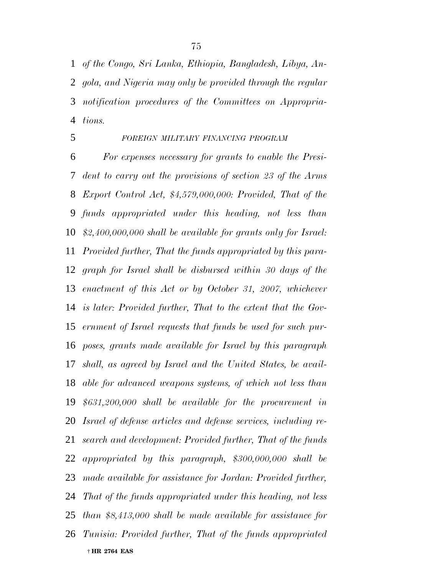*of the Congo, Sri Lanka, Ethiopia, Bangladesh, Libya, An- gola, and Nigeria may only be provided through the regular notification procedures of the Committees on Appropria-tions.*

# *FOREIGN MILITARY FINANCING PROGRAM*

 † **HR 2764 EAS** *For expenses necessary for grants to enable the Presi- dent to carry out the provisions of section 23 of the Arms Export Control Act, \$4,579,000,000: Provided, That of the funds appropriated under this heading, not less than \$2,400,000,000 shall be available for grants only for Israel: Provided further, That the funds appropriated by this para- graph for Israel shall be disbursed within 30 days of the enactment of this Act or by October 31, 2007, whichever is later: Provided further, That to the extent that the Gov- ernment of Israel requests that funds be used for such pur- poses, grants made available for Israel by this paragraph shall, as agreed by Israel and the United States, be avail- able for advanced weapons systems, of which not less than \$631,200,000 shall be available for the procurement in Israel of defense articles and defense services, including re- search and development: Provided further, That of the funds appropriated by this paragraph, \$300,000,000 shall be made available for assistance for Jordan: Provided further, That of the funds appropriated under this heading, not less than \$8,413,000 shall be made available for assistance for Tunisia: Provided further, That of the funds appropriated*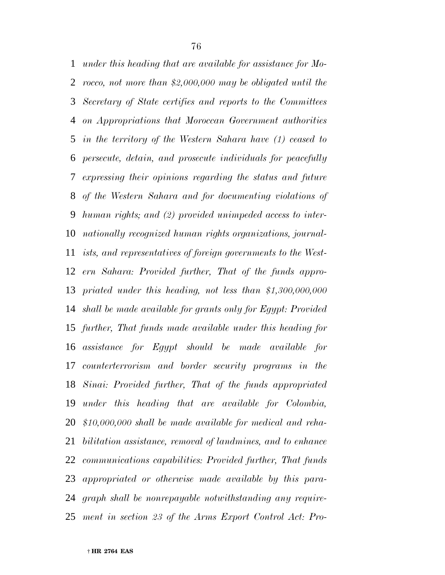*under this heading that are available for assistance for Mo- rocco, not more than \$2,000,000 may be obligated until the Secretary of State certifies and reports to the Committees on Appropriations that Moroccan Government authorities in the territory of the Western Sahara have (1) ceased to persecute, detain, and prosecute individuals for peacefully expressing their opinions regarding the status and future of the Western Sahara and for documenting violations of human rights; and (2) provided unimpeded access to inter- nationally recognized human rights organizations, journal- ists, and representatives of foreign governments to the West- ern Sahara: Provided further, That of the funds appro- priated under this heading, not less than \$1,300,000,000 shall be made available for grants only for Egypt: Provided further, That funds made available under this heading for assistance for Egypt should be made available for counterterrorism and border security programs in the Sinai: Provided further, That of the funds appropriated under this heading that are available for Colombia, \$10,000,000 shall be made available for medical and reha- bilitation assistance, removal of landmines, and to enhance communications capabilities: Provided further, That funds appropriated or otherwise made available by this para- graph shall be nonrepayable notwithstanding any require-ment in section 23 of the Arms Export Control Act: Pro-*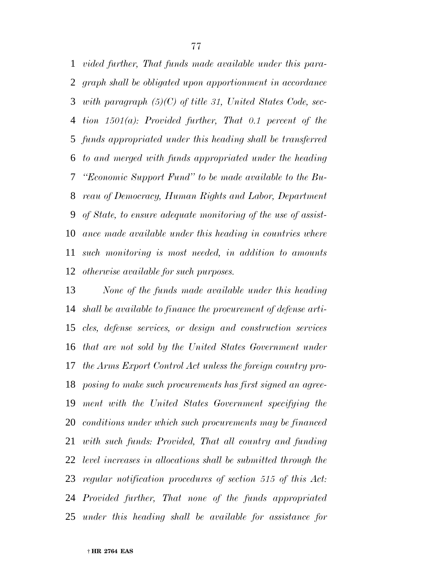*vided further, That funds made available under this para- graph shall be obligated upon apportionment in accordance with paragraph (5)(C) of title 31, United States Code, sec- tion 1501(a): Provided further, That 0.1 percent of the funds appropriated under this heading shall be transferred to and merged with funds appropriated under the heading ''Economic Support Fund'' to be made available to the Bu- reau of Democracy, Human Rights and Labor, Department of State, to ensure adequate monitoring of the use of assist- ance made available under this heading in countries where such monitoring is most needed, in addition to amounts otherwise available for such purposes.*

 *None of the funds made available under this heading shall be available to finance the procurement of defense arti- cles, defense services, or design and construction services that are not sold by the United States Government under the Arms Export Control Act unless the foreign country pro- posing to make such procurements has first signed an agree- ment with the United States Government specifying the conditions under which such procurements may be financed with such funds: Provided, That all country and funding level increases in allocations shall be submitted through the regular notification procedures of section 515 of this Act: Provided further, That none of the funds appropriated under this heading shall be available for assistance for*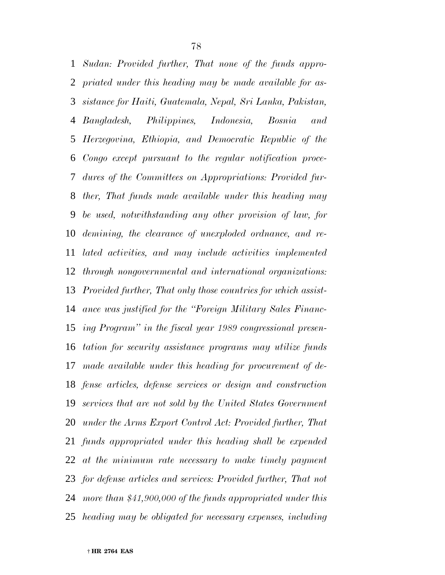*Sudan: Provided further, That none of the funds appro- priated under this heading may be made available for as- sistance for Haiti, Guatemala, Nepal, Sri Lanka, Pakistan, Bangladesh, Philippines, Indonesia, Bosnia and Herzegovina, Ethiopia, and Democratic Republic of the Congo except pursuant to the regular notification proce- dures of the Committees on Appropriations: Provided fur- ther, That funds made available under this heading may be used, notwithstanding any other provision of law, for demining, the clearance of unexploded ordnance, and re- lated activities, and may include activities implemented through nongovernmental and international organizations: Provided further, That only those countries for which assist- ance was justified for the ''Foreign Military Sales Financ- ing Program'' in the fiscal year 1989 congressional presen- tation for security assistance programs may utilize funds made available under this heading for procurement of de- fense articles, defense services or design and construction services that are not sold by the United States Government under the Arms Export Control Act: Provided further, That funds appropriated under this heading shall be expended at the minimum rate necessary to make timely payment for defense articles and services: Provided further, That not more than \$41,900,000 of the funds appropriated under this heading may be obligated for necessary expenses, including*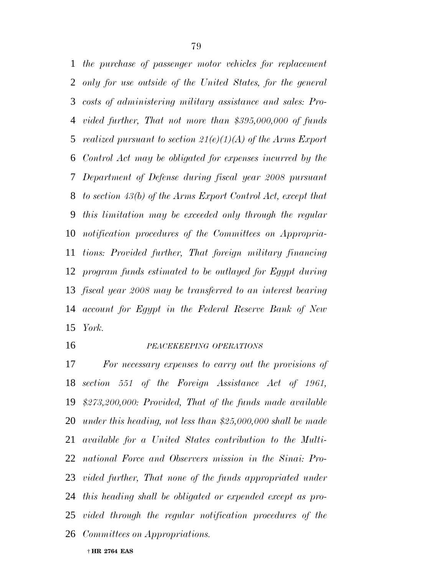*the purchase of passenger motor vehicles for replacement only for use outside of the United States, for the general costs of administering military assistance and sales: Pro- vided further, That not more than \$395,000,000 of funds realized pursuant to section 21(e)(1)(A) of the Arms Export Control Act may be obligated for expenses incurred by the Department of Defense during fiscal year 2008 pursuant to section 43(b) of the Arms Export Control Act, except that this limitation may be exceeded only through the regular notification procedures of the Committees on Appropria- tions: Provided further, That foreign military financing program funds estimated to be outlayed for Egypt during fiscal year 2008 may be transferred to an interest bearing account for Egypt in the Federal Reserve Bank of New York.*

### *PEACEKEEPING OPERATIONS*

 *For necessary expenses to carry out the provisions of section 551 of the Foreign Assistance Act of 1961, \$273,200,000: Provided, That of the funds made available under this heading, not less than \$25,000,000 shall be made available for a United States contribution to the Multi- national Force and Observers mission in the Sinai: Pro- vided further, That none of the funds appropriated under this heading shall be obligated or expended except as pro- vided through the regular notification procedures of the Committees on Appropriations.*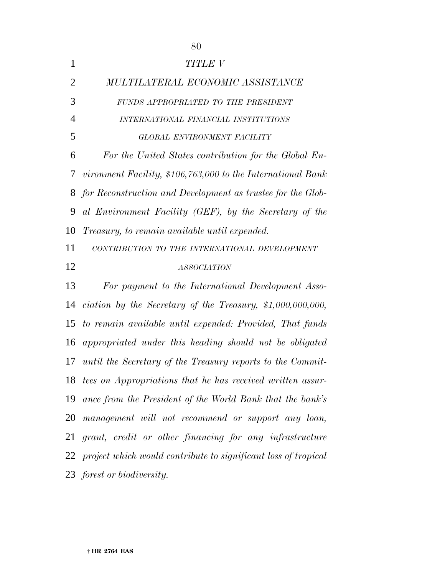| 1              | TITLE V                                                           |
|----------------|-------------------------------------------------------------------|
| $\overline{2}$ | MULTILATERAL ECONOMIC ASSISTANCE                                  |
| 3              | FUNDS APPROPRIATED TO THE PRESIDENT                               |
| 4              | INTERNATIONAL FINANCIAL INSTITUTIONS                              |
| 5              | GLOBAL ENVIRONMENT FACILITY                                       |
| 6              | For the United States contribution for the Global En-             |
| 7              | vironment Facility, \$106,763,000 to the International Bank       |
| 8              | for Reconstruction and Development as trustee for the Glob-       |
| 9              | al Environment Facility (GEF), by the Secretary of the            |
| 10             | <i>Treasury, to remain available until expended.</i>              |
| 11             | CONTRIBUTION TO THE INTERNATIONAL DEVELOPMENT                     |
| 12             | <b>ASSOCIATION</b>                                                |
| 13             | For payment to the International Development Asso-                |
| 14             | ciation by the Secretary of the Treasury, $$1,000,000,000,$       |
| 15             | to remain available until expended: Provided, That funds          |
| 16             | appropriated under this heading should not be obligated           |
| 17             | until the Secretary of the Treasury reports to the Commit-        |
| 18             | tees on Appropriations that he has received written assur-        |
| 19             | ance from the President of the World Bank that the bank's         |
| 20             | management will not recommend or support any loan,                |
| 21             | grant, credit or other financing for any infrastructure           |
|                | 22 project which would contribute to significant loss of tropical |
|                | 23 forest or biodiversity.                                        |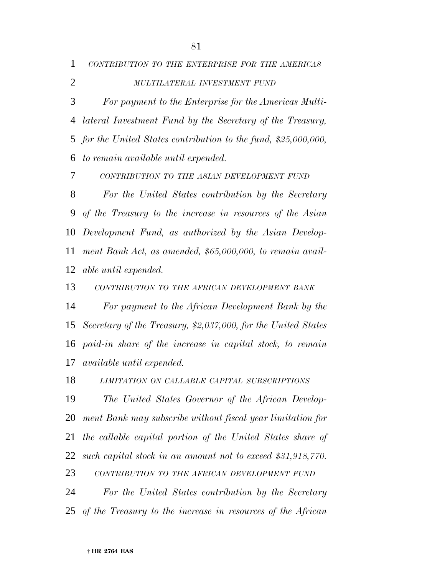|                | 1 CONTRIBUTION TO THE ENTERPRISE FOR THE AMERICAS |
|----------------|---------------------------------------------------|
| $\overline{2}$ | MULTILATERAL INVESTMENT FUND                      |

 *For payment to the Enterprise for the Americas Multi- lateral Investment Fund by the Secretary of the Treasury, for the United States contribution to the fund, \$25,000,000, to remain available until expended.*

*CONTRIBUTION TO THE ASIAN DEVELOPMENT FUND*

 *For the United States contribution by the Secretary of the Treasury to the increase in resources of the Asian Development Fund, as authorized by the Asian Develop- ment Bank Act, as amended, \$65,000,000, to remain avail-able until expended.*

*CONTRIBUTION TO THE AFRICAN DEVELOPMENT BANK*

 *For payment to the African Development Bank by the Secretary of the Treasury, \$2,037,000, for the United States paid-in share of the increase in capital stock, to remain available until expended.*

*LIMITATION ON CALLABLE CAPITAL SUBSCRIPTIONS*

 *The United States Governor of the African Develop- ment Bank may subscribe without fiscal year limitation for the callable capital portion of the United States share of such capital stock in an amount not to exceed \$31,918,770. CONTRIBUTION TO THE AFRICAN DEVELOPMENT FUND*

 *For the United States contribution by the Secretary of the Treasury to the increase in resources of the African*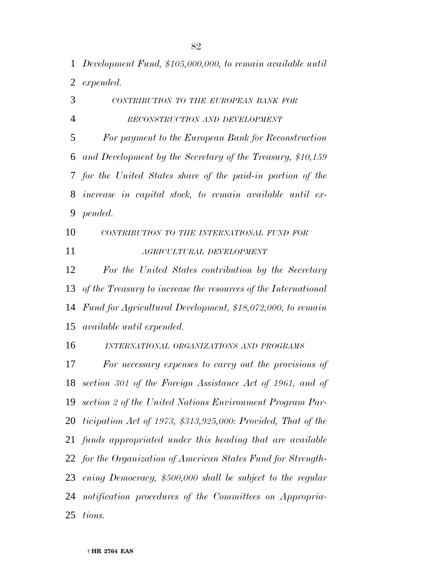*Development Fund, \$105,000,000, to remain available until expended.*

 *CONTRIBUTION TO THE EUROPEAN BANK FOR RECONSTRUCTION AND DEVELOPMENT For payment to the European Bank for Reconstruction and Development by the Secretary of the Treasury, \$10,159 for the United States share of the paid-in portion of the increase in capital stock, to remain available until ex- pended. CONTRIBUTION TO THE INTERNATIONAL FUND FOR AGRICULTURAL DEVELOPMENT*

 *For the United States contribution by the Secretary of the Treasury to increase the resources of the International Fund for Agricultural Development, \$18,072,000, to remain available until expended.*

*INTERNATIONAL ORGANIZATIONS AND PROGRAMS*

 *For necessary expenses to carry out the provisions of section 301 of the Foreign Assistance Act of 1961, and of section 2 of the United Nations Environment Program Par- ticipation Act of 1973, \$313,925,000: Provided, That of the funds appropriated under this heading that are available for the Organization of American States Fund for Strength- ening Democracy, \$500,000 shall be subject to the regular notification procedures of the Committees on Appropria-tions.*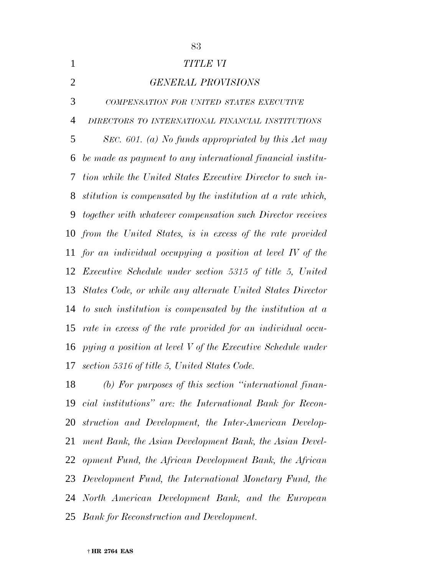*TITLE VI GENERAL PROVISIONS COMPENSATION FOR UNITED STATES EXECUTIVE DIRECTORS TO INTERNATIONAL FINANCIAL INSTITUTIONS SEC. 601. (a) No funds appropriated by this Act may be made as payment to any international financial institu- tion while the United States Executive Director to such in- stitution is compensated by the institution at a rate which, together with whatever compensation such Director receives from the United States, is in excess of the rate provided for an individual occupying a position at level IV of the Executive Schedule under section 5315 of title 5, United States Code, or while any alternate United States Director to such institution is compensated by the institution at a rate in excess of the rate provided for an individual occu- pying a position at level V of the Executive Schedule under section 5316 of title 5, United States Code. (b) For purposes of this section ''international finan- cial institutions'' are: the International Bank for Recon-struction and Development, the Inter-American Develop-*

 *ment Bank, the Asian Development Bank, the Asian Devel-opment Fund, the African Development Bank, the African*

*Development Fund, the International Monetary Fund, the*

*North American Development Bank, and the European*

*Bank for Reconstruction and Development.*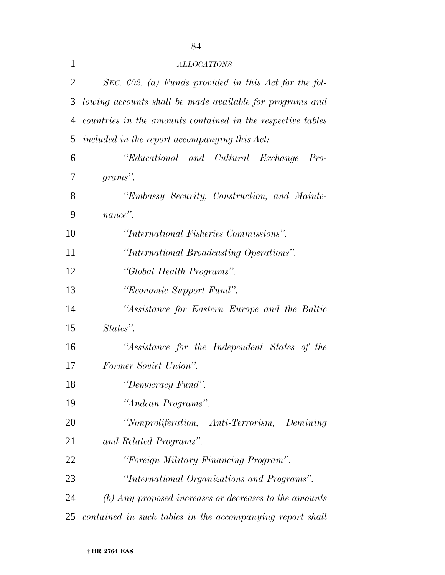| $\mathbf{1}$   | <b>ALLOCATIONS</b>                                                     |
|----------------|------------------------------------------------------------------------|
| $\overline{2}$ | SEC. $602.$ (a) Funds provided in this Act for the fol-                |
| 3              | lowing accounts shall be made available for programs and               |
| $\overline{4}$ | countries in the amounts contained in the respective tables            |
| 5              | included in the report accompanying this Act:                          |
| 6              | "Educational and Cultural Exchange<br>$Pro-$                           |
| 7              | grams".                                                                |
| 8              | "Embassy Security, Construction, and Mainte-                           |
| 9              | nance".                                                                |
| 10             | "International Fisheries Commissions".                                 |
| 11             | "International Broadcasting Operations".                               |
| 12             | "Global Health Programs".                                              |
| 13             | "Economic Support Fund".                                               |
| 14             | "Assistance for Eastern Europe and the Baltic                          |
| 15             | States".                                                               |
| 16             | "Assistance for the Independent States of the                          |
| 17             | Former Soviet Union".                                                  |
| 18             | "Democracy Fund".                                                      |
| 19             | "Andean Programs".                                                     |
| 20             | "Nonproliferation, Anti-Terrorism, Demining                            |
| 21             | and Related Programs".                                                 |
| 22             | "Foreign Military Financing Program".                                  |
| 23             | "International Organizations and Programs".                            |
| 24             | $\langle b \rangle$ Any proposed increases or decreases to the amounts |
| 25             | contained in such tables in the accompanying report shall              |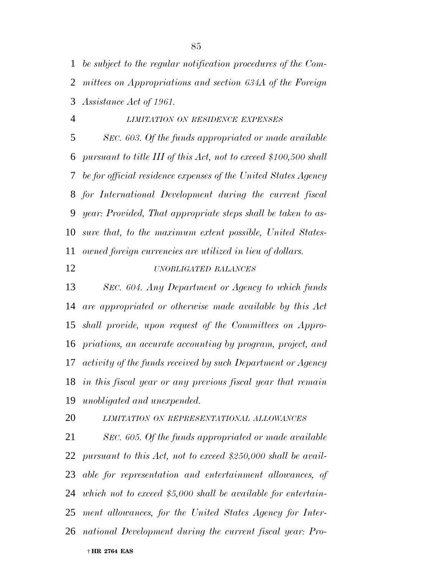*be subject to the regular notification procedures of the Com- mittees on Appropriations and section 634A of the Foreign Assistance Act of 1961.*

 *LIMITATION ON RESIDENCE EXPENSES SEC. 603. Of the funds appropriated or made available pursuant to title III of this Act, not to exceed \$100,500 shall be for official residence expenses of the United States Agency for International Development during the current fiscal year: Provided, That appropriate steps shall be taken to as- sure that, to the maximum extent possible, United States-owned foreign currencies are utilized in lieu of dollars.*

# *UNOBLIGATED BALANCES*

 *SEC. 604. Any Department or Agency to which funds are appropriated or otherwise made available by this Act shall provide, upon request of the Committees on Appro- priations, an accurate accounting by program, project, and activity of the funds received by such Department or Agency in this fiscal year or any previous fiscal year that remain unobligated and unexpended.*

*LIMITATION ON REPRESENTATIONAL ALLOWANCES*

 † **HR 2764 EAS** *SEC. 605. Of the funds appropriated or made available pursuant to this Act, not to exceed \$250,000 shall be avail- able for representation and entertainment allowances, of which not to exceed \$5,000 shall be available for entertain- ment allowances, for the United States Agency for Inter-national Development during the current fiscal year: Pro-*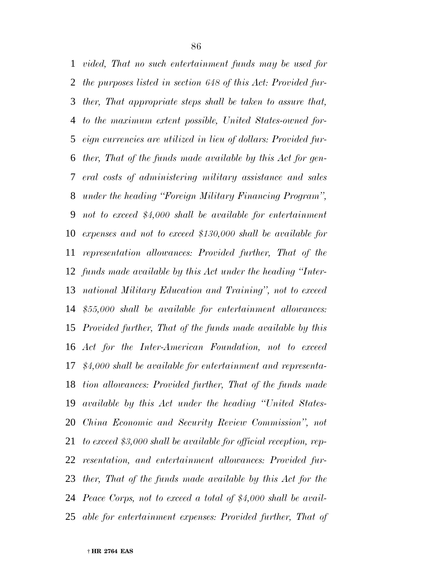*vided, That no such entertainment funds may be used for the purposes listed in section 648 of this Act: Provided fur- ther, That appropriate steps shall be taken to assure that, to the maximum extent possible, United States-owned for- eign currencies are utilized in lieu of dollars: Provided fur- ther, That of the funds made available by this Act for gen- eral costs of administering military assistance and sales under the heading ''Foreign Military Financing Program'', not to exceed \$4,000 shall be available for entertainment expenses and not to exceed \$130,000 shall be available for representation allowances: Provided further, That of the funds made available by this Act under the heading ''Inter- national Military Education and Training'', not to exceed \$55,000 shall be available for entertainment allowances: Provided further, That of the funds made available by this Act for the Inter-American Foundation, not to exceed \$4,000 shall be available for entertainment and representa- tion allowances: Provided further, That of the funds made available by this Act under the heading ''United States- China Economic and Security Review Commission'', not to exceed \$3,000 shall be available for official reception, rep- resentation, and entertainment allowances: Provided fur- ther, That of the funds made available by this Act for the Peace Corps, not to exceed a total of \$4,000 shall be avail-able for entertainment expenses: Provided further, That of*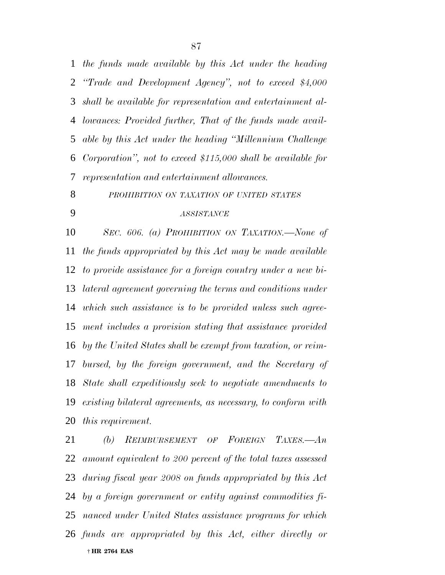*the funds made available by this Act under the heading ''Trade and Development Agency'', not to exceed \$4,000 shall be available for representation and entertainment al- lowances: Provided further, That of the funds made avail- able by this Act under the heading ''Millennium Challenge Corporation'', not to exceed \$115,000 shall be available for representation and entertainment allowances.*

*PROHIBITION ON TAXATION OF UNITED STATES*

# *ASSISTANCE*

 *SEC. 606. (a) PROHIBITION ON TAXATION.—None of the funds appropriated by this Act may be made available to provide assistance for a foreign country under a new bi- lateral agreement governing the terms and conditions under which such assistance is to be provided unless such agree- ment includes a provision stating that assistance provided by the United States shall be exempt from taxation, or reim- bursed, by the foreign government, and the Secretary of State shall expeditiously seek to negotiate amendments to existing bilateral agreements, as necessary, to conform with this requirement.*

 † **HR 2764 EAS** *(b) REIMBURSEMENT OF FOREIGN TAXES.—An amount equivalent to 200 percent of the total taxes assessed during fiscal year 2008 on funds appropriated by this Act by a foreign government or entity against commodities fi- nanced under United States assistance programs for which funds are appropriated by this Act, either directly or*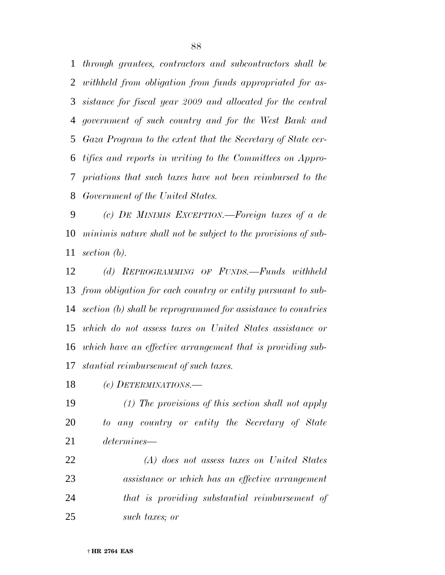*through grantees, contractors and subcontractors shall be withheld from obligation from funds appropriated for as- sistance for fiscal year 2009 and allocated for the central government of such country and for the West Bank and Gaza Program to the extent that the Secretary of State cer- tifies and reports in writing to the Committees on Appro- priations that such taxes have not been reimbursed to the Government of the United States.*

 *(c) DE MINIMIS EXCEPTION.—Foreign taxes of a de minimis nature shall not be subject to the provisions of sub-section (b).*

 *(d) REPROGRAMMING OF FUNDS.—Funds withheld from obligation for each country or entity pursuant to sub- section (b) shall be reprogrammed for assistance to countries which do not assess taxes on United States assistance or which have an effective arrangement that is providing sub-stantial reimbursement of such taxes.*

*(e) DETERMINATIONS.—*

 *(1) The provisions of this section shall not apply to any country or entity the Secretary of State determines—*

 *(A) does not assess taxes on United States assistance or which has an effective arrangement that is providing substantial reimbursement of such taxes; or*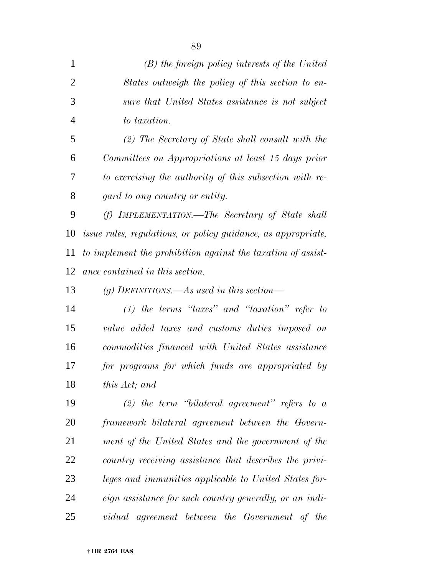| $\overline{2}$ | States outweigh the policy of this section to en-                    |
|----------------|----------------------------------------------------------------------|
| 3              | sure that United States assistance is not subject                    |
| $\overline{4}$ | to taxation.                                                         |
| 5              | $(2)$ The Secretary of State shall consult with the                  |
| 6              | Committees on Appropriations at least 15 days prior                  |
| 7              | to exercising the authority of this subsection with re-              |
| 8              | gard to any country or entity.                                       |
| 9              | (f) IMPLEMENTATION.—The Secretary of State shall                     |
| 10             | <i>issue rules, regulations, or policy guidance, as appropriate,</i> |
| 11             | to implement the prohibition against the taxation of assist-         |
| 12             | ance contained in this section.                                      |
| 13             | (g) DEFINITIONS.—As used in this section—                            |
| 14             | $(1)$ the terms "taxes" and "taxation" refer to                      |
| 15             | value added taxes and customs duties imposed on                      |
| 16             | commodities financed with United States assistance                   |
| 17             | for programs for which funds are appropriated by                     |
| 18             | this Act; and                                                        |
| 19             | (2) the term "bilateral agreement" refers to $a$                     |
| 20             | framework bilateral agreement between the Govern-                    |
| 21             | ment of the United States and the government of the                  |
| 22             | country receiving assistance that describes the privi-               |
| 23             | leges and immunities applicable to United States for-                |
| 24             | eign assistance for such country generally, or an indi-              |
| 25             | vidual agreement between the Government of the                       |

*(B) the foreign policy interests of the United*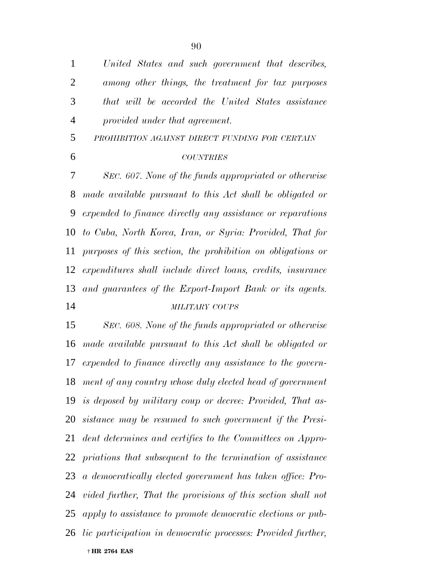*United States and such government that describes, among other things, the treatment for tax purposes that will be accorded the United States assistance provided under that agreement. PROHIBITION AGAINST DIRECT FUNDING FOR CERTAIN COUNTRIES SEC. 607. None of the funds appropriated or otherwise made available pursuant to this Act shall be obligated or expended to finance directly any assistance or reparations to Cuba, North Korea, Iran, or Syria: Provided, That for purposes of this section, the prohibition on obligations or expenditures shall include direct loans, credits, insurance and guarantees of the Export-Import Bank or its agents. MILITARY COUPS SEC. 608. None of the funds appropriated or otherwise*

 † **HR 2764 EAS** *made available pursuant to this Act shall be obligated or expended to finance directly any assistance to the govern- ment of any country whose duly elected head of government is deposed by military coup or decree: Provided, That as- sistance may be resumed to such government if the Presi- dent determines and certifies to the Committees on Appro- priations that subsequent to the termination of assistance a democratically elected government has taken office: Pro- vided further, That the provisions of this section shall not apply to assistance to promote democratic elections or pub-lic participation in democratic processes: Provided further,*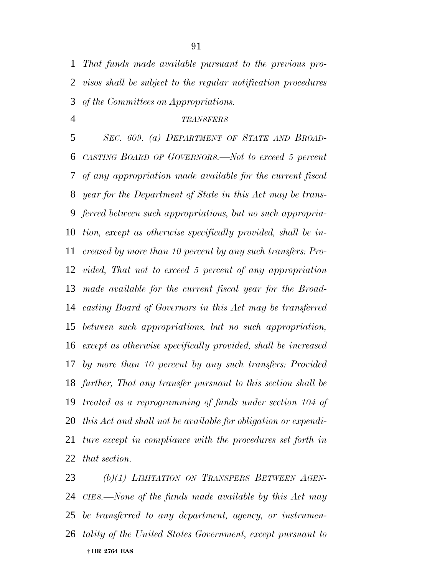*That funds made available pursuant to the previous pro- visos shall be subject to the regular notification procedures of the Committees on Appropriations.*

#### *TRANSFERS*

 *SEC. 609. (a) DEPARTMENT OF STATE AND BROAD- CASTING BOARD OF GOVERNORS.—Not to exceed 5 percent of any appropriation made available for the current fiscal year for the Department of State in this Act may be trans- ferred between such appropriations, but no such appropria- tion, except as otherwise specifically provided, shall be in- creased by more than 10 percent by any such transfers: Pro- vided, That not to exceed 5 percent of any appropriation made available for the current fiscal year for the Broad- casting Board of Governors in this Act may be transferred between such appropriations, but no such appropriation, except as otherwise specifically provided, shall be increased by more than 10 percent by any such transfers: Provided further, That any transfer pursuant to this section shall be treated as a reprogramming of funds under section 104 of this Act and shall not be available for obligation or expendi- ture except in compliance with the procedures set forth in that section.*

 † **HR 2764 EAS** *(b)(1) LIMITATION ON TRANSFERS BETWEEN AGEN- CIES.—None of the funds made available by this Act may be transferred to any department, agency, or instrumen-tality of the United States Government, except pursuant to*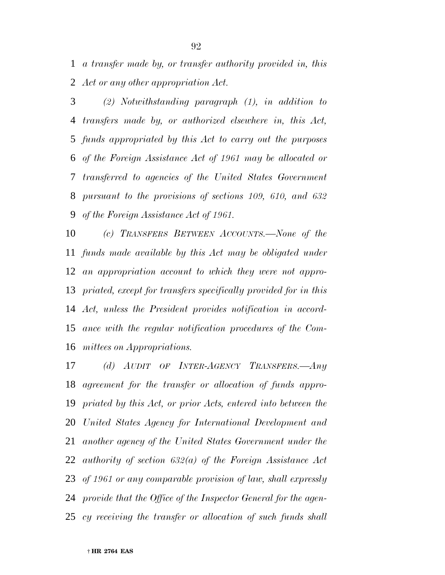*a transfer made by, or transfer authority provided in, this Act or any other appropriation Act.*

 *(2) Notwithstanding paragraph (1), in addition to transfers made by, or authorized elsewhere in, this Act, funds appropriated by this Act to carry out the purposes of the Foreign Assistance Act of 1961 may be allocated or transferred to agencies of the United States Government pursuant to the provisions of sections 109, 610, and 632 of the Foreign Assistance Act of 1961.*

 *(c) TRANSFERS BETWEEN ACCOUNTS.—None of the funds made available by this Act may be obligated under an appropriation account to which they were not appro- priated, except for transfers specifically provided for in this Act, unless the President provides notification in accord- ance with the regular notification procedures of the Com-mittees on Appropriations.*

 *(d) AUDIT OF INTER-AGENCY TRANSFERS.—Any agreement for the transfer or allocation of funds appro- priated by this Act, or prior Acts, entered into between the United States Agency for International Development and another agency of the United States Government under the authority of section 632(a) of the Foreign Assistance Act of 1961 or any comparable provision of law, shall expressly provide that the Office of the Inspector General for the agen-cy receiving the transfer or allocation of such funds shall*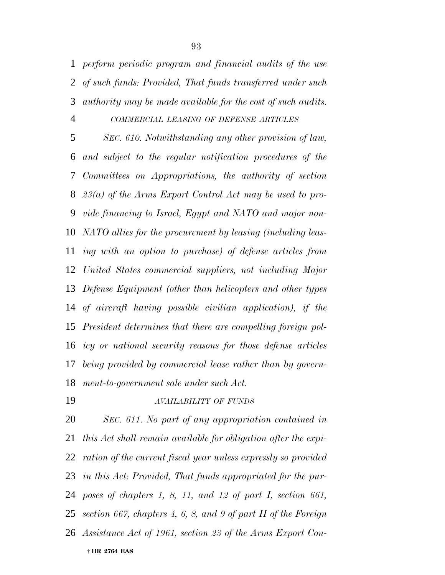*perform periodic program and financial audits of the use of such funds: Provided, That funds transferred under such authority may be made available for the cost of such audits.*

## *COMMERCIAL LEASING OF DEFENSE ARTICLES*

 *SEC. 610. Notwithstanding any other provision of law, and subject to the regular notification procedures of the Committees on Appropriations, the authority of section 23(a) of the Arms Export Control Act may be used to pro- vide financing to Israel, Egypt and NATO and major non- NATO allies for the procurement by leasing (including leas- ing with an option to purchase) of defense articles from United States commercial suppliers, not including Major Defense Equipment (other than helicopters and other types of aircraft having possible civilian application), if the President determines that there are compelling foreign pol- icy or national security reasons for those defense articles being provided by commercial lease rather than by govern-ment-to-government sale under such Act.*

## *AVAILABILITY OF FUNDS*

 † **HR 2764 EAS** *SEC. 611. No part of any appropriation contained in this Act shall remain available for obligation after the expi- ration of the current fiscal year unless expressly so provided in this Act: Provided, That funds appropriated for the pur- poses of chapters 1, 8, 11, and 12 of part I, section 661, section 667, chapters 4, 6, 8, and 9 of part II of the Foreign Assistance Act of 1961, section 23 of the Arms Export Con-*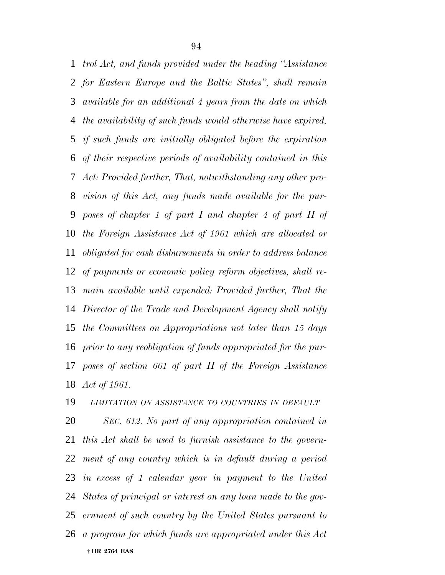*trol Act, and funds provided under the heading ''Assistance for Eastern Europe and the Baltic States'', shall remain available for an additional 4 years from the date on which the availability of such funds would otherwise have expired, if such funds are initially obligated before the expiration of their respective periods of availability contained in this Act: Provided further, That, notwithstanding any other pro- vision of this Act, any funds made available for the pur- poses of chapter 1 of part I and chapter 4 of part II of the Foreign Assistance Act of 1961 which are allocated or obligated for cash disbursements in order to address balance of payments or economic policy reform objectives, shall re- main available until expended: Provided further, That the Director of the Trade and Development Agency shall notify the Committees on Appropriations not later than 15 days prior to any reobligation of funds appropriated for the pur- poses of section 661 of part II of the Foreign Assistance Act of 1961.*

*LIMITATION ON ASSISTANCE TO COUNTRIES IN DEFAULT*

 † **HR 2764 EAS** *SEC. 612. No part of any appropriation contained in this Act shall be used to furnish assistance to the govern- ment of any country which is in default during a period in excess of 1 calendar year in payment to the United States of principal or interest on any loan made to the gov- ernment of such country by the United States pursuant to a program for which funds are appropriated under this Act*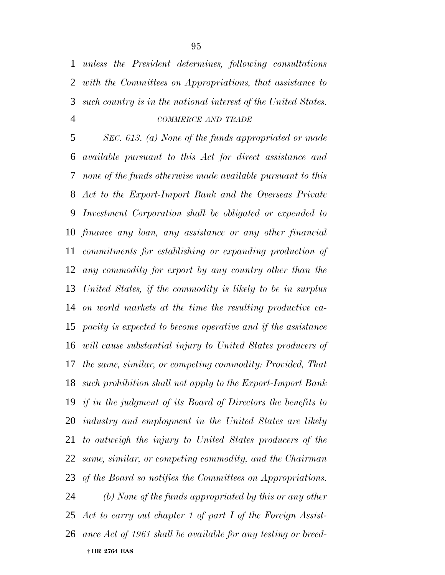*unless the President determines, following consultations with the Committees on Appropriations, that assistance to such country is in the national interest of the United States. COMMERCE AND TRADE*

 *SEC. 613. (a) None of the funds appropriated or made available pursuant to this Act for direct assistance and none of the funds otherwise made available pursuant to this Act to the Export-Import Bank and the Overseas Private Investment Corporation shall be obligated or expended to finance any loan, any assistance or any other financial commitments for establishing or expanding production of any commodity for export by any country other than the United States, if the commodity is likely to be in surplus on world markets at the time the resulting productive ca- pacity is expected to become operative and if the assistance will cause substantial injury to United States producers of the same, similar, or competing commodity: Provided, That such prohibition shall not apply to the Export-Import Bank if in the judgment of its Board of Directors the benefits to industry and employment in the United States are likely to outweigh the injury to United States producers of the same, similar, or competing commodity, and the Chairman of the Board so notifies the Committees on Appropriations. (b) None of the funds appropriated by this or any other Act to carry out chapter 1 of part I of the Foreign Assist-*

 † **HR 2764 EAS** *ance Act of 1961 shall be available for any testing or breed-*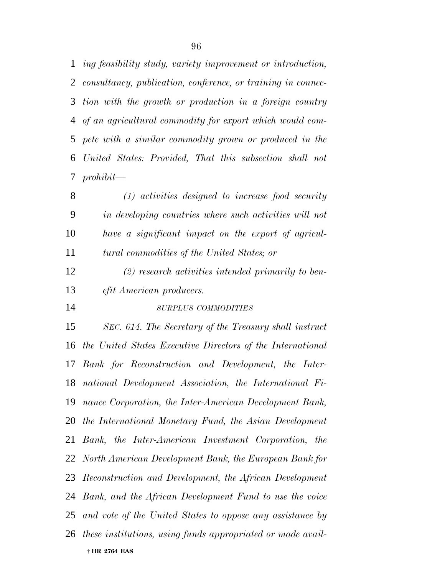*ing feasibility study, variety improvement or introduction, consultancy, publication, conference, or training in connec- tion with the growth or production in a foreign country of an agricultural commodity for export which would com- pete with a similar commodity grown or produced in the United States: Provided, That this subsection shall not prohibit—*

 *(1) activities designed to increase food security in developing countries where such activities will not have a significant impact on the export of agricul-tural commodities of the United States; or*

 *(2) research activities intended primarily to ben-efit American producers.*

*SURPLUS COMMODITIES*

 † **HR 2764 EAS** *SEC. 614. The Secretary of the Treasury shall instruct the United States Executive Directors of the International Bank for Reconstruction and Development, the Inter- national Development Association, the International Fi- nance Corporation, the Inter-American Development Bank, the International Monetary Fund, the Asian Development Bank, the Inter-American Investment Corporation, the North American Development Bank, the European Bank for Reconstruction and Development, the African Development Bank, and the African Development Fund to use the voice and vote of the United States to oppose any assistance by these institutions, using funds appropriated or made avail-*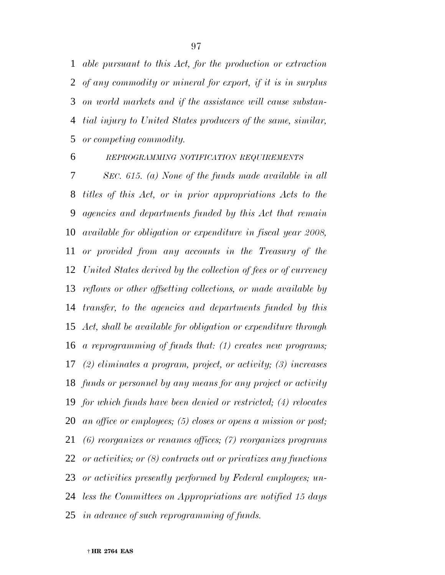*able pursuant to this Act, for the production or extraction of any commodity or mineral for export, if it is in surplus on world markets and if the assistance will cause substan- tial injury to United States producers of the same, similar, or competing commodity.*

## *REPROGRAMMING NOTIFICATION REQUIREMENTS*

 *SEC. 615. (a) None of the funds made available in all titles of this Act, or in prior appropriations Acts to the agencies and departments funded by this Act that remain available for obligation or expenditure in fiscal year 2008, or provided from any accounts in the Treasury of the United States derived by the collection of fees or of currency reflows or other offsetting collections, or made available by transfer, to the agencies and departments funded by this Act, shall be available for obligation or expenditure through a reprogramming of funds that: (1) creates new programs; (2) eliminates a program, project, or activity; (3) increases funds or personnel by any means for any project or activity for which funds have been denied or restricted; (4) relocates an office or employees; (5) closes or opens a mission or post; (6) reorganizes or renames offices; (7) reorganizes programs or activities; or (8) contracts out or privatizes any functions or activities presently performed by Federal employees; un- less the Committees on Appropriations are notified 15 days in advance of such reprogramming of funds.*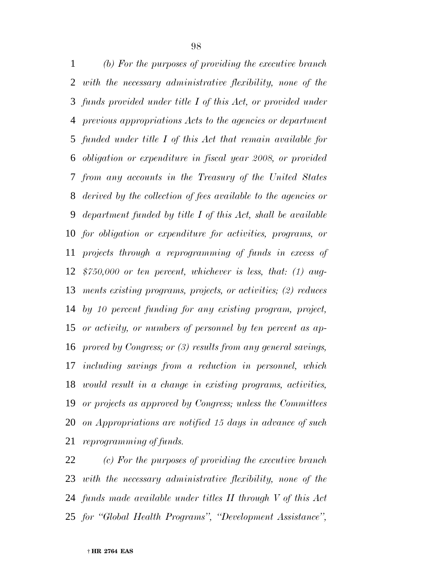*(b) For the purposes of providing the executive branch with the necessary administrative flexibility, none of the funds provided under title I of this Act, or provided under previous appropriations Acts to the agencies or department funded under title I of this Act that remain available for obligation or expenditure in fiscal year 2008, or provided from any accounts in the Treasury of the United States derived by the collection of fees available to the agencies or department funded by title I of this Act, shall be available for obligation or expenditure for activities, programs, or projects through a reprogramming of funds in excess of \$750,000 or ten percent, whichever is less, that: (1) aug- ments existing programs, projects, or activities; (2) reduces by 10 percent funding for any existing program, project, or activity, or numbers of personnel by ten percent as ap- proved by Congress; or (3) results from any general savings, including savings from a reduction in personnel, which would result in a change in existing programs, activities, or projects as approved by Congress; unless the Committees on Appropriations are notified 15 days in advance of such reprogramming of funds.*

 *(c) For the purposes of providing the executive branch with the necessary administrative flexibility, none of the funds made available under titles II through V of this Act for ''Global Health Programs'', ''Development Assistance'',*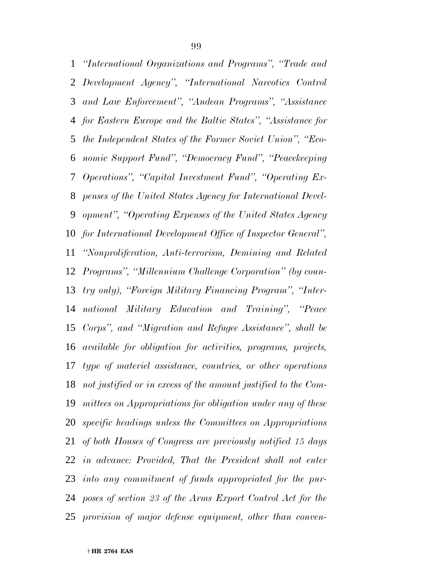*Development Agency'', ''International Narcotics Control and Law Enforcement'', ''Andean Programs'', ''Assistance for Eastern Europe and the Baltic States'', ''Assistance for the Independent States of the Former Soviet Union'', ''Eco- nomic Support Fund'', ''Democracy Fund'', ''Peacekeeping Operations'', ''Capital Investment Fund'', ''Operating Ex- penses of the United States Agency for International Devel- opment'', ''Operating Expenses of the United States Agency for International Development Office of Inspector General'', ''Nonproliferation, Anti-terrorism, Demining and Related Programs'', ''Millennium Challenge Corporation'' (by coun- try only), ''Foreign Military Financing Program'', ''Inter- national Military Education and Training'', ''Peace Corps'', and ''Migration and Refugee Assistance'', shall be available for obligation for activities, programs, projects, type of materiel assistance, countries, or other operations not justified or in excess of the amount justified to the Com- mittees on Appropriations for obligation under any of these specific headings unless the Committees on Appropriations of both Houses of Congress are previously notified 15 days in advance: Provided, That the President shall not enter into any commitment of funds appropriated for the pur- poses of section 23 of the Arms Export Control Act for the provision of major defense equipment, other than conven-*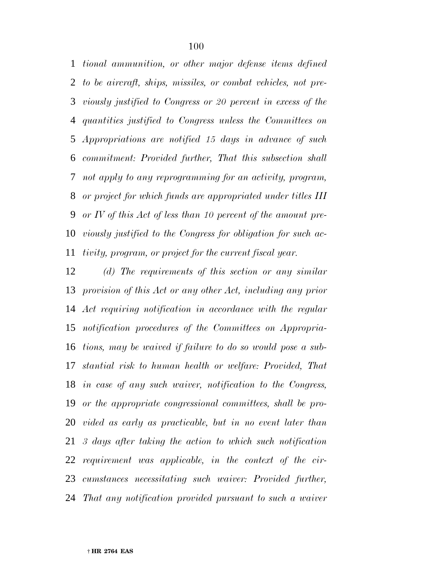*tional ammunition, or other major defense items defined to be aircraft, ships, missiles, or combat vehicles, not pre- viously justified to Congress or 20 percent in excess of the quantities justified to Congress unless the Committees on Appropriations are notified 15 days in advance of such commitment: Provided further, That this subsection shall not apply to any reprogramming for an activity, program, or project for which funds are appropriated under titles III or IV of this Act of less than 10 percent of the amount pre- viously justified to the Congress for obligation for such ac-tivity, program, or project for the current fiscal year.*

 *(d) The requirements of this section or any similar provision of this Act or any other Act, including any prior Act requiring notification in accordance with the regular notification procedures of the Committees on Appropria- tions, may be waived if failure to do so would pose a sub- stantial risk to human health or welfare: Provided, That in case of any such waiver, notification to the Congress, or the appropriate congressional committees, shall be pro- vided as early as practicable, but in no event later than 3 days after taking the action to which such notification requirement was applicable, in the context of the cir- cumstances necessitating such waiver: Provided further, That any notification provided pursuant to such a waiver*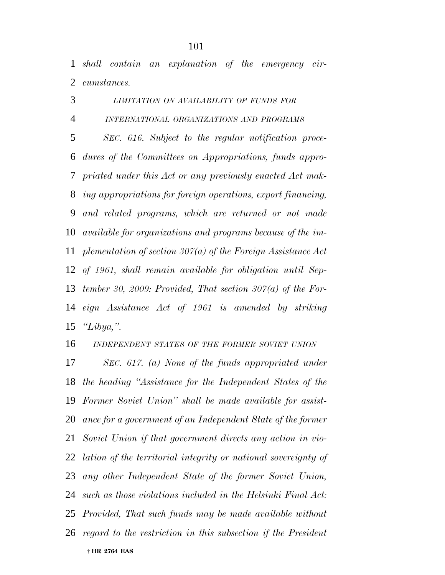*shall contain an explanation of the emergency cir-cumstances.*

*LIMITATION ON AVAILABILITY OF FUNDS FOR*

 *INTERNATIONAL ORGANIZATIONS AND PROGRAMS SEC. 616. Subject to the regular notification proce- dures of the Committees on Appropriations, funds appro- priated under this Act or any previously enacted Act mak- ing appropriations for foreign operations, export financing, and related programs, which are returned or not made available for organizations and programs because of the im- plementation of section 307(a) of the Foreign Assistance Act of 1961, shall remain available for obligation until Sep- tember 30, 2009: Provided, That section 307(a) of the For- eign Assistance Act of 1961 is amended by striking ''Libya,''.*

*INDEPENDENT STATES OF THE FORMER SOVIET UNION*

 † **HR 2764 EAS** *SEC. 617. (a) None of the funds appropriated under the heading ''Assistance for the Independent States of the Former Soviet Union'' shall be made available for assist- ance for a government of an Independent State of the former Soviet Union if that government directs any action in vio- lation of the territorial integrity or national sovereignty of any other Independent State of the former Soviet Union, such as those violations included in the Helsinki Final Act: Provided, That such funds may be made available without regard to the restriction in this subsection if the President*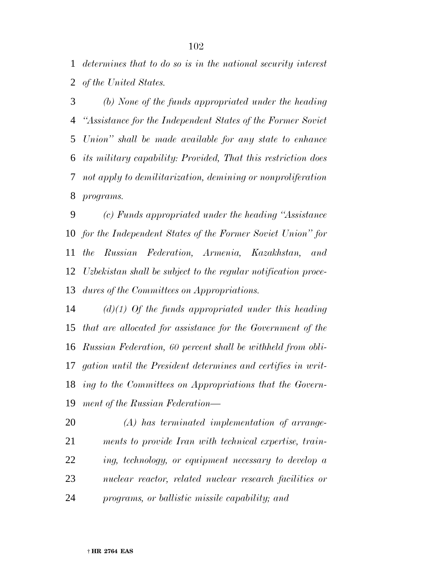*determines that to do so is in the national security interest of the United States.*

 *(b) None of the funds appropriated under the heading ''Assistance for the Independent States of the Former Soviet Union'' shall be made available for any state to enhance its military capability: Provided, That this restriction does not apply to demilitarization, demining or nonproliferation programs.*

 *(c) Funds appropriated under the heading ''Assistance for the Independent States of the Former Soviet Union'' for the Russian Federation, Armenia, Kazakhstan, and Uzbekistan shall be subject to the regular notification proce-dures of the Committees on Appropriations.*

 *(d)(1) Of the funds appropriated under this heading that are allocated for assistance for the Government of the Russian Federation, 60 percent shall be withheld from obli- gation until the President determines and certifies in writ- ing to the Committees on Appropriations that the Govern-ment of the Russian Federation—*

 *(A) has terminated implementation of arrange- ments to provide Iran with technical expertise, train- ing, technology, or equipment necessary to develop a nuclear reactor, related nuclear research facilities or programs, or ballistic missile capability; and*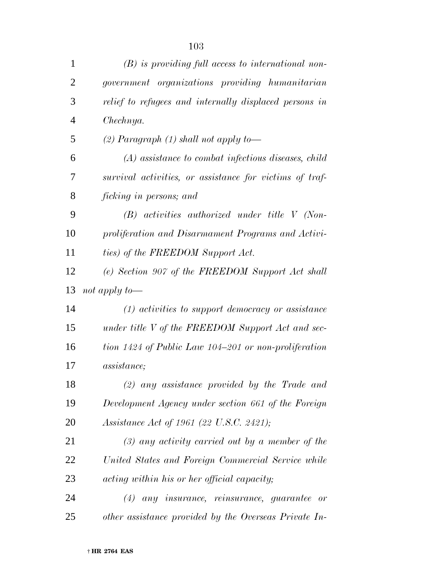| $\mathbf{1}$   | $(B)$ is providing full access to international non-    |
|----------------|---------------------------------------------------------|
| $\overline{2}$ | government organizations providing humanitarian         |
| 3              | relief to refugees and internally displaced persons in  |
| $\overline{4}$ | Chechnya.                                               |
| 5              | (2) Paragraph $(1)$ shall not apply to-                 |
| 6              | $(A)$ assistance to combat infectious diseases, child   |
| 7              | survival activities, or assistance for victims of traf- |
| 8              | ficking in persons; and                                 |
| 9              | $(B)$ activities authorized under title V (Non-         |
| 10             | proliferation and Disarmament Programs and Activi-      |
| 11             | ties) of the FREEDOM Support Act.                       |
| 12             | (e) Section 907 of the FREEDOM Support Act shall        |
| 13             | not apply to—                                           |
| 14             | $(1)$ activities to support democracy or assistance     |
| 15             | under title V of the FREEDOM Support Act and sec-       |
| 16             | tion 1424 of Public Law 104–201 or non-proliferation    |
| 17             | <i>assistance</i> ;                                     |
| 18             | $(2)$ any assistance provided by the Trade and          |
| 19             | Development Agency under section 661 of the Foreign     |
| 20             | Assistance Act of 1961 (22 U.S.C. 2421);                |
| 21             | $(3)$ any activity carried out by a member of the       |
| 22             | United States and Foreign Commercial Service while      |
| 23             | acting within his or her official capacity;             |
| 24             | $(4)$ any insurance, reinsurance, guarantee or          |
| 25             | other assistance provided by the Overseas Private In-   |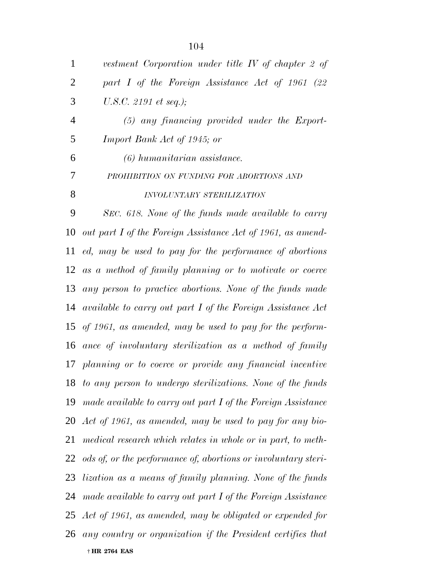| $\mathbf{1}$   | vestment Corporation under title IV of chapter 2 of               |
|----------------|-------------------------------------------------------------------|
| $\overline{2}$ | part I of the Foreign Assistance Act of 1961 (22                  |
| 3              | U.S.C. 2191 et seq.);                                             |
| $\overline{4}$ | $(5)$ any financing provided under the Export-                    |
| 5              | Import Bank Act of 1945; or                                       |
| 6              | (6) humanitarian assistance.                                      |
| 7              | PROHIBITION ON FUNDING FOR ABORTIONS AND                          |
| 8              | INVOLUNTARY STERILIZATION                                         |
| 9              | SEC. 618. None of the funds made available to carry               |
| 10             | out part I of the Foreign Assistance Act of 1961, as amend-       |
| 11             | ed, may be used to pay for the performance of abortions           |
|                | 12 as a method of family planning or to motivate or coerce        |
| 13             | any person to practice abortions. None of the funds made          |
| 14             | available to carry out part I of the Foreign Assistance Act       |
|                | 15 of 1961, as amended, may be used to pay for the perform-       |
|                | 16 ance of involuntary sterilization as a method of family        |
|                | 17 planning or to coerce or provide any financial incentive       |
|                | 18 to any person to undergo sterilizations. None of the funds     |
|                | 19 made available to carry out part I of the Foreign Assistance   |
|                | 20 Act of 1961, as amended, may be used to pay for any bio-       |
| 21             | medical research which relates in whole or in part, to meth-      |
|                | 22 ods of, or the performance of, abortions or involuntary steri- |
| 23             | <i>lization as a means of family planning. None of the funds</i>  |
| 24             | made available to carry out part I of the Foreign Assistance      |
|                | 25 Act of 1961, as amended, may be obligated or expended for      |
|                | 26 any country or organization if the President certifies that    |
|                | † HR 2764 EAS                                                     |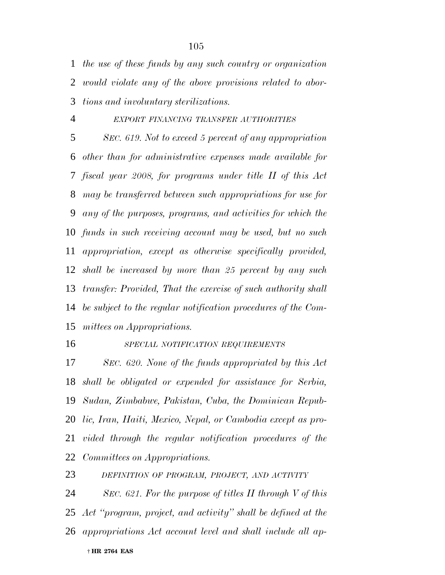*the use of these funds by any such country or organization would violate any of the above provisions related to abor-tions and involuntary sterilizations.*

## *EXPORT FINANCING TRANSFER AUTHORITIES*

 *SEC. 619. Not to exceed 5 percent of any appropriation other than for administrative expenses made available for fiscal year 2008, for programs under title II of this Act may be transferred between such appropriations for use for any of the purposes, programs, and activities for which the funds in such receiving account may be used, but no such appropriation, except as otherwise specifically provided, shall be increased by more than 25 percent by any such transfer: Provided, That the exercise of such authority shall be subject to the regular notification procedures of the Com-mittees on Appropriations.*

### *SPECIAL NOTIFICATION REQUIREMENTS*

 *SEC. 620. None of the funds appropriated by this Act shall be obligated or expended for assistance for Serbia, Sudan, Zimbabwe, Pakistan, Cuba, the Dominican Repub- lic, Iran, Haiti, Mexico, Nepal, or Cambodia except as pro- vided through the regular notification procedures of the Committees on Appropriations.*

*DEFINITION OF PROGRAM, PROJECT, AND ACTIVITY*

 *SEC. 621. For the purpose of titles II through V of this Act ''program, project, and activity'' shall be defined at the appropriations Act account level and shall include all ap-*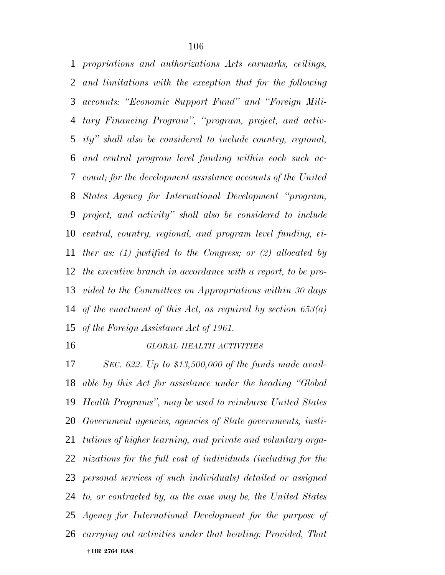*propriations and authorizations Acts earmarks, ceilings, and limitations with the exception that for the following accounts: ''Economic Support Fund'' and ''Foreign Mili- tary Financing Program'', ''program, project, and activ- ity'' shall also be considered to include country, regional, and central program level funding within each such ac- count; for the development assistance accounts of the United States Agency for International Development ''program, project, and activity'' shall also be considered to include central, country, regional, and program level funding, ei- ther as: (1) justified to the Congress; or (2) allocated by the executive branch in accordance with a report, to be pro- vided to the Committees on Appropriations within 30 days of the enactment of this Act, as required by section 653(a) of the Foreign Assistance Act of 1961.*

### *GLOBAL HEALTH ACTIVITIES*

 † **HR 2764 EAS** *SEC. 622. Up to \$13,500,000 of the funds made avail- able by this Act for assistance under the heading ''Global Health Programs'', may be used to reimburse United States Government agencies, agencies of State governments, insti- tutions of higher learning, and private and voluntary orga- nizations for the full cost of individuals (including for the personal services of such individuals) detailed or assigned to, or contracted by, as the case may be, the United States Agency for International Development for the purpose of carrying out activities under that heading: Provided, That*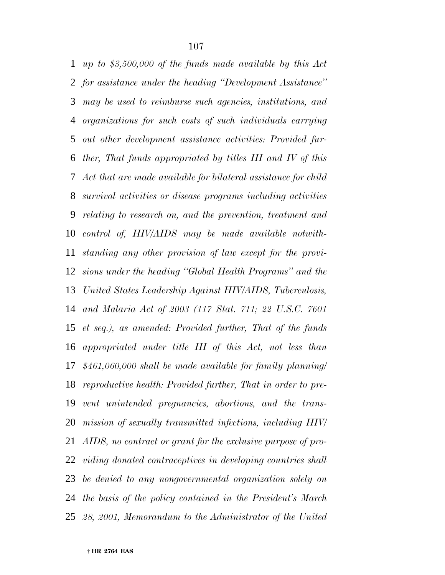*up to \$3,500,000 of the funds made available by this Act for assistance under the heading ''Development Assistance'' may be used to reimburse such agencies, institutions, and organizations for such costs of such individuals carrying out other development assistance activities: Provided fur- ther, That funds appropriated by titles III and IV of this Act that are made available for bilateral assistance for child survival activities or disease programs including activities relating to research on, and the prevention, treatment and control of, HIV/AIDS may be made available notwith- standing any other provision of law except for the provi- sions under the heading ''Global Health Programs'' and the United States Leadership Against HIV/AIDS, Tuberculosis, and Malaria Act of 2003 (117 Stat. 711; 22 U.S.C. 7601 et seq.), as amended: Provided further, That of the funds appropriated under title III of this Act, not less than \$461,060,000 shall be made available for family planning/ reproductive health: Provided further, That in order to pre- vent unintended pregnancies, abortions, and the trans- mission of sexually transmitted infections, including HIV/ AIDS, no contract or grant for the exclusive purpose of pro- viding donated contraceptives in developing countries shall be denied to any nongovernmental organization solely on the basis of the policy contained in the President's March 28, 2001, Memorandum to the Administrator of the United*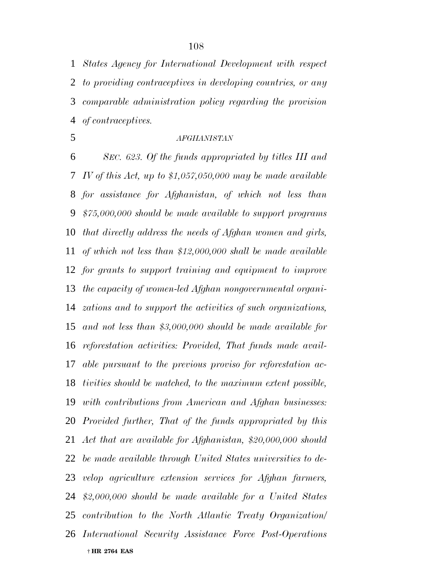*States Agency for International Development with respect to providing contraceptives in developing countries, or any comparable administration policy regarding the provision of contraceptives.*

# *AFGHANISTAN*

 † **HR 2764 EAS** *SEC. 623. Of the funds appropriated by titles III and IV of this Act, up to \$1,057,050,000 may be made available for assistance for Afghanistan, of which not less than \$75,000,000 should be made available to support programs that directly address the needs of Afghan women and girls, of which not less than \$12,000,000 shall be made available for grants to support training and equipment to improve the capacity of women-led Afghan nongovernmental organi- zations and to support the activities of such organizations, and not less than \$3,000,000 should be made available for reforestation activities: Provided, That funds made avail- able pursuant to the previous proviso for reforestation ac- tivities should be matched, to the maximum extent possible, with contributions from American and Afghan businesses: Provided further, That of the funds appropriated by this Act that are available for Afghanistan, \$20,000,000 should be made available through United States universities to de- velop agriculture extension services for Afghan farmers, \$2,000,000 should be made available for a United States contribution to the North Atlantic Treaty Organization/ International Security Assistance Force Post-Operations*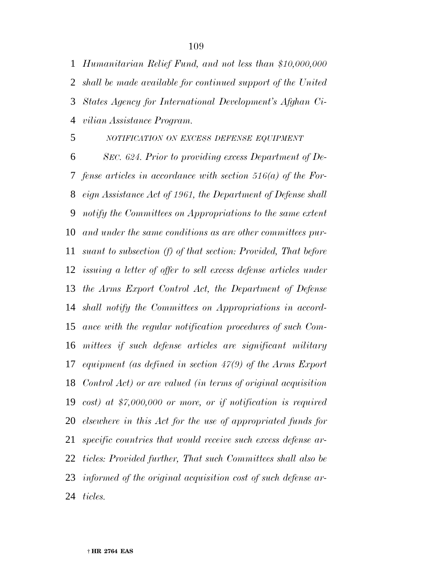*Humanitarian Relief Fund, and not less than \$10,000,000 shall be made available for continued support of the United States Agency for International Development's Afghan Ci-vilian Assistance Program.*

*NOTIFICATION ON EXCESS DEFENSE EQUIPMENT*

 *SEC. 624. Prior to providing excess Department of De- fense articles in accordance with section 516(a) of the For- eign Assistance Act of 1961, the Department of Defense shall notify the Committees on Appropriations to the same extent and under the same conditions as are other committees pur- suant to subsection (f) of that section: Provided, That before issuing a letter of offer to sell excess defense articles under the Arms Export Control Act, the Department of Defense shall notify the Committees on Appropriations in accord- ance with the regular notification procedures of such Com- mittees if such defense articles are significant military equipment (as defined in section 47(9) of the Arms Export Control Act) or are valued (in terms of original acquisition cost) at \$7,000,000 or more, or if notification is required elsewhere in this Act for the use of appropriated funds for specific countries that would receive such excess defense ar- ticles: Provided further, That such Committees shall also be informed of the original acquisition cost of such defense ar-ticles.*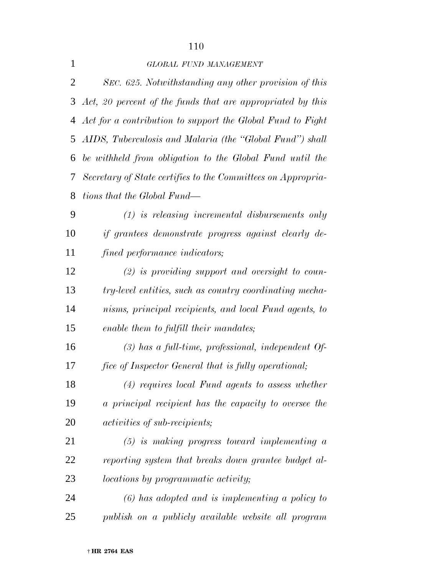# *GLOBAL FUND MANAGEMENT*

 *SEC. 625. Notwithstanding any other provision of this Act, 20 percent of the funds that are appropriated by this Act for a contribution to support the Global Fund to Fight AIDS, Tuberculosis and Malaria (the ''Global Fund'') shall be withheld from obligation to the Global Fund until the Secretary of State certifies to the Committees on Appropria-tions that the Global Fund—*

 *(1) is releasing incremental disbursements only if grantees demonstrate progress against clearly de-fined performance indicators;*

 *(2) is providing support and oversight to coun- try-level entities, such as country coordinating mecha- nisms, principal recipients, and local Fund agents, to enable them to fulfill their mandates;*

 *(3) has a full-time, professional, independent Of-fice of Inspector General that is fully operational;*

 *(4) requires local Fund agents to assess whether a principal recipient has the capacity to oversee the activities of sub-recipients;*

 *(5) is making progress toward implementing a reporting system that breaks down grantee budget al-locations by programmatic activity;*

 *(6) has adopted and is implementing a policy to publish on a publicly available website all program*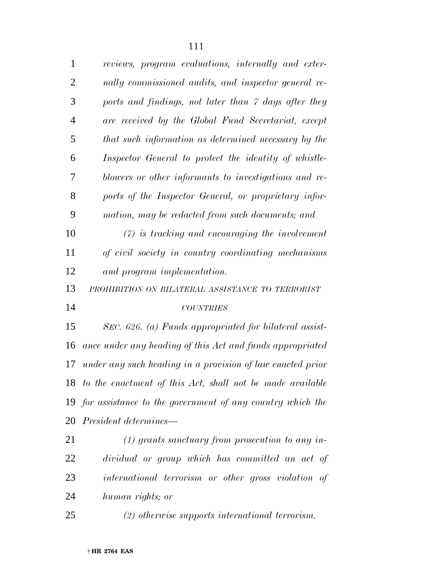| $\mathbf{1}$   | reviews, program evaluations, internally and exter-          |
|----------------|--------------------------------------------------------------|
| $\overline{2}$ | nally commissioned audits, and inspector general re-         |
| 3              | ports and findings, not later than 7 days after they         |
| 4              | are received by the Global Fund Secretariat, except          |
| 5              | that such information as determined necessary by the         |
| 6              | Inspector General to protect the identity of whistle-        |
| 7              | blowers or other informants to investigations and re-        |
| 8              | ports of the Inspector General, or proprietary infor-        |
| 9              | mation, may be redacted from such documents; and             |
| 10             | $(7)$ is tracking and encouraging the involvement            |
| 11             | of civil society in country coordinating mechanisms          |
| 12             | and program implementation.                                  |
| 13             | PROHIBITION ON BILATERAL ASSISTANCE TO TERRORIST             |
| 14             | <b>COUNTRIES</b>                                             |
| 15             | SEC. 626. (a) Funds appropriated for bilateral assist-       |
| 16             | ance under any heading of this Act and funds appropriated    |
| 17             | under any such heading in a provision of law enacted prior   |
|                | 18 to the enactment of this Act, shall not be made available |
|                | 19 for assistance to the government of any country which the |
|                | 20 <i>President determines—</i>                              |
| 21             | $(1)$ grants sanctuary from prosecution to any in-           |
| 22             | dividual or group which has committed an act of              |
| 23             | international terrorism or other gross violation of          |
| 24             | human rights; or                                             |
| 25             | (2) otherwise supports international terrorism.              |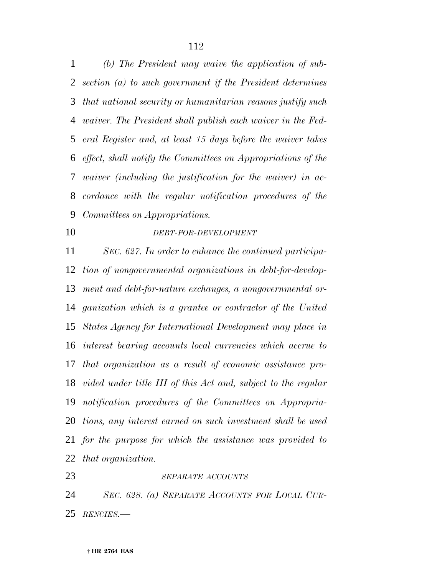*(b) The President may waive the application of sub- section (a) to such government if the President determines that national security or humanitarian reasons justify such waiver. The President shall publish each waiver in the Fed- eral Register and, at least 15 days before the waiver takes effect, shall notify the Committees on Appropriations of the waiver (including the justification for the waiver) in ac- cordance with the regular notification procedures of the Committees on Appropriations.*

# *DEBT-FOR-DEVELOPMENT*

 *SEC. 627. In order to enhance the continued participa- tion of nongovernmental organizations in debt-for-develop- ment and debt-for-nature exchanges, a nongovernmental or- ganization which is a grantee or contractor of the United States Agency for International Development may place in interest bearing accounts local currencies which accrue to that organization as a result of economic assistance pro- vided under title III of this Act and, subject to the regular notification procedures of the Committees on Appropria- tions, any interest earned on such investment shall be used for the purpose for which the assistance was provided to that organization.*

# *SEPARATE ACCOUNTS*

 *SEC. 628. (a) SEPARATE ACCOUNTS FOR LOCAL CUR-RENCIES.—*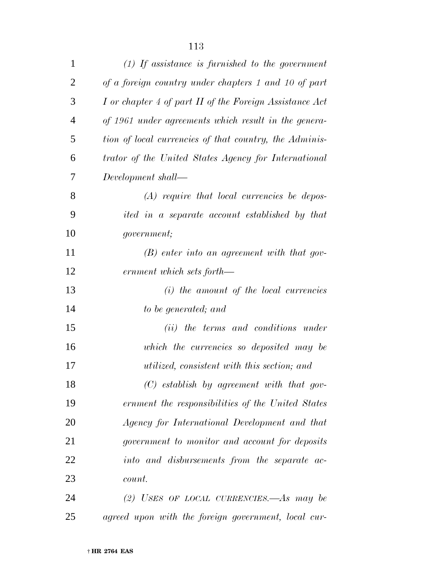| $\mathbf{1}$   | $(1)$ If assistance is furnished to the government      |
|----------------|---------------------------------------------------------|
| $\overline{2}$ | of a foreign country under chapters 1 and 10 of part    |
| 3              | I or chapter 4 of part II of the Foreign Assistance Act |
| $\overline{4}$ | of 1961 under agreements which result in the genera-    |
| 5              | tion of local currencies of that country, the Adminis-  |
| 6              | trator of the United States Agency for International    |
| 7              | Development shall—                                      |
| 8              | $(A)$ require that local currencies be depos-           |
| 9              | ited in a separate account established by that          |
| 10             | <i>government</i> ;                                     |
| 11             | $(B)$ enter into an agreement with that gov-            |
| 12             | ernment which sets forth—                               |
| 13             | $(i)$ the amount of the local currencies                |
| 14             | to be generated; and                                    |
| 15             | (ii) the terms and conditions under                     |
| 16             | which the currencies so deposited may be                |
| 17             | utilized, consistent with this section; and             |
| 18             | $(C)$ establish by agreement with that gov-             |
| 19             | ernment the responsibilities of the United States       |
| 20             | Agency for International Development and that           |
| 21             | government to monitor and account for deposits          |
| 22             | into and disbursements from the separate ac-            |
| 23             | count.                                                  |
| 24             | (2) USES OF LOCAL CURRENCIES.—As may be                 |
| 25             | agreed upon with the foreign government, local cur-     |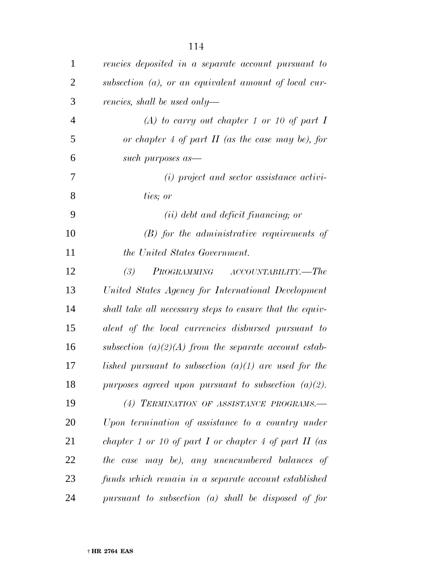| $\mathbf{1}$   | rencies deposited in a separate account pursuant to      |
|----------------|----------------------------------------------------------|
| $\overline{2}$ | subsection $(a)$ , or an equivalent amount of local cur- |
| 3              | rencies, shall be used only—                             |
| $\overline{4}$ | (A) to carry out chapter 1 or 10 of part I               |
| 5              | or chapter 4 of part $II$ (as the case may be), for      |
| 6              | such purposes as—                                        |
| 7              | $(i)$ project and sector assistance activi-              |
| 8              | ties; or                                                 |
| 9              | $(ii)$ debt and deficit financing; or                    |
| 10             | $(B)$ for the administrative requirements of             |
| 11             | the United States Government.                            |
| 12             | PROGRAMMING ACCOUNTABILITY.—The<br>(3)                   |
| 13             | United States Agency for International Development       |
| 14             | shall take all necessary steps to ensure that the equiv- |
| 15             | alent of the local currencies disbursed pursuant to      |
| 16             | subsection $(a)(2)(A)$ from the separate account estab-  |
| 17             | lished pursuant to subsection $(a)(1)$ are used for the  |
| 18             | purposes agreed upon pursuant to subsection $(a)(2)$ .   |
| 19             | (4) TERMINATION OF ASSISTANCE PROGRAMS.-                 |
| 20             | Upon termination of assistance to a country under        |
| 21             | chapter 1 or 10 of part I or chapter 4 of part II (as    |
| 22             | the case may be), any unencumbered balances of           |
| 23             | funds which remain in a separate account established     |
| 24             | pursuant to subsection $(a)$ shall be disposed of for    |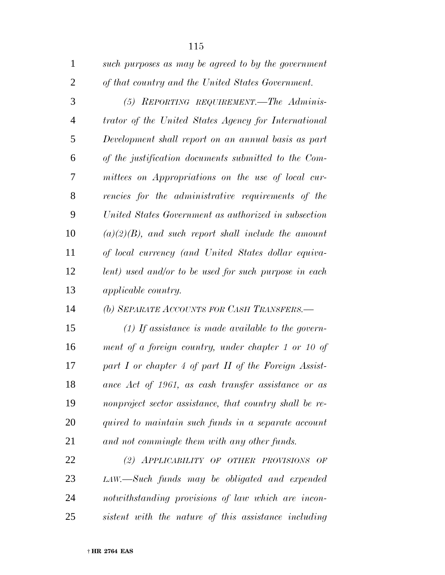| $\mathbf{1}$   | such purposes as may be agreed to by the government     |
|----------------|---------------------------------------------------------|
| $\overline{2}$ | of that country and the United States Government.       |
| 3              | (5) REPORTING REQUIREMENT.—The Adminis-                 |
| $\overline{4}$ | trator of the United States Agency for International    |
| 5              | Development shall report on an annual basis as part     |
| 6              | of the justification documents submitted to the Com-    |
| 7              | mittees on Appropriations on the use of local cur-      |
| 8              | rencies for the administrative requirements of the      |
| 9              | United States Government as authorized in subsection    |
| 10             | $(a)(2)(B)$ , and such report shall include the amount  |
| 11             | of local currency (and United States dollar equiva-     |
| 12             | lent) used and/or to be used for such purpose in each   |
| 13             | <i>applicable country.</i>                              |
| 14             | (b) SEPARATE ACCOUNTS FOR CASH TRANSFERS.-              |
| 15             | $(1)$ If assistance is made available to the govern-    |
| 16             | ment of a foreign country, under chapter 1 or 10 of     |
| 17             | part I or chapter 4 of part II of the Foreign Assist-   |
| 18             | ance Act of 1961, as cash transfer assistance or as     |
| 19             | nonproject sector assistance, that country shall be re- |
| <b>20</b>      | quired to maintain such funds in a separate account     |
| 21             | and not commingle them with any other funds.            |
| 22             | (2) APPLICABILITY OF OTHER PROVISIONS OF                |
| 23             | LAW.—Such funds may be obligated and expended           |
| 24             | notwithstanding provisions of law which are incon-      |

*sistent with the nature of this assistance including*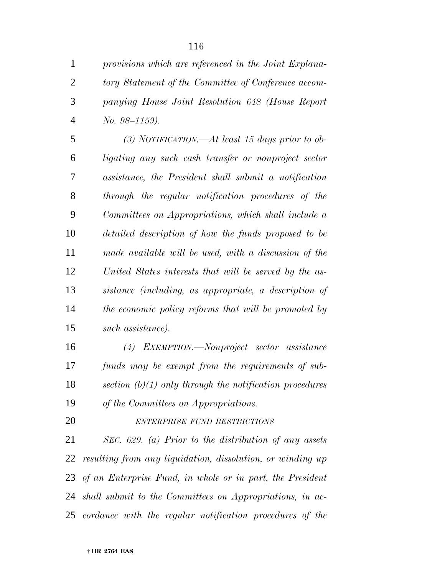| $\mathbf{1}$   | provisions which are referenced in the Joint Explana- |
|----------------|-------------------------------------------------------|
| 2              | tory Statement of the Committee of Conference accom-  |
| 3              | panying House Joint Resolution 648 (House Report      |
| $\overline{4}$ | $No. 98-1159$ ).                                      |
| 5              | (3) NOTIFICATION.—At least 15 days prior to ob-       |
| 6              | ligating any such cash transfer or nonproject sector  |
| 7              | assistance, the President shall submit a notification |
| 8              | through the regular notification procedures of the    |
| 9              | Committees on Appropriations, which shall include a   |
| 10             | detailed description of how the funds proposed to be  |
| 11             | made available will be used, with a discussion of the |

 *United States interests that will be served by the as- sistance (including, as appropriate, a description of the economic policy reforms that will be promoted by such assistance).*

 *(4) EXEMPTION.—Nonproject sector assistance funds may be exempt from the requirements of sub- section (b)(1) only through the notification procedures of the Committees on Appropriations.*

*ENTERPRISE FUND RESTRICTIONS*

 *SEC. 629. (a) Prior to the distribution of any assets resulting from any liquidation, dissolution, or winding up of an Enterprise Fund, in whole or in part, the President shall submit to the Committees on Appropriations, in ac-cordance with the regular notification procedures of the*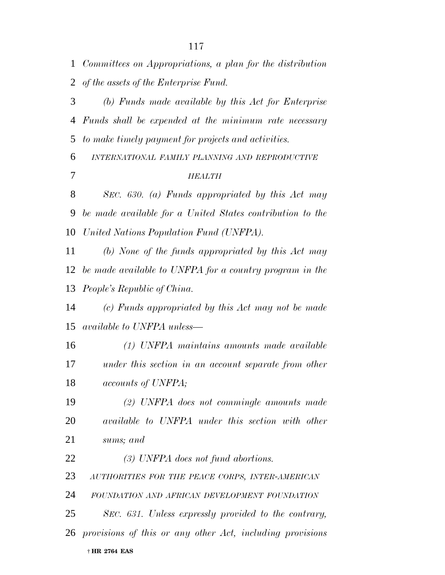*Committees on Appropriations, a plan for the distribution of the assets of the Enterprise Fund. (b) Funds made available by this Act for Enterprise Funds shall be expended at the minimum rate necessary to make timely payment for projects and activities. INTERNATIONAL FAMILY PLANNING AND REPRODUCTIVE HEALTH SEC. 630. (a) Funds appropriated by this Act may be made available for a United States contribution to the United Nations Population Fund (UNFPA). (b) None of the funds appropriated by this Act may be made available to UNFPA for a country program in the People's Republic of China. (c) Funds appropriated by this Act may not be made available to UNFPA unless— (1) UNFPA maintains amounts made available under this section in an account separate from other accounts of UNFPA; (2) UNFPA does not commingle amounts made available to UNFPA under this section with other sums; and (3) UNFPA does not fund abortions. AUTHORITIES FOR THE PEACE CORPS, INTER-AMERICAN FOUNDATION AND AFRICAN DEVELOPMENT FOUNDATION SEC. 631. Unless expressly provided to the contrary, provisions of this or any other Act, including provisions*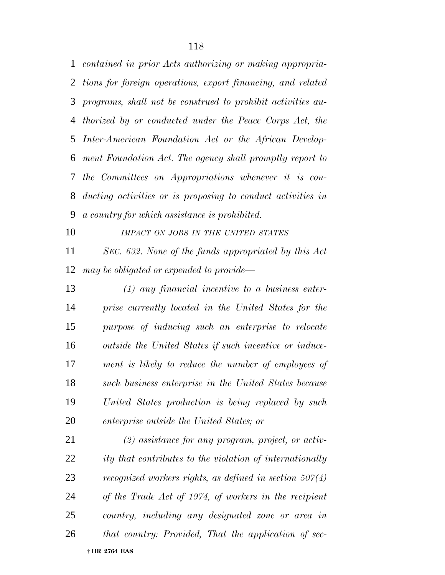*contained in prior Acts authorizing or making appropria- tions for foreign operations, export financing, and related programs, shall not be construed to prohibit activities au- thorized by or conducted under the Peace Corps Act, the Inter-American Foundation Act or the African Develop- ment Foundation Act. The agency shall promptly report to the Committees on Appropriations whenever it is con- ducting activities or is proposing to conduct activities in a country for which assistance is prohibited.*

 *SEC. 632. None of the funds appropriated by this Act may be obligated or expended to provide—*

*IMPACT ON JOBS IN THE UNITED STATES*

 *(1) any financial incentive to a business enter- prise currently located in the United States for the purpose of inducing such an enterprise to relocate outside the United States if such incentive or induce- ment is likely to reduce the number of employees of such business enterprise in the United States because United States production is being replaced by such enterprise outside the United States; or*

 † **HR 2764 EAS** *(2) assistance for any program, project, or activ- ity that contributes to the violation of internationally recognized workers rights, as defined in section 507(4) of the Trade Act of 1974, of workers in the recipient country, including any designated zone or area in that country: Provided, That the application of sec-*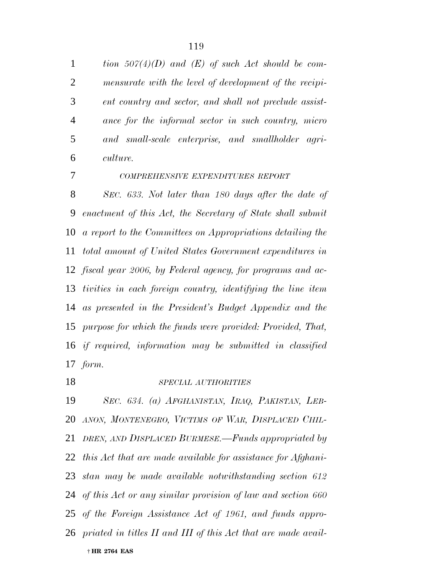*tion 507(4)(D) and (E) of such Act should be com- mensurate with the level of development of the recipi- ent country and sector, and shall not preclude assist- ance for the informal sector in such country, micro and small-scale enterprise, and smallholder agri-culture.*

*COMPREHENSIVE EXPENDITURES REPORT*

 *SEC. 633. Not later than 180 days after the date of enactment of this Act, the Secretary of State shall submit a report to the Committees on Appropriations detailing the total amount of United States Government expenditures in fiscal year 2006, by Federal agency, for programs and ac- tivities in each foreign country, identifying the line item as presented in the President's Budget Appendix and the purpose for which the funds were provided: Provided, That, if required, information may be submitted in classified form.*

## *SPECIAL AUTHORITIES*

 † **HR 2764 EAS** *SEC. 634. (a) AFGHANISTAN, IRAQ, PAKISTAN, LEB- ANON, MONTENEGRO, VICTIMS OF WAR, DISPLACED CHIL- DREN, AND DISPLACED BURMESE.—Funds appropriated by this Act that are made available for assistance for Afghani- stan may be made available notwithstanding section 612 of this Act or any similar provision of law and section 660 of the Foreign Assistance Act of 1961, and funds appro-priated in titles II and III of this Act that are made avail-*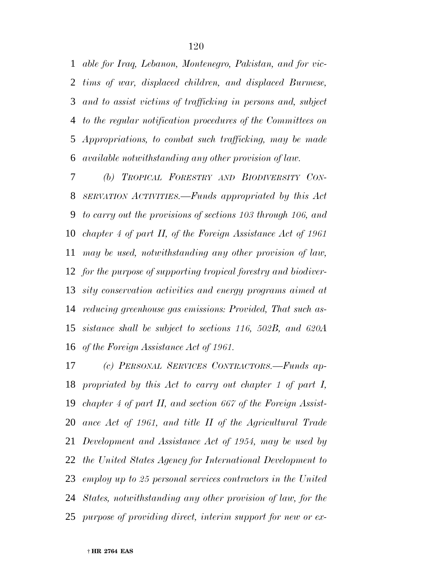*able for Iraq, Lebanon, Montenegro, Pakistan, and for vic- tims of war, displaced children, and displaced Burmese, and to assist victims of trafficking in persons and, subject to the regular notification procedures of the Committees on Appropriations, to combat such trafficking, may be made available notwithstanding any other provision of law.*

 *(b) TROPICAL FORESTRY AND BIODIVERSITY CON- SERVATION ACTIVITIES.—Funds appropriated by this Act to carry out the provisions of sections 103 through 106, and chapter 4 of part II, of the Foreign Assistance Act of 1961 may be used, notwithstanding any other provision of law, for the purpose of supporting tropical forestry and biodiver- sity conservation activities and energy programs aimed at reducing greenhouse gas emissions: Provided, That such as- sistance shall be subject to sections 116, 502B, and 620A of the Foreign Assistance Act of 1961.*

 *(c) PERSONAL SERVICES CONTRACTORS.—Funds ap- propriated by this Act to carry out chapter 1 of part I, chapter 4 of part II, and section 667 of the Foreign Assist- ance Act of 1961, and title II of the Agricultural Trade Development and Assistance Act of 1954, may be used by the United States Agency for International Development to employ up to 25 personal services contractors in the United States, notwithstanding any other provision of law, for the purpose of providing direct, interim support for new or ex-*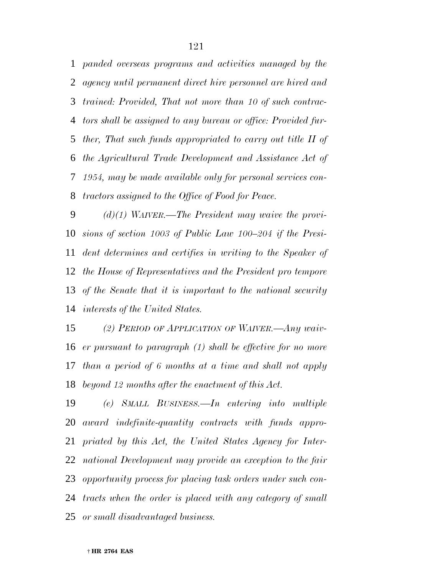*panded overseas programs and activities managed by the agency until permanent direct hire personnel are hired and trained: Provided, That not more than 10 of such contrac- tors shall be assigned to any bureau or office: Provided fur- ther, That such funds appropriated to carry out title II of the Agricultural Trade Development and Assistance Act of 1954, may be made available only for personal services con-tractors assigned to the Office of Food for Peace.*

 *(d)(1) WAIVER.—The President may waive the provi- sions of section 1003 of Public Law 100–204 if the Presi- dent determines and certifies in writing to the Speaker of the House of Representatives and the President pro tempore of the Senate that it is important to the national security interests of the United States.*

 *(2) PERIOD OF APPLICATION OF WAIVER.—Any waiv- er pursuant to paragraph (1) shall be effective for no more than a period of 6 months at a time and shall not apply beyond 12 months after the enactment of this Act.*

 *(e) SMALL BUSINESS.—In entering into multiple award indefinite-quantity contracts with funds appro- priated by this Act, the United States Agency for Inter- national Development may provide an exception to the fair opportunity process for placing task orders under such con- tracts when the order is placed with any category of small or small disadvantaged business.*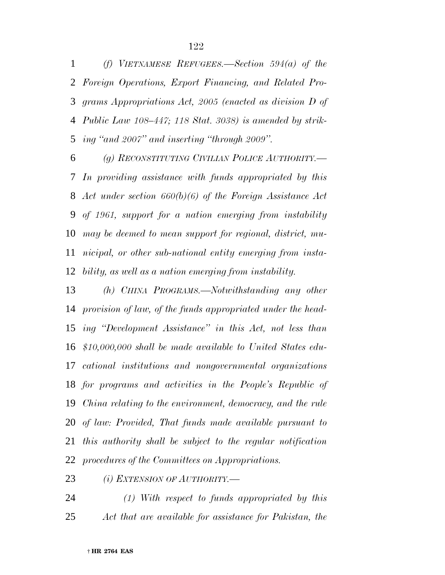*(f) VIETNAMESE REFUGEES.—Section 594(a) of the Foreign Operations, Export Financing, and Related Pro- grams Appropriations Act, 2005 (enacted as division D of Public Law 108–447; 118 Stat. 3038) is amended by strik-ing ''and 2007'' and inserting ''through 2009''.*

 *(g) RECONSTITUTING CIVILIAN POLICE AUTHORITY.— In providing assistance with funds appropriated by this Act under section 660(b)(6) of the Foreign Assistance Act of 1961, support for a nation emerging from instability may be deemed to mean support for regional, district, mu- nicipal, or other sub-national entity emerging from insta-bility, as well as a nation emerging from instability.*

 *(h) CHINA PROGRAMS.—Notwithstanding any other provision of law, of the funds appropriated under the head- ing ''Development Assistance'' in this Act, not less than \$10,000,000 shall be made available to United States edu- cational institutions and nongovernmental organizations for programs and activities in the People's Republic of China relating to the environment, democracy, and the rule of law: Provided, That funds made available pursuant to this authority shall be subject to the regular notification procedures of the Committees on Appropriations.*

*(i) EXTENSION OF AUTHORITY.—*

 *(1) With respect to funds appropriated by this Act that are available for assistance for Pakistan, the*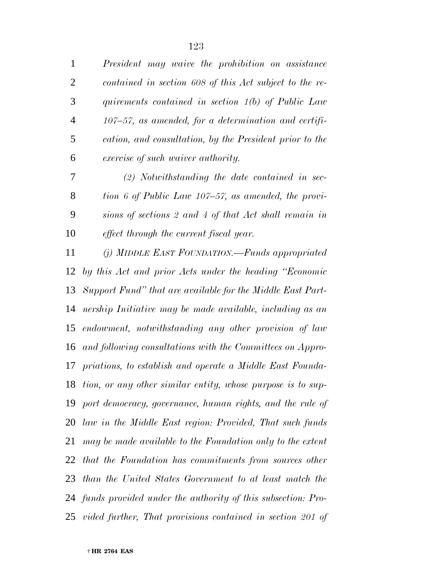*President may waive the prohibition on assistance contained in section 608 of this Act subject to the re- quirements contained in section 1(b) of Public Law 107–57, as amended, for a determination and certifi- cation, and consultation, by the President prior to the exercise of such waiver authority.*

 *(2) Notwithstanding the date contained in sec- tion 6 of Public Law 107–57, as amended, the provi- sions of sections 2 and 4 of that Act shall remain in effect through the current fiscal year.*

 *(j) MIDDLE EAST FOUNDATION.—Funds appropriated by this Act and prior Acts under the heading ''Economic Support Fund'' that are available for the Middle East Part- nership Initiative may be made available, including as an endowment, notwithstanding any other provision of law and following consultations with the Committees on Appro- priations, to establish and operate a Middle East Founda- tion, or any other similar entity, whose purpose is to sup- port democracy, governance, human rights, and the rule of law in the Middle East region: Provided, That such funds may be made available to the Foundation only to the extent that the Foundation has commitments from sources other than the United States Government to at least match the funds provided under the authority of this subsection: Pro-vided further, That provisions contained in section 201 of*

† **HR 2764 EAS**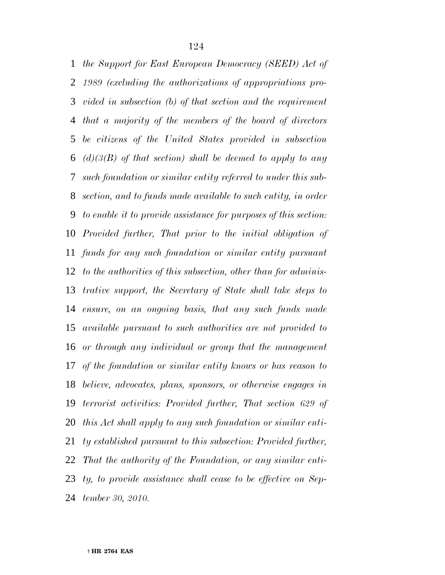*the Support for East European Democracy (SEED) Act of 1989 (excluding the authorizations of appropriations pro- vided in subsection (b) of that section and the requirement that a majority of the members of the board of directors be citizens of the United States provided in subsection (d)(3(B) of that section) shall be deemed to apply to any such foundation or similar entity referred to under this sub- section, and to funds made available to such entity, in order to enable it to provide assistance for purposes of this section: Provided further, That prior to the initial obligation of funds for any such foundation or similar entity pursuant to the authorities of this subsection, other than for adminis- trative support, the Secretary of State shall take steps to ensure, on an ongoing basis, that any such funds made available pursuant to such authorities are not provided to or through any individual or group that the management of the foundation or similar entity knows or has reason to believe, advocates, plans, sponsors, or otherwise engages in terrorist activities: Provided further, That section 629 of this Act shall apply to any such foundation or similar enti- ty established pursuant to this subsection: Provided further, That the authority of the Foundation, or any similar enti- ty, to provide assistance shall cease to be effective on Sep-tember 30, 2010.*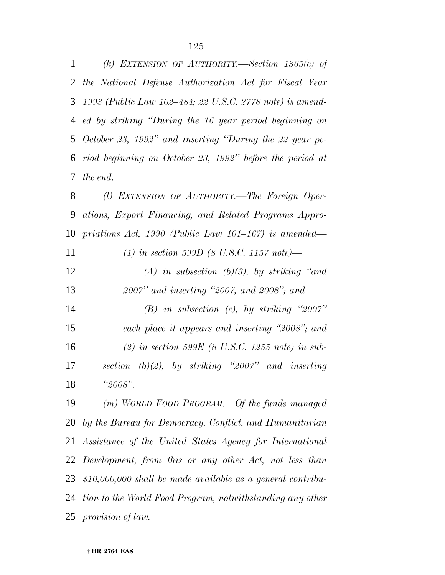*(k) EXTENSION OF AUTHORITY.—Section 1365(c) of the National Defense Authorization Act for Fiscal Year 1993 (Public Law 102–484; 22 U.S.C. 2778 note) is amend- ed by striking ''During the 16 year period beginning on October 23, 1992'' and inserting ''During the 22 year pe- riod beginning on October 23, 1992'' before the period at the end. (l) EXTENSION OF AUTHORITY.—The Foreign Oper- ations, Export Financing, and Related Programs Appro- priations Act, 1990 (Public Law 101–167) is amended— (1) in section 599D (8 U.S.C. 1157 note)— (A) in subsection (b)(3), by striking ''and 2007'' and inserting ''2007, and 2008''; and (B) in subsection (e), by striking ''2007'' each place it appears and inserting ''2008''; and (2) in section 599E (8 U.S.C. 1255 note) in sub- section (b)(2), by striking ''2007'' and inserting ''2008''.*

 *(m) WORLD FOOD PROGRAM.—Of the funds managed by the Bureau for Democracy, Conflict, and Humanitarian Assistance of the United States Agency for International Development, from this or any other Act, not less than \$10,000,000 shall be made available as a general contribu- tion to the World Food Program, notwithstanding any other provision of law.*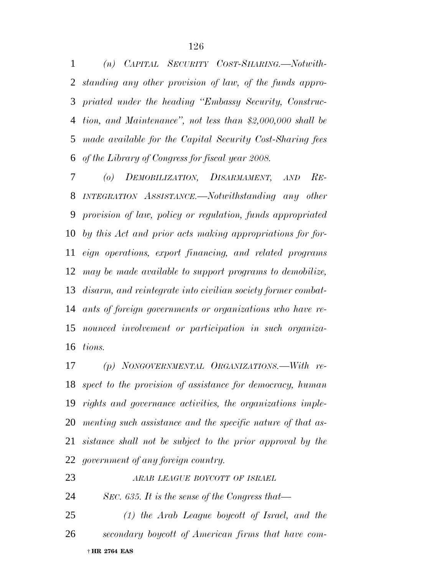*(n) CAPITAL SECURITY COST-SHARING.—Notwith- standing any other provision of law, of the funds appro- priated under the heading ''Embassy Security, Construc- tion, and Maintenance'', not less than \$2,000,000 shall be made available for the Capital Security Cost-Sharing fees of the Library of Congress for fiscal year 2008.*

 *(o) DEMOBILIZATION, DISARMAMENT, AND RE- INTEGRATION ASSISTANCE.—Notwithstanding any other provision of law, policy or regulation, funds appropriated by this Act and prior acts making appropriations for for- eign operations, export financing, and related programs may be made available to support programs to demobilize, disarm, and reintegrate into civilian society former combat- ants of foreign governments or organizations who have re- nounced involvement or participation in such organiza-tions.*

 *(p) NONGOVERNMENTAL ORGANIZATIONS.—With re- spect to the provision of assistance for democracy, human rights and governance activities, the organizations imple- menting such assistance and the specific nature of that as- sistance shall not be subject to the prior approval by the government of any foreign country.*

*ARAB LEAGUE BOYCOTT OF ISRAEL*

*SEC. 635. It is the sense of the Congress that—*

 † **HR 2764 EAS** *(1) the Arab League boycott of Israel, and the secondary boycott of American firms that have com-*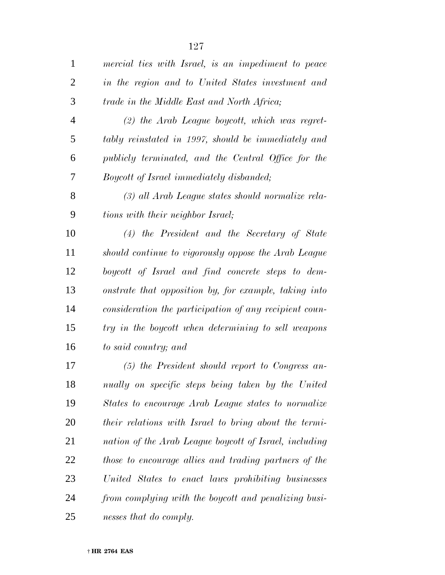| $\mathbf{1}$   | mercial ties with Israel, is an impediment to peace    |
|----------------|--------------------------------------------------------|
| $\overline{2}$ | in the region and to United States investment and      |
| 3              | trade in the Middle East and North Africa;             |
| $\overline{4}$ | $(2)$ the Arab League boycott, which was regret-       |
| 5              | tably reinstated in 1997, should be immediately and    |
| 6              | publicly terminated, and the Central Office for the    |
| 7              | <i>Boycott of Israel immediately disbanded;</i>        |
| 8              | (3) all Arab League states should normalize rela-      |
| 9              | tions with their neighbor Israel;                      |
| 10             | $(4)$ the President and the Secretary of State         |
| 11             | should continue to vigorously oppose the Arab League   |
| 12             | boycott of Israel and find concrete steps to dem-      |
| 13             | onstrate that opposition by, for example, taking into  |
| 14             | consideration the participation of any recipient coun- |
| 15             | try in the boycott when determining to sell weapons    |
| 16             | to said country; and                                   |
| 17             | $(5)$ the President should report to Congress an-      |
| 18             | nually on specific steps being taken by the United     |
| 19             | States to encourage Arab League states to normalize    |
| 20             | their relations with Israel to bring about the termi-  |
| 21             | nation of the Arab League boycott of Israel, including |
| 22             | those to encourage allies and trading partners of the  |
| 23             | United States to enact laws prohibiting businesses     |
| 24             | from complying with the boycott and penalizing busi-   |
| 25             | nesses that do comply.                                 |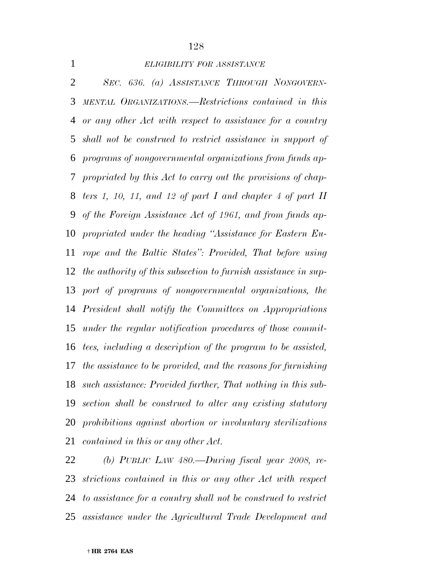# *ELIGIBILITY FOR ASSISTANCE*

 *SEC. 636. (a) ASSISTANCE THROUGH NONGOVERN- MENTAL ORGANIZATIONS.—Restrictions contained in this or any other Act with respect to assistance for a country shall not be construed to restrict assistance in support of programs of nongovernmental organizations from funds ap- propriated by this Act to carry out the provisions of chap- ters 1, 10, 11, and 12 of part I and chapter 4 of part II of the Foreign Assistance Act of 1961, and from funds ap- propriated under the heading ''Assistance for Eastern Eu- rope and the Baltic States'': Provided, That before using the authority of this subsection to furnish assistance in sup- port of programs of nongovernmental organizations, the President shall notify the Committees on Appropriations under the regular notification procedures of those commit- tees, including a description of the program to be assisted, the assistance to be provided, and the reasons for furnishing such assistance: Provided further, That nothing in this sub- section shall be construed to alter any existing statutory prohibitions against abortion or involuntary sterilizations contained in this or any other Act.*

 *(b) PUBLIC LAW 480.—During fiscal year 2008, re- strictions contained in this or any other Act with respect to assistance for a country shall not be construed to restrict assistance under the Agricultural Trade Development and*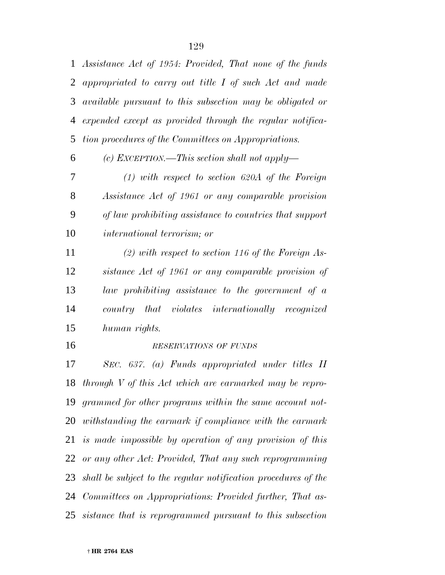*Assistance Act of 1954: Provided, That none of the funds appropriated to carry out title I of such Act and made available pursuant to this subsection may be obligated or expended except as provided through the regular notifica-tion procedures of the Committees on Appropriations.*

*(c) EXCEPTION.—This section shall not apply—*

 *(1) with respect to section 620A of the Foreign Assistance Act of 1961 or any comparable provision of law prohibiting assistance to countries that support international terrorism; or*

 *(2) with respect to section 116 of the Foreign As- sistance Act of 1961 or any comparable provision of law prohibiting assistance to the government of a country that violates internationally recognized human rights.*

### *RESERVATIONS OF FUNDS*

 *SEC. 637. (a) Funds appropriated under titles II through V of this Act which are earmarked may be repro- grammed for other programs within the same account not- withstanding the earmark if compliance with the earmark is made impossible by operation of any provision of this or any other Act: Provided, That any such reprogramming shall be subject to the regular notification procedures of the Committees on Appropriations: Provided further, That as-sistance that is reprogrammed pursuant to this subsection*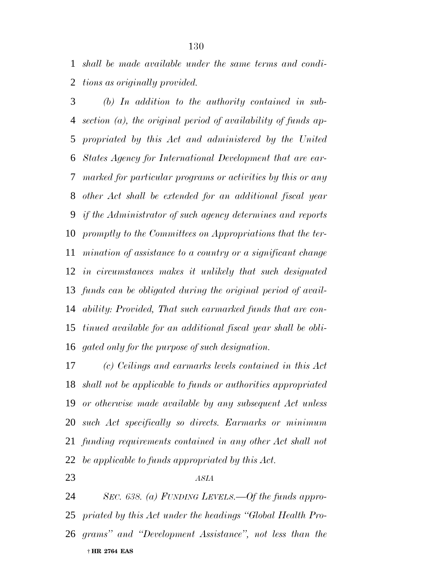*shall be made available under the same terms and condi-tions as originally provided.*

 *(b) In addition to the authority contained in sub- section (a), the original period of availability of funds ap- propriated by this Act and administered by the United States Agency for International Development that are ear- marked for particular programs or activities by this or any other Act shall be extended for an additional fiscal year if the Administrator of such agency determines and reports promptly to the Committees on Appropriations that the ter- mination of assistance to a country or a significant change in circumstances makes it unlikely that such designated funds can be obligated during the original period of avail- ability: Provided, That such earmarked funds that are con- tinued available for an additional fiscal year shall be obli-gated only for the purpose of such designation.*

 *(c) Ceilings and earmarks levels contained in this Act shall not be applicable to funds or authorities appropriated or otherwise made available by any subsequent Act unless such Act specifically so directs. Earmarks or minimum funding requirements contained in any other Act shall not be applicable to funds appropriated by this Act.*

*ASIA*

 † **HR 2764 EAS** *SEC. 638. (a) FUNDING LEVELS.—Of the funds appro- priated by this Act under the headings ''Global Health Pro-grams'' and ''Development Assistance'', not less than the*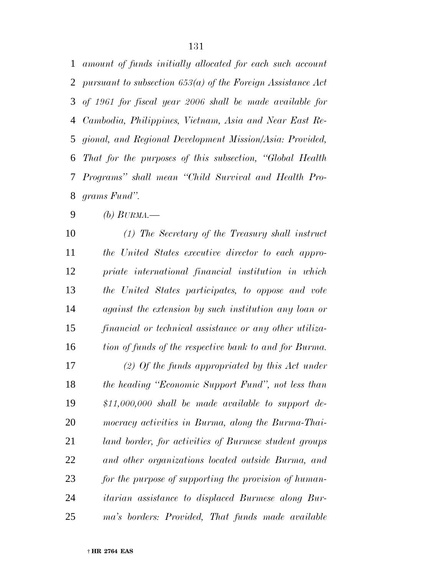*amount of funds initially allocated for each such account pursuant to subsection 653(a) of the Foreign Assistance Act of 1961 for fiscal year 2006 shall be made available for Cambodia, Philippines, Vietnam, Asia and Near East Re- gional, and Regional Development Mission/Asia: Provided, That for the purposes of this subsection, ''Global Health Programs'' shall mean ''Child Survival and Health Pro-grams Fund''.*

*(b) BURMA.—*

 *(1) The Secretary of the Treasury shall instruct the United States executive director to each appro- priate international financial institution in which the United States participates, to oppose and vote against the extension by such institution any loan or financial or technical assistance or any other utiliza-tion of funds of the respective bank to and for Burma.*

 *(2) Of the funds appropriated by this Act under the heading ''Economic Support Fund'', not less than \$11,000,000 shall be made available to support de- mocracy activities in Burma, along the Burma-Thai- land border, for activities of Burmese student groups and other organizations located outside Burma, and for the purpose of supporting the provision of human- itarian assistance to displaced Burmese along Bur-ma's borders: Provided, That funds made available*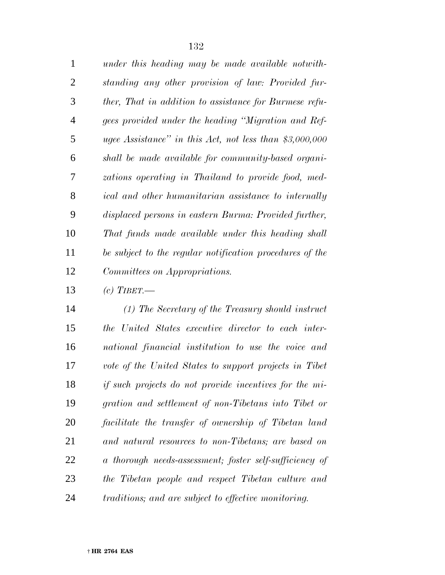| $\mathbf{1}$   | under this heading may be made available notwith-        |
|----------------|----------------------------------------------------------|
| $\overline{2}$ | standing any other provision of law: Provided fur-       |
| 3              | ther, That in addition to assistance for Burmese refu-   |
| 4              | gees provided under the heading "Migration and Ref-      |
| 5              | ugee Assistance" in this Act, not less than $$3,000,000$ |
| 6              | shall be made available for community-based organi-      |
| 7              | zations operating in Thailand to provide food, med-      |
| 8              | ical and other humanitarian assistance to internally     |
| 9              | displaced persons in eastern Burma: Provided further,    |
| 10             | That funds made available under this heading shall       |
| 11             | be subject to the regular notification procedures of the |
| 12             | Committees on Appropriations.                            |

*(c) TIBET.—*

 *(1) The Secretary of the Treasury should instruct the United States executive director to each inter- national financial institution to use the voice and vote of the United States to support projects in Tibet if such projects do not provide incentives for the mi- gration and settlement of non-Tibetans into Tibet or facilitate the transfer of ownership of Tibetan land and natural resources to non-Tibetans; are based on a thorough needs-assessment; foster self-sufficiency of the Tibetan people and respect Tibetan culture and traditions; and are subject to effective monitoring.*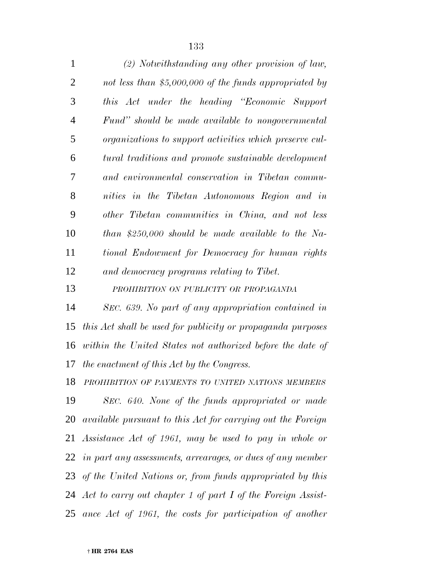| $\mathbf{1}$ | (2) Notwithstanding any other provision of law,         |
|--------------|---------------------------------------------------------|
| 2            | not less than $$5,000,000$ of the funds appropriated by |
| 3            | this Act under the heading "Economic Support            |
| 4            | Fund" should be made available to nongovernmental       |
| 5            | organizations to support activities which preserve cul- |
| 6            | tural traditions and promote sustainable development    |
| 7            | and environmental conservation in Tibetan commu-        |
| 8            | nities in the Tibetan Autonomous Region and in          |
| 9            | other Tibetan communities in China, and not less        |
| 10           | $than$ \$250,000 should be made available to the Na-    |
| 11           | tional Endowment for Democracy for human rights         |
| 12           | and democracy programs relating to Tibet.               |
|              |                                                         |

*PROHIBITION ON PUBLICITY OR PROPAGANDA*

 *SEC. 639. No part of any appropriation contained in this Act shall be used for publicity or propaganda purposes within the United States not authorized before the date of the enactment of this Act by the Congress.*

 *PROHIBITION OF PAYMENTS TO UNITED NATIONS MEMBERS SEC. 640. None of the funds appropriated or made available pursuant to this Act for carrying out the Foreign Assistance Act of 1961, may be used to pay in whole or in part any assessments, arrearages, or dues of any member of the United Nations or, from funds appropriated by this Act to carry out chapter 1 of part I of the Foreign Assist-ance Act of 1961, the costs for participation of another*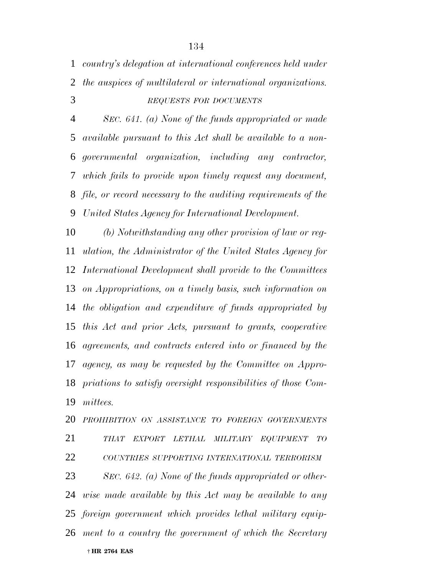*country's delegation at international conferences held under the auspices of multilateral or international organizations. REQUESTS FOR DOCUMENTS*

 *SEC. 641. (a) None of the funds appropriated or made available pursuant to this Act shall be available to a non- governmental organization, including any contractor, which fails to provide upon timely request any document, file, or record necessary to the auditing requirements of the United States Agency for International Development.*

 *(b) Notwithstanding any other provision of law or reg- ulation, the Administrator of the United States Agency for International Development shall provide to the Committees on Appropriations, on a timely basis, such information on the obligation and expenditure of funds appropriated by this Act and prior Acts, pursuant to grants, cooperative agreements, and contracts entered into or financed by the agency, as may be requested by the Committee on Appro- priations to satisfy oversight responsibilities of those Com-mittees.*

 † **HR 2764 EAS** *PROHIBITION ON ASSISTANCE TO FOREIGN GOVERNMENTS THAT EXPORT LETHAL MILITARY EQUIPMENT TO COUNTRIES SUPPORTING INTERNATIONAL TERRORISM SEC. 642. (a) None of the funds appropriated or other- wise made available by this Act may be available to any foreign government which provides lethal military equip-ment to a country the government of which the Secretary*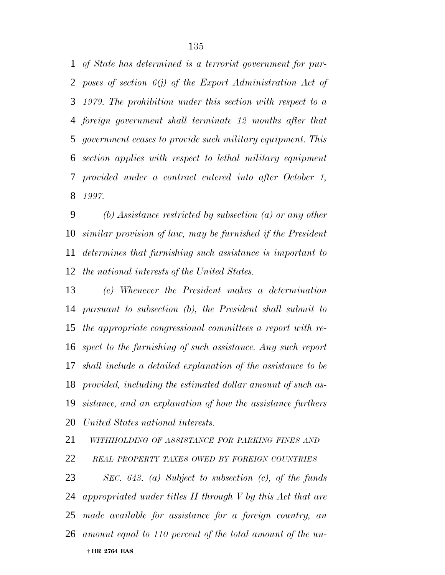*of State has determined is a terrorist government for pur- poses of section 6(j) of the Export Administration Act of 1979. The prohibition under this section with respect to a foreign government shall terminate 12 months after that government ceases to provide such military equipment. This section applies with respect to lethal military equipment provided under a contract entered into after October 1, 1997.*

 *(b) Assistance restricted by subsection (a) or any other similar provision of law, may be furnished if the President determines that furnishing such assistance is important to the national interests of the United States.*

 *(c) Whenever the President makes a determination pursuant to subsection (b), the President shall submit to the appropriate congressional committees a report with re- spect to the furnishing of such assistance. Any such report shall include a detailed explanation of the assistance to be provided, including the estimated dollar amount of such as- sistance, and an explanation of how the assistance furthers United States national interests.*

 *WITHHOLDING OF ASSISTANCE FOR PARKING FINES AND REAL PROPERTY TAXES OWED BY FOREIGN COUNTRIES*

 † **HR 2764 EAS** *SEC. 643. (a) Subject to subsection (c), of the funds appropriated under titles II through V by this Act that are made available for assistance for a foreign country, an amount equal to 110 percent of the total amount of the un-*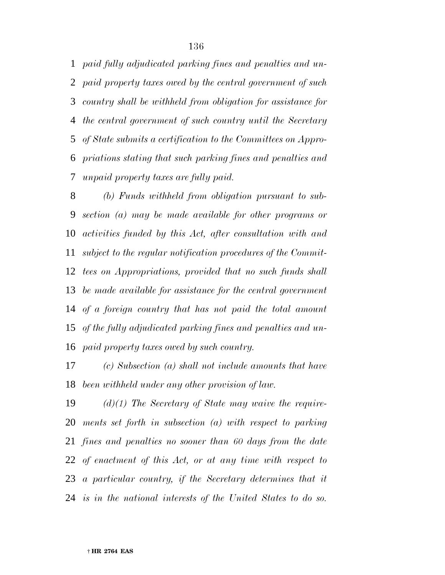*paid fully adjudicated parking fines and penalties and un- paid property taxes owed by the central government of such country shall be withheld from obligation for assistance for the central government of such country until the Secretary of State submits a certification to the Committees on Appro- priations stating that such parking fines and penalties and unpaid property taxes are fully paid.*

 *(b) Funds withheld from obligation pursuant to sub- section (a) may be made available for other programs or activities funded by this Act, after consultation with and subject to the regular notification procedures of the Commit- tees on Appropriations, provided that no such funds shall be made available for assistance for the central government of a foreign country that has not paid the total amount of the fully adjudicated parking fines and penalties and un-paid property taxes owed by such country.*

 *(c) Subsection (a) shall not include amounts that have been withheld under any other provision of law.*

 *(d)(1) The Secretary of State may waive the require- ments set forth in subsection (a) with respect to parking fines and penalties no sooner than 60 days from the date of enactment of this Act, or at any time with respect to a particular country, if the Secretary determines that it is in the national interests of the United States to do so.*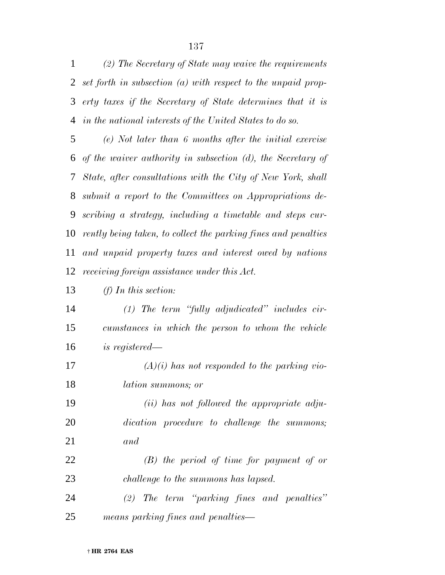*(2) The Secretary of State may waive the requirements set forth in subsection (a) with respect to the unpaid prop- erty taxes if the Secretary of State determines that it is in the national interests of the United States to do so.*

 *(e) Not later than 6 months after the initial exercise of the waiver authority in subsection (d), the Secretary of State, after consultations with the City of New York, shall submit a report to the Committees on Appropriations de- scribing a strategy, including a timetable and steps cur- rently being taken, to collect the parking fines and penalties and unpaid property taxes and interest owed by nations receiving foreign assistance under this Act.*

### *(f) In this section:*

 *(1) The term ''fully adjudicated'' includes cir- cumstances in which the person to whom the vehicle is registered—*

 *(A)(i) has not responded to the parking vio-lation summons; or*

 *(ii) has not followed the appropriate adju- dication procedure to challenge the summons; and*

 *(B) the period of time for payment of or challenge to the summons has lapsed.*

 *(2) The term ''parking fines and penalties'' means parking fines and penalties—*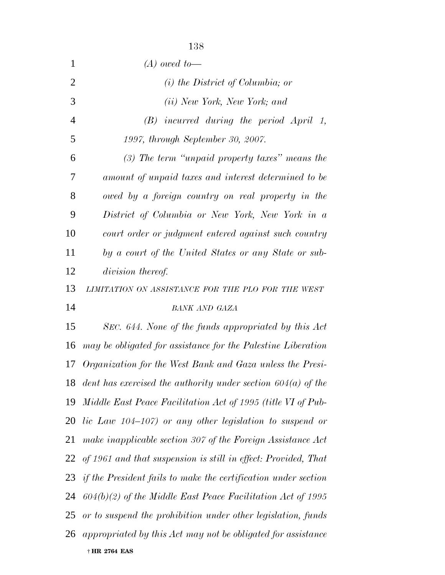| $\mathbf{1}$   | $(A)$ owed to-                                                    |
|----------------|-------------------------------------------------------------------|
| $\overline{2}$ | $(i)$ the District of Columbia; or                                |
| 3              | ( <i>ii</i> ) New York, New York; and                             |
| $\overline{4}$ | $(B)$ incurred during the period April 1,                         |
| 5              | 1997, through September 30, 2007.                                 |
| 6              | $(3)$ The term "unpaid property taxes" means the                  |
| 7              | amount of unpaid taxes and interest determined to be              |
| 8              | owed by a foreign country on real property in the                 |
| 9              | District of Columbia or New York, New York in a                   |
| 10             | court order or judgment entered against such country              |
| 11             | by a court of the United States or any State or sub-              |
| 12             | division thereof.                                                 |
| 13             | LIMITATION ON ASSISTANCE FOR THE PLO FOR THE WEST                 |
| 14             | <b>BANK AND GAZA</b>                                              |
| 15             | SEC. 644. None of the funds appropriated by this Act              |
| 16             | may be obligated for assistance for the Palestine Liberation      |
| 17             | Organization for the West Bank and Gaza unless the Presi-         |
| 18             | dent has exercised the authority under section $604(a)$ of the    |
| 19             | Middle East Peace Facilitation Act of 1995 (title VI of Pub-      |
| 20             | lic Law $104-107$ or any other legislation to suspend or          |
| 21             | make inapplicable section 307 of the Foreign Assistance Act       |
| 22             | of 1961 and that suspension is still in effect: Provided, That    |
|                | 23 if the President fails to make the certification under section |
| 24             | $604(b)(2)$ of the Middle East Peace Facilitation Act of 1995     |
| 25             | or to suspend the prohibition under other legislation, funds      |
|                | 26 appropriated by this Act may not be obligated for assistance   |
|                | † HR 2764 EAS                                                     |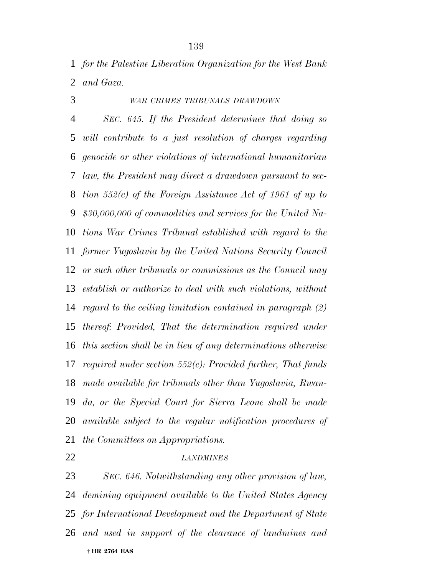*for the Palestine Liberation Organization for the West Bank and Gaza.*

# *WAR CRIMES TRIBUNALS DRAWDOWN*

 *SEC. 645. If the President determines that doing so will contribute to a just resolution of charges regarding genocide or other violations of international humanitarian law, the President may direct a drawdown pursuant to sec- tion 552(c) of the Foreign Assistance Act of 1961 of up to \$30,000,000 of commodities and services for the United Na- tions War Crimes Tribunal established with regard to the former Yugoslavia by the United Nations Security Council or such other tribunals or commissions as the Council may establish or authorize to deal with such violations, without regard to the ceiling limitation contained in paragraph (2) thereof: Provided, That the determination required under this section shall be in lieu of any determinations otherwise required under section 552(c): Provided further, That funds made available for tribunals other than Yugoslavia, Rwan- da, or the Special Court for Sierra Leone shall be made available subject to the regular notification procedures of the Committees on Appropriations.*

### *LANDMINES*

 † **HR 2764 EAS** *SEC. 646. Notwithstanding any other provision of law, demining equipment available to the United States Agency for International Development and the Department of State and used in support of the clearance of landmines and*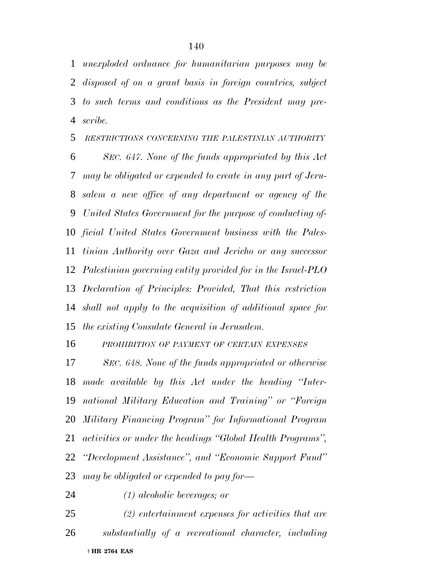*unexploded ordnance for humanitarian purposes may be disposed of on a grant basis in foreign countries, subject to such terms and conditions as the President may pre-scribe.*

*RESTRICTIONS CONCERNING THE PALESTINIAN AUTHORITY*

 *SEC. 647. None of the funds appropriated by this Act may be obligated or expended to create in any part of Jeru- salem a new office of any department or agency of the United States Government for the purpose of conducting of- ficial United States Government business with the Pales- tinian Authority over Gaza and Jericho or any successor Palestinian governing entity provided for in the Israel-PLO Declaration of Principles: Provided, That this restriction shall not apply to the acquisition of additional space for the existing Consulate General in Jerusalem.*

*PROHIBITION OF PAYMENT OF CERTAIN EXPENSES*

 *SEC. 648. None of the funds appropriated or otherwise made available by this Act under the heading ''Inter- national Military Education and Training'' or ''Foreign Military Financing Program'' for Informational Program activities or under the headings ''Global Health Programs'', ''Development Assistance'', and ''Economic Support Fund'' may be obligated or expended to pay for—*

*(1) alcoholic beverages; or*

 † **HR 2764 EAS** *(2) entertainment expenses for activities that are substantially of a recreational character, including*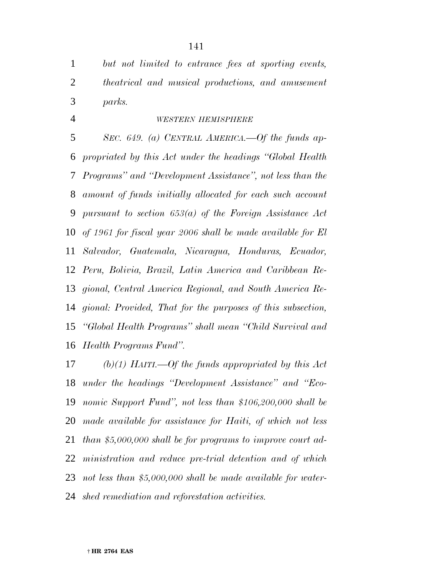*but not limited to entrance fees at sporting events, theatrical and musical productions, and amusement parks.*

### *WESTERN HEMISPHERE*

 *SEC. 649. (a) CENTRAL AMERICA.—Of the funds ap- propriated by this Act under the headings ''Global Health Programs'' and ''Development Assistance'', not less than the amount of funds initially allocated for each such account pursuant to section 653(a) of the Foreign Assistance Act of 1961 for fiscal year 2006 shall be made available for El Salvador, Guatemala, Nicaragua, Honduras, Ecuador, Peru, Bolivia, Brazil, Latin America and Caribbean Re- gional, Central America Regional, and South America Re- gional: Provided, That for the purposes of this subsection, ''Global Health Programs'' shall mean ''Child Survival and Health Programs Fund''.*

 *(b)(1) HAITI.—Of the funds appropriated by this Act under the headings ''Development Assistance'' and ''Eco- nomic Support Fund'', not less than \$106,200,000 shall be made available for assistance for Haiti, of which not less than \$5,000,000 shall be for programs to improve court ad- ministration and reduce pre-trial detention and of which not less than \$5,000,000 shall be made available for water-shed remediation and reforestation activities.*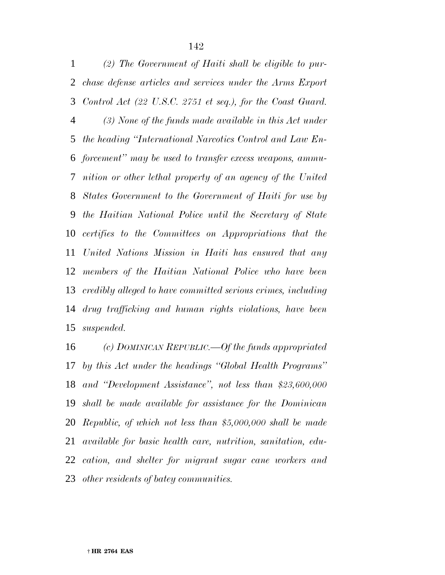*(2) The Government of Haiti shall be eligible to pur- chase defense articles and services under the Arms Export Control Act (22 U.S.C. 2751 et seq.), for the Coast Guard. (3) None of the funds made available in this Act under the heading ''International Narcotics Control and Law En- forcement'' may be used to transfer excess weapons, ammu- nition or other lethal property of an agency of the United States Government to the Government of Haiti for use by the Haitian National Police until the Secretary of State certifies to the Committees on Appropriations that the United Nations Mission in Haiti has ensured that any members of the Haitian National Police who have been credibly alleged to have committed serious crimes, including drug trafficking and human rights violations, have been suspended.*

 *(c) DOMINICAN REPUBLIC.—Of the funds appropriated by this Act under the headings ''Global Health Programs'' and ''Development Assistance'', not less than \$23,600,000 shall be made available for assistance for the Dominican Republic, of which not less than \$5,000,000 shall be made available for basic health care, nutrition, sanitation, edu- cation, and shelter for migrant sugar cane workers and other residents of batey communities.*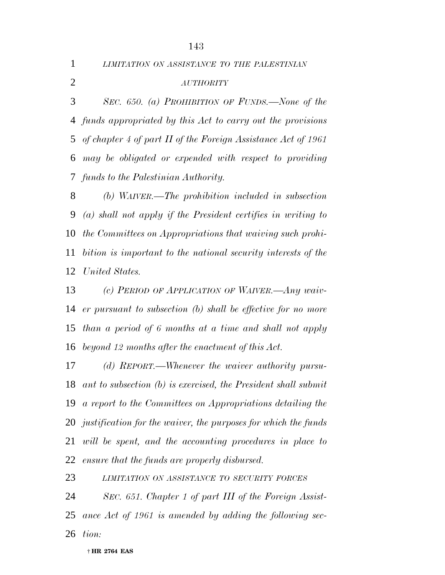*LIMITATION ON ASSISTANCE TO THE PALESTINIAN*

*AUTHORITY*

 *SEC. 650. (a) PROHIBITION OF FUNDS.—None of the funds appropriated by this Act to carry out the provisions of chapter 4 of part II of the Foreign Assistance Act of 1961 may be obligated or expended with respect to providing funds to the Palestinian Authority.*

 *(b) WAIVER.—The prohibition included in subsection (a) shall not apply if the President certifies in writing to the Committees on Appropriations that waiving such prohi- bition is important to the national security interests of the United States.*

 *(c) PERIOD OF APPLICATION OF WAIVER.—Any waiv- er pursuant to subsection (b) shall be effective for no more than a period of 6 months at a time and shall not apply beyond 12 months after the enactment of this Act.*

 *(d) REPORT.—Whenever the waiver authority pursu- ant to subsection (b) is exercised, the President shall submit a report to the Committees on Appropriations detailing the justification for the waiver, the purposes for which the funds will be spent, and the accounting procedures in place to ensure that the funds are properly disbursed.*

*LIMITATION ON ASSISTANCE TO SECURITY FORCES*

 *SEC. 651. Chapter 1 of part III of the Foreign Assist- ance Act of 1961 is amended by adding the following sec-tion:*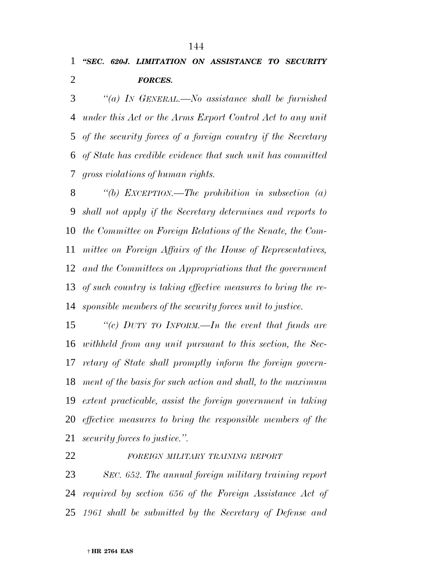# *''SEC. 620J. LIMITATION ON ASSISTANCE TO SECURITY FORCES.*

 *''(a) IN GENERAL.—No assistance shall be furnished under this Act or the Arms Export Control Act to any unit of the security forces of a foreign country if the Secretary of State has credible evidence that such unit has committed gross violations of human rights.*

 *''(b) EXCEPTION.—The prohibition in subsection (a) shall not apply if the Secretary determines and reports to the Committee on Foreign Relations of the Senate, the Com- mittee on Foreign Affairs of the House of Representatives, and the Committees on Appropriations that the government of such country is taking effective measures to bring the re-sponsible members of the security forces unit to justice.*

 *''(c) DUTY TO INFORM.—In the event that funds are withheld from any unit pursuant to this section, the Sec- retary of State shall promptly inform the foreign govern- ment of the basis for such action and shall, to the maximum extent practicable, assist the foreign government in taking effective measures to bring the responsible members of the security forces to justice.''.*

### *FOREIGN MILITARY TRAINING REPORT*

 *SEC. 652. The annual foreign military training report required by section 656 of the Foreign Assistance Act of 1961 shall be submitted by the Secretary of Defense and*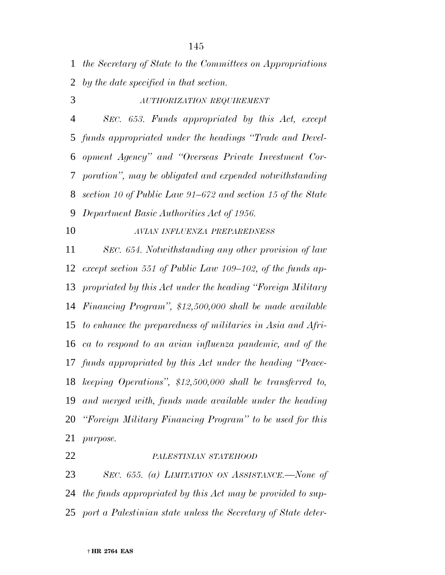*the Secretary of State to the Committees on Appropriations by the date specified in that section.*

 *AUTHORIZATION REQUIREMENT SEC. 653. Funds appropriated by this Act, except funds appropriated under the headings ''Trade and Devel- opment Agency'' and ''Overseas Private Investment Cor- poration'', may be obligated and expended notwithstanding section 10 of Public Law 91–672 and section 15 of the State Department Basic Authorities Act of 1956.*

# *AVIAN INFLUENZA PREPAREDNESS*

 *SEC. 654. Notwithstanding any other provision of law except section 551 of Public Law 109–102, of the funds ap- propriated by this Act under the heading ''Foreign Military Financing Program'', \$12,500,000 shall be made available to enhance the preparedness of militaries in Asia and Afri- ca to respond to an avian influenza pandemic, and of the funds appropriated by this Act under the heading ''Peace- keeping Operations'', \$12,500,000 shall be transferred to, and merged with, funds made available under the heading ''Foreign Military Financing Program'' to be used for this purpose.*

## *PALESTINIAN STATEHOOD*

 *SEC. 655. (a) LIMITATION ON ASSISTANCE.—None of the funds appropriated by this Act may be provided to sup-port a Palestinian state unless the Secretary of State deter-*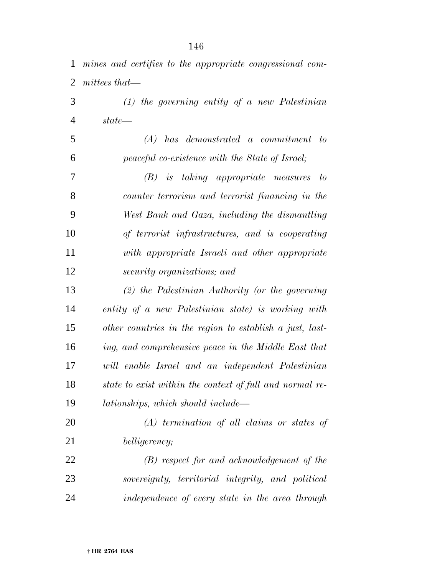| $\mathbf{1}$   | mines and certifies to the appropriate congressional com- |
|----------------|-----------------------------------------------------------|
| $\overline{2}$ | $mittees that$ —                                          |
| 3              | $(1)$ the governing entity of a new Palestinian           |
| $\overline{4}$ | $state$ —                                                 |
| 5              | $(A)$ has demonstrated a commitment to                    |
| 6              | peaceful co-existence with the State of Israel;           |
| 7              | $(B)$ is taking appropriate measures to                   |
| 8              | counter terrorism and terrorist financing in the          |
| 9              | West Bank and Gaza, including the dismantling             |
| 10             | of terrorist infrastructures, and is cooperating          |
| 11             | with appropriate Israeli and other appropriate            |
| 12             | security organizations; and                               |
| 13             | $(2)$ the Palestinian Authority (or the governing         |
| 14             | entity of a new Palestinian state) is working with        |
| 15             | other countries in the region to establish a just, last-  |
| 16             | ing, and comprehensive peace in the Middle East that      |
| 17             | will enable Israel and an independent Palestinian         |
| 18             | state to exist within the context of full and normal re-  |
| 19             | lationships, which should include—                        |
| 20             | $(A)$ termination of all claims or states of              |
| 21             | belligerency;                                             |
| 22             | (B) respect for and acknowledgement of the                |

 *sovereignty, territorial integrity, and political independence of every state in the area through*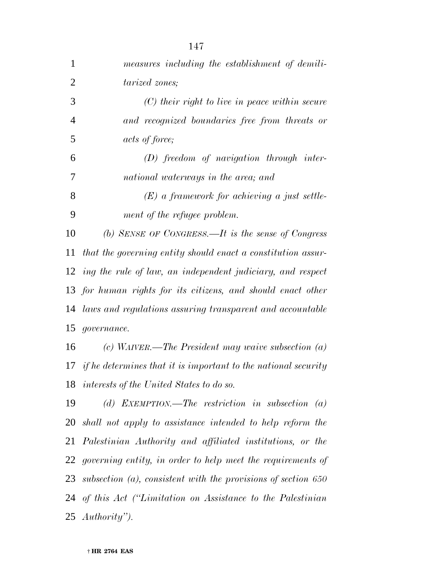| 1              | measures including the establishment of demili-                       |
|----------------|-----------------------------------------------------------------------|
| $\overline{2}$ | tarized zones;                                                        |
| 3              | $(C)$ their right to live in peace within secure                      |
| $\overline{4}$ | and recognized boundaries free from threats or                        |
| 5              | <i>acts of force</i> ;                                                |
| 6              | $(D)$ freedom of navigation through inter-                            |
| 7              | national waterways in the area; and                                   |
| 8              | $(E)$ a framework for achieving a just settle-                        |
| 9              | ment of the refugee problem.                                          |
| 10             | (b) SENSE OF CONGRESS.—It is the sense of Congress                    |
| 11             | that the governing entity should enact a constitution assur-          |
|                | 12 ing the rule of law, an independent judiciary, and respect         |
|                | 13 for human rights for its citizens, and should enact other          |
|                | 14 laws and regulations assuring transparent and accountable          |
| 15             | <i>governance.</i>                                                    |
| 16             | $(c)$ WAIVER.—The President may waive subsection $(a)$                |
| 17             | <i>if he determines that it is important to the national security</i> |
|                | 18 interests of the United States to do so.                           |
| 19             | (d) EXEMPTION.—The restriction in subsection<br>$\left( a\right)$     |
|                | 20 shall not apply to assistance intended to help reform the          |
|                | 21 Palestinian Authority and affiliated institutions, or the          |
|                | 22 governing entity, in order to help meet the requirements of        |
|                | 23 subsection (a), consistent with the provisions of section 650      |
|                | 24 of this Act ("Limitation on Assistance to the Palestinian          |
|                | 25 $\it{Authority}$ ").                                               |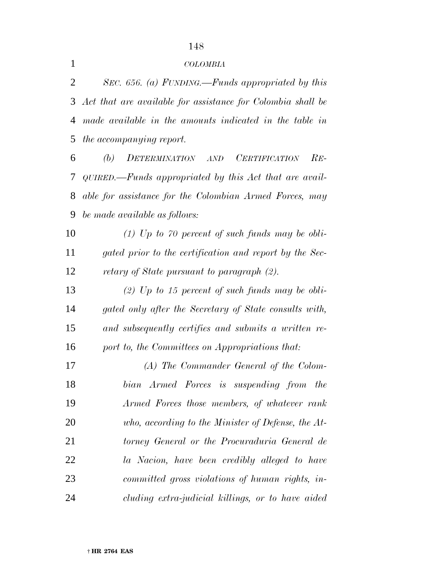# *COLOMBIA*

 *SEC. 656. (a) FUNDING.—Funds appropriated by this Act that are available for assistance for Colombia shall be made available in the amounts indicated in the table in the accompanying report.*

 *(b) DETERMINATION AND CERTIFICATION RE- QUIRED.—Funds appropriated by this Act that are avail- able for assistance for the Colombian Armed Forces, may be made available as follows:*

 *(1) Up to 70 percent of such funds may be obli- gated prior to the certification and report by the Sec-retary of State pursuant to paragraph (2).*

 *(2) Up to 15 percent of such funds may be obli- gated only after the Secretary of State consults with, and subsequently certifies and submits a written re-port to, the Committees on Appropriations that:*

 *(A) The Commander General of the Colom- bian Armed Forces is suspending from the Armed Forces those members, of whatever rank who, according to the Minister of Defense, the At- torney General or the Procuraduria General de la Nacion, have been credibly alleged to have committed gross violations of human rights, in-cluding extra-judicial killings, or to have aided*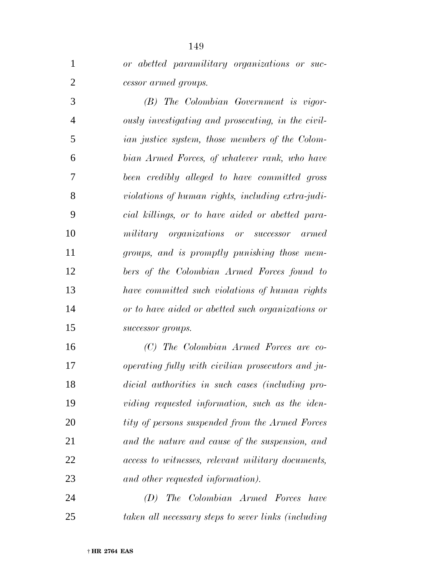| $\mathbf{1}$   | or abetted paramilitary organizations or suc-          |
|----------------|--------------------------------------------------------|
| $\overline{2}$ | cessor armed groups.                                   |
| 3              | (B) The Colombian Government is vigor-                 |
| $\overline{4}$ | ously investigating and prosecuting, in the civil-     |
| 5              | <i>ian justice system, those members of the Colom-</i> |
| 6              | bian Armed Forces, of whatever rank, who have          |
| 7              | been credibly alleged to have committed gross          |
| 8              | violations of human rights, including extra-judi-      |
| 9              | cial killings, or to have aided or abetted para-       |
| 10             | military organizations or successor armed              |
| 11             | groups, and is promptly punishing those mem-           |
| 12             | bers of the Colombian Armed Forces found to            |
| 13             | have committed such violations of human rights         |
| 14             | or to have aided or abetted such organizations or      |
| 15             | successor groups.                                      |
| 16             | (C) The Colombian Armed Forces are co-                 |
| 17             | operating fully with civilian prosecutors and ju-      |
| 18             | dicial authorities in such cases (including pro-       |
| 1Q             | <i>viding requested information</i> such as the iden-  |

 *viding requested information, such as the iden- tity of persons suspended from the Armed Forces and the nature and cause of the suspension, and access to witnesses, relevant military documents, and other requested information).*

 *(D) The Colombian Armed Forces have taken all necessary steps to sever links (including*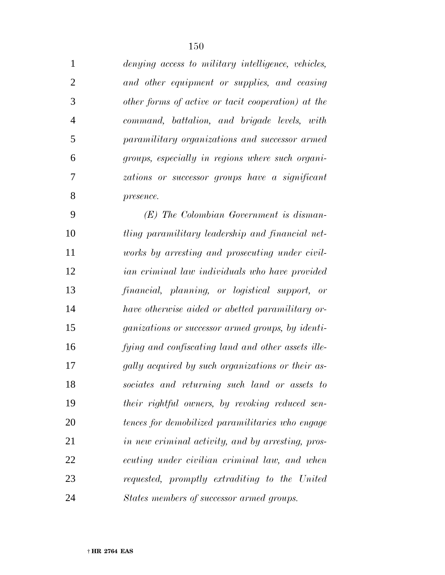| $\mathbf{1}$ | denying access to military intelligence, vehicles, |
|--------------|----------------------------------------------------|
| 2            | and other equipment or supplies, and ceasing       |
| 3            | other forms of active or tacit cooperation) at the |
| 4            | command, battalion, and brigade levels, with       |
| 5            | paramilitary organizations and successor armed     |
| 6            | groups, especially in regions where such organi-   |
| 7            | zations or successor groups have a significant     |
| 8            | presence.                                          |
|              |                                                    |

 *(E) The Colombian Government is disman- tling paramilitary leadership and financial net- works by arresting and prosecuting under civil- ian criminal law individuals who have provided financial, planning, or logistical support, or have otherwise aided or abetted paramilitary or- ganizations or successor armed groups, by identi- fying and confiscating land and other assets ille- gally acquired by such organizations or their as- sociates and returning such land or assets to their rightful owners, by revoking reduced sen- tences for demobilized paramilitaries who engage in new criminal activity, and by arresting, pros- ecuting under civilian criminal law, and when requested, promptly extraditing to the United States members of successor armed groups.*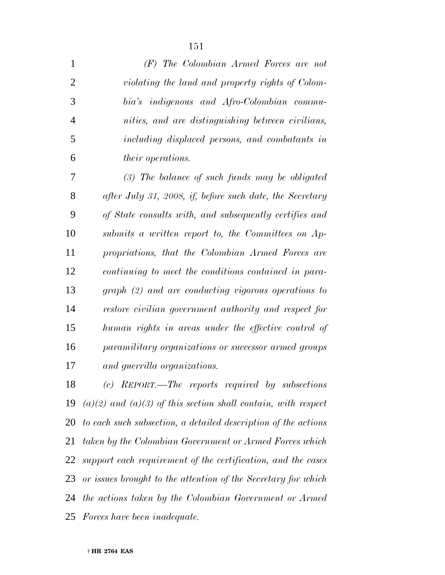| $\mathbf{1}$   | (F) The Colombian Armed Forces are not                   |
|----------------|----------------------------------------------------------|
| $\overline{2}$ | violating the land and property rights of Colom-         |
| 3              | bia's indigenous and Afro-Colombian commu-               |
| $\overline{4}$ | nities, and are distinguishing between civilians,        |
| 5              | including displaced persons, and combatants in           |
| 6              | <i>their operations.</i>                                 |
| 7              | $(3)$ The balance of such funds may be obligated         |
| 8              | after July 31, 2008, if, before such date, the Secretary |
| 9              | of State consults with, and subsequently certifies and   |
| 10             | submits a written report to, the Committees on Ap-       |
| 11             | propriations, that the Colombian Armed Forces are        |
| 12             | continuing to meet the conditions contained in para-     |
| 13             | $graph (2) and are conducting vigorous operations to$    |
| 14             | restore civilian government authority and respect for    |
| 15             | human rights in areas under the effective control of     |
| 16             | paramilitary organizations or successor armed groups     |
| 17             | and guerrilla organizations.                             |
| 18             | $(c)$ REPORT.—The reports required by subsections        |
|                |                                                          |

 *(a)(2) and (a)(3) of this section shall contain, with respect to each such subsection, a detailed description of the actions taken by the Colombian Government or Armed Forces which support each requirement of the certification, and the cases or issues brought to the attention of the Secretary for which the actions taken by the Colombian Government or Armed Forces have been inadequate.*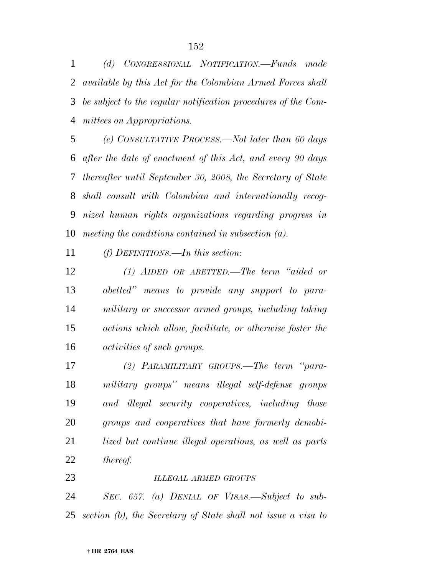*(d) CONGRESSIONAL NOTIFICATION.—Funds made available by this Act for the Colombian Armed Forces shall be subject to the regular notification procedures of the Com-mittees on Appropriations.*

 *(e) CONSULTATIVE PROCESS.—Not later than 60 days after the date of enactment of this Act, and every 90 days thereafter until September 30, 2008, the Secretary of State shall consult with Colombian and internationally recog- nized human rights organizations regarding progress in meeting the conditions contained in subsection (a).*

*(f) DEFINITIONS.—In this section:*

 *(1) AIDED OR ABETTED.—The term ''aided or abetted'' means to provide any support to para- military or successor armed groups, including taking actions which allow, facilitate, or otherwise foster the activities of such groups.*

 *(2) PARAMILITARY GROUPS.—The term ''para- military groups'' means illegal self-defense groups and illegal security cooperatives, including those groups and cooperatives that have formerly demobi- lized but continue illegal operations, as well as parts thereof.*

*ILLEGAL ARMED GROUPS*

 *SEC. 657. (a) DENIAL OF VISAS.—Subject to sub-section (b), the Secretary of State shall not issue a visa to*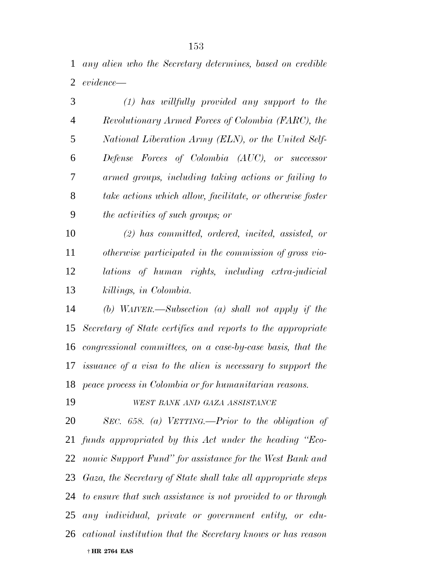*any alien who the Secretary determines, based on credible evidence—*

| 3              | $(1)$ has willfully provided any support to the                |
|----------------|----------------------------------------------------------------|
| $\overline{4}$ | Revolutionary Armed Forces of Colombia (FARC), the             |
| 5              | National Liberation Army (ELN), or the United Self-            |
| 6              | Defense Forces of Colombia (AUC), or successor                 |
| 7              | armed groups, including taking actions or failing to           |
| 8              | take actions which allow, facilitate, or otherwise foster      |
| 9              | <i>the activities of such groups; or</i>                       |
| 10             | $(2)$ has committed, ordered, incited, assisted, or            |
| 11             | otherwise participated in the commission of gross vio-         |
| 12             | lations of human rights, including extra-judicial              |
| 13             | killings, in Colombia.                                         |
| 14             | (b) WAIVER.—Subsection (a) shall not apply if the              |
|                | 15 Secretary of State certifies and reports to the appropriate |

 *congressional committees, on a case-by-case basis, that the issuance of a visa to the alien is necessary to support the peace process in Colombia or for humanitarian reasons.*

## *WEST BANK AND GAZA ASSISTANCE*

 † **HR 2764 EAS** *SEC. 658. (a) VETTING.—Prior to the obligation of funds appropriated by this Act under the heading ''Eco- nomic Support Fund'' for assistance for the West Bank and Gaza, the Secretary of State shall take all appropriate steps to ensure that such assistance is not provided to or through any individual, private or government entity, or edu-cational institution that the Secretary knows or has reason*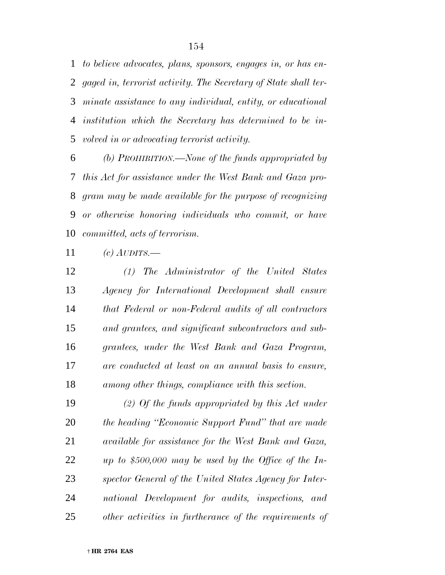*to believe advocates, plans, sponsors, engages in, or has en- gaged in, terrorist activity. The Secretary of State shall ter- minate assistance to any individual, entity, or educational institution which the Secretary has determined to be in-volved in or advocating terrorist activity.*

 *(b) PROHIBITION.—None of the funds appropriated by this Act for assistance under the West Bank and Gaza pro- gram may be made available for the purpose of recognizing or otherwise honoring individuals who commit, or have committed, acts of terrorism.*

*(c) AUDITS.—*

 *(1) The Administrator of the United States Agency for International Development shall ensure that Federal or non-Federal audits of all contractors and grantees, and significant subcontractors and sub- grantees, under the West Bank and Gaza Program, are conducted at least on an annual basis to ensure, among other things, compliance with this section.*

 *(2) Of the funds appropriated by this Act under the heading ''Economic Support Fund'' that are made available for assistance for the West Bank and Gaza, up to \$500,000 may be used by the Office of the In- spector General of the United States Agency for Inter- national Development for audits, inspections, and other activities in furtherance of the requirements of*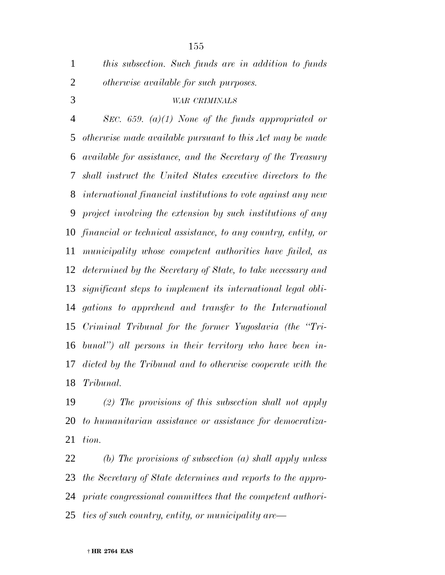*this subsection. Such funds are in addition to funds otherwise available for such purposes.*

# *WAR CRIMINALS*

 *SEC. 659. (a)(1) None of the funds appropriated or otherwise made available pursuant to this Act may be made available for assistance, and the Secretary of the Treasury shall instruct the United States executive directors to the international financial institutions to vote against any new project involving the extension by such institutions of any financial or technical assistance, to any country, entity, or municipality whose competent authorities have failed, as determined by the Secretary of State, to take necessary and significant steps to implement its international legal obli- gations to apprehend and transfer to the International Criminal Tribunal for the former Yugoslavia (the ''Tri- bunal'') all persons in their territory who have been in- dicted by the Tribunal and to otherwise cooperate with the Tribunal.*

 *(2) The provisions of this subsection shall not apply to humanitarian assistance or assistance for democratiza-tion.*

 *(b) The provisions of subsection (a) shall apply unless the Secretary of State determines and reports to the appro- priate congressional committees that the competent authori-ties of such country, entity, or municipality are—*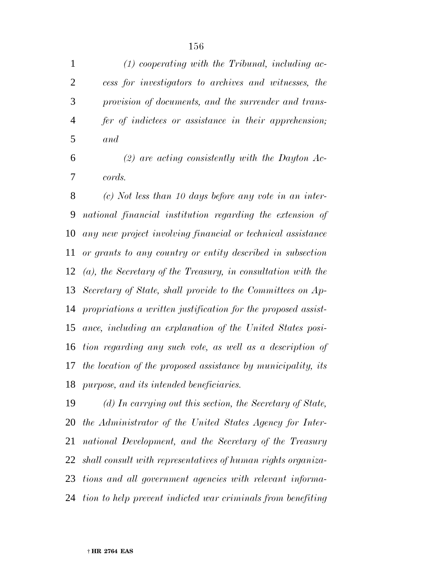*(1) cooperating with the Tribunal, including ac- cess for investigators to archives and witnesses, the provision of documents, and the surrender and trans- fer of indictees or assistance in their apprehension; and*

 *(2) are acting consistently with the Dayton Ac-cords.*

 *(c) Not less than 10 days before any vote in an inter- national financial institution regarding the extension of any new project involving financial or technical assistance or grants to any country or entity described in subsection (a), the Secretary of the Treasury, in consultation with the Secretary of State, shall provide to the Committees on Ap- propriations a written justification for the proposed assist- ance, including an explanation of the United States posi- tion regarding any such vote, as well as a description of the location of the proposed assistance by municipality, its purpose, and its intended beneficiaries.*

 *(d) In carrying out this section, the Secretary of State, the Administrator of the United States Agency for Inter- national Development, and the Secretary of the Treasury shall consult with representatives of human rights organiza- tions and all government agencies with relevant informa-tion to help prevent indicted war criminals from benefiting*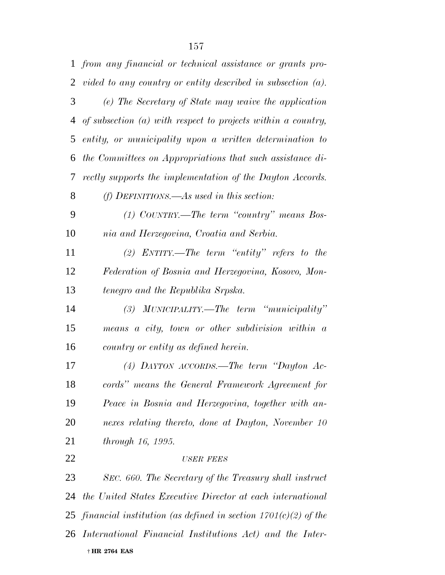|                | 1 from any financial or technical assistance or grants pro-      |
|----------------|------------------------------------------------------------------|
| $\overline{2}$ | vided to any country or entity described in subsection $(a)$ .   |
| 3              | (e) The Secretary of State may waive the application             |
| 4              | of subsection $(a)$ with respect to projects within a country,   |
| 5              | entity, or municipality upon a written determination to          |
| 6              | the Committees on Appropriations that such assistance di-        |
| 7              | rectly supports the implementation of the Dayton Accords.        |
| 8              | $(f)$ DEFINITIONS.—As used in this section:                      |
| 9              | $(1)$ COUNTRY.—The term "country" means Bos-                     |
| 10             | nia and Herzegovina, Croatia and Serbia.                         |
| 11             | (2) ENTITY.—The term "entity" refers to the                      |
| 12             | Federation of Bosnia and Herzegovina, Kosovo, Mon-               |
| 13             | tenegro and the Republika Srpska.                                |
| 14             | $(3)$ MUNICIPALITY.—The term "municipality"                      |
| 15             | means a city, town or other subdivision within a                 |
| 16             | country or entity as defined herein.                             |
| 17             | (4) DAYTON ACCORDS.—The term "Dayton Ac-                         |
| 18             | cords" means the General Framework Agreement for                 |
| 19             | Peace in Bosnia and Herzegovina, together with an-               |
| <b>20</b>      | nexes relating thereto, done at Dayton, November 10              |
| 21             | <i>through 16, 1995.</i>                                         |
| 22             | <b>USER FEES</b>                                                 |
| 23             | SEC. 660. The Secretary of the Treasury shall instruct           |
| 24             | the United States Executive Director at each international       |
| 25             | financial institution (as defined in section $1701(c)(2)$ of the |
| 26             | International Financial Institutions Act) and the Inter-         |
|                | † HR 2764 EAS                                                    |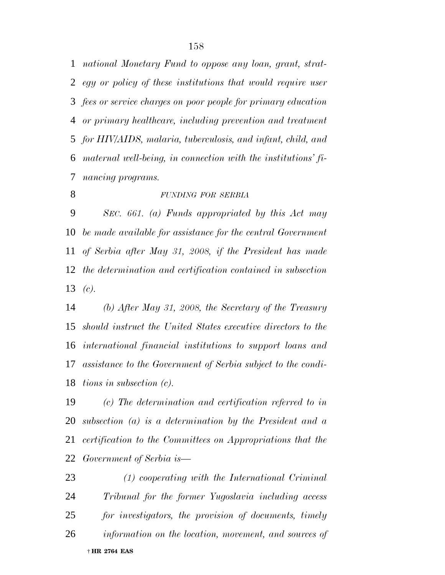*national Monetary Fund to oppose any loan, grant, strat- egy or policy of these institutions that would require user fees or service charges on poor people for primary education or primary healthcare, including prevention and treatment for HIV/AIDS, malaria, tuberculosis, and infant, child, and maternal well-being, in connection with the institutions' fi-nancing programs.*

## *FUNDING FOR SERBIA*

 *SEC. 661. (a) Funds appropriated by this Act may be made available for assistance for the central Government of Serbia after May 31, 2008, if the President has made the determination and certification contained in subsection (c).*

 *(b) After May 31, 2008, the Secretary of the Treasury should instruct the United States executive directors to the international financial institutions to support loans and assistance to the Government of Serbia subject to the condi-tions in subsection (c).*

 *(c) The determination and certification referred to in subsection (a) is a determination by the President and a certification to the Committees on Appropriations that the Government of Serbia is—*

 † **HR 2764 EAS** *(1) cooperating with the International Criminal Tribunal for the former Yugoslavia including access for investigators, the provision of documents, timely information on the location, movement, and sources of*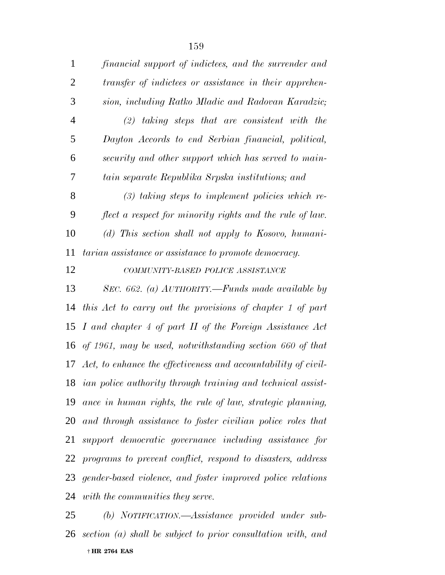| $\mathbf{1}$   | financial support of indictees, and the surrender and             |
|----------------|-------------------------------------------------------------------|
| $\overline{2}$ | transfer of indictees or assistance in their apprehen-            |
| 3              | sion, including Ratko Mladic and Radovan Karadzic;                |
| $\overline{4}$ | $(2)$ taking steps that are consistent with the                   |
| 5              | Dayton Accords to end Serbian financial, political,               |
| 6              | security and other support which has served to main-              |
| 7              | tain separate Republika Srpska institutions; and                  |
| 8              | $(3)$ taking steps to implement policies which re-                |
| 9              | flect a respect for minority rights and the rule of law.          |
| 10             | (d) This section shall not apply to Kosovo, humani-               |
| 11             | tarian assistance or assistance to promote democracy.             |
| 12             | COMMUNITY-BASED POLICE ASSISTANCE                                 |
| 13             | SEC. 662. (a) $AUTHORITY$ . --Funds made available by             |
| 14             | this Act to carry out the provisions of chapter 1 of part         |
|                | 15 I and chapter 4 of part II of the Foreign Assistance Act       |
|                | 16 of 1961, may be used, notwithstanding section 660 of that      |
|                | 17 Act, to enhance the effectiveness and accountability of civil- |
|                | 18 ian police authority through training and technical assist-    |
|                | 19 ance in human rights, the rule of law, strategic planning,     |
|                | 20 and through assistance to foster civilian police roles that    |
| 21             | support democratic governance including assistance for            |
| 22             | programs to prevent conflict, respond to disasters, address       |
|                | 23 gender-based violence, and foster improved police relations    |
|                | 24 with the communities they serve.                               |

 † **HR 2764 EAS** *(b) NOTIFICATION.—Assistance provided under sub-section (a) shall be subject to prior consultation with, and*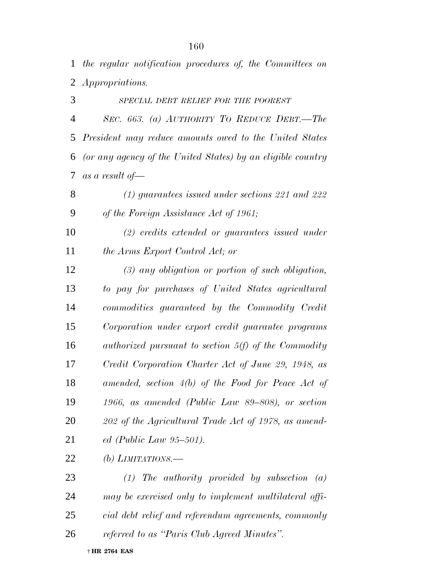*the regular notification procedures of, the Committees on Appropriations.*

 *SPECIAL DEBT RELIEF FOR THE POOREST SEC. 663. (a) AUTHORITY TO REDUCE DEBT.—The President may reduce amounts owed to the United States (or any agency of the United States) by an eligible country as a result of—*

 *(1) guarantees issued under sections 221 and 222 of the Foreign Assistance Act of 1961;*

 *(2) credits extended or guarantees issued under the Arms Export Control Act; or*

 *(3) any obligation or portion of such obligation, to pay for purchases of United States agricultural commodities guaranteed by the Commodity Credit Corporation under export credit guarantee programs authorized pursuant to section 5(f) of the Commodity Credit Corporation Charter Act of June 29, 1948, as amended, section 4(b) of the Food for Peace Act of 1966, as amended (Public Law 89–808), or section 202 of the Agricultural Trade Act of 1978, as amend-ed (Public Law 95–501).*

*(b) LIMITATIONS.—*

 *(1) The authority provided by subsection (a) may be exercised only to implement multilateral offi- cial debt relief and referendum agreements, commonly referred to as ''Paris Club Agreed Minutes''.*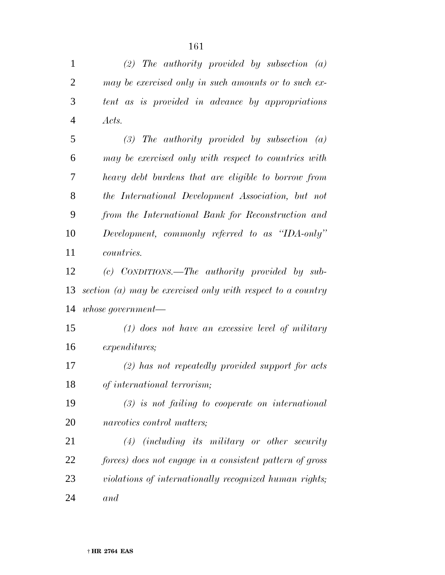*(2) The authority provided by subsection (a) may be exercised only in such amounts or to such ex- tent as is provided in advance by appropriations Acts. (3) The authority provided by subsection (a) may be exercised only with respect to countries with heavy debt burdens that are eligible to borrow from the International Development Association, but not from the International Bank for Reconstruction and Development, commonly referred to as ''IDA-only'' countries. (c) CONDITIONS.—The authority provided by sub- section (a) may be exercised only with respect to a country whose government— (1) does not have an excessive level of military expenditures; (2) has not repeatedly provided support for acts of international terrorism; (3) is not failing to cooperate on international narcotics control matters; (4) (including its military or other security forces) does not engage in a consistent pattern of gross violations of internationally recognized human rights; and*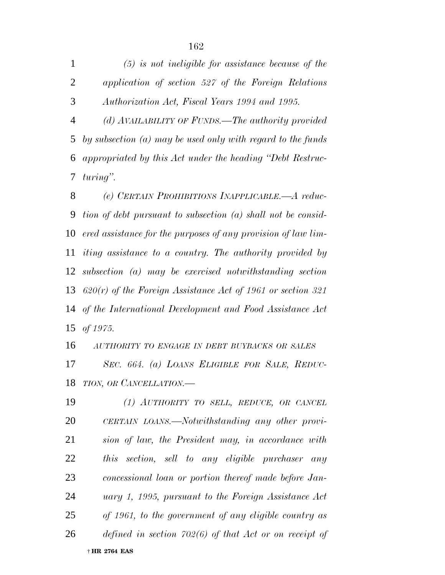*(5) is not ineligible for assistance because of the application of section 527 of the Foreign Relations Authorization Act, Fiscal Years 1994 and 1995.*

 *(d) AVAILABILITY OF FUNDS.—The authority provided by subsection (a) may be used only with regard to the funds appropriated by this Act under the heading ''Debt Restruc-turing''.*

 *(e) CERTAIN PROHIBITIONS INAPPLICABLE.—A reduc- tion of debt pursuant to subsection (a) shall not be consid- ered assistance for the purposes of any provision of law lim- iting assistance to a country. The authority provided by subsection (a) may be exercised notwithstanding section 620(r) of the Foreign Assistance Act of 1961 or section 321 of the International Development and Food Assistance Act of 1975.*

 *AUTHORITY TO ENGAGE IN DEBT BUYBACKS OR SALES SEC. 664. (a) LOANS ELIGIBLE FOR SALE, REDUC-TION, OR CANCELLATION.—*

 † **HR 2764 EAS** *(1) AUTHORITY TO SELL, REDUCE, OR CANCEL CERTAIN LOANS.—Notwithstanding any other provi- sion of law, the President may, in accordance with this section, sell to any eligible purchaser any concessional loan or portion thereof made before Jan- uary 1, 1995, pursuant to the Foreign Assistance Act of 1961, to the government of any eligible country as defined in section 702(6) of that Act or on receipt of*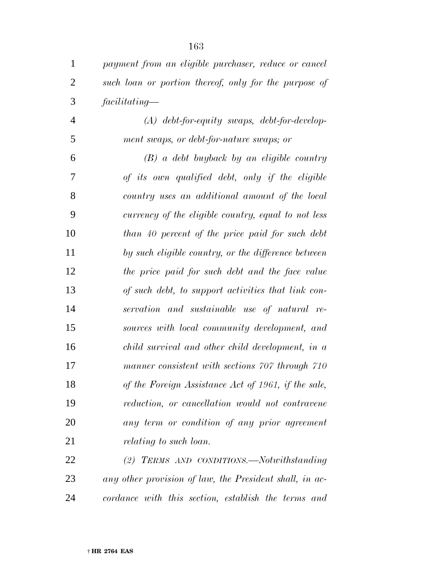| $\mathbf{1}$   | payment from an eligible purchaser, reduce or cancel    |
|----------------|---------------------------------------------------------|
| $\overline{2}$ | such loan or portion thereof, only for the purpose of   |
| 3              | facilitating                                            |
| 4              | $(A)$ debt-for-equity swaps, debt-for-develop-          |
| 5              | ment swaps, or debt-for-nature swaps; or                |
| 6              | $(B)$ a debt buyback by an eligible country             |
| 7              | of its own qualified debt, only if the eligible         |
| 8              | country uses an additional amount of the local          |
| 9              | currency of the eligible country, equal to not less     |
| 10             | than 40 percent of the price paid for such debt         |
| 11             | by such eligible country, or the difference between     |
| 12             | the price paid for such debt and the face value         |
| 13             | of such debt, to support activities that link con-      |
| 14             | servation and sustainable use of natural re-            |
| 15             | sources with local community development, and           |
| 16             | child survival and other child development, in a        |
| 17             | manner consistent with sections 707 through 710         |
| 18             | of the Foreign Assistance Act of 1961, if the sale,     |
| 19             | reduction, or cancellation would not contravene         |
| 20             | any term or condition of any prior agreement            |
| 21             | <i>relating to such loan.</i>                           |
| 22             | (2) TERMS AND CONDITIONS.—Notwithstanding               |
| 23             | any other provision of law, the President shall, in ac- |
| 24             | cordance with this section, establish the terms and     |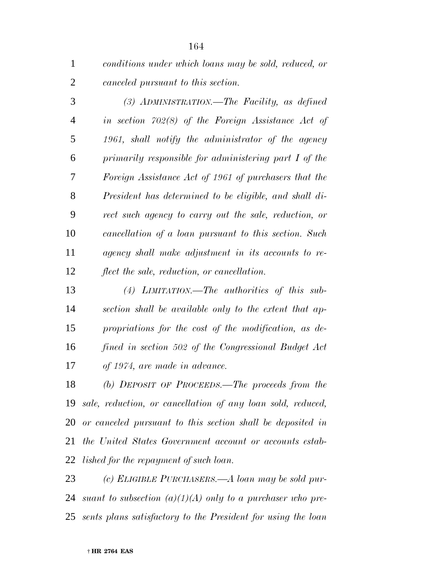| conditions under which loans may be sold, reduced, or |
|-------------------------------------------------------|
| canceled pursuant to this section.                    |

 *(3) ADMINISTRATION.—The Facility, as defined in section 702(8) of the Foreign Assistance Act of 1961, shall notify the administrator of the agency primarily responsible for administering part I of the Foreign Assistance Act of 1961 of purchasers that the President has determined to be eligible, and shall di- rect such agency to carry out the sale, reduction, or cancellation of a loan pursuant to this section. Such agency shall make adjustment in its accounts to re-flect the sale, reduction, or cancellation.*

 *(4) LIMITATION.—The authorities of this sub- section shall be available only to the extent that ap- propriations for the cost of the modification, as de- fined in section 502 of the Congressional Budget Act of 1974, are made in advance.*

 *(b) DEPOSIT OF PROCEEDS.—The proceeds from the sale, reduction, or cancellation of any loan sold, reduced, or canceled pursuant to this section shall be deposited in the United States Government account or accounts estab-lished for the repayment of such loan.*

 *(c) ELIGIBLE PURCHASERS.—A loan may be sold pur- suant to subsection (a)(1)(A) only to a purchaser who pre-sents plans satisfactory to the President for using the loan*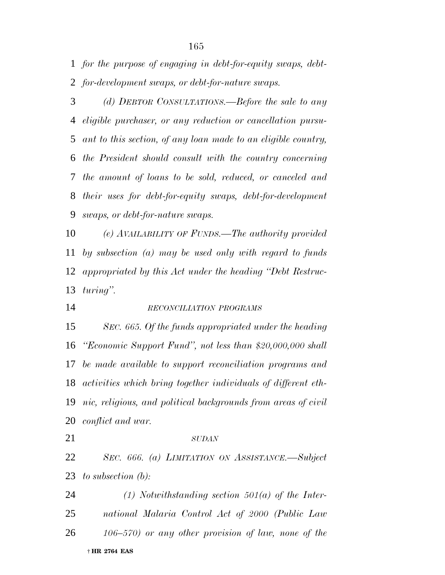*for the purpose of engaging in debt-for-equity swaps, debt-for-development swaps, or debt-for-nature swaps.*

 *(d) DEBTOR CONSULTATIONS.—Before the sale to any eligible purchaser, or any reduction or cancellation pursu- ant to this section, of any loan made to an eligible country, the President should consult with the country concerning the amount of loans to be sold, reduced, or canceled and their uses for debt-for-equity swaps, debt-for-development swaps, or debt-for-nature swaps.*

 *(e) AVAILABILITY OF FUNDS.—The authority provided by subsection (a) may be used only with regard to funds appropriated by this Act under the heading ''Debt Restruc-turing''.*

# *RECONCILIATION PROGRAMS*

 *SEC. 665. Of the funds appropriated under the heading ''Economic Support Fund'', not less than \$20,000,000 shall be made available to support reconciliation programs and activities which bring together individuals of different eth- nic, religious, and political backgrounds from areas of civil conflict and war.*

#### *SUDAN*

 *SEC. 666. (a) LIMITATION ON ASSISTANCE.—Subject to subsection (b):*

 † **HR 2764 EAS** *(1) Notwithstanding section 501(a) of the Inter- national Malaria Control Act of 2000 (Public Law 106–570) or any other provision of law, none of the*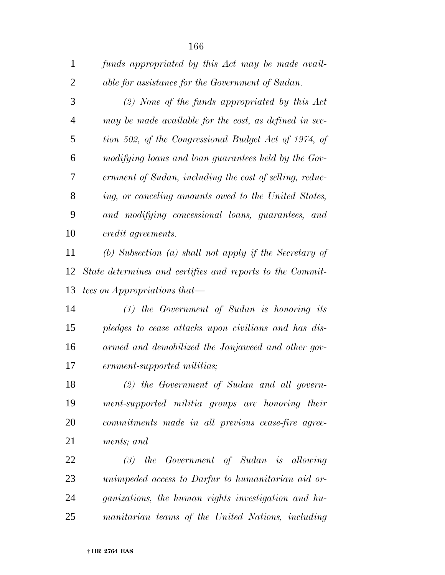| $\mathbf{1}$   | funds appropriated by this Act may be made avail-         |
|----------------|-----------------------------------------------------------|
| $\overline{2}$ | able for assistance for the Government of Sudan.          |
| 3              | $(2)$ None of the funds appropriated by this Act          |
| $\overline{4}$ | may be made available for the cost, as defined in sec-    |
| 5              | tion 502, of the Congressional Budget Act of 1974, of     |
| 6              | modifying loans and loan guarantees held by the Gov-      |
| 7              | ernment of Sudan, including the cost of selling, reduc-   |
| 8              | ing, or canceling amounts owed to the United States,      |
| 9              | and modifying concessional loans, guarantees, and         |
| 10             | credit agreements.                                        |
| 11             | (b) Subsection (a) shall not apply if the Secretary of    |
| 12             | State determines and certifies and reports to the Commit- |
| 13             | tees on Appropriations that—                              |
| 14             | $(1)$ the Government of Sudan is honoring its             |
| 15             | pledges to cease attacks upon civilians and has dis-      |
| 16             | armed and demobilized the Janjaweed and other gov-        |
| 17             | ernment-supported militias;                               |
| 18             | $(2)$ the Government of Sudan and all govern-             |
| 19             | ment-supported militia groups are honoring their          |
| 20             | commitments made in all previous cease-fire agree-        |

*ments; and*

 *(3) the Government of Sudan is allowing unimpeded access to Darfur to humanitarian aid or- ganizations, the human rights investigation and hu-manitarian teams of the United Nations, including*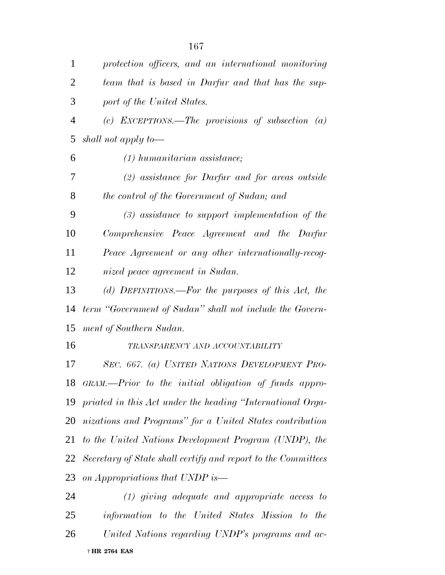| $\mathbf{1}$   | protection officers, and an international monitoring          |
|----------------|---------------------------------------------------------------|
| $\overline{2}$ | team that is based in Darfur and that has the sup-            |
| 3              | port of the United States.                                    |
| $\overline{4}$ | (c) EXCEPTIONS.—The provisions of subsection $(a)$            |
| 5              | shall not apply to-                                           |
| 6              | $(1)$ humanitarian assistance;                                |
| 7              | $(2)$ assistance for Darfur and for areas outside             |
| 8              | the control of the Government of Sudan; and                   |
| 9              | $(3)$ assistance to support implementation of the             |
| 10             | Comprehensive Peace Agreement and the Darfur                  |
| 11             | Peace Agreement or any other internationally-recog-           |
| 12             | nized peace agreement in Sudan.                               |
| 13             | (d) DEFINITIONS.—For the purposes of this Act, the            |
| 14             | term "Government of Sudan" shall not include the Govern-      |
| 15             | ment of Southern Sudan.                                       |
| 16             | TRANSPARENCY AND ACCOUNTABILITY                               |
| 17             | SEC. 667. (a) UNITED NATIONS DEVELOPMENT PRO-                 |
|                | 18 GRAM.—Prior to the initial obligation of funds appro-      |
|                | 19 priated in this Act under the heading "International Orga- |
|                | 20 nizations and Programs" for a United States contribution   |
|                | 21 to the United Nations Development Program (UNDP), the      |
| 22             | Secretary of State shall certify and report to the Committees |
| 23             | on Appropriations that UNDP is—                               |
| 24             | $(1)$ giving adequate and appropriate access to               |
| 25             | information to the United States Mission to the               |

 † **HR 2764 EAS** *United Nations regarding UNDP's programs and ac-*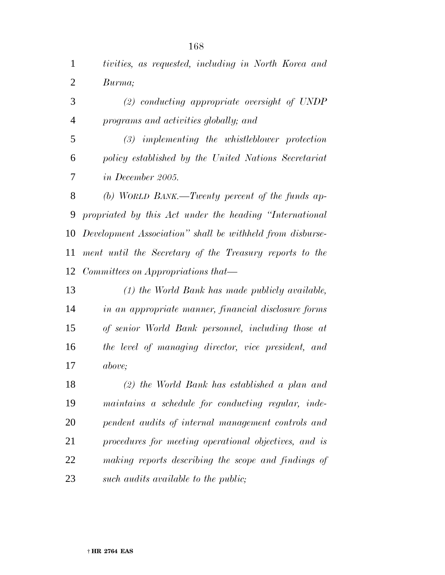*tivities, as requested, including in North Korea and Burma;*

 *(2) conducting appropriate oversight of UNDP programs and activities globally; and*

 *(3) implementing the whistleblower protection policy established by the United Nations Secretariat in December 2005.*

 *(b) WORLD BANK.—Twenty percent of the funds ap- propriated by this Act under the heading ''International Development Association'' shall be withheld from disburse- ment until the Secretary of the Treasury reports to the Committees on Appropriations that—*

 *(1) the World Bank has made publicly available, in an appropriate manner, financial disclosure forms of senior World Bank personnel, including those at the level of managing director, vice president, and above;*

 *(2) the World Bank has established a plan and maintains a schedule for conducting regular, inde- pendent audits of internal management controls and procedures for meeting operational objectives, and is making reports describing the scope and findings of such audits available to the public;*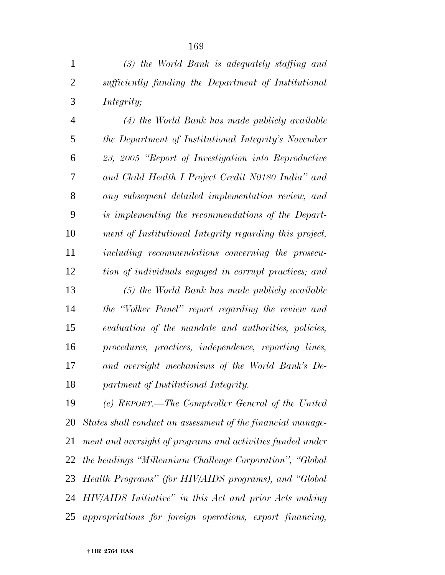| $\mathbf{1}$   | $(3)$ the World Bank is adequately staffing and         |
|----------------|---------------------------------------------------------|
| $\overline{2}$ | sufficiently funding the Department of Institutional    |
| 3              | Integrity;                                              |
| $\overline{4}$ | (4) the World Bank has made publicly available          |
| 5              | the Department of Institutional Integrity's November    |
| 6              | 23, 2005 "Report of Investigation into Reproductive     |
| 7              | and Child Health I Project Credit N0180 India" and      |
| 8              | any subsequent detailed implementation review, and      |
| 9              | is implementing the recommendations of the Depart-      |
| 10             | ment of Institutional Integrity regarding this project, |
| 11             | including recommendations concerning the prosecu-       |
| 12             | tion of individuals engaged in corrupt practices; and   |
| 13             | (5) the World Bank has made publicly available          |
| 14             | the "Volker Panel" report regarding the review and      |
| 15             | evaluation of the mandate and authorities, policies,    |
| 16             | procedures, practices, independence, reporting lines,   |
| 17             | and oversight mechanisms of the World Bank's De-        |
| 18             | partment of Institutional Integrity.                    |
| 19             | (c) REPORT.—The Comptroller General of the United       |
|                |                                                         |

 *States shall conduct an assessment of the financial manage- ment and oversight of programs and activities funded under the headings ''Millennium Challenge Corporation'', ''Global Health Programs'' (for HIV/AIDS programs), and ''Global HIV/AIDS Initiative'' in this Act and prior Acts making appropriations for foreign operations, export financing,*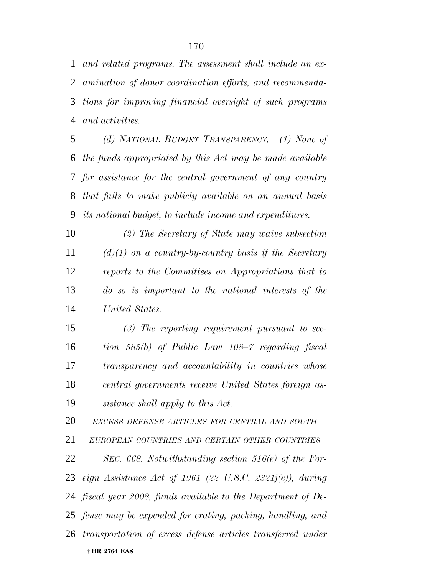*and related programs. The assessment shall include an ex- amination of donor coordination efforts, and recommenda- tions for improving financial oversight of such programs and activities.*

 *(d) NATIONAL BUDGET TRANSPARENCY.—(1) None of the funds appropriated by this Act may be made available for assistance for the central government of any country that fails to make publicly available on an annual basis its national budget, to include income and expenditures.*

 *(2) The Secretary of State may waive subsection (d)(1) on a country-by-country basis if the Secretary reports to the Committees on Appropriations that to do so is important to the national interests of the United States.*

 *(3) The reporting requirement pursuant to sec- tion 585(b) of Public Law 108–7 regarding fiscal transparency and accountability in countries whose central governments receive United States foreign as-sistance shall apply to this Act.*

*EXCESS DEFENSE ARTICLES FOR CENTRAL AND SOUTH*

*EUROPEAN COUNTRIES AND CERTAIN OTHER COUNTRIES*

 † **HR 2764 EAS** *SEC. 668. Notwithstanding section 516(e) of the For- eign Assistance Act of 1961 (22 U.S.C. 2321j(e)), during fiscal year 2008, funds available to the Department of De- fense may be expended for crating, packing, handling, and transportation of excess defense articles transferred under*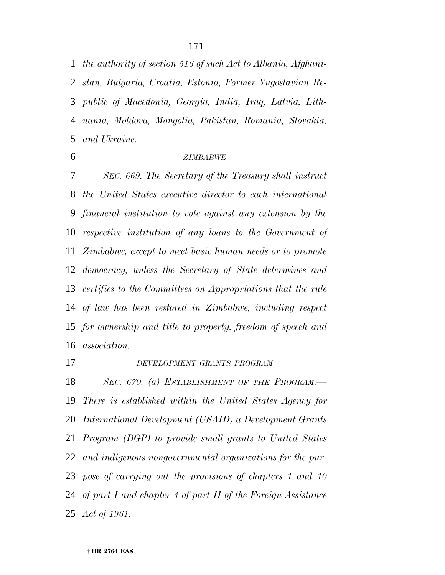*the authority of section 516 of such Act to Albania, Afghani-*

 *stan, Bulgaria, Croatia, Estonia, Former Yugoslavian Re- public of Macedonia, Georgia, India, Iraq, Latvia, Lith- uania, Moldova, Mongolia, Pakistan, Romania, Slovakia, and Ukraine.*

#### *ZIMBABWE*

 *SEC. 669. The Secretary of the Treasury shall instruct the United States executive director to each international financial institution to vote against any extension by the respective institution of any loans to the Government of Zimbabwe, except to meet basic human needs or to promote democracy, unless the Secretary of State determines and certifies to the Committees on Appropriations that the rule of law has been restored in Zimbabwe, including respect for ownership and title to property, freedom of speech and association.*

#### *DEVELOPMENT GRANTS PROGRAM*

 *SEC. 670. (a) ESTABLISHMENT OF THE PROGRAM.— There is established within the United States Agency for International Development (USAID) a Development Grants Program (DGP) to provide small grants to United States and indigenous nongovernmental organizations for the pur- pose of carrying out the provisions of chapters 1 and 10 of part I and chapter 4 of part II of the Foreign Assistance Act of 1961.*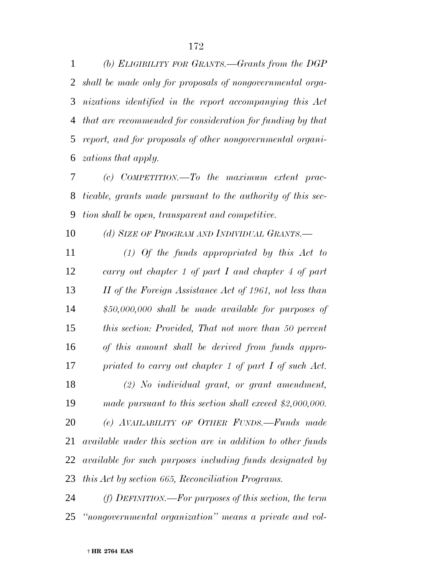*(b) ELIGIBILITY FOR GRANTS.—Grants from the DGP shall be made only for proposals of nongovernmental orga- nizations identified in the report accompanying this Act that are recommended for consideration for funding by that report, and for proposals of other nongovernmental organi-zations that apply.*

 *(c) COMPETITION.—To the maximum extent prac- ticable, grants made pursuant to the authority of this sec-tion shall be open, transparent and competitive.*

*(d) SIZE OF PROGRAM AND INDIVIDUAL GRANTS.—*

 *(1) Of the funds appropriated by this Act to carry out chapter 1 of part I and chapter 4 of part II of the Foreign Assistance Act of 1961, not less than \$50,000,000 shall be made available for purposes of this section: Provided, That not more than 50 percent of this amount shall be derived from funds appro- priated to carry out chapter 1 of part I of such Act. (2) No individual grant, or grant amendment, made pursuant to this section shall exceed \$2,000,000. (e) AVAILABILITY OF OTHER FUNDS.—Funds made available under this section are in addition to other funds available for such purposes including funds designated by this Act by section 665, Reconciliation Programs.*

 *(f) DEFINITION.—For purposes of this section, the term ''nongovernmental organization'' means a private and vol-*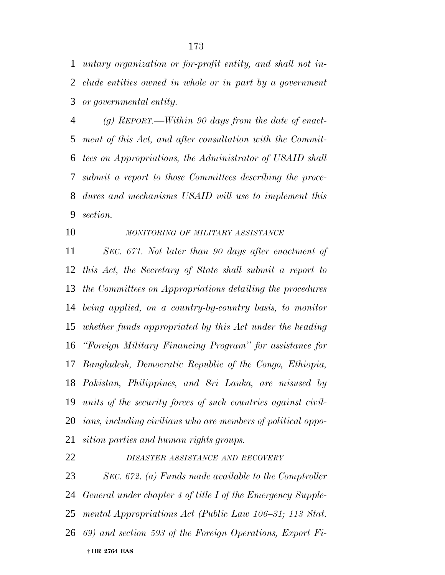*untary organization or for-profit entity, and shall not in- clude entities owned in whole or in part by a government or governmental entity.*

 *(g) REPORT.—Within 90 days from the date of enact- ment of this Act, and after consultation with the Commit- tees on Appropriations, the Administrator of USAID shall submit a report to those Committees describing the proce- dures and mechanisms USAID will use to implement this section.*

# *MONITORING OF MILITARY ASSISTANCE*

 *SEC. 671. Not later than 90 days after enactment of this Act, the Secretary of State shall submit a report to the Committees on Appropriations detailing the procedures being applied, on a country-by-country basis, to monitor whether funds appropriated by this Act under the heading ''Foreign Military Financing Program'' for assistance for Bangladesh, Democratic Republic of the Congo, Ethiopia, Pakistan, Philippines, and Sri Lanka, are misused by units of the security forces of such countries against civil- ians, including civilians who are members of political oppo-sition parties and human rights groups.*

#### *DISASTER ASSISTANCE AND RECOVERY*

 † **HR 2764 EAS** *SEC. 672. (a) Funds made available to the Comptroller General under chapter 4 of title I of the Emergency Supple- mental Appropriations Act (Public Law 106–31; 113 Stat. 69) and section 593 of the Foreign Operations, Export Fi-*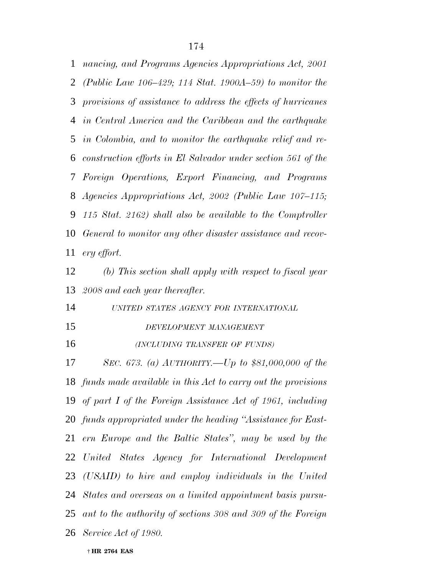*nancing, and Programs Agencies Appropriations Act, 2001 (Public Law 106–429; 114 Stat. 1900A–59) to monitor the provisions of assistance to address the effects of hurricanes in Central America and the Caribbean and the earthquake in Colombia, and to monitor the earthquake relief and re- construction efforts in El Salvador under section 561 of the Foreign Operations, Export Financing, and Programs Agencies Appropriations Act, 2002 (Public Law 107–115; 115 Stat. 2162) shall also be available to the Comptroller General to monitor any other disaster assistance and recov-ery effort.*

 *(b) This section shall apply with respect to fiscal year 2008 and each year thereafter.*

*UNITED STATES AGENCY FOR INTERNATIONAL*

*DEVELOPMENT MANAGEMENT*

*(INCLUDING TRANSFER OF FUNDS)*

 *SEC. 673. (a) AUTHORITY.—Up to \$81,000,000 of the funds made available in this Act to carry out the provisions of part I of the Foreign Assistance Act of 1961, including funds appropriated under the heading ''Assistance for East- ern Europe and the Baltic States'', may be used by the United States Agency for International Development (USAID) to hire and employ individuals in the United States and overseas on a limited appointment basis pursu- ant to the authority of sections 308 and 309 of the Foreign Service Act of 1980.*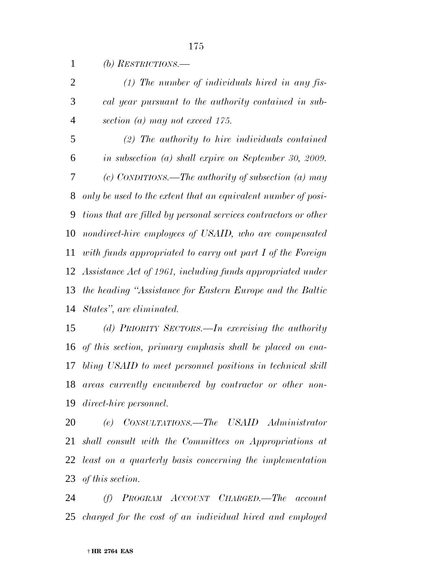*(b) RESTRICTIONS.— (1) The number of individuals hired in any fis- cal year pursuant to the authority contained in sub- section (a) may not exceed 175. (2) The authority to hire individuals contained in subsection (a) shall expire on September 30, 2009. (c) CONDITIONS.—The authority of subsection (a) may only be used to the extent that an equivalent number of posi- tions that are filled by personal services contractors or other nondirect-hire employees of USAID, who are compensated with funds appropriated to carry out part I of the Foreign Assistance Act of 1961, including funds appropriated under the heading ''Assistance for Eastern Europe and the Baltic States'', are eliminated.*

 *(d) PRIORITY SECTORS.—In exercising the authority of this section, primary emphasis shall be placed on ena- bling USAID to meet personnel positions in technical skill areas currently encumbered by contractor or other non-direct-hire personnel.*

 *(e) CONSULTATIONS.—The USAID Administrator shall consult with the Committees on Appropriations at least on a quarterly basis concerning the implementation of this section.*

 *(f) PROGRAM ACCOUNT CHARGED.—The account charged for the cost of an individual hired and employed*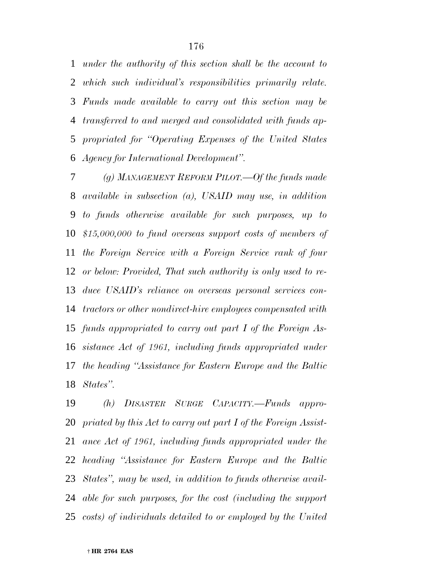*under the authority of this section shall be the account to which such individual's responsibilities primarily relate. Funds made available to carry out this section may be transferred to and merged and consolidated with funds ap- propriated for ''Operating Expenses of the United States Agency for International Development''.*

 *(g) MANAGEMENT REFORM PILOT.—Of the funds made available in subsection (a), USAID may use, in addition to funds otherwise available for such purposes, up to \$15,000,000 to fund overseas support costs of members of the Foreign Service with a Foreign Service rank of four or below: Provided, That such authority is only used to re- duce USAID's reliance on overseas personal services con- tractors or other nondirect-hire employees compensated with funds appropriated to carry out part I of the Foreign As- sistance Act of 1961, including funds appropriated under the heading ''Assistance for Eastern Europe and the Baltic States''.*

 *(h) DISASTER SURGE CAPACITY.—Funds appro- priated by this Act to carry out part I of the Foreign Assist- ance Act of 1961, including funds appropriated under the heading ''Assistance for Eastern Europe and the Baltic States'', may be used, in addition to funds otherwise avail- able for such purposes, for the cost (including the support costs) of individuals detailed to or employed by the United*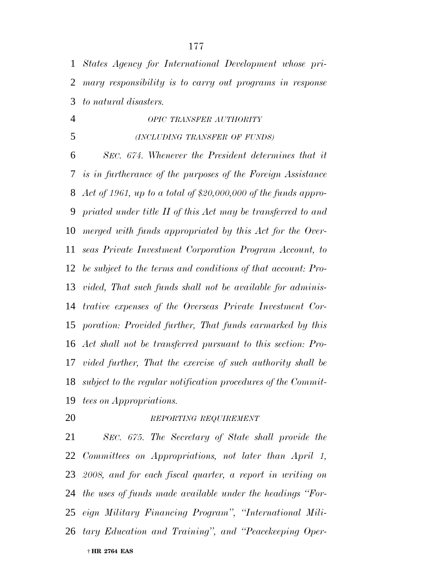*States Agency for International Development whose pri- mary responsibility is to carry out programs in response to natural disasters.*

*OPIC TRANSFER AUTHORITY*

*(INCLUDING TRANSFER OF FUNDS)*

 *SEC. 674. Whenever the President determines that it is in furtherance of the purposes of the Foreign Assistance Act of 1961, up to a total of \$20,000,000 of the funds appro- priated under title II of this Act may be transferred to and merged with funds appropriated by this Act for the Over- seas Private Investment Corporation Program Account, to be subject to the terms and conditions of that account: Pro- vided, That such funds shall not be available for adminis- trative expenses of the Overseas Private Investment Cor- poration: Provided further, That funds earmarked by this Act shall not be transferred pursuant to this section: Pro- vided further, That the exercise of such authority shall be subject to the regular notification procedures of the Commit-tees on Appropriations.*

### *REPORTING REQUIREMENT*

 † **HR 2764 EAS** *SEC. 675. The Secretary of State shall provide the Committees on Appropriations, not later than April 1, 2008, and for each fiscal quarter, a report in writing on the uses of funds made available under the headings ''For- eign Military Financing Program'', ''International Mili-tary Education and Training'', and ''Peacekeeping Oper-*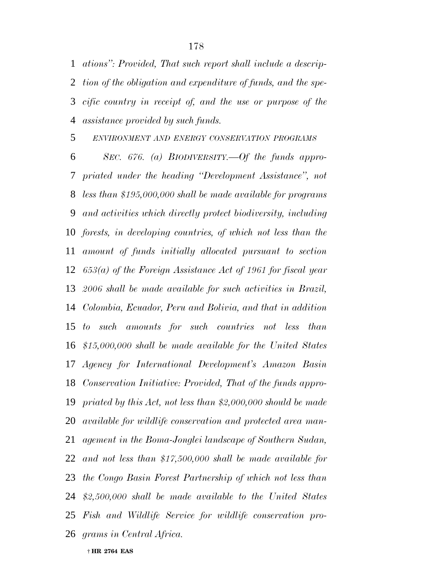*ations'': Provided, That such report shall include a descrip- tion of the obligation and expenditure of funds, and the spe- cific country in receipt of, and the use or purpose of the assistance provided by such funds.*

*ENVIRONMENT AND ENERGY CONSERVATION PROGRAMS*

 *SEC. 676. (a) BIODIVERSITY.—Of the funds appro- priated under the heading ''Development Assistance'', not less than \$195,000,000 shall be made available for programs and activities which directly protect biodiversity, including forests, in developing countries, of which not less than the amount of funds initially allocated pursuant to section 653(a) of the Foreign Assistance Act of 1961 for fiscal year 2006 shall be made available for such activities in Brazil, Colombia, Ecuador, Peru and Bolivia, and that in addition to such amounts for such countries not less than \$15,000,000 shall be made available for the United States Agency for International Development's Amazon Basin Conservation Initiative: Provided, That of the funds appro- priated by this Act, not less than \$2,000,000 should be made available for wildlife conservation and protected area man- agement in the Boma-Jonglei landscape of Southern Sudan, and not less than \$17,500,000 shall be made available for the Congo Basin Forest Partnership of which not less than \$2,500,000 shall be made available to the United States Fish and Wildlife Service for wildlife conservation pro-grams in Central Africa.*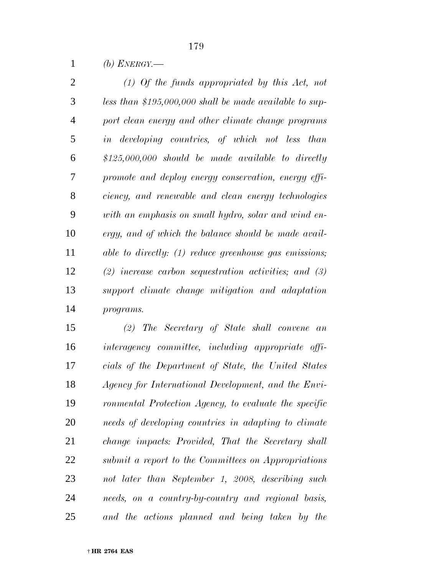*(b) ENERGY.—*

 *(1) Of the funds appropriated by this Act, not less than \$195,000,000 shall be made available to sup- port clean energy and other climate change programs in developing countries, of which not less than \$125,000,000 should be made available to directly promote and deploy energy conservation, energy effi- ciency, and renewable and clean energy technologies with an emphasis on small hydro, solar and wind en- ergy, and of which the balance should be made avail- able to directly: (1) reduce greenhouse gas emissions; (2) increase carbon sequestration activities; and (3) support climate change mitigation and adaptation programs.*

 *(2) The Secretary of State shall convene an interagency committee, including appropriate offi- cials of the Department of State, the United States Agency for International Development, and the Envi- ronmental Protection Agency, to evaluate the specific needs of developing countries in adapting to climate change impacts: Provided, That the Secretary shall submit a report to the Committees on Appropriations not later than September 1, 2008, describing such needs, on a country-by-country and regional basis, and the actions planned and being taken by the*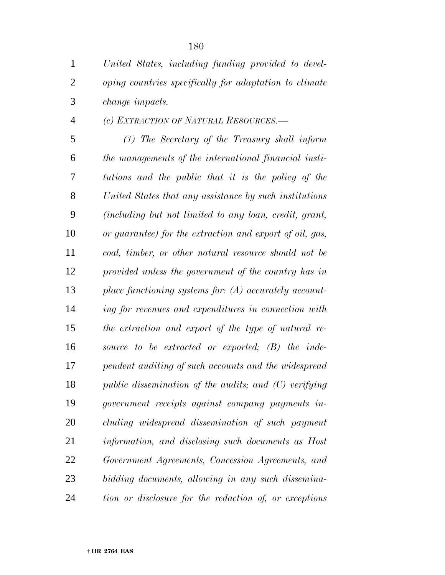| $\mathbf{1}$   | United States, including funding provided to devel-      |
|----------------|----------------------------------------------------------|
| $\overline{2}$ | oping countries specifically for adaptation to climate   |
| 3              | change impacts.                                          |
| $\overline{4}$ | (c) EXTRACTION OF NATURAL RESOURCES.—                    |
| 5              | $(1)$ The Secretary of the Treasury shall inform         |
| 6              | the managements of the international financial insti-    |
| 7              | tutions and the public that it is the policy of the      |
| 8              | United States that any assistance by such institutions   |
| 9              | (including but not limited to any loan, credit, grant,   |
| 10             | or guarantee) for the extraction and export of oil, gas, |
| 11             | coal, timber, or other natural resource should not be    |
| 12             | provided unless the government of the country has in     |
| 13             | place functioning systems for: $(A)$ accurately account- |
| 14             | ing for revenues and expenditures in connection with     |
| 15             | the extraction and export of the type of natural re-     |
| 16             | source to be extracted or exported; (B) the inde-        |
| 17             | pendent auditing of such accounts and the widespread     |
| 18             | public dissemination of the audits; and $(C)$ verifying  |
| 19             | government receipts against company payments in-         |
| 20             | cluding widespread dissemination of such payment         |
| 21             | information, and disclosing such documents as Host       |
| 22             | Government Agreements, Concession Agreements, and        |
| 23             | bidding documents, allowing in any such dissemina-       |
| 24             | tion or disclosure for the redaction of, or exceptions   |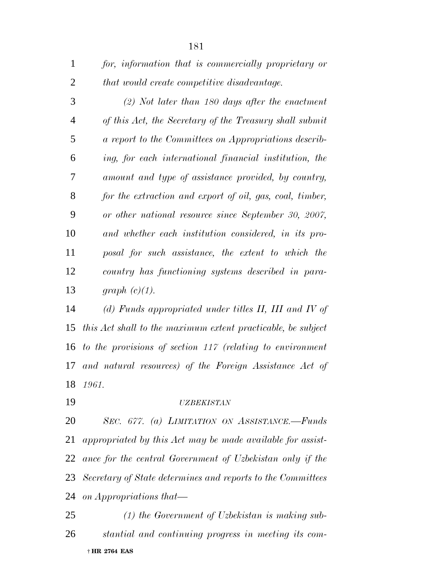| for, information that is commercially proprietary or |
|------------------------------------------------------|
| that would create competitive disadvantage.          |

 *(2) Not later than 180 days after the enactment of this Act, the Secretary of the Treasury shall submit a report to the Committees on Appropriations describ- ing, for each international financial institution, the amount and type of assistance provided, by country, for the extraction and export of oil, gas, coal, timber, or other national resource since September 30, 2007, and whether each institution considered, in its pro- posal for such assistance, the extent to which the country has functioning systems described in para-graph (c)(1).*

 *(d) Funds appropriated under titles II, III and IV of this Act shall to the maximum extent practicable, be subject to the provisions of section 117 (relating to environment and natural resources) of the Foreign Assistance Act of 1961.*

#### *UZBEKISTAN*

 *SEC. 677. (a) LIMITATION ON ASSISTANCE.—Funds appropriated by this Act may be made available for assist- ance for the central Government of Uzbekistan only if the Secretary of State determines and reports to the Committees on Appropriations that—*

 † **HR 2764 EAS** *(1) the Government of Uzbekistan is making sub-stantial and continuing progress in meeting its com-*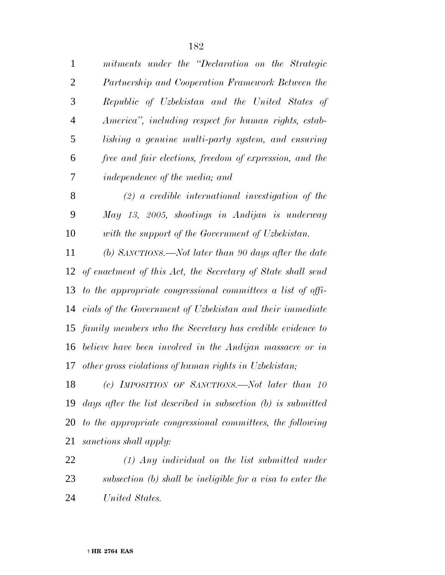| $\mathbf{1}$   | mitments under the "Declaration on the Strategic               |
|----------------|----------------------------------------------------------------|
| $\overline{2}$ | Partnership and Cooperation Framework Between the              |
| 3              | Republic of Uzbekistan and the United States of                |
| $\overline{4}$ | America", including respect for human rights, estab-           |
| 5              | lishing a genuine multi-party system, and ensuring             |
| 6              | free and fair elections, freedom of expression, and the        |
| 7              | independence of the media; and                                 |
| 8              | $(2)$ a credible international investigation of the            |
| 9              | May 13, 2005, shootings in Andijan is underway                 |
| 10             | with the support of the Government of Uzbekistan.              |
| 11             | (b) SANCTIONS.—Not later than 90 days after the date           |
| 12             | of enactment of this Act, the Secretary of State shall send    |
| 13             | to the appropriate congressional committees a list of offi-    |
| 14             | cials of the Government of Uzbekistan and their immediate      |
| 15             | family members who the Secretary has credible evidence to      |
| 16             | believe have been involved in the Andijan massacre or in       |
| 17             | other gross violations of human rights in Uzbekistan;          |
| 18             | (c) IMPOSITION OF SANCTIONS.—Not later than 10                 |
| 19             | days after the list described in subsection $(b)$ is submitted |
|                |                                                                |

 *to the appropriate congressional committees, the following sanctions shall apply:*

 *(1) Any individual on the list submitted under subsection (b) shall be ineligible for a visa to enter the United States.*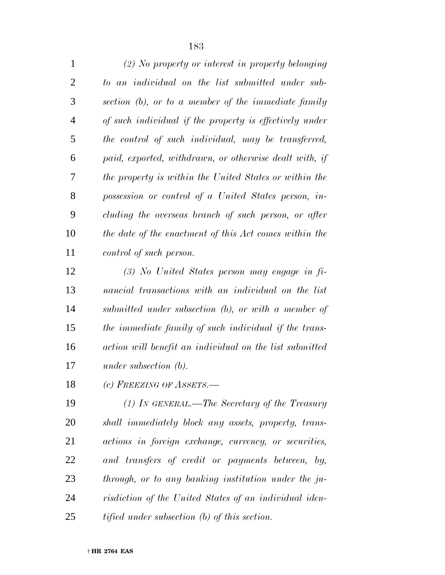| $\mathbf{1}$ | $(2)$ No property or interest in property belonging     |
|--------------|---------------------------------------------------------|
| 2            | to an individual on the list submitted under sub-       |
| 3            | section (b), or to a member of the immediate family     |
| 4            | of such individual if the property is effectively under |
| 5            | the control of such individual, may be transferred,     |
| 6            | paid, exported, withdrawn, or otherwise dealt with, if  |
| 7            | the property is within the United States or within the  |
| 8            | possession or control of a United States person, in-    |
| 9            | cluding the overseas branch of such person, or after    |
| 10           | the date of the enactment of this Act comes within the  |
| 11           | control of such person.                                 |

 *(3) No United States person may engage in fi- nancial transactions with an individual on the list submitted under subsection (b), or with a member of the immediate family of such individual if the trans- action will benefit an individual on the list submitted under subsection (b).*

*(c) FREEZING OF ASSETS.—*

 *(1) IN GENERAL.—The Secretary of the Treasury shall immediately block any assets, property, trans- actions in foreign exchange, currency, or securities, and transfers of credit or payments between, by, through, or to any banking institution under the ju- risdiction of the United States of an individual iden-tified under subsection (b) of this section.*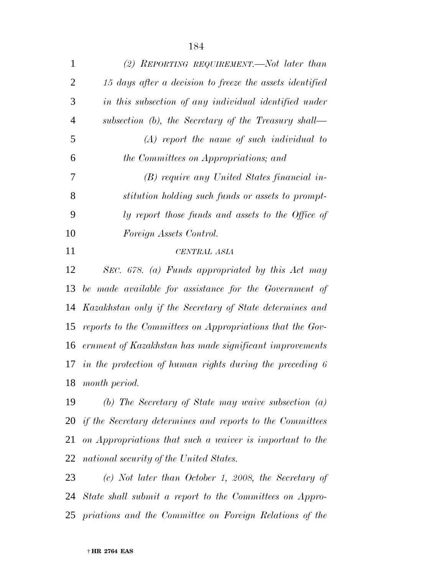| $\mathbf{1}$   | (2) REPORTING REQUIREMENT.—Not later than                 |
|----------------|-----------------------------------------------------------|
| $\overline{2}$ | 15 days after a decision to freeze the assets identified  |
| 3              | in this subsection of any individual identified under     |
| $\overline{4}$ | subsection $(b)$ , the Secretary of the Treasury shall—   |
| 5              | $(A)$ report the name of such individual to               |
| 6              | the Committees on Appropriations; and                     |
| 7              | (B) require any United States financial in-               |
| 8              | stitution holding such funds or assets to prompt-         |
| 9              | ly report those funds and assets to the Office of         |
| 10             | Foreign Assets Control.                                   |
| 11             | <b>CENTRAL ASIA</b>                                       |
| 12             | SEC. 678. (a) Funds appropriated by this Act may          |
| 13             | be made available for assistance for the Government of    |
| 14             | Kazakhstan only if the Secretary of State determines and  |
| 15             | reports to the Committees on Appropriations that the Gov- |
| 16             | ernment of Kazakhstan has made significant improvements   |
| 17             | in the protection of human rights during the preceding 6  |
| 18             | month period.                                             |
|                |                                                           |
| 19             | (b) The Secretary of State may waive subsection $(a)$     |

 *on Appropriations that such a waiver is important to the national security of the United States.*

 *(c) Not later than October 1, 2008, the Secretary of State shall submit a report to the Committees on Appro-priations and the Committee on Foreign Relations of the*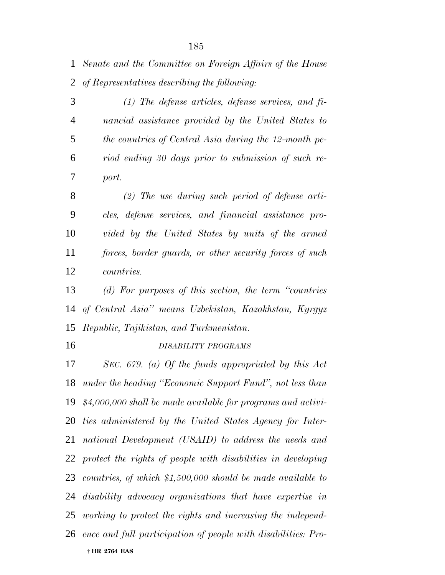*Senate and the Committee on Foreign Affairs of the House of Representatives describing the following:*

 *(1) The defense articles, defense services, and fi- nancial assistance provided by the United States to the countries of Central Asia during the 12-month pe- riod ending 30 days prior to submission of such re-port.*

 *(2) The use during such period of defense arti- cles, defense services, and financial assistance pro- vided by the United States by units of the armed forces, border guards, or other security forces of such countries.*

 *(d) For purposes of this section, the term ''countries of Central Asia'' means Uzbekistan, Kazakhstan, Kyrgyz Republic, Tajikistan, and Turkmenistan.*

*DISABILITY PROGRAMS*

 † **HR 2764 EAS** *SEC. 679. (a) Of the funds appropriated by this Act under the heading ''Economic Support Fund'', not less than \$4,000,000 shall be made available for programs and activi- ties administered by the United States Agency for Inter- national Development (USAID) to address the needs and protect the rights of people with disabilities in developing countries, of which \$1,500,000 should be made available to disability advocacy organizations that have expertise in working to protect the rights and increasing the independ-ence and full participation of people with disabilities: Pro-*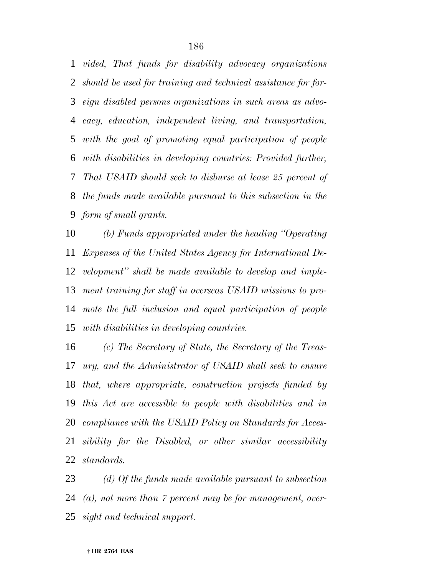*vided, That funds for disability advocacy organizations should be used for training and technical assistance for for- eign disabled persons organizations in such areas as advo- cacy, education, independent living, and transportation, with the goal of promoting equal participation of people with disabilities in developing countries: Provided further, That USAID should seek to disburse at lease 25 percent of the funds made available pursuant to this subsection in the form of small grants.*

 *(b) Funds appropriated under the heading ''Operating Expenses of the United States Agency for International De- velopment'' shall be made available to develop and imple- ment training for staff in overseas USAID missions to pro- mote the full inclusion and equal participation of people with disabilities in developing countries.*

 *(c) The Secretary of State, the Secretary of the Treas- ury, and the Administrator of USAID shall seek to ensure that, where appropriate, construction projects funded by this Act are accessible to people with disabilities and in compliance with the USAID Policy on Standards for Acces- sibility for the Disabled, or other similar accessibility standards.*

 *(d) Of the funds made available pursuant to subsection (a), not more than 7 percent may be for management, over-sight and technical support.*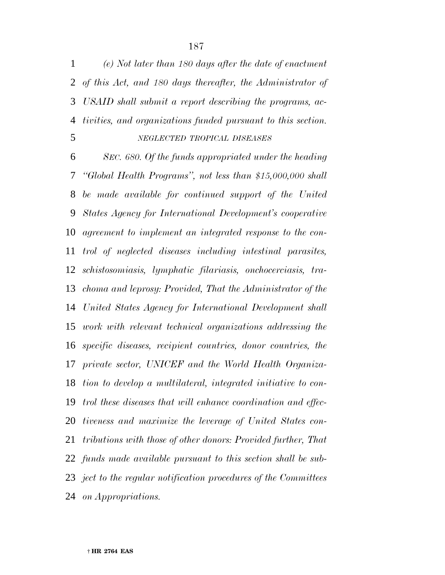*(e) Not later than 180 days after the date of enactment of this Act, and 180 days thereafter, the Administrator of USAID shall submit a report describing the programs, ac-tivities, and organizations funded pursuant to this section.*

### *NEGLECTED TROPICAL DISEASES*

 *SEC. 680. Of the funds appropriated under the heading ''Global Health Programs'', not less than \$15,000,000 shall be made available for continued support of the United States Agency for International Development's cooperative agreement to implement an integrated response to the con- trol of neglected diseases including intestinal parasites, schistosomiasis, lymphatic filariasis, onchocerciasis, tra- choma and leprosy: Provided, That the Administrator of the United States Agency for International Development shall work with relevant technical organizations addressing the specific diseases, recipient countries, donor countries, the private sector, UNICEF and the World Health Organiza- tion to develop a multilateral, integrated initiative to con- trol these diseases that will enhance coordination and effec- tiveness and maximize the leverage of United States con- tributions with those of other donors: Provided further, That funds made available pursuant to this section shall be sub- ject to the regular notification procedures of the Committees on Appropriations.*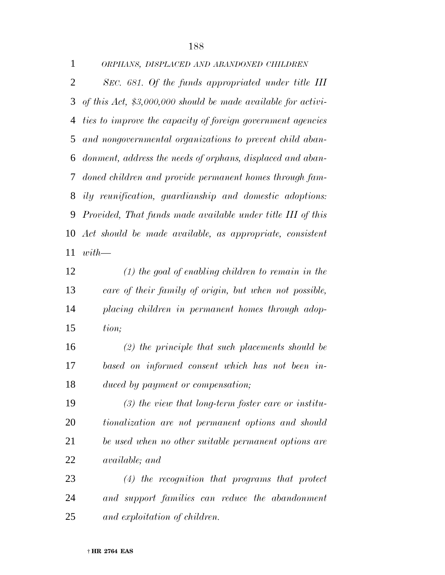| $\mathbf{1}$ | ORPHANS, DISPLACED AND ABANDONED CHILDREN                        |
|--------------|------------------------------------------------------------------|
| 2            | SEC. 681. Of the funds appropriated under title III              |
|              | 3 of this Act, $$3,000,000$ should be made available for activi- |
|              | 4 ties to improve the capacity of foreign government agencies    |
|              | 5 and nongovernmental organizations to prevent child aban-       |
|              | 6 donment, address the needs of orphans, displaced and aban-     |
|              | 7 doned children and provide permanent homes through fam-        |
|              | 8 ily reunification, guardianship and domestic adoptions:        |
|              | 9 Provided, That funds made available under title III of this    |
|              | 10 Act should be made available, as appropriate, consistent      |
|              | $11 \text{ with}$                                                |

 *(1) the goal of enabling children to remain in the care of their family of origin, but when not possible, placing children in permanent homes through adop-tion;*

 *(2) the principle that such placements should be based on informed consent which has not been in-duced by payment or compensation;*

 *(3) the view that long-term foster care or institu- tionalization are not permanent options and should be used when no other suitable permanent options are available; and*

 *(4) the recognition that programs that protect and support families can reduce the abandonment and exploitation of children.*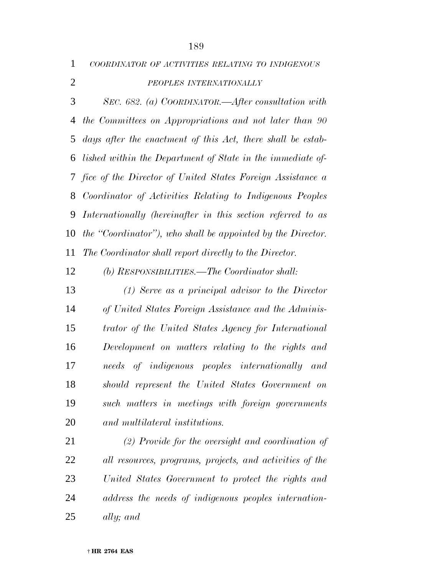*COORDINATOR OF ACTIVITIES RELATING TO INDIGENOUS*

*PEOPLES INTERNATIONALLY*

 *SEC. 682. (a) COORDINATOR.—After consultation with the Committees on Appropriations and not later than 90 days after the enactment of this Act, there shall be estab- lished within the Department of State in the immediate of- fice of the Director of United States Foreign Assistance a Coordinator of Activities Relating to Indigenous Peoples Internationally (hereinafter in this section referred to as the ''Coordinator''), who shall be appointed by the Director. The Coordinator shall report directly to the Director.*

*(b) RESPONSIBILITIES.—The Coordinator shall:*

 *(1) Serve as a principal advisor to the Director of United States Foreign Assistance and the Adminis- trator of the United States Agency for International Development on matters relating to the rights and needs of indigenous peoples internationally and should represent the United States Government on such matters in meetings with foreign governments and multilateral institutions.*

 *(2) Provide for the oversight and coordination of all resources, programs, projects, and activities of the United States Government to protect the rights and address the needs of indigenous peoples internation-ally; and*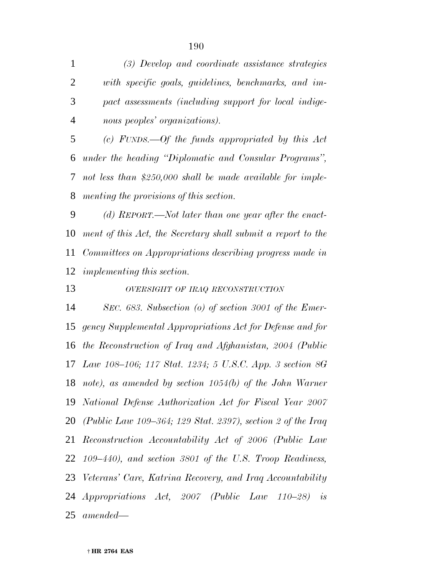*(3) Develop and coordinate assistance strategies with specific goals, guidelines, benchmarks, and im- pact assessments (including support for local indige-nous peoples' organizations).*

 *(c) FUNDS.—Of the funds appropriated by this Act under the heading ''Diplomatic and Consular Programs'', not less than \$250,000 shall be made available for imple-menting the provisions of this section.*

 *(d) REPORT.—Not later than one year after the enact- ment of this Act, the Secretary shall submit a report to the Committees on Appropriations describing progress made in implementing this section.*

*OVERSIGHT OF IRAQ RECONSTRUCTION*

 *SEC. 683. Subsection (o) of section 3001 of the Emer- gency Supplemental Appropriations Act for Defense and for the Reconstruction of Iraq and Afghanistan, 2004 (Public Law 108–106; 117 Stat. 1234; 5 U.S.C. App. 3 section 8G note), as amended by section 1054(b) of the John Warner National Defense Authorization Act for Fiscal Year 2007 (Public Law 109–364; 129 Stat. 2397), section 2 of the Iraq Reconstruction Accountability Act of 2006 (Public Law 109–440), and section 3801 of the U.S. Troop Readiness, Veterans' Care, Katrina Recovery, and Iraq Accountability Appropriations Act, 2007 (Public Law 110–28) is amended—*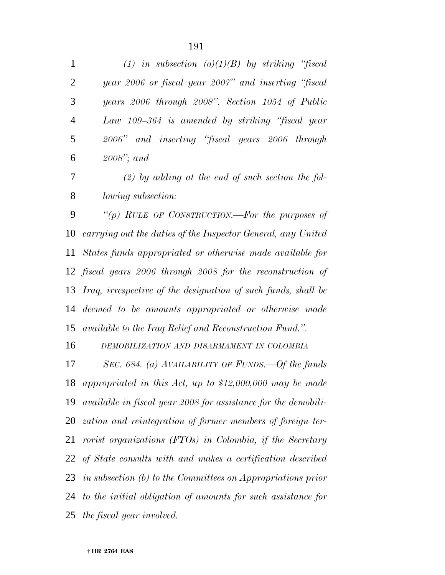| $\mathbf{1}$ | (1) in subsection (o)(1)(B) by striking "fiscal      |
|--------------|------------------------------------------------------|
| 2            | year 2006 or fiscal year 2007" and inserting "fiscal |
| 3            | years 2006 through 2008". Section 1054 of Public     |
| 4            | Law 109–364 is amended by striking "fiscal year      |
| 5            | 2006" and inserting "fiscal years 2006 through       |
| 6            | $2008$ "; and                                        |
|              |                                                      |

 *(2) by adding at the end of such section the fol-lowing subsection:*

 *''(p) RULE OF CONSTRUCTION.—For the purposes of carrying out the duties of the Inspector General, any United States funds appropriated or otherwise made available for fiscal years 2006 through 2008 for the reconstruction of Iraq, irrespective of the designation of such funds, shall be deemed to be amounts appropriated or otherwise made available to the Iraq Relief and Reconstruction Fund.''.*

*DEMOBILIZATION AND DISARMAMENT IN COLOMBIA*

 *SEC. 684. (a) AVAILABILITY OF FUNDS.—Of the funds appropriated in this Act, up to \$12,000,000 may be made available in fiscal year 2008 for assistance for the demobili- zation and reintegration of former members of foreign ter- rorist organizations (FTOs) in Colombia, if the Secretary of State consults with and makes a certification described in subsection (b) to the Committees on Appropriations prior to the initial obligation of amounts for such assistance for the fiscal year involved.*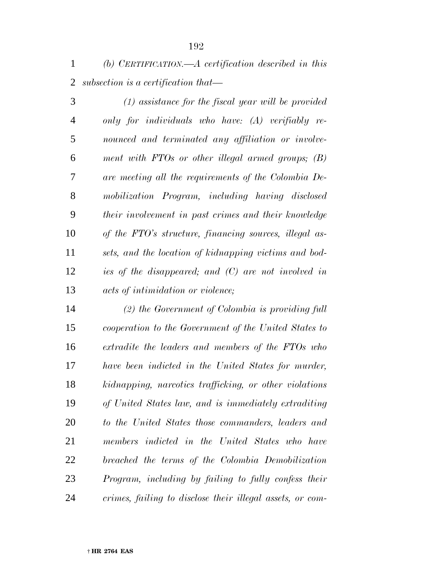*(b) CERTIFICATION.—A certification described in this subsection is a certification that—*

 *(1) assistance for the fiscal year will be provided only for individuals who have: (A) verifiably re- nounced and terminated any affiliation or involve- ment with FTOs or other illegal armed groups; (B) are meeting all the requirements of the Colombia De- mobilization Program, including having disclosed their involvement in past crimes and their knowledge of the FTO's structure, financing sources, illegal as- sets, and the location of kidnapping victims and bod- ies of the disappeared; and (C) are not involved in acts of intimidation or violence;*

 *(2) the Government of Colombia is providing full cooperation to the Government of the United States to extradite the leaders and members of the FTOs who have been indicted in the United States for murder, kidnapping, narcotics trafficking, or other violations of United States law, and is immediately extraditing to the United States those commanders, leaders and members indicted in the United States who have breached the terms of the Colombia Demobilization Program, including by failing to fully confess their crimes, failing to disclose their illegal assets, or com-*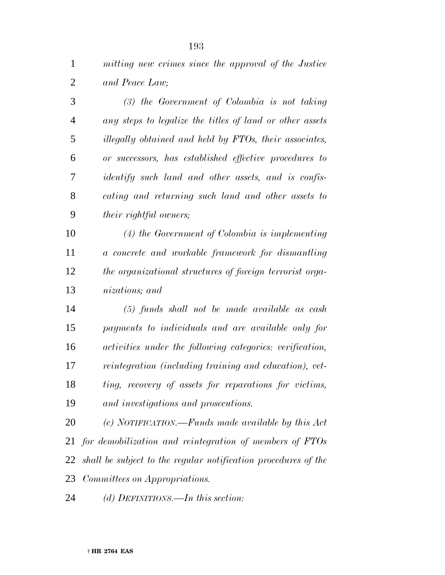*mitting new crimes since the approval of the Justice and Peace Law;*

 *(3) the Government of Colombia is not taking any steps to legalize the titles of land or other assets illegally obtained and held by FTOs, their associates, or successors, has established effective procedures to identify such land and other assets, and is confis- cating and returning such land and other assets to their rightful owners;*

 *(4) the Government of Colombia is implementing a concrete and workable framework for dismantling the organizational structures of foreign terrorist orga-nizations; and*

 *(5) funds shall not be made available as cash payments to individuals and are available only for activities under the following categories: verification, reintegration (including training and education), vet- ting, recovery of assets for reparations for victims, and investigations and prosecutions.*

 *(c) NOTIFICATION.—Funds made available by this Act for demobilization and reintegration of members of FTOs shall be subject to the regular notification procedures of the Committees on Appropriations.*

*(d) DEFINITIONS.—In this section:*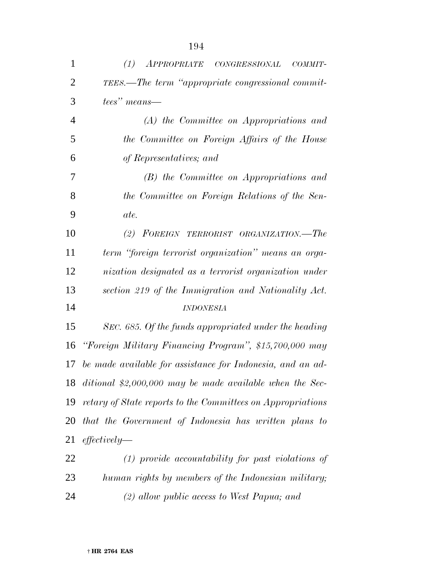| $\mathbf{1}$   | (1)<br><i>APPROPRIATE</i><br>CONGRES SIONAL<br>COMMIT-      |
|----------------|-------------------------------------------------------------|
| $\overline{2}$ | TEES.—The term "appropriate congressional commit-           |
| 3              | tees" means—                                                |
| $\overline{4}$ | (A) the Committee on Appropriations and                     |
| 5              | the Committee on Foreign Affairs of the House               |
| 6              | of Representatives; and                                     |
| 7              | (B) the Committee on Appropriations and                     |
| 8              | the Committee on Foreign Relations of the Sen-              |
| 9              | ate.                                                        |
| 10             | (2) FOREIGN TERRORIST ORGANIZATION.—The                     |
| 11             | term "foreign terrorist organization" means an orga-        |
| 12             | nization designated as a terrorist organization under       |
| 13             | section 219 of the Immigration and Nationality Act.         |
| 14             | <b>INDONESIA</b>                                            |
| 15             | SEC. 685. Of the funds appropriated under the heading       |
| 16             | "Foreign Military Financing Program", \$15,700,000 may      |
| 17             | be made available for assistance for Indonesia, and an ad-  |
|                | 18 ditional \$2,000,000 may be made available when the Sec- |
| 19             | retary of State reports to the Committees on Appropriations |
| 20             | that the Government of Indonesia has written plans to       |
| 21             | effectively                                                 |
| 22             | $(1)$ provide accountability for past violations of         |
| 23             | human rights by members of the Indonesian military;         |
| 24             | $(2)$ allow public access to West Papua; and                |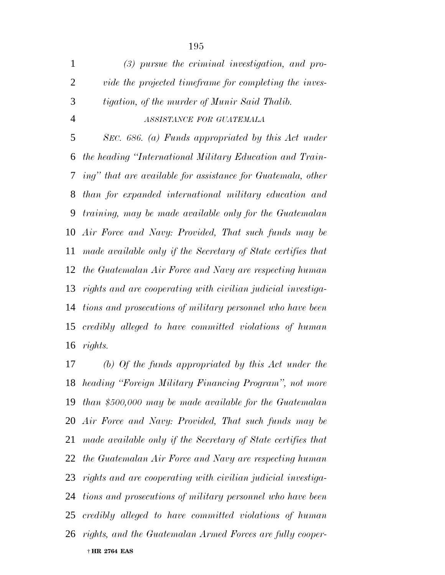*(3) pursue the criminal investigation, and pro- vide the projected timeframe for completing the inves- tigation, of the murder of Munir Said Thalib. ASSISTANCE FOR GUATEMALA SEC. 686. (a) Funds appropriated by this Act under the heading ''International Military Education and Train- ing'' that are available for assistance for Guatemala, other than for expanded international military education and training, may be made available only for the Guatemalan Air Force and Navy: Provided, That such funds may be made available only if the Secretary of State certifies that the Guatemalan Air Force and Navy are respecting human rights and are cooperating with civilian judicial investiga- tions and prosecutions of military personnel who have been credibly alleged to have committed violations of human rights.*

 † **HR 2764 EAS** *(b) Of the funds appropriated by this Act under the heading ''Foreign Military Financing Program'', not more than \$500,000 may be made available for the Guatemalan Air Force and Navy: Provided, That such funds may be made available only if the Secretary of State certifies that the Guatemalan Air Force and Navy are respecting human rights and are cooperating with civilian judicial investiga- tions and prosecutions of military personnel who have been credibly alleged to have committed violations of human rights, and the Guatemalan Armed Forces are fully cooper-*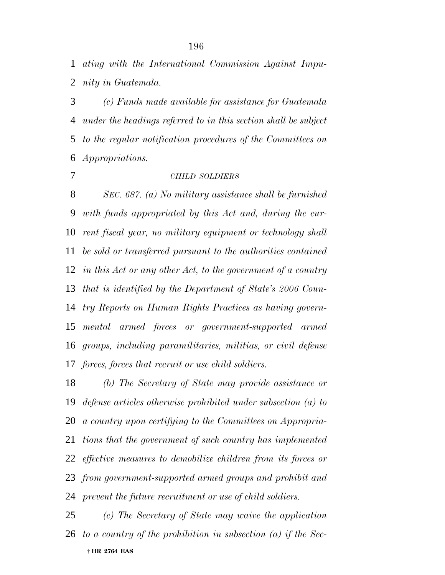*ating with the International Commission Against Impu-nity in Guatemala.*

 *(c) Funds made available for assistance for Guatemala under the headings referred to in this section shall be subject to the regular notification procedures of the Committees on Appropriations.*

### *CHILD SOLDIERS*

 *SEC. 687. (a) No military assistance shall be furnished with funds appropriated by this Act and, during the cur- rent fiscal year, no military equipment or technology shall be sold or transferred pursuant to the authorities contained in this Act or any other Act, to the government of a country that is identified by the Department of State's 2006 Coun- try Reports on Human Rights Practices as having govern- mental armed forces or government-supported armed groups, including paramilitaries, militias, or civil defense forces, forces that recruit or use child soldiers.*

 *(b) The Secretary of State may provide assistance or defense articles otherwise prohibited under subsection (a) to a country upon certifying to the Committees on Appropria- tions that the government of such country has implemented effective measures to demobilize children from its forces or from government-supported armed groups and prohibit and prevent the future recruitment or use of child soldiers.*

 † **HR 2764 EAS** *(c) The Secretary of State may waive the application to a country of the prohibition in subsection (a) if the Sec-*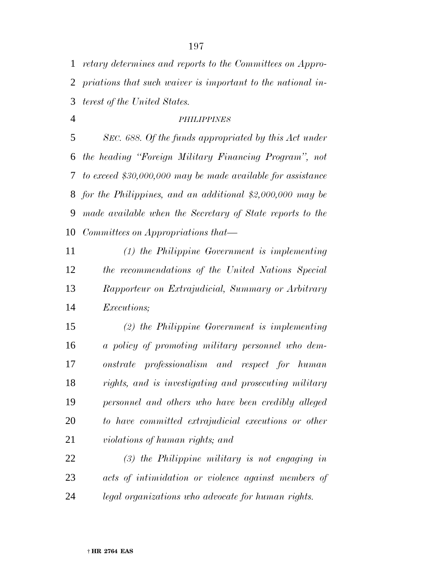*retary determines and reports to the Committees on Appro- priations that such waiver is important to the national in-terest of the United States.*

## *PHILIPPINES*

 *SEC. 688. Of the funds appropriated by this Act under the heading ''Foreign Military Financing Program'', not to exceed \$30,000,000 may be made available for assistance for the Philippines, and an additional \$2,000,000 may be made available when the Secretary of State reports to the Committees on Appropriations that—*

 *(1) the Philippine Government is implementing the recommendations of the United Nations Special Rapporteur on Extrajudicial, Summary or Arbitrary Executions;*

 *(2) the Philippine Government is implementing a policy of promoting military personnel who dem- onstrate professionalism and respect for human rights, and is investigating and prosecuting military personnel and others who have been credibly alleged to have committed extrajudicial executions or other violations of human rights; and*

 *(3) the Philippine military is not engaging in acts of intimidation or violence against members of legal organizations who advocate for human rights.*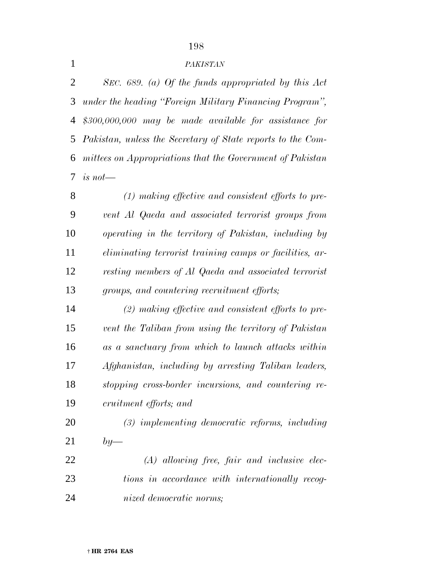## 

# *PAKISTAN*

 *SEC. 689. (a) Of the funds appropriated by this Act under the heading ''Foreign Military Financing Program'', \$300,000,000 may be made available for assistance for Pakistan, unless the Secretary of State reports to the Com- mittees on Appropriations that the Government of Pakistan is not—*

 *(1) making effective and consistent efforts to pre- vent Al Qaeda and associated terrorist groups from operating in the territory of Pakistan, including by eliminating terrorist training camps or facilities, ar- resting members of Al Qaeda and associated terrorist groups, and countering recruitment efforts;*

 *(2) making effective and consistent efforts to pre- vent the Taliban from using the territory of Pakistan as a sanctuary from which to launch attacks within Afghanistan, including by arresting Taliban leaders, stopping cross-border incursions, and countering re-cruitment efforts; and*

 *(3) implementing democratic reforms, including by—*

 *(A) allowing free, fair and inclusive elec- tions in accordance with internationally recog-nized democratic norms;*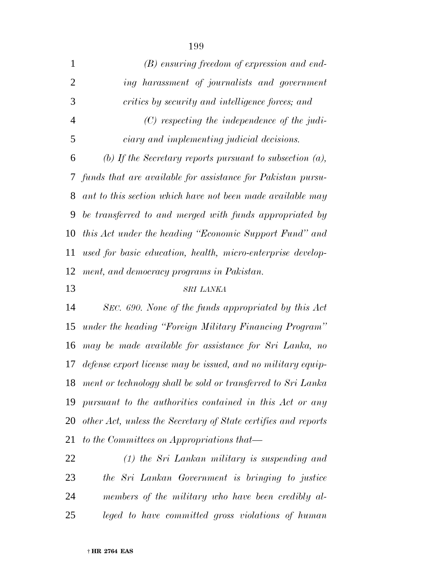| $\mathbf{1}$   | $(B)$ ensuring freedom of expression and end-                  |
|----------------|----------------------------------------------------------------|
| $\overline{2}$ | ing harassment of journalists and government                   |
| 3              | critics by security and intelligence forces; and               |
| $\overline{4}$ | $(C)$ respecting the independence of the judi-                 |
| 5              | ciary and implementing judicial decisions.                     |
| 6              | (b) If the Secretary reports pursuant to subsection $(a)$ ,    |
| 7              | funds that are available for assistance for Pakistan pursu-    |
| 8              | ant to this section which have not been made available may     |
| 9              | be transferred to and merged with funds appropriated by        |
| 10             | this Act under the heading "Economic Support Fund" and         |
| 11             | used for basic education, health, micro-enterprise develop-    |
| 12             | ment, and democracy programs in Pakistan.                      |
|                |                                                                |
| 13             | SRI LANKA                                                      |
| 14             | SEC. 690. None of the funds appropriated by this Act           |
| 15             | under the heading "Foreign Military Financing Program"         |
| 16             | may be made available for assistance for Sri Lanka, no         |
| 17             | defense export license may be issued, and no military equip-   |
| 18             | ment or technology shall be sold or transferred to Sri Lanka   |
| 19             | pursuant to the authorities contained in this Act or any       |
| 20             | other Act, unless the Secretary of State certifies and reports |
| 21             | to the Committees on Appropriations that—                      |
| 22             | $(1)$ the Sri Lankan military is suspending and                |
| 23             | the Sri Lankan Government is bringing to justice               |

*leged to have committed gross violations of human*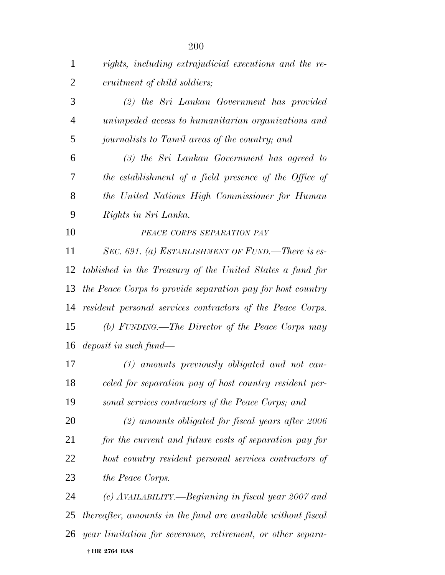| $\mathbf{1}$   | rights, including extrajudicial executions and the re-       |
|----------------|--------------------------------------------------------------|
| $\overline{2}$ | cruitment of child soldiers;                                 |
| 3              | (2) the Sri Lankan Government has provided                   |
| $\overline{4}$ | unimpeded access to humanitarian organizations and           |
| 5              | journalists to Tamil areas of the country; and               |
| 6              | $(3)$ the Sri Lankan Government has agreed to                |
| 7              | the establishment of a field presence of the Office of       |
| 8              | the United Nations High Commissioner for Human               |
| 9              | Rights in Sri Lanka.                                         |
| 10             | PEACE CORPS SEPARATION PAY                                   |
| 11             | SEC. 691. (a) ESTABLISHMENT OF FUND.—There is es-            |
| 12             | tablished in the Treasury of the United States a fund for    |
| 13             | the Peace Corps to provide separation pay for host country   |
| 14             | resident personal services contractors of the Peace Corps.   |
| 15             | (b) FUNDING.—The Director of the Peace Corps may             |
|                | 16 <i>deposit in such fund</i> —                             |
| 17             | $(1)$ amounts previously obligated and not can-              |
| 18             | celed for separation pay of host country resident per-       |
| 19             | sonal services contractors of the Peace Corps; and           |
| 20             | $(2)$ amounts obligated for fiscal years after 2006          |
| 21             | for the current and future costs of separation pay for       |
| 22             | host country resident personal services contractors of       |
| 23             | the Peace Corps.                                             |
| 24             | (c) AVAILABILITY.—Beginning in fiscal year 2007 and          |
| 25             | thereafter, amounts in the fund are available without fiscal |
| 26             | year limitation for severance, retirement, or other separa-  |
|                | † HR 2764 EAS                                                |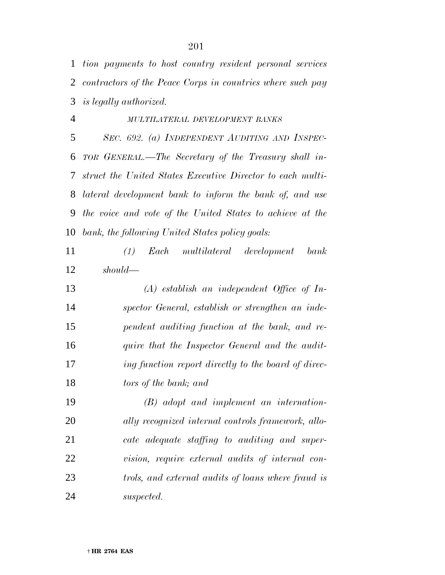*tion payments to host country resident personal services contractors of the Peace Corps in countries where such pay is legally authorized.*

 *MULTILATERAL DEVELOPMENT BANKS SEC. 692. (a) INDEPENDENT AUDITING AND INSPEC- TOR GENERAL.—The Secretary of the Treasury shall in- struct the United States Executive Director to each multi- lateral development bank to inform the bank of, and use the voice and vote of the United States to achieve at the bank, the following United States policy goals:*

 *(1) Each multilateral development bank should—*

 *(A) establish an independent Office of In- spector General, establish or strengthen an inde- pendent auditing function at the bank, and re- quire that the Inspector General and the audit- ing function report directly to the board of direc-tors of the bank; and*

 *(B) adopt and implement an internation- ally recognized internal controls framework, allo- cate adequate staffing to auditing and super- vision, require external audits of internal con- trols, and external audits of loans where fraud is suspected.*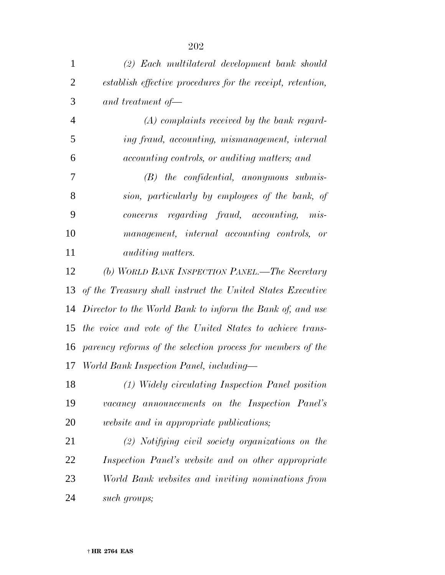| $\mathbf{1}$   | (2) Each multilateral development bank should               |
|----------------|-------------------------------------------------------------|
| $\overline{2}$ | establish effective procedures for the receipt, retention,  |
| 3              | and treatment of $\equiv$                                   |
| $\overline{4}$ | $(A)$ complaints received by the bank regard-               |
| 5              | ing fraud, accounting, mismanagement, internal              |
| 6              | <i>accounting controls, or auditing matters; and</i>        |
| 7              | $(B)$ the confidential, anonymous submis-                   |
| 8              | sion, particularly by employees of the bank, of             |
| 9              | concerns regarding fraud, accounting, mis-                  |
| 10             | management, internal accounting controls, or                |
| 11             | <i>auditing matters.</i>                                    |
| 12             | (b) WORLD BANK INSPECTION PANEL.—The Secretary              |
| 13             | of the Treasury shall instruct the United States Executive  |
| 14             | Director to the World Bank to inform the Bank of, and use   |
| 15             | the voice and vote of the United States to achieve trans-   |
| 16             | parency reforms of the selection process for members of the |
| 17             | World Bank Inspection Panel, including—                     |
| 18             | (1) Widely circulating Inspection Panel position            |
| 19             | vacancy announcements on the Inspection Panel's             |
| 20             | <i>website and in appropriate publications;</i>             |
| 21             | $(2)$ Notifying civil society organizations on the          |
| 22             | Inspection Panel's website and on other appropriate         |
| 23             | World Bank websites and inviting nominations from           |

*such groups;*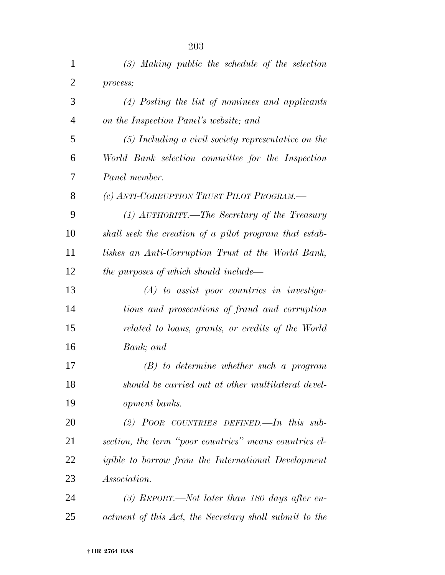| $\mathbf{1}$   | $(3)$ Making public the schedule of the selection          |
|----------------|------------------------------------------------------------|
| $\overline{2}$ | process;                                                   |
| 3              | $(4)$ Posting the list of nominees and applicants          |
| 4              | on the Inspection Panel's website; and                     |
| 5              | $(5)$ Including a civil society representative on the      |
| 6              | World Bank selection committee for the Inspection          |
| 7              | Panel member.                                              |
| 8              | (c) ANTI-CORRUPTION TRUST PILOT PROGRAM.—                  |
| 9              | (1) AUTHORITY.—The Secretary of the Treasury               |
| 10             | shall seek the creation of a pilot program that estab-     |
| 11             | lishes an Anti-Corruption Trust at the World Bank,         |
| 12             | <i>the purposes of which should include—</i>               |
| 13             | $(A)$ to assist poor countries in investiga-               |
| 14             | tions and prosecutions of fraud and corruption             |
| 15             | related to loans, grants, or credits of the World          |
| 16             | Bank; and                                                  |
| 17             | $(B)$ to determine whether such a program                  |
| 18             | should be carried out at other multilateral devel-         |
| 19             | <i>opment banks.</i>                                       |
| 20             | (2) POOR COUNTRIES DEFINED.—In this sub-                   |
| 21             | section, the term "poor countries" means countries el-     |
| 22             | <i>igible to borrow from the International Development</i> |
| 23             | <i>Association.</i>                                        |
| 24             | (3) REPORT.—Not later than 180 days after en-              |
| 25             | actment of this Act, the Secretary shall submit to the     |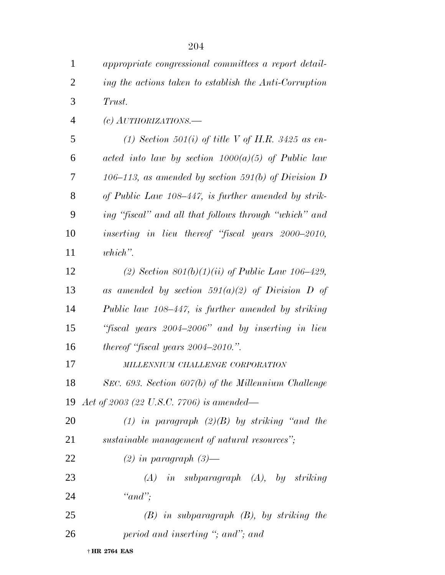| $\mathbf{1}$   | appropriate congressional committees a report detail-  |
|----------------|--------------------------------------------------------|
| $\overline{2}$ | ing the actions taken to establish the Anti-Corruption |
| 3              | Trust.                                                 |
| $\overline{4}$ | (c) $AUTHORIZATIONS$ .                                 |
| 5              | (1) Section 501(i) of title V of H.R. 3425 as en-      |
| 6              | acted into law by section $1000(a)(5)$ of Public law   |
| 7              | 106–113, as amended by section 591(b) of Division D    |
| 8              | of Public Law 108–447, is further amended by strik-    |
| 9              | ing "fiscal" and all that follows through "which" and  |
| 10             | inserting in lieu thereof "fiscal years 2000–2010,     |
| 11             | $which$ ".                                             |
| 12             | (2) Section $801(b)(1)(ii)$ of Public Law 106–429,     |
| 13             | as amended by section 591(a)(2) of Division D of       |
| 14             | Public law 108–447, is further amended by striking     |
| 15             | "fiscal years 2004–2006" and by inserting in lieu      |
| 16             | thereof "fiscal years $2004-2010$ .".                  |
| 17             | MILLENNIUM CHALLENGE CORPORATION                       |
| 18             | SEC. 693. Section 607(b) of the Millennium Challenge   |
| 19             | Act of 2003 (22 U.S.C. 7706) is amended—               |
| 20             | (1) in paragraph $(2)(B)$ by striking "and the         |
| 21             | sustainable management of natural resources";          |
| 22             | $(2)$ in paragraph $(3)$ —                             |
| 23             | $(A)$ in subparagraph $(A)$ , by striking              |
| 24             | " $and$ ";                                             |
| 25             | $(B)$ in subparagraph $(B)$ , by striking the          |
| 26             | period and inserting "; and"; and                      |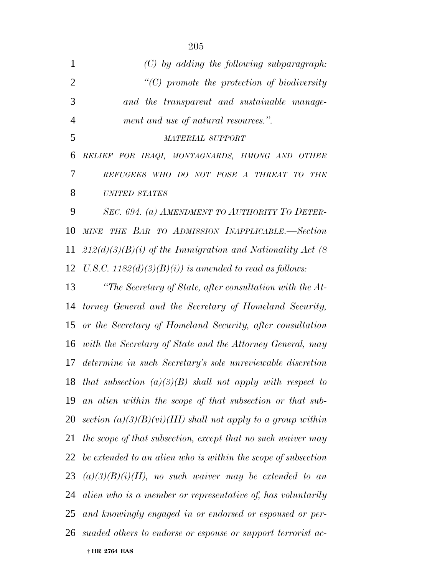| $\mathbf{1}$   | $(C)$ by adding the following subparagraph:                    |
|----------------|----------------------------------------------------------------|
| $\overline{2}$ | $\lq\lq C$ promote the protection of biodiversity              |
| 3              | and the transparent and sustainable manage-                    |
| $\overline{4}$ | ment and use of natural resources.".                           |
| 5              | <b>MATERIAL SUPPORT</b>                                        |
| 6              | RELIEF FOR IRAQI, MONTAGNARDS, HMONG AND OTHER                 |
| 7              | REFUGEES WHO DO NOT POSE A THREAT TO<br>THE                    |
| 8              | <b>UNITED STATES</b>                                           |
| 9              | SEC. 694. (a) AMENDMENT TO AUTHORITY TO DETER-                 |
| 10             | MINE THE BAR TO ADMISSION INAPPLICABLE.-Section                |
| 11             | $212(d)(3)(B)(i)$ of the Immigration and Nationality Act (8)   |
| 12             | U.S.C. $1182(d)(3)(B)(i)$ is amended to read as follows:       |
| 13             | "The Secretary of State, after consultation with the At-       |
| 14             | torney General and the Secretary of Homeland Security,         |
| 15             | or the Secretary of Homeland Security, after consultation      |
| 16             | with the Secretary of State and the Attorney General, may      |
| 17             | determine in such Secretary's sole unreviewable discretion     |
|                | 18 that subsection $(a)(3)(B)$ shall not apply with respect to |
| 19             | an alien within the scope of that subsection or that sub-      |
| 20             | section $(a)(3)(B)(vi)(III)$ shall not apply to a group within |
| 21             | the scope of that subsection, except that no such waiver may   |
| 22             | be extended to an alien who is within the scope of subsection  |
| 23             | $(a)(3)(B)(i)(II)$ , no such waiver may be extended to an      |
| 24             | alien who is a member or representative of, has voluntarily    |
| 25             | and knowingly engaged in or endorsed or espoused or per-       |
| 26             | suaded others to endorse or espouse or support terrorist ac-   |
|                | † HR 2764 EAS                                                  |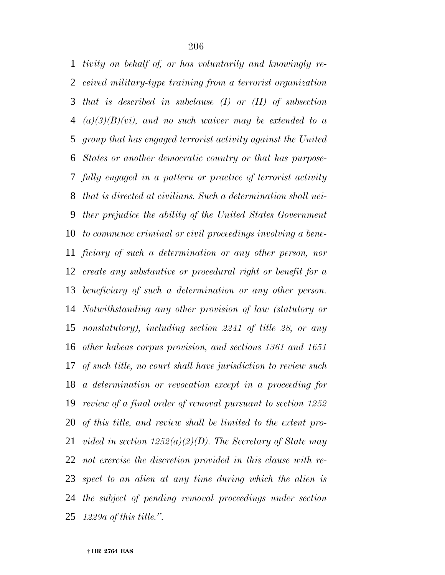*tivity on behalf of, or has voluntarily and knowingly re- ceived military-type training from a terrorist organization that is described in subclause (I) or (II) of subsection (a)(3)(B)(vi), and no such waiver may be extended to a group that has engaged terrorist activity against the United States or another democratic country or that has purpose- fully engaged in a pattern or practice of terrorist activity that is directed at civilians. Such a determination shall nei- ther prejudice the ability of the United States Government to commence criminal or civil proceedings involving a bene- ficiary of such a determination or any other person, nor create any substantive or procedural right or benefit for a beneficiary of such a determination or any other person. Notwithstanding any other provision of law (statutory or nonstatutory), including section 2241 of title 28, or any other habeas corpus provision, and sections 1361 and 1651 of such title, no court shall have jurisdiction to review such a determination or revocation except in a proceeding for review of a final order of removal pursuant to section 1252 of this title, and review shall be limited to the extent pro- vided in section 1252(a)(2)(D). The Secretary of State may not exercise the discretion provided in this clause with re- spect to an alien at any time during which the alien is the subject of pending removal proceedings under section 1229a of this title.''.*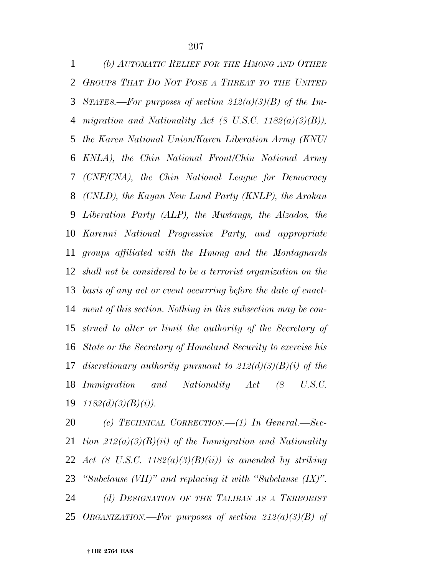*(b) AUTOMATIC RELIEF FOR THE HMONG AND OTHER GROUPS THAT DO NOT POSE A THREAT TO THE UNITED STATES.—For purposes of section 212(a)(3)(B) of the Im- migration and Nationality Act (8 U.S.C. 1182(a)(3)(B)), the Karen National Union/Karen Liberation Army (KNU/ KNLA), the Chin National Front/Chin National Army (CNF/CNA), the Chin National League for Democracy (CNLD), the Kayan New Land Party (KNLP), the Arakan Liberation Party (ALP), the Mustangs, the Alzados, the Karenni National Progressive Party, and appropriate groups affiliated with the Hmong and the Montagnards shall not be considered to be a terrorist organization on the basis of any act or event occurring before the date of enact- ment of this section. Nothing in this subsection may be con- strued to alter or limit the authority of the Secretary of State or the Secretary of Homeland Security to exercise his discretionary authority pursuant to 212(d)(3)(B)(i) of the Immigration and Nationality Act (8 U.S.C. 1182(d)(3)(B)(i)).*

 *(c) TECHNICAL CORRECTION.—(1) In General.—Sec- tion 212(a)(3)(B)(ii) of the Immigration and Nationality Act (8 U.S.C. 1182(a)(3)(B)(ii)) is amended by striking ''Subclause (VII)'' and replacing it with ''Subclause (IX)''. (d) DESIGNATION OF THE TALIBAN AS A TERRORIST ORGANIZATION.—For purposes of section 212(a)(3)(B) of*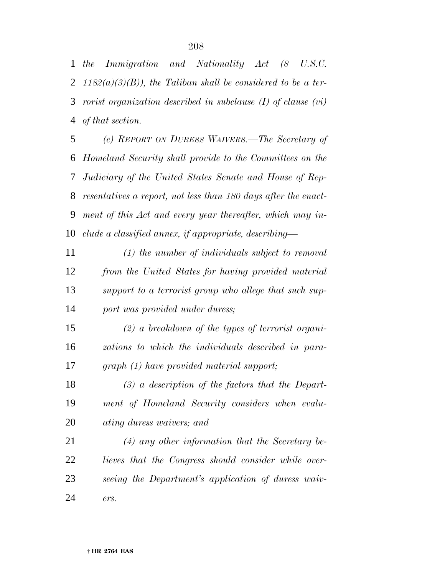*the Immigration and Nationality Act (8 U.S.C. 1182(a)(3)(B)), the Taliban shall be considered to be a ter- rorist organization described in subclause (I) of clause (vi) of that section.*

 *(e) REPORT ON DURESS WAIVERS.—The Secretary of Homeland Security shall provide to the Committees on the Judiciary of the United States Senate and House of Rep- resentatives a report, not less than 180 days after the enact- ment of this Act and every year thereafter, which may in-clude a classified annex, if appropriate, describing—*

 *(1) the number of individuals subject to removal from the United States for having provided material support to a terrorist group who allege that such sup-port was provided under duress;*

 *(2) a breakdown of the types of terrorist organi- zations to which the individuals described in para-graph (1) have provided material support;*

 *(3) a description of the factors that the Depart- ment of Homeland Security considers when evalu-ating duress waivers; and*

 *(4) any other information that the Secretary be- lieves that the Congress should consider while over- seeing the Department's application of duress waiv-ers.*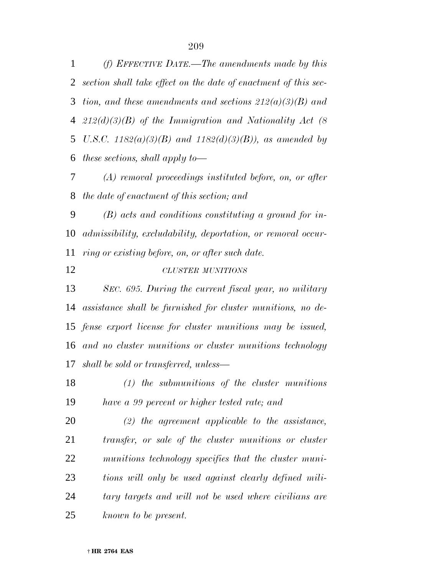*(f) EFFECTIVE DATE.—The amendments made by this section shall take effect on the date of enactment of this sec- tion, and these amendments and sections 212(a)(3)(B) and 212(d)(3)(B) of the Immigration and Nationality Act (8 U.S.C. 1182(a)(3)(B) and 1182(d)(3)(B)), as amended by these sections, shall apply to—*

 *(A) removal proceedings instituted before, on, or after the date of enactment of this section; and*

 *(B) acts and conditions constituting a ground for in- admissibility, excludability, deportation, or removal occur-ring or existing before, on, or after such date.*

*CLUSTER MUNITIONS*

 *SEC. 695. During the current fiscal year, no military assistance shall be furnished for cluster munitions, no de- fense export license for cluster munitions may be issued, and no cluster munitions or cluster munitions technology shall be sold or transferred, unless—*

 *(1) the submunitions of the cluster munitions have a 99 percent or higher tested rate; and*

 *(2) the agreement applicable to the assistance, transfer, or sale of the cluster munitions or cluster munitions technology specifies that the cluster muni- tions will only be used against clearly defined mili- tary targets and will not be used where civilians are known to be present.*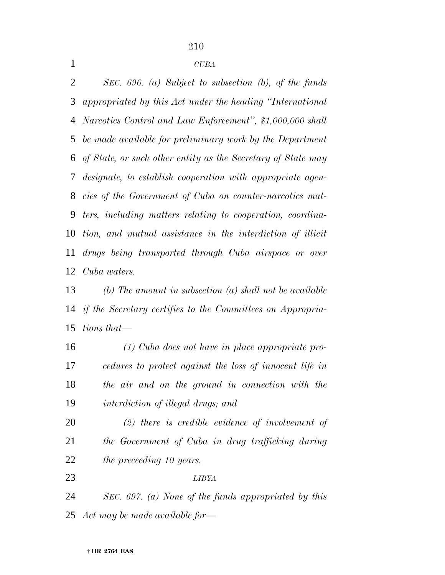*SEC. 696. (a) Subject to subsection (b), of the funds appropriated by this Act under the heading ''International Narcotics Control and Law Enforcement'', \$1,000,000 shall be made available for preliminary work by the Department of State, or such other entity as the Secretary of State may designate, to establish cooperation with appropriate agen- cies of the Government of Cuba on counter-narcotics mat- ters, including matters relating to cooperation, coordina- tion, and mutual assistance in the interdiction of illicit drugs being transported through Cuba airspace or over Cuba waters.*

 *(b) The amount in subsection (a) shall not be available if the Secretary certifies to the Committees on Appropria-tions that—*

 *(1) Cuba does not have in place appropriate pro- cedures to protect against the loss of innocent life in the air and on the ground in connection with the interdiction of illegal drugs; and*

 *(2) there is credible evidence of involvement of the Government of Cuba in drug trafficking during the preceeding 10 years.*

*LIBYA*

 *SEC. 697. (a) None of the funds appropriated by this Act may be made available for—*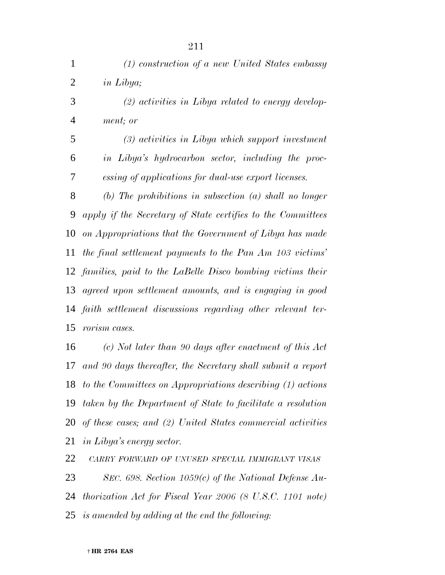| $\mathbf{1}$   | $(1)$ construction of a new United States embassy              |
|----------------|----------------------------------------------------------------|
| $\overline{2}$ | in Libya;                                                      |
| 3              | $(2)$ activities in Libya related to energy develop-           |
| $\overline{4}$ | ment; or                                                       |
| 5              | (3) activities in Libya which support investment               |
| 6              | in Libya's hydrocarbon sector, including the proc-             |
| 7              | essing of applications for dual-use export licenses.           |
| 8              | (b) The prohibitions in subsection $(a)$ shall no longer       |
| 9              | apply if the Secretary of State certifies to the Committees    |
| 10             | on Appropriations that the Government of Libya has made        |
| 11             | the final settlement payments to the Pan Am 103 victims'       |
|                | 12 families, paid to the LaBelle Disco bombing victims their   |
| 13             | agreed upon settlement amounts, and is engaging in good        |
| 14             | faith settlement discussions regarding other relevant ter-     |
| 15             | rorism cases.                                                  |
| 16             | $(c)$ Not later than 90 days after enactment of this Act       |
|                | 17 and 90 days thereafter, the Secretary shall submit a report |

 *and 90 days thereafter, the Secretary shall submit a report to the Committees on Appropriations describing (1) actions taken by the Department of State to facilitate a resolution of these cases; and (2) United States commercial activities in Libya's energy sector.*

*CARRY FORWARD OF UNUSED SPECIAL IMMIGRANT VISAS*

 *SEC. 698. Section 1059(c) of the National Defense Au- thorization Act for Fiscal Year 2006 (8 U.S.C. 1101 note) is amended by adding at the end the following:*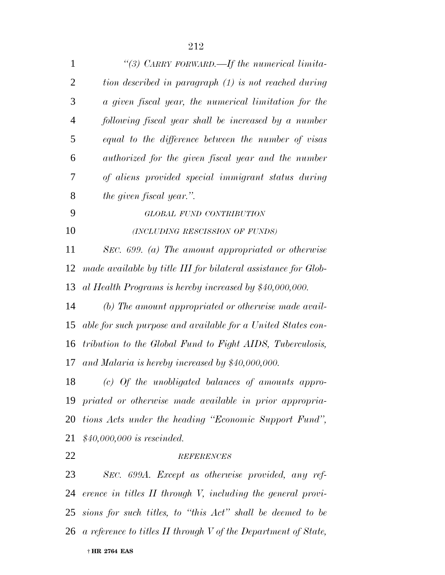| $\mathbf{1}$   | "(3) CARRY FORWARD.—If the numerical limita-                      |
|----------------|-------------------------------------------------------------------|
| $\overline{2}$ | tion described in paragraph (1) is not reached during             |
| 3              | a given fiscal year, the numerical limitation for the             |
| $\overline{4}$ | following fiscal year shall be increased by a number              |
| 5              | equal to the difference between the number of visas               |
| 6              | authorized for the given fiscal year and the number               |
| 7              | of aliens provided special immigrant status during                |
| 8              | the given fiscal year.".                                          |
| 9              | GLOBAL FUND CONTRIBUTION                                          |
| 10             | (INCLUDING RESCISSION OF FUNDS)                                   |
| 11             | SEC. $699.$ (a) The amount appropriated or otherwise              |
| 12             | made available by title III for bilateral assistance for Glob-    |
| 13             | al Health Programs is hereby increased by \$40,000,000.           |
| 14             | (b) The amount appropriated or otherwise made avail-              |
| 15             | able for such purpose and available for a United States con-      |
| 16             | tribution to the Global Fund to Fight AIDS, Tuberculosis,         |
| 17             | and Malaria is hereby increased by $$40,000,000$ .                |
| 18             | $(c)$ Of the unobligated balances of amounts appro-               |
|                | 19 priated or otherwise made available in prior appropria-        |
| 20             | tions Acts under the heading "Economic Support Fund",             |
| 21             | $$40,000,000$ is rescinded.                                       |
| 22             | <b>REFERENCES</b>                                                 |
| 23             | SEC. 699A. Except as otherwise provided, any ref-                 |
| 24             | erence in titles II through V, including the general provi-       |
| 25             | sions for such titles, to "this Act" shall be deemed to be        |
|                | 26 a reference to titles II through V of the Department of State, |
|                |                                                                   |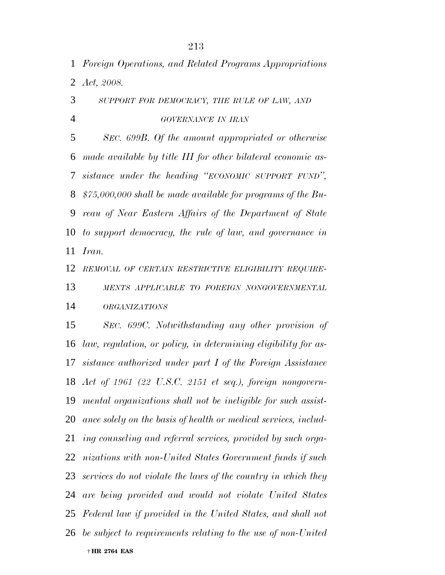*Foreign Operations, and Related Programs Appropriations Act, 2008.*

 *SUPPORT FOR DEMOCRACY, THE RULE OF LAW, AND GOVERNANCE IN IRAN*

 *SEC. 699B. Of the amount appropriated or otherwise made available by title III for other bilateral economic as- sistance under the heading ''ECONOMIC SUPPORT FUND'', \$75,000,000 shall be made available for programs of the Bu- reau of Near Eastern Affairs of the Department of State to support democracy, the rule of law, and governance in Iran.*

*REMOVAL OF CERTAIN RESTRICTIVE ELIGIBILITY REQUIRE-*

 *MENTS APPLICABLE TO FOREIGN NONGOVERNMENTAL ORGANIZATIONS*

 *SEC. 699C. Notwithstanding any other provision of law, regulation, or policy, in determining eligibility for as- sistance authorized under part I of the Foreign Assistance Act of 1961 (22 U.S.C. 2151 et seq.), foreign nongovern- mental organizations shall not be ineligible for such assist- ance solely on the basis of health or medical services, includ- ing counseling and referral services, provided by such orga- nizations with non-United States Government funds if such services do not violate the laws of the country in which they are being provided and would not violate United States Federal law if provided in the United States, and shall not be subject to requirements relating to the use of non-United*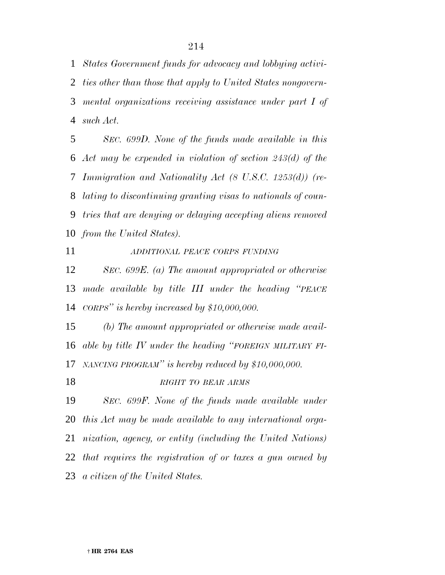*States Government funds for advocacy and lobbying activi- ties other than those that apply to United States nongovern- mental organizations receiving assistance under part I of such Act.*

 *SEC. 699D. None of the funds made available in this Act may be expended in violation of section 243(d) of the Immigration and Nationality Act (8 U.S.C. 1253(d)) (re- lating to discontinuing granting visas to nationals of coun- tries that are denying or delaying accepting aliens removed from the United States).*

*ADDITIONAL PEACE CORPS FUNDING*

 *SEC. 699E. (a) The amount appropriated or otherwise made available by title III under the heading ''PEACE CORPS'' is hereby increased by \$10,000,000.*

 *(b) The amount appropriated or otherwise made avail- able by title IV under the heading ''FOREIGN MILITARY FI-NANCING PROGRAM'' is hereby reduced by \$10,000,000.*

*RIGHT TO BEAR ARMS*

 *SEC. 699F. None of the funds made available under this Act may be made available to any international orga- nization, agency, or entity (including the United Nations) that requires the registration of or taxes a gun owned by a citizen of the United States.*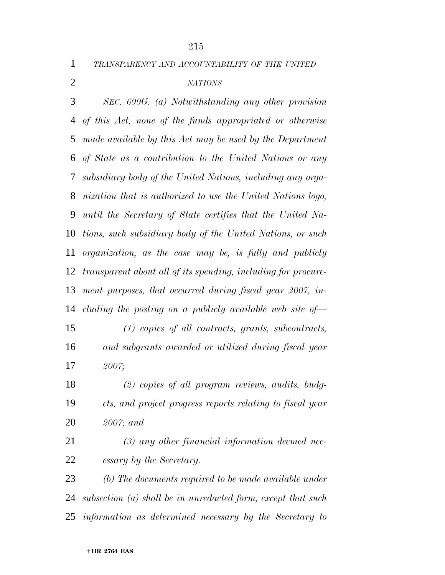*TRANSPARENCY AND ACCOUNTABILITY OF THE UNITED*

#### *NATIONS*

 *SEC. 699G. (a) Notwithstanding any other provision of this Act, none of the funds appropriated or otherwise made available by this Act may be used by the Department of State as a contribution to the United Nations or any subsidiary body of the United Nations, including any orga- nization that is authorized to use the United Nations logo, until the Secretary of State certifies that the United Na- tions, such subsidiary body of the United Nations, or such organization, as the case may be, is fully and publicly transparent about all of its spending, including for procure- ment purposes, that occurred during fiscal year 2007, in-cluding the posting on a publicly available web site of—*

 *(1) copies of all contracts, grants, subcontracts, and subgrants awarded or utilized during fiscal year 2007;*

 *(2) copies of all program reviews, audits, budg- ets, and project progress reports relating to fiscal year 2007; and*

 *(3) any other financial information deemed nec-essary by the Secretary.*

 *(b) The documents required to be made available under subsection (a) shall be in unredacted form, except that such information as determined necessary by the Secretary to*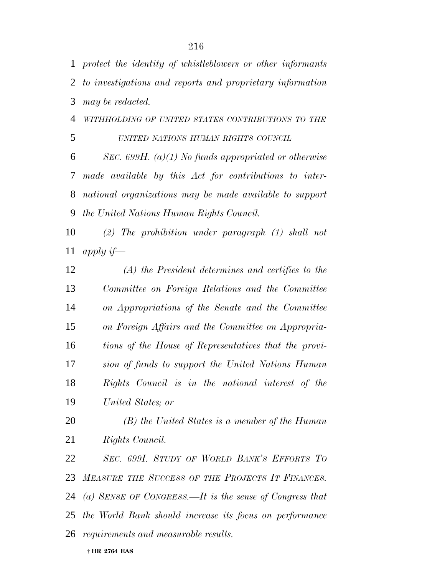*protect the identity of whistleblowers or other informants to investigations and reports and proprietary information may be redacted.*

*WITHHOLDING OF UNITED STATES CONTRIBUTIONS TO THE*

*UNITED NATIONS HUMAN RIGHTS COUNCIL*

 *SEC. 699H. (a)(1) No funds appropriated or otherwise made available by this Act for contributions to inter- national organizations may be made available to support the United Nations Human Rights Council.*

 *(2) The prohibition under paragraph (1) shall not apply if—*

 *(A) the President determines and certifies to the Committee on Foreign Relations and the Committee on Appropriations of the Senate and the Committee on Foreign Affairs and the Committee on Appropria- tions of the House of Representatives that the provi- sion of funds to support the United Nations Human Rights Council is in the national interest of the United States; or*

 *(B) the United States is a member of the Human Rights Council.*

 *SEC. 699I. STUDY OF WORLD BANK'S EFFORTS TO MEASURE THE SUCCESS OF THE PROJECTS IT FINANCES. (a) SENSE OF CONGRESS.—It is the sense of Congress that the World Bank should increase its focus on performance requirements and measurable results.*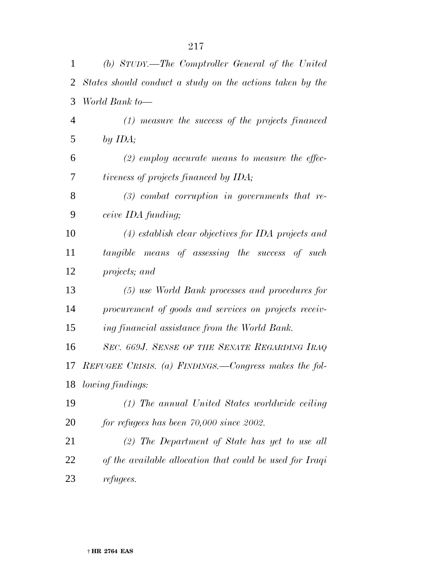| 1              | (b) STUDY.—The Comptroller General of the United          |  |  |  |  |  |
|----------------|-----------------------------------------------------------|--|--|--|--|--|
| 2              | States should conduct a study on the actions taken by the |  |  |  |  |  |
| 3              | World Bank to-                                            |  |  |  |  |  |
| $\overline{4}$ | $(1)$ measure the success of the projects financed        |  |  |  |  |  |
| 5              | by $IDA$ ;                                                |  |  |  |  |  |
| 6              | $(2)$ employ accurate means to measure the effec-         |  |  |  |  |  |
| 7              | tiveness of projects financed by IDA;                     |  |  |  |  |  |
| 8              | $(3)$ combat corruption in governments that re-           |  |  |  |  |  |
| 9              | ceive IDA funding;                                        |  |  |  |  |  |
| 10             | $(4)$ establish clear objectives for IDA projects and     |  |  |  |  |  |
| 11             | tangible means of assessing the success of such           |  |  |  |  |  |
| 12             | projects; and                                             |  |  |  |  |  |
| 13             | (5) use World Bank processes and procedures for           |  |  |  |  |  |
| 14             | procurement of goods and services on projects receiv-     |  |  |  |  |  |
| 15             | ing financial assistance from the World Bank.             |  |  |  |  |  |
| 16             | SEC. 669J. SENSE OF THE SENATE REGARDING IRAQ             |  |  |  |  |  |
| 17             | REFUGEE CRISIS. (a) FINDINGS.—Congress makes the fol-     |  |  |  |  |  |
| 18             | lowing findings:                                          |  |  |  |  |  |
| 19             | (1) The annual United States worldwide ceiling            |  |  |  |  |  |
| 20             | for refugees has been $70,000$ since $2002$ .             |  |  |  |  |  |
| 21             | $(2)$ The Department of State has yet to use all          |  |  |  |  |  |
| 22             | of the available allocation that could be used for Iraqi  |  |  |  |  |  |
| 23             | refugees.                                                 |  |  |  |  |  |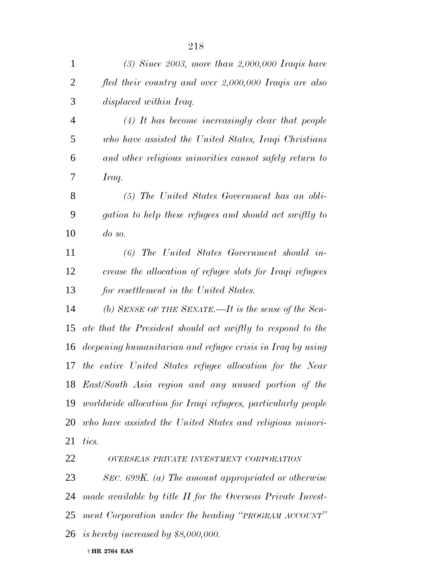| $\mathbf{1}$   | $(3)$ Since 2003, more than 2,000,000 Iraqis have               |
|----------------|-----------------------------------------------------------------|
| $\overline{2}$ | fled their country and over 2,000,000 Iraqis are also           |
| 3              | displaced within Iraq.                                          |
| $\overline{4}$ | $(4)$ It has become increasingly clear that people              |
| 5              | who have assisted the United States, Iraqi Christians           |
| 6              | and other religious minorities cannot safely return to          |
| 7              | Iraq.                                                           |
| 8              | $(5)$ The United States Government has an obli-                 |
| 9              | gation to help these refugees and should act swiftly to         |
| 10             | $\omega$ so.                                                    |
| 11             | $(6)$ The United States Government should in-                   |
| 12             | crease the allocation of refugee slots for Iraqi refugees       |
| 13             | for resettlement in the United States.                          |
| 14             | (b) SENSE OF THE SENATE.—It is the sense of the Sen-            |
| 15             | ate that the President should act swiftly to respond to the     |
| 16             | deepening humanitarian and refugee crisis in Iraq by using      |
| 17             | the entire United States refugee allocation for the Near        |
|                | 18 East/South Asia region and any unused portion of the         |
|                | 19 worldwide allocation for Iraqi refugees, particularly people |
|                | 20 who have assisted the United States and religious minori-    |
| 21             | ties.                                                           |
| 22             | OVERSEAS PRIVATE INVESTMENT CORPORATION                         |
| 23             | SEC. $699K$ . (a) The amount appropriated or otherwise          |
| 24             | made available by title II for the Overseas Private Invest-     |
|                | 25 ment Corporation under the heading "PROGRAM ACCOUNT"         |
|                | 26 is hereby increased by $$8,000,000$ .                        |
|                |                                                                 |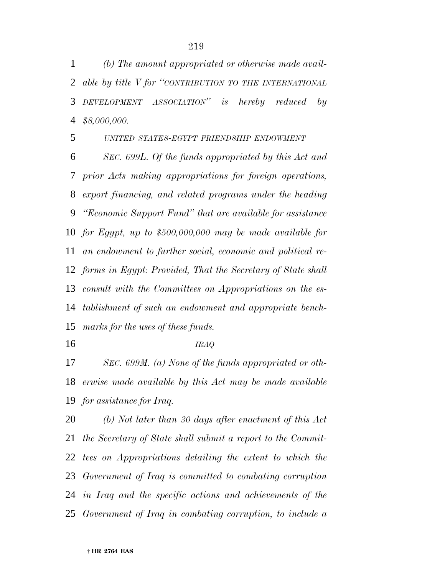*(b) The amount appropriated or otherwise made avail- able by title V for ''CONTRIBUTION TO THE INTERNATIONAL DEVELOPMENT ASSOCIATION'' is hereby reduced by \$8,000,000.*

## *UNITED STATES-EGYPT FRIENDSHIP ENDOWMENT*

 *SEC. 699L. Of the funds appropriated by this Act and prior Acts making appropriations for foreign operations, export financing, and related programs under the heading ''Economic Support Fund'' that are available for assistance for Egypt, up to \$500,000,000 may be made available for an endowment to further social, economic and political re- forms in Egypt: Provided, That the Secretary of State shall consult with the Committees on Appropriations on the es- tablishment of such an endowment and appropriate bench-marks for the uses of these funds.*

*IRAQ*

 *SEC. 699M. (a) None of the funds appropriated or oth- erwise made available by this Act may be made available for assistance for Iraq.*

 *(b) Not later than 30 days after enactment of this Act the Secretary of State shall submit a report to the Commit- tees on Appropriations detailing the extent to which the Government of Iraq is committed to combating corruption in Iraq and the specific actions and achievements of the Government of Iraq in combating corruption, to include a*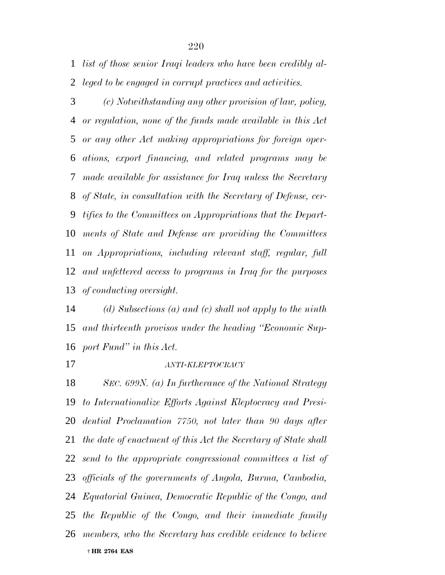*list of those senior Iraqi leaders who have been credibly al-leged to be engaged in corrupt practices and activities.*

 *(c) Notwithstanding any other provision of law, policy, or regulation, none of the funds made available in this Act or any other Act making appropriations for foreign oper- ations, export financing, and related programs may be made available for assistance for Iraq unless the Secretary of State, in consultation with the Secretary of Defense, cer- tifies to the Committees on Appropriations that the Depart- ments of State and Defense are providing the Committees on Appropriations, including relevant staff, regular, full and unfettered access to programs in Iraq for the purposes of conducting oversight.*

 *(d) Subsections (a) and (c) shall not apply to the ninth and thirteenth provisos under the heading ''Economic Sup-port Fund'' in this Act.*

## *ANTI-KLEPTOCRACY*

 † **HR 2764 EAS** *SEC. 699N. (a) In furtherance of the National Strategy to Internationalize Efforts Against Kleptocracy and Presi- dential Proclamation 7750, not later than 90 days after the date of enactment of this Act the Secretary of State shall send to the appropriate congressional committees a list of officials of the governments of Angola, Burma, Cambodia, Equatorial Guinea, Democratic Republic of the Congo, and the Republic of the Congo, and their immediate family members, who the Secretary has credible evidence to believe*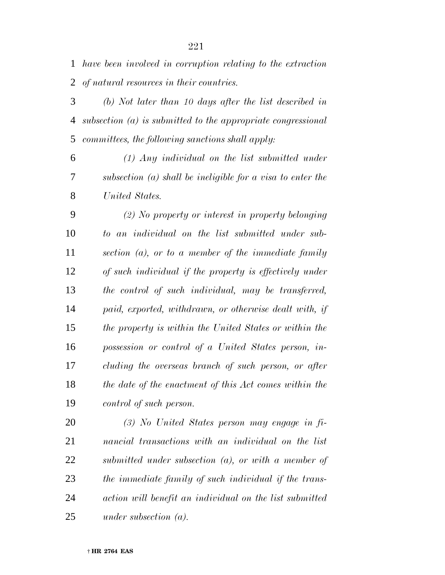*have been involved in corruption relating to the extraction of natural resources in their countries.*

 *(b) Not later than 10 days after the list described in subsection (a) is submitted to the appropriate congressional committees, the following sanctions shall apply:*

 *(1) Any individual on the list submitted under subsection (a) shall be ineligible for a visa to enter the United States.*

 *(2) No property or interest in property belonging to an individual on the list submitted under sub- section (a), or to a member of the immediate family of such individual if the property is effectively under the control of such individual, may be transferred, paid, exported, withdrawn, or otherwise dealt with, if the property is within the United States or within the possession or control of a United States person, in- cluding the overseas branch of such person, or after the date of the enactment of this Act comes within the control of such person.*

 *(3) No United States person may engage in fi- nancial transactions with an individual on the list submitted under subsection (a), or with a member of the immediate family of such individual if the trans- action will benefit an individual on the list submitted under subsection (a).*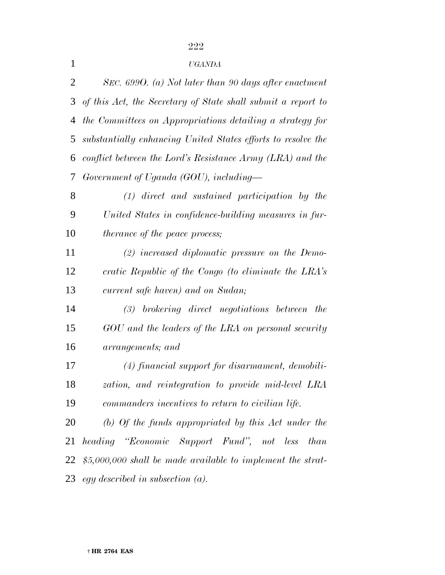## *UGANDA*

| 2  | SEC. 6990. (a) Not later than 90 days after enactment        |  |  |  |  |  |
|----|--------------------------------------------------------------|--|--|--|--|--|
| 3  | of this Act, the Secretary of State shall submit a report to |  |  |  |  |  |
| 4  | the Committees on Appropriations detailing a strategy for    |  |  |  |  |  |
| 5  | substantially enhancing United States efforts to resolve the |  |  |  |  |  |
| 6  | conflict between the Lord's Resistance Army (LRA) and the    |  |  |  |  |  |
| 7  | Government of Uganda (GOU), including—                       |  |  |  |  |  |
| 8  | (1) direct and sustained participation by the                |  |  |  |  |  |
| 9  | United States in confidence-building measures in fur-        |  |  |  |  |  |
| 10 | <i>therance of the peace process;</i>                        |  |  |  |  |  |
| 11 | $(2)$ increased diplomatic pressure on the Demo-             |  |  |  |  |  |
| 12 | cratic Republic of the Congo (to eliminate the LRA's         |  |  |  |  |  |
| 13 | current safe haven) and on Sudan;                            |  |  |  |  |  |
|    |                                                              |  |  |  |  |  |
| 14 | $(3)$ brokering direct negotiations between<br><i>the</i>    |  |  |  |  |  |
| 15 | GOU and the leaders of the LRA on personal security          |  |  |  |  |  |
| 16 | arrangements; and                                            |  |  |  |  |  |
| 17 | (4) financial support for disarmament, demobili-             |  |  |  |  |  |
| 18 | zation, and reintegration to provide mid-level LRA           |  |  |  |  |  |
| 19 | commanders incentives to return to civilian life.            |  |  |  |  |  |
| 20 | (b) Of the funds appropriated by this Act under the          |  |  |  |  |  |
| 21 | heading "Economic Support Fund", not less than               |  |  |  |  |  |
| 22 | $$5,000,000$ shall be made available to implement the strat- |  |  |  |  |  |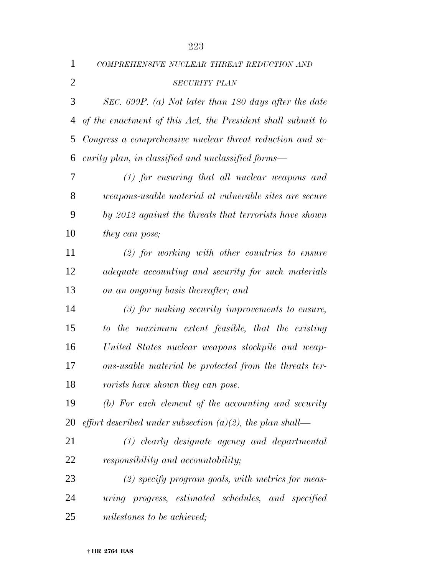| 1              | COMPREHENSIVE NUCLEAR THREAT REDUCTION AND                    |
|----------------|---------------------------------------------------------------|
| $\overline{2}$ | <b>SECURITY PLAN</b>                                          |
| 3              | SEC. 699P. (a) Not later than 180 days after the date         |
| 4              | of the enactment of this Act, the President shall submit to   |
| 5              | Congress a comprehensive nuclear threat reduction and se-     |
| 6              | curity plan, in classified and unclassified forms—            |
| 7              | $(1)$ for ensuring that all nuclear weapons and               |
| 8              | <i>weapons-usable material at vulnerable sites are secure</i> |
| 9              | by 2012 against the threats that terrorists have shown        |
| 10             | <i>they can pose</i> ;                                        |
| 11             | $(2)$ for working with other countries to ensure              |
| 12             | adequate accounting and security for such materials           |
| 13             | on an ongoing basis thereafter; and                           |
| 14             | $(3)$ for making security improvements to ensure,             |
| 15             | to the maximum extent feasible, that the existing             |
| 16             | United States nuclear weapons stockpile and weap-             |
| 17             | ons-usable material be protected from the threats ter-        |
| 18             | rorists have shown they can pose.                             |
| 19             | (b) For each element of the accounting and security           |
| 20             | effort described under subsection $(a)(2)$ , the plan shall—  |
| 21             | $(1)$ clearly designate agency and departmental               |
| 22             | responsibility and accountability;                            |
| 23             | $(2)$ specify program goals, with metrics for meas-           |
| 24             | uring progress, estimated schedules, and specified            |
| 25             | milestones to be achieved;                                    |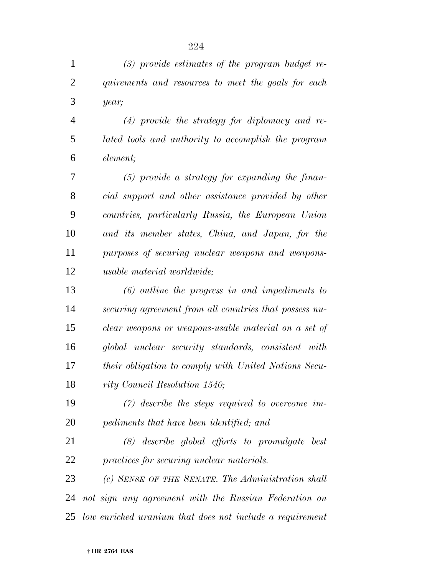| $\mathbf{1}$   | $(3)$ provide estimates of the program budget re-           |
|----------------|-------------------------------------------------------------|
| $\overline{2}$ | quirements and resources to meet the goals for each         |
| 3              | year;                                                       |
| $\overline{4}$ | $(4)$ provide the strategy for diplomacy and re-            |
| 5              | lated tools and authority to accomplish the program         |
| 6              | element;                                                    |
| 7              | $(5)$ provide a strategy for expanding the finan-           |
| 8              | cial support and other assistance provided by other         |
| 9              | countries, particularly Russia, the European Union          |
| 10             | and its member states, China, and Japan, for the            |
| 11             | purposes of securing nuclear weapons and weapons-           |
| 12             | <i>usable material worldwide</i> ;                          |
| 13             | $(6)$ outline the progress in and impediments to            |
| 14             | securing agreement from all countries that possess nu-      |
| 15             | clear weapons or weapons-usable material on a set of        |
| 16             | global nuclear security standards, consistent with          |
| 17             | <i>their obligation to comply with United Nations Secu-</i> |
| 18             | rity Council Resolution 1540;                               |
| 19             | $(7)$ describe the steps required to overcome im-           |
| 20             | pediments that have been identified; and                    |
| 21             | $(8)$ describe global efforts to promulgate best            |
| 22             | practices for securing nuclear materials.                   |
| 23             | (c) SENSE OF THE SENATE. The Administration shall           |
| 24             | not sign any agreement with the Russian Federation on       |
| 25             | low enriched uranium that does not include a requirement    |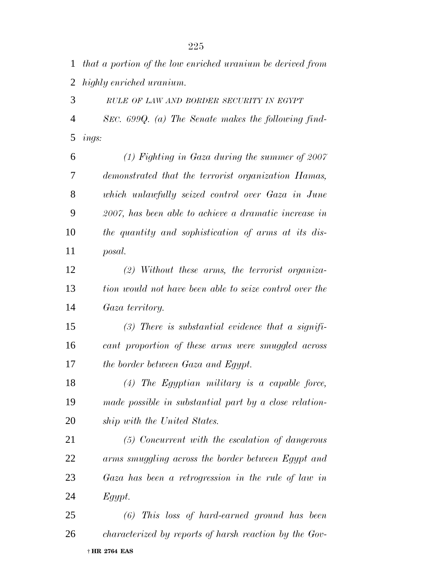*that a portion of the low enriched uranium be derived from highly enriched uranium.*

 *RULE OF LAW AND BORDER SECURITY IN EGYPT SEC. 699Q. (a) The Senate makes the following find-ings:*

 *(1) Fighting in Gaza during the summer of 2007 demonstrated that the terrorist organization Hamas, which unlawfully seized control over Gaza in June 2007, has been able to achieve a dramatic increase in the quantity and sophistication of arms at its dis-posal.*

 *(2) Without these arms, the terrorist organiza- tion would not have been able to seize control over the Gaza territory.*

 *(3) There is substantial evidence that a signifi- cant proportion of these arms were smuggled across the border between Gaza and Egypt.*

 *(4) The Egyptian military is a capable force, made possible in substantial part by a close relation-ship with the United States.*

 *(5) Concurrent with the escalation of dangerous arms smuggling across the border between Egypt and Gaza has been a retrogression in the rule of law in Egypt.*

 † **HR 2764 EAS** *(6) This loss of hard-earned ground has been characterized by reports of harsh reaction by the Gov-*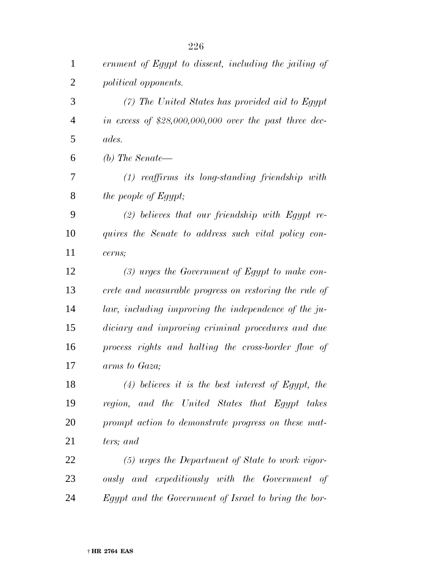| $\mathbf{1}$   | ernment of Egypt to dissent, including the jailing of   |
|----------------|---------------------------------------------------------|
| $\overline{2}$ | political opponents.                                    |
| 3              | $(7)$ The United States has provided aid to Egypt       |
| $\overline{4}$ | in excess of $$28,000,000,000$ over the past three dec- |
| 5              | ades.                                                   |
| 6              | (b) The Senate—                                         |
| 7              | $(1)$ reaffirms its long-standing friendship with       |
| 8              | the people of Egypt;                                    |
| 9              | $(2)$ believes that our friendship with Egypt re-       |
| 10             | quires the Senate to address such vital policy con-     |
| 11             | cerns;                                                  |
| 12             | $(3)$ urges the Government of Egypt to make con-        |
| 13             | crete and measurable progress on restoring the rule of  |
| 14             | law, including improving the independence of the ju-    |
| 15             | diciary and improving criminal procedures and due       |
| 16             | process rights and halting the cross-border flow of     |
| 17             | arms to Gaza;                                           |
| 18             | $(4)$ believes it is the best interest of Egypt, the    |
| 19             | region, and the United States that Egypt takes          |
| 20             | prompt action to demonstrate progress on these mat-     |
| 21             | ters; and                                               |
| 22             | $(5)$ urges the Department of State to work vigor-      |
| 23             | ously and expeditiously with the Government of          |
| 24             | Egypt and the Government of Israel to bring the bor-    |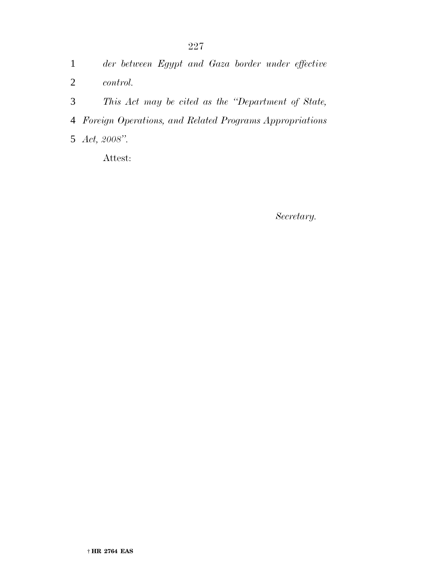|  |  |  |  | der between Egypt and Gaza border under effective |
|--|--|--|--|---------------------------------------------------|
|  |  |  |  |                                                   |

- *control.*
- *This Act may be cited as the ''Department of State,*
- *Foreign Operations, and Related Programs Appropriations*
- *Act, 2008''.*

Attest:

*Secretary.*